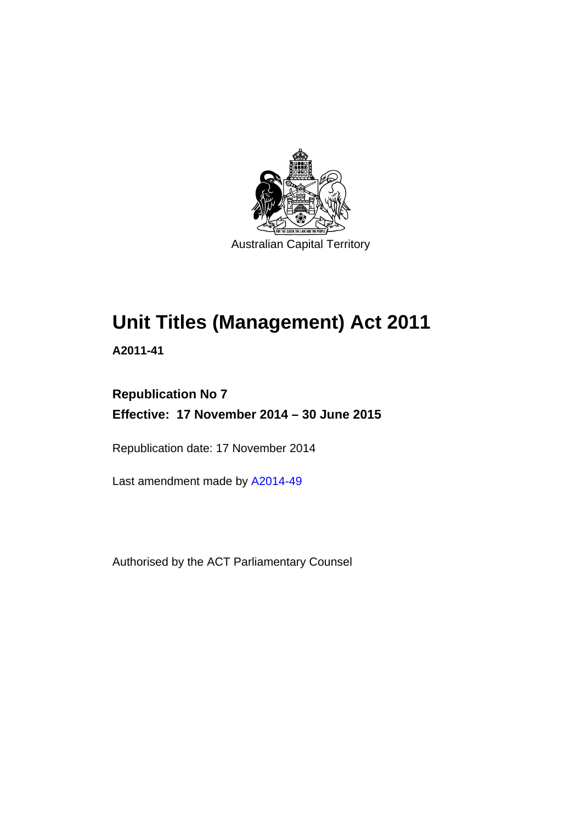

# **Unit Titles (Management) Act 2011**

**A2011-41** 

## **Republication No 7 Effective: 17 November 2014 – 30 June 2015**

Republication date: 17 November 2014

Last amendment made by [A2014-49](http://www.legislation.act.gov.au/a/2014-49)

Authorised by the ACT Parliamentary Counsel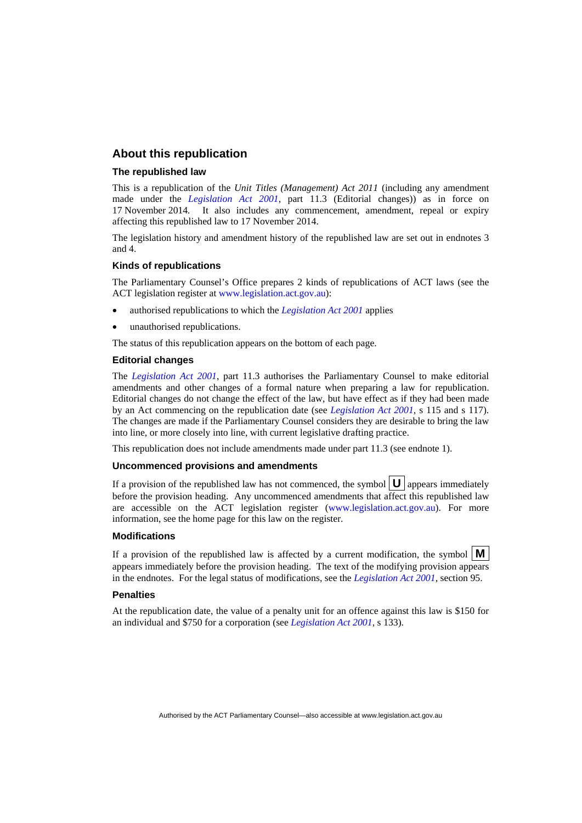#### **About this republication**

#### **The republished law**

This is a republication of the *Unit Titles (Management) Act 2011* (including any amendment made under the *[Legislation Act 2001](http://www.legislation.act.gov.au/a/2001-14)*, part 11.3 (Editorial changes)) as in force on 17 November 2014*.* It also includes any commencement, amendment, repeal or expiry affecting this republished law to 17 November 2014.

The legislation history and amendment history of the republished law are set out in endnotes 3 and 4.

#### **Kinds of republications**

The Parliamentary Counsel's Office prepares 2 kinds of republications of ACT laws (see the ACT legislation register at [www.legislation.act.gov.au](http://www.legislation.act.gov.au/)):

- authorised republications to which the *[Legislation Act 2001](http://www.legislation.act.gov.au/a/2001-14)* applies
- unauthorised republications.

The status of this republication appears on the bottom of each page.

#### **Editorial changes**

The *[Legislation Act 2001](http://www.legislation.act.gov.au/a/2001-14)*, part 11.3 authorises the Parliamentary Counsel to make editorial amendments and other changes of a formal nature when preparing a law for republication. Editorial changes do not change the effect of the law, but have effect as if they had been made by an Act commencing on the republication date (see *[Legislation Act 2001](http://www.legislation.act.gov.au/a/2001-14)*, s 115 and s 117). The changes are made if the Parliamentary Counsel considers they are desirable to bring the law into line, or more closely into line, with current legislative drafting practice.

This republication does not include amendments made under part 11.3 (see endnote 1).

#### **Uncommenced provisions and amendments**

If a provision of the republished law has not commenced, the symbol  $\mathbf{U}$  appears immediately before the provision heading. Any uncommenced amendments that affect this republished law are accessible on the ACT legislation register [\(www.legislation.act.gov.au\)](http://www.legislation.act.gov.au/). For more information, see the home page for this law on the register.

#### **Modifications**

If a provision of the republished law is affected by a current modification, the symbol  $\mathbf{M}$ appears immediately before the provision heading. The text of the modifying provision appears in the endnotes. For the legal status of modifications, see the *[Legislation Act 2001](http://www.legislation.act.gov.au/a/2001-14)*, section 95.

#### **Penalties**

At the republication date, the value of a penalty unit for an offence against this law is \$150 for an individual and \$750 for a corporation (see *[Legislation Act 2001](http://www.legislation.act.gov.au/a/2001-14)*, s 133).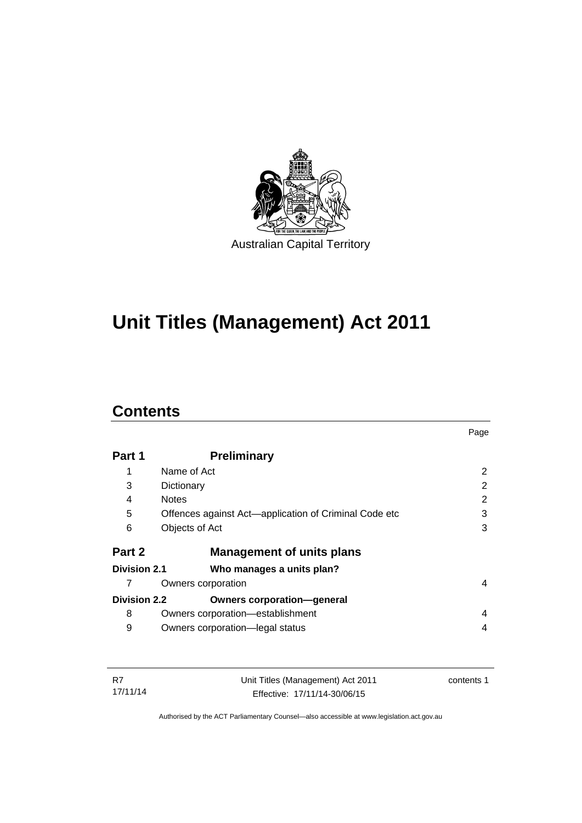

# **Unit Titles (Management) Act 2011**

### **Contents**

|                     |                                                       | Page          |
|---------------------|-------------------------------------------------------|---------------|
| Part 1              | <b>Preliminary</b>                                    |               |
| 1                   | Name of Act                                           | $\mathcal{P}$ |
| 3                   | Dictionary                                            | 2             |
| 4                   | <b>Notes</b>                                          | 2             |
| 5                   | Offences against Act—application of Criminal Code etc | 3             |
| 6                   | Objects of Act                                        | 3             |
| Part 2              | <b>Management of units plans</b>                      |               |
| Division 2.1        | Who manages a units plan?                             |               |
| 7                   | Owners corporation                                    | 4             |
| <b>Division 2.2</b> | <b>Owners corporation-general</b>                     |               |
| 8                   | Owners corporation—establishment                      | 4             |
| 9                   | Owners corporation-legal status                       | 4             |

| -R7      | Unit Titles (Management) Act 2011 | contents 1 |
|----------|-----------------------------------|------------|
| 17/11/14 | Effective: 17/11/14-30/06/15      |            |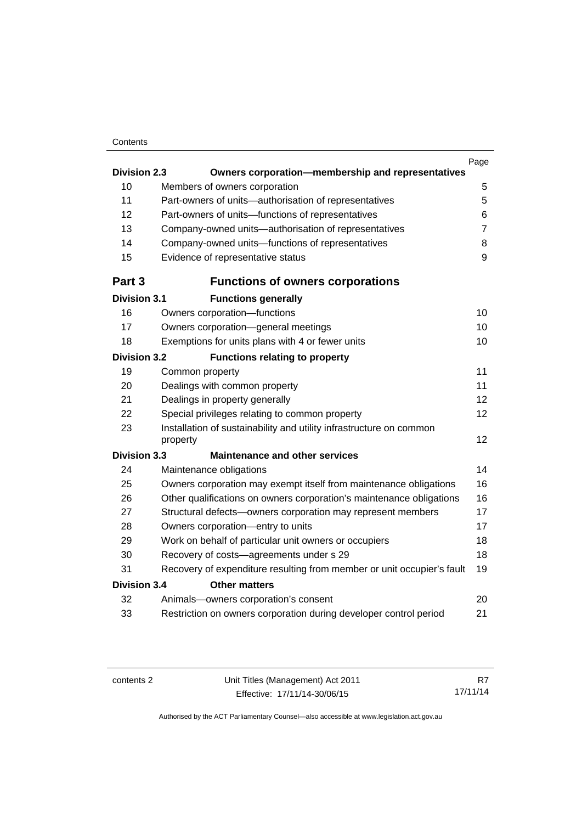#### **Contents**

|                     |                                                                                 | Page           |
|---------------------|---------------------------------------------------------------------------------|----------------|
| <b>Division 2.3</b> | Owners corporation-membership and representatives                               |                |
| 10                  | Members of owners corporation                                                   | 5              |
| 11                  | Part-owners of units-authorisation of representatives                           | 5              |
| 12                  | Part-owners of units-functions of representatives                               | 6              |
| 13                  | Company-owned units-authorisation of representatives                            | $\overline{7}$ |
| 14                  | Company-owned units-functions of representatives                                | 8              |
| 15                  | Evidence of representative status                                               | $\mathsf g$    |
| Part 3              | <b>Functions of owners corporations</b>                                         |                |
| <b>Division 3.1</b> | <b>Functions generally</b>                                                      |                |
| 16                  | Owners corporation-functions                                                    | 10             |
| 17                  | Owners corporation-general meetings                                             | 10             |
| 18                  | Exemptions for units plans with 4 or fewer units                                | 10             |
| <b>Division 3.2</b> | <b>Functions relating to property</b>                                           |                |
| 19                  | Common property                                                                 | 11             |
| 20                  | Dealings with common property                                                   | 11             |
| 21                  | Dealings in property generally                                                  | 12             |
| 22                  | Special privileges relating to common property                                  | 12             |
| 23                  | Installation of sustainability and utility infrastructure on common<br>property | 12             |
| <b>Division 3.3</b> | <b>Maintenance and other services</b>                                           |                |
| 24                  | Maintenance obligations                                                         | 14             |
| 25                  | Owners corporation may exempt itself from maintenance obligations               | 16             |
| 26                  | Other qualifications on owners corporation's maintenance obligations            | 16             |
| 27                  | Structural defects-owners corporation may represent members                     | 17             |
| 28                  | Owners corporation-entry to units                                               | 17             |
| 29                  | Work on behalf of particular unit owners or occupiers                           | 18             |
| 30                  | Recovery of costs-agreements under s 29                                         | 18             |
| 31                  | Recovery of expenditure resulting from member or unit occupier's fault          | 19             |
| <b>Division 3.4</b> | <b>Other matters</b>                                                            |                |
| 32                  | Animals-owners corporation's consent                                            | 20             |
| 33                  | Restriction on owners corporation during developer control period               | 21             |
|                     |                                                                                 |                |

R7 17/11/14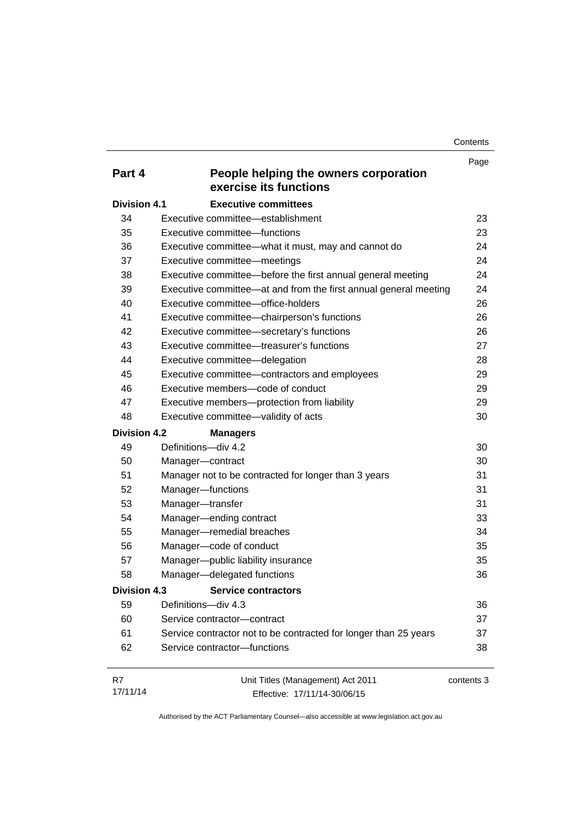**Contents** 

| Part 4              | People helping the owners corporation                             | Page       |
|---------------------|-------------------------------------------------------------------|------------|
|                     | exercise its functions                                            |            |
| <b>Division 4.1</b> | <b>Executive committees</b>                                       |            |
| 34                  | Executive committee—establishment                                 | 23         |
| 35                  | Executive committee-functions                                     | 23         |
| 36                  | Executive committee-what it must, may and cannot do               | 24         |
| 37                  | Executive committee-meetings                                      | 24         |
| 38                  | Executive committee-before the first annual general meeting       | 24         |
| 39                  | Executive committee—at and from the first annual general meeting  | 24         |
| 40                  | Executive committee-office-holders                                | 26         |
| 41                  | Executive committee-chairperson's functions                       | 26         |
| 42                  | Executive committee-secretary's functions                         | 26         |
| 43                  | Executive committee—treasurer's functions                         | 27         |
| 44                  | Executive committee-delegation                                    | 28         |
| 45                  | Executive committee-contractors and employees                     | 29         |
| 46                  | Executive members-code of conduct                                 | 29         |
| 47                  | Executive members-protection from liability                       | 29         |
| 48                  | Executive committee-validity of acts                              | 30         |
| <b>Division 4.2</b> | <b>Managers</b>                                                   |            |
| 49                  | Definitions-div 4.2                                               | 30         |
| 50                  | Manager-contract                                                  | 30         |
| 51                  | Manager not to be contracted for longer than 3 years              | 31         |
| 52                  | Manager-functions                                                 | 31         |
| 53                  | Manager-transfer                                                  | 31         |
| 54                  | Manager-ending contract                                           | 33         |
| 55                  | Manager-remedial breaches                                         | 34         |
| 56                  | Manager-code of conduct                                           | 35         |
| 57                  | Manager-public liability insurance                                | 35         |
| 58                  | Manager-delegated functions                                       | 36         |
| <b>Division 4.3</b> | <b>Service contractors</b>                                        |            |
| 59                  | Definitions-div 4.3                                               | 36         |
| 60                  | Service contractor-contract                                       | 37         |
| 61                  | Service contractor not to be contracted for longer than 25 years  | 37         |
| 62                  | Service contractor-functions                                      | 38         |
| R7<br>17/11/14      | Unit Titles (Management) Act 2011<br>Effective: 17/11/14-30/06/15 | contents 3 |

Effective: 17/11/14-30/06/15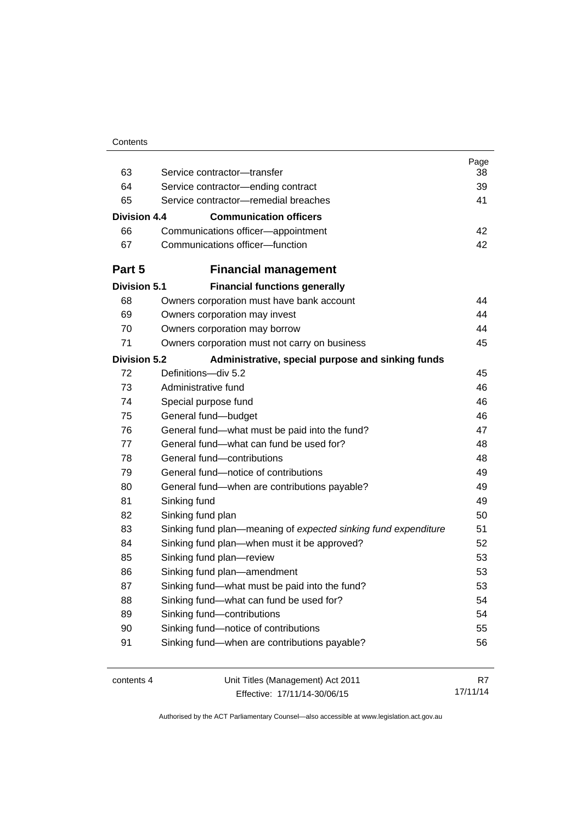| Contents |
|----------|
|----------|

| 63                  | Service contractor-transfer                                    | Page<br>38 |
|---------------------|----------------------------------------------------------------|------------|
| 64                  | Service contractor-ending contract                             | 39         |
| 65                  | Service contractor-remedial breaches                           | 41         |
|                     |                                                                |            |
| <b>Division 4.4</b> | <b>Communication officers</b>                                  |            |
| 66                  | Communications officer-appointment                             | 42         |
| 67                  | Communications officer-function                                | 42         |
| Part 5              | <b>Financial management</b>                                    |            |
| <b>Division 5.1</b> | <b>Financial functions generally</b>                           |            |
| 68                  | Owners corporation must have bank account                      | 44         |
| 69                  | Owners corporation may invest                                  | 44         |
| 70                  | Owners corporation may borrow                                  | 44         |
| 71                  | Owners corporation must not carry on business                  | 45         |
| <b>Division 5.2</b> | Administrative, special purpose and sinking funds              |            |
| 72                  | Definitions-div 5.2                                            | 45         |
| 73                  | Administrative fund                                            | 46         |
| 74                  | Special purpose fund                                           | 46         |
| 75                  | General fund-budget                                            | 46         |
| 76                  | General fund-what must be paid into the fund?                  | 47         |
| 77                  | General fund—what can fund be used for?                        | 48         |
| 78                  | General fund-contributions                                     | 48         |
| 79                  | General fund-notice of contributions                           | 49         |
| 80                  | General fund-when are contributions payable?                   | 49         |
| 81                  | Sinking fund                                                   | 49         |
| 82                  | Sinking fund plan                                              | 50         |
| 83                  | Sinking fund plan—meaning of expected sinking fund expenditure | 51         |
| 84                  | Sinking fund plan-when must it be approved?                    | 52         |
| 85                  | Sinking fund plan-review                                       | 53         |
| 86                  | Sinking fund plan-amendment                                    | 53         |
| 87                  | Sinking fund-what must be paid into the fund?                  | 53         |
| 88                  | Sinking fund-what can fund be used for?                        | 54         |
| 89                  | Sinking fund-contributions                                     | 54         |
| 90                  | Sinking fund-notice of contributions                           | 55         |
| 91                  | Sinking fund-when are contributions payable?                   | 56         |
| contents 4          | Unit Titles (Management) Act 2011                              | R7         |

Effective: 17/11/14-30/06/15

17/11/14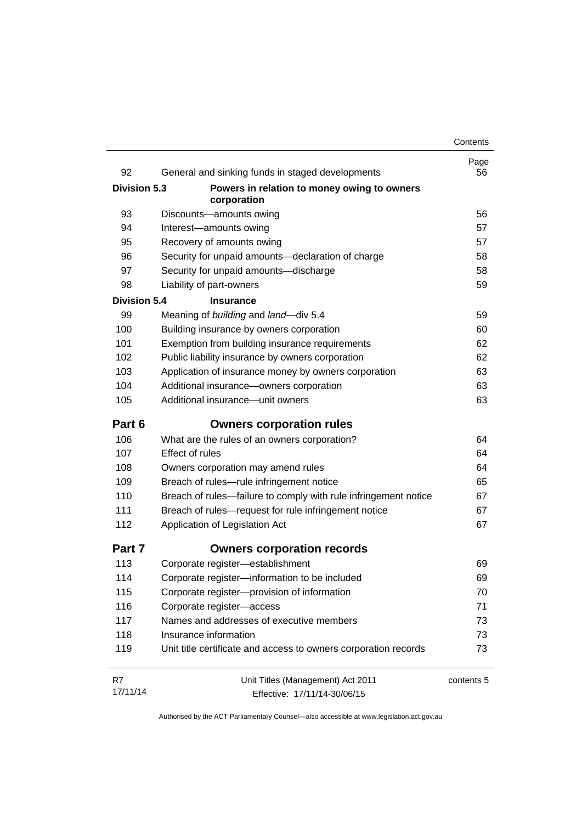| 92                  | General and sinking funds in staged developments                | Page<br>56 |
|---------------------|-----------------------------------------------------------------|------------|
| <b>Division 5.3</b> | Powers in relation to money owing to owners                     |            |
|                     | corporation                                                     |            |
| 93                  | Discounts-amounts owing                                         | 56         |
| 94                  | Interest-amounts owing                                          | 57         |
| 95                  | Recovery of amounts owing                                       | 57         |
| 96                  | Security for unpaid amounts-declaration of charge               | 58         |
| 97                  | Security for unpaid amounts-discharge                           | 58         |
| 98                  | Liability of part-owners                                        | 59         |
| <b>Division 5.4</b> | <b>Insurance</b>                                                |            |
| 99                  | Meaning of building and land-div 5.4                            | 59         |
| 100                 | Building insurance by owners corporation                        | 60         |
| 101                 | Exemption from building insurance requirements                  | 62         |
| 102                 | Public liability insurance by owners corporation                | 62         |
| 103                 | Application of insurance money by owners corporation            | 63         |
| 104                 | Additional insurance-owners corporation                         | 63         |
| 105                 | Additional insurance-unit owners                                | 63         |
| Part 6              | <b>Owners corporation rules</b>                                 |            |
| 106                 | What are the rules of an owners corporation?                    | 64         |
| 107                 | Effect of rules                                                 | 64         |
| 108                 | Owners corporation may amend rules                              | 64         |
| 109                 | Breach of rules-rule infringement notice                        | 65         |
| 110                 | Breach of rules-failure to comply with rule infringement notice | 67         |
| 111                 | Breach of rules-request for rule infringement notice            | 67         |
| 112                 | Application of Legislation Act                                  | 67         |
| Part 7              | <b>Owners corporation records</b>                               |            |
| 113                 | Corporate register-establishment                                | 69         |
| 114                 | Corporate register-information to be included                   | 69         |
| 115                 | Corporate register-provision of information                     | 70         |
| 116                 | Corporate register-access                                       | 71         |
| 117                 | Names and addresses of executive members                        | 73         |
| 118                 | Insurance information                                           | 73         |
| 119                 | Unit title certificate and access to owners corporation records | 73         |
| R7                  | Unit Titles (Management) Act 2011                               | contents 5 |
| 17/11/14            | Effective: 17/11/14-30/06/15                                    |            |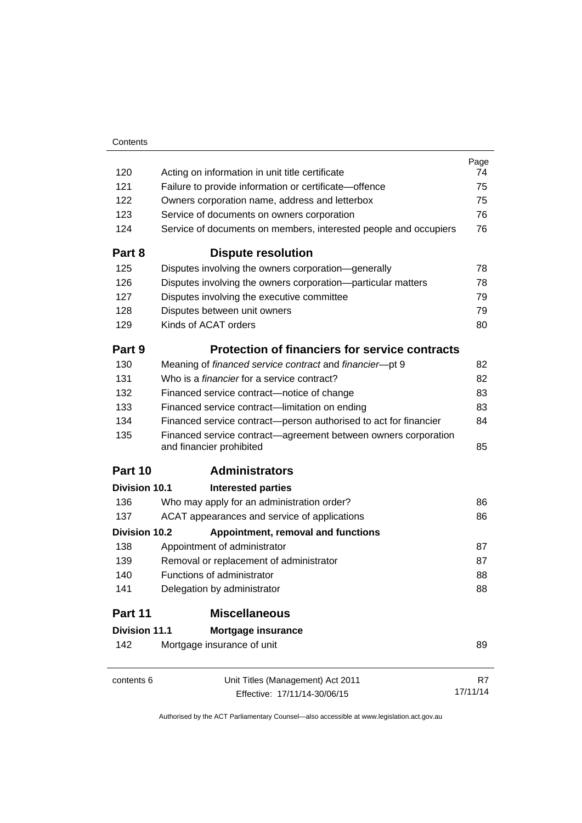|                      |                                                                                            | Page     |
|----------------------|--------------------------------------------------------------------------------------------|----------|
| 120                  | Acting on information in unit title certificate                                            | 74       |
| 121                  | Failure to provide information or certificate-offence                                      | 75       |
| 122                  | Owners corporation name, address and letterbox                                             | 75       |
| 123                  | Service of documents on owners corporation                                                 | 76       |
| 124                  | Service of documents on members, interested people and occupiers                           | 76       |
| Part 8               | <b>Dispute resolution</b>                                                                  |          |
| 125                  | Disputes involving the owners corporation-generally                                        | 78       |
| 126                  | Disputes involving the owners corporation-particular matters                               | 78       |
| 127                  | Disputes involving the executive committee                                                 | 79       |
| 128                  | Disputes between unit owners                                                               | 79       |
| 129                  | Kinds of ACAT orders                                                                       | 80       |
| Part 9               | <b>Protection of financiers for service contracts</b>                                      |          |
| 130                  | Meaning of financed service contract and financier-pt 9                                    | 82       |
| 131                  | Who is a <i>financier</i> for a service contract?                                          | 82       |
| 132                  | Financed service contract-notice of change                                                 | 83       |
| 133                  | Financed service contract-limitation on ending                                             | 83       |
| 134                  | Financed service contract-person authorised to act for financier                           | 84       |
| 135                  | Financed service contract—agreement between owners corporation<br>and financier prohibited | 85       |
| Part 10              | <b>Administrators</b>                                                                      |          |
| Division 10.1        | <b>Interested parties</b>                                                                  |          |
| 136                  | Who may apply for an administration order?                                                 | 86       |
| 137                  | ACAT appearances and service of applications                                               | 86       |
| <b>Division 10.2</b> | Appointment, removal and functions                                                         |          |
| 138                  | Appointment of administrator                                                               | 87       |
| 139                  | Removal or replacement of administrator                                                    | 87       |
| 140                  | Functions of administrator                                                                 | 88       |
| 141                  | Delegation by administrator                                                                | 88       |
| Part 11              | <b>Miscellaneous</b>                                                                       |          |
| <b>Division 11.1</b> | Mortgage insurance                                                                         |          |
| 142                  | Mortgage insurance of unit                                                                 | 89       |
| contents 6           | Unit Titles (Management) Act 2011                                                          | R7       |
|                      | Effective: 17/11/14-30/06/15                                                               | 17/11/14 |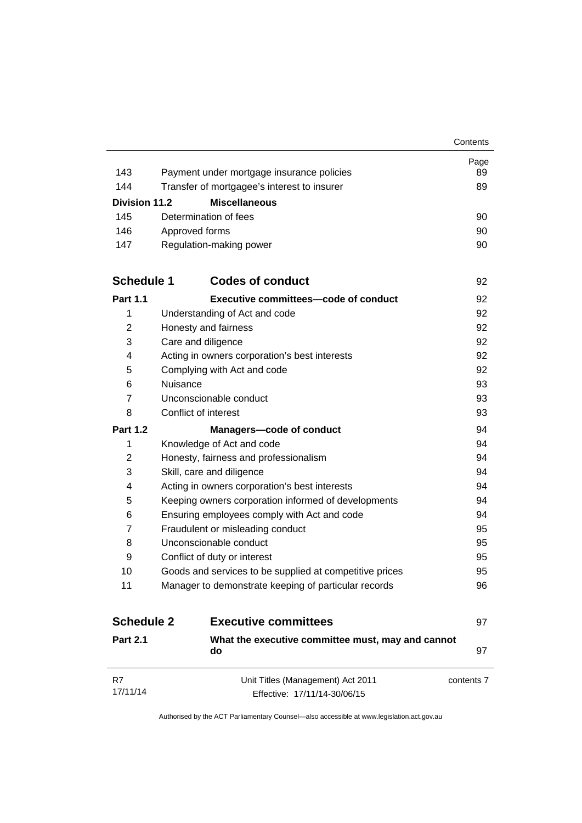|                      |                                                                   | Contents   |
|----------------------|-------------------------------------------------------------------|------------|
|                      |                                                                   | Page       |
| 143                  | Payment under mortgage insurance policies                         | 89         |
| 144                  | Transfer of mortgagee's interest to insurer                       | 89         |
| <b>Division 11.2</b> | <b>Miscellaneous</b>                                              |            |
| 145                  | Determination of fees                                             | 90         |
| 146                  | Approved forms                                                    | 90         |
| 147                  | Regulation-making power                                           | 90         |
| <b>Schedule 1</b>    | <b>Codes of conduct</b>                                           | 92         |
| <b>Part 1.1</b>      | <b>Executive committees-code of conduct</b>                       | 92         |
| 1                    | Understanding of Act and code                                     | 92         |
| 2                    | Honesty and fairness                                              | 92         |
| 3                    | Care and diligence                                                | 92         |
| 4                    | Acting in owners corporation's best interests                     | 92         |
| 5                    | Complying with Act and code                                       | 92         |
| 6                    | Nuisance                                                          | 93         |
| $\overline{7}$       | Unconscionable conduct                                            | 93         |
| 8                    | Conflict of interest                                              | 93         |
| <b>Part 1.2</b>      | <b>Managers-code of conduct</b>                                   | 94         |
| 1                    | Knowledge of Act and code                                         | 94         |
| $\overline{2}$       | Honesty, fairness and professionalism                             | 94         |
| 3                    | Skill, care and diligence                                         | 94         |
| 4                    | Acting in owners corporation's best interests                     | 94         |
| 5                    | Keeping owners corporation informed of developments               | 94         |
| 6                    | Ensuring employees comply with Act and code                       | 94         |
| $\overline{7}$       | Fraudulent or misleading conduct                                  | 95         |
| 8                    | Unconscionable conduct                                            | 95         |
| 9                    | Conflict of duty or interest                                      | 95         |
| 10                   | Goods and services to be supplied at competitive prices           | 95         |
| 11                   | Manager to demonstrate keeping of particular records              | 96         |
| <b>Schedule 2</b>    | <b>Executive committees</b>                                       | 97         |
| <b>Part 2.1</b>      | What the executive committee must, may and cannot<br>do           | 97         |
| R7<br>17/11/14       | Unit Titles (Management) Act 2011<br>Effective: 17/11/14-30/06/15 | contents 7 |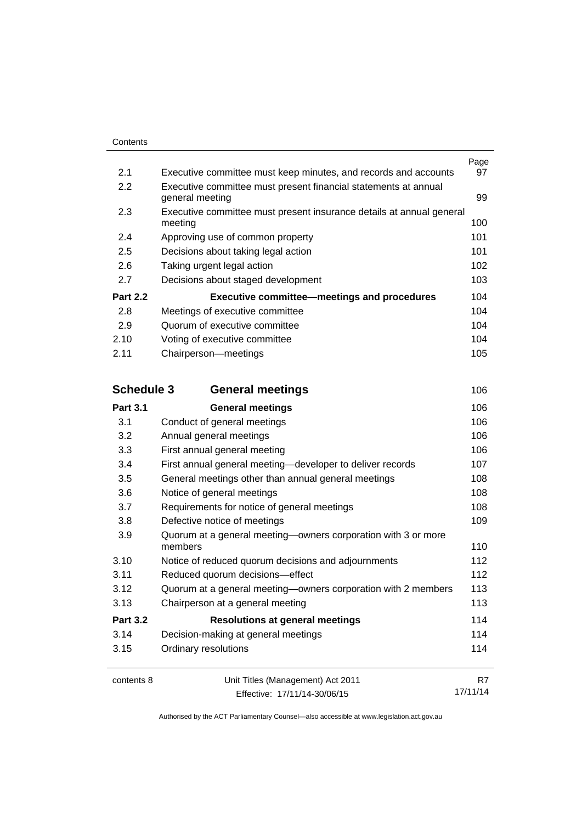| 2.1               | Executive committee must keep minutes, and records and accounts                 | Page<br>97 |
|-------------------|---------------------------------------------------------------------------------|------------|
| 2.2               | Executive committee must present financial statements at annual                 |            |
|                   | general meeting                                                                 | 99         |
| 2.3               | Executive committee must present insurance details at annual general<br>meeting | 100        |
| 2.4               | Approving use of common property                                                | 101        |
| 2.5               | Decisions about taking legal action                                             | 101        |
| 2.6               | Taking urgent legal action                                                      | 102        |
| 2.7               | Decisions about staged development                                              | 103        |
| <b>Part 2.2</b>   | <b>Executive committee-meetings and procedures</b>                              | 104        |
| 2.8               | Meetings of executive committee                                                 | 104        |
| 2.9               | Quorum of executive committee                                                   | 104        |
| 2.10              | Voting of executive committee                                                   | 104        |
| 2.11              | Chairperson-meetings                                                            | 105        |
| <b>Schedule 3</b> | <b>General meetings</b>                                                         | 106        |
| <b>Part 3.1</b>   | <b>General meetings</b>                                                         | 106        |
| 3.1               | Conduct of general meetings                                                     | 106        |
| 3.2               | Annual general meetings                                                         | 106        |
| 3.3               | First annual general meeting                                                    | 106        |
| 3.4               | First annual general meeting-developer to deliver records                       | 107        |
| 3.5               | General meetings other than annual general meetings                             | 108        |
| 3.6               | Notice of general meetings                                                      | 108        |
| 3.7               | Requirements for notice of general meetings                                     | 108        |
| 3.8               | Defective notice of meetings                                                    | 109        |
| 3.9               | Quorum at a general meeting-owners corporation with 3 or more<br>members        | 110        |
| 3.10              | Notice of reduced quorum decisions and adjournments                             | 112        |
| 3.11              | Reduced quorum decisions-effect                                                 | 112        |
| 3.12              | Quorum at a general meeting-owners corporation with 2 members                   | 113        |
| 3.13              | Chairperson at a general meeting                                                | 113        |
| <b>Part 3.2</b>   | <b>Resolutions at general meetings</b>                                          | 114        |
| 3.14              | Decision-making at general meetings                                             | 114        |
| 3.15              | Ordinary resolutions                                                            | 114        |
| contents 8        | Unit Titles (Management) Act 2011                                               | R7         |
|                   | Effective: 17/11/14-30/06/15                                                    | 17/11/14   |

Effective: 17/11/14-30/06/15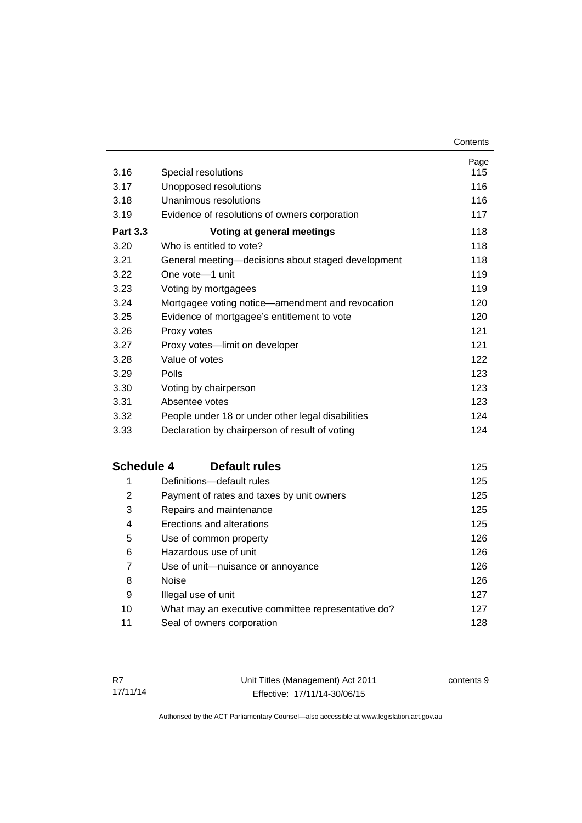| 3.16              | Special resolutions                                | Page<br>115 |
|-------------------|----------------------------------------------------|-------------|
| 3.17              | Unopposed resolutions                              | 116         |
| 3.18              | Unanimous resolutions                              | 116         |
| 3.19              | Evidence of resolutions of owners corporation      | 117         |
| <b>Part 3.3</b>   | Voting at general meetings                         | 118         |
| 3.20              | Who is entitled to vote?                           | 118         |
| 3.21              | General meeting-decisions about staged development | 118         |
| 3.22              | One vote-1 unit                                    | 119         |
| 3.23              | Voting by mortgagees                               | 119         |
| 3.24              | Mortgagee voting notice-amendment and revocation   | 120         |
| 3.25              | Evidence of mortgagee's entitlement to vote        | 120         |
| 3.26              | Proxy votes                                        | 121         |
| 3.27              | Proxy votes-limit on developer                     | 121         |
| 3.28              | Value of votes                                     | 122         |
| 3.29              | Polls                                              | 123         |
| 3.30              | Voting by chairperson                              | 123         |
| 3.31              | Absentee votes                                     | 123         |
| 3.32              | People under 18 or under other legal disabilities  | 124         |
| 3.33              | Declaration by chairperson of result of voting     | 124         |
| <b>Schedule 4</b> | <b>Default rules</b>                               | 125         |
| 1                 | Definitions-default rules                          | 125         |
| $\overline{2}$    | Payment of rates and taxes by unit owners          | 125         |
| 3                 | Repairs and maintenance                            | 125         |
| 4                 | Erections and alterations                          | 125         |
| 5                 | Use of common property                             | 126         |
| 6                 | Hazardous use of unit                              | 126         |
| 7                 | Use of unit-nuisance or annoyance                  | 126         |
| 8                 | <b>Noise</b>                                       | 126         |
| 9                 | Illegal use of unit                                | 127         |
| 10                | What may an executive committee representative do? | 127         |
| 11                | Seal of owners corporation                         | 128         |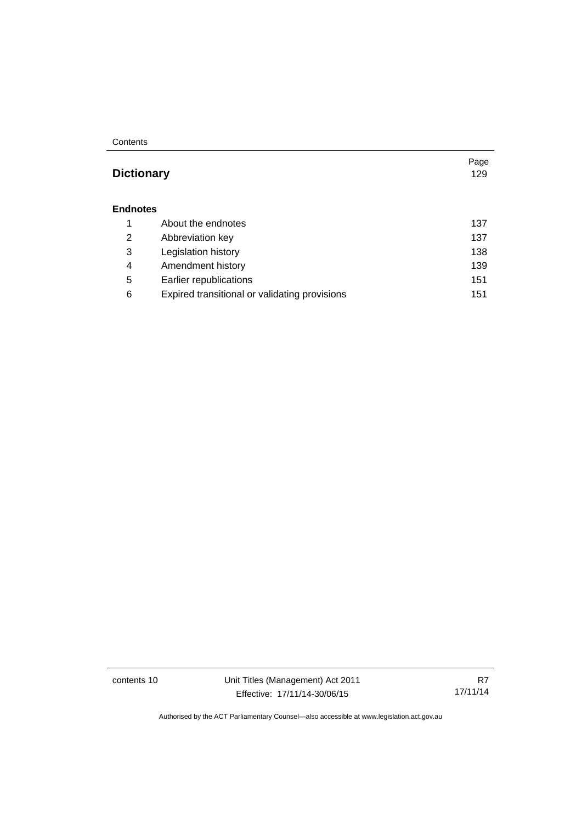#### **Contents**

### **Dictionary** [129](#page-140-0)

#### **[Endnotes](#page-148-0)**

|   | About the endnotes                            | 137 |
|---|-----------------------------------------------|-----|
| 2 | Abbreviation key                              | 137 |
| 3 | Legislation history                           | 138 |
| 4 | Amendment history                             | 139 |
| 5 | Earlier republications                        | 151 |
| 6 | Expired transitional or validating provisions | 151 |

contents 10 Unit Titles (Management) Act 2011 Effective: 17/11/14-30/06/15

R7 17/11/14

Page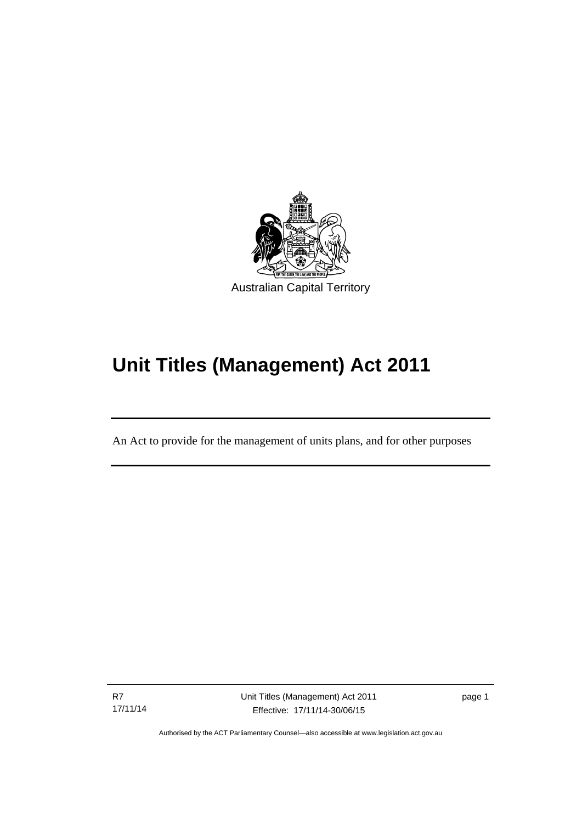

# **Unit Titles (Management) Act 2011**

An Act to provide for the management of units plans, and for other purposes

R7 17/11/14

Ī

page 1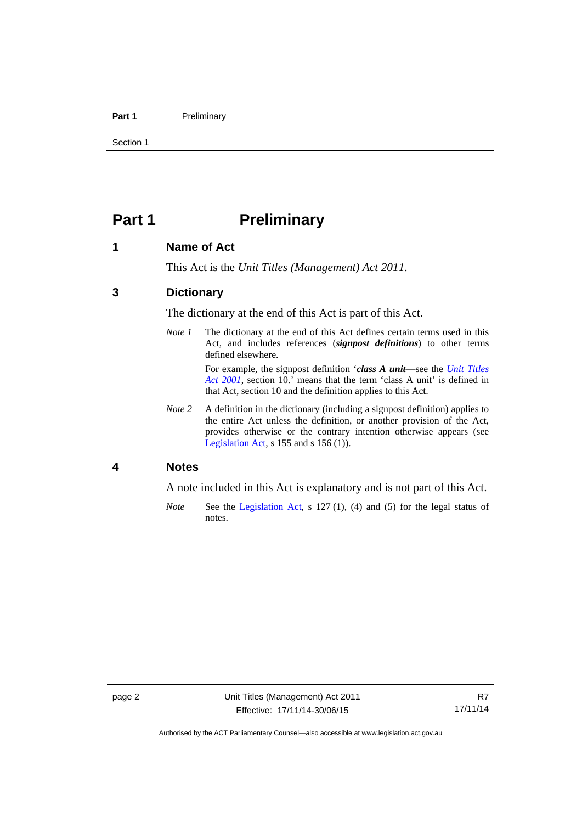#### Part 1 **Preliminary**

Section 1

### <span id="page-13-0"></span>**Part 1** Preliminary

#### <span id="page-13-1"></span>**1 Name of Act**

This Act is the *Unit Titles (Management) Act 2011*.

#### <span id="page-13-2"></span>**3 Dictionary**

The dictionary at the end of this Act is part of this Act.

*Note 1* The dictionary at the end of this Act defines certain terms used in this Act, and includes references (*signpost definitions*) to other terms defined elsewhere.

> For example, the signpost definition '*class A unit*—see the *[Unit Titles](http://www.legislation.act.gov.au/a/2001-16)  [Act 2001](http://www.legislation.act.gov.au/a/2001-16)*, section 10.' means that the term 'class A unit' is defined in that Act, section 10 and the definition applies to this Act.

*Note 2* A definition in the dictionary (including a signpost definition) applies to the entire Act unless the definition, or another provision of the Act, provides otherwise or the contrary intention otherwise appears (see [Legislation Act,](http://www.legislation.act.gov.au/a/2001-14) s 155 and s 156 (1)).

#### <span id="page-13-3"></span>**4 Notes**

A note included in this Act is explanatory and is not part of this Act.

*Note* See the [Legislation Act,](http://www.legislation.act.gov.au/a/2001-14) s 127 (1), (4) and (5) for the legal status of notes.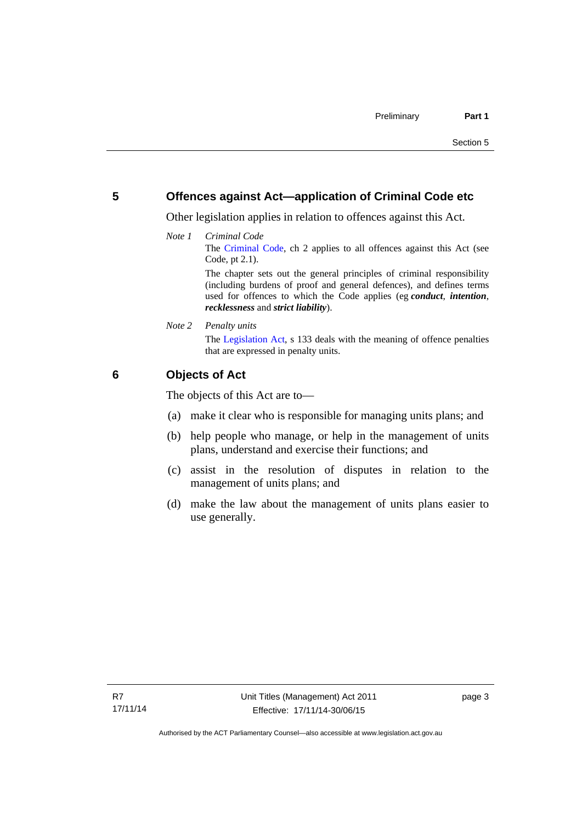#### <span id="page-14-0"></span>**5 Offences against Act—application of Criminal Code etc**

Other legislation applies in relation to offences against this Act.

*Note 1 Criminal Code* The [Criminal Code](http://www.legislation.act.gov.au/a/2002-51), ch 2 applies to all offences against this Act (see Code, pt 2.1). The chapter sets out the general principles of criminal responsibility

(including burdens of proof and general defences), and defines terms used for offences to which the Code applies (eg *conduct*, *intention*, *recklessness* and *strict liability*).

*Note 2 Penalty units* 

The [Legislation Act](http://www.legislation.act.gov.au/a/2001-14), s 133 deals with the meaning of offence penalties that are expressed in penalty units.

#### <span id="page-14-1"></span>**6 Objects of Act**

The objects of this Act are to—

- (a) make it clear who is responsible for managing units plans; and
- (b) help people who manage, or help in the management of units plans, understand and exercise their functions; and
- (c) assist in the resolution of disputes in relation to the management of units plans; and
- (d) make the law about the management of units plans easier to use generally.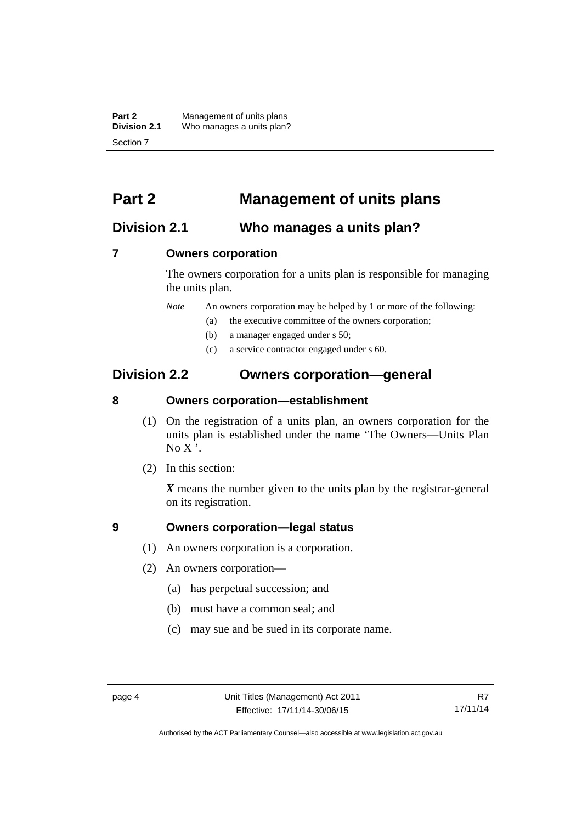**Part 2** Management of units plans<br>**Division 2.1** Who manages a units plan? Who manages a units plan? Section 7

### <span id="page-15-0"></span>**Part 2 Management of units plans**

#### <span id="page-15-1"></span>**Division 2.1 Who manages a units plan?**

#### <span id="page-15-2"></span>**7 Owners corporation**

The owners corporation for a units plan is responsible for managing the units plan.

*Note* An owners corporation may be helped by 1 or more of the following:

- (a) the executive committee of the owners corporation;
- (b) a manager engaged under s 50;
- (c) a service contractor engaged under s 60.

### <span id="page-15-3"></span>**Division 2.2 Owners corporation—general**

#### <span id="page-15-4"></span>**8 Owners corporation—establishment**

- (1) On the registration of a units plan, an owners corporation for the units plan is established under the name 'The Owners—Units Plan  $No X'.$
- (2) In this section:

*X* means the number given to the units plan by the registrar-general on its registration.

#### <span id="page-15-5"></span>**9 Owners corporation—legal status**

- (1) An owners corporation is a corporation.
- (2) An owners corporation—
	- (a) has perpetual succession; and
	- (b) must have a common seal; and
	- (c) may sue and be sued in its corporate name.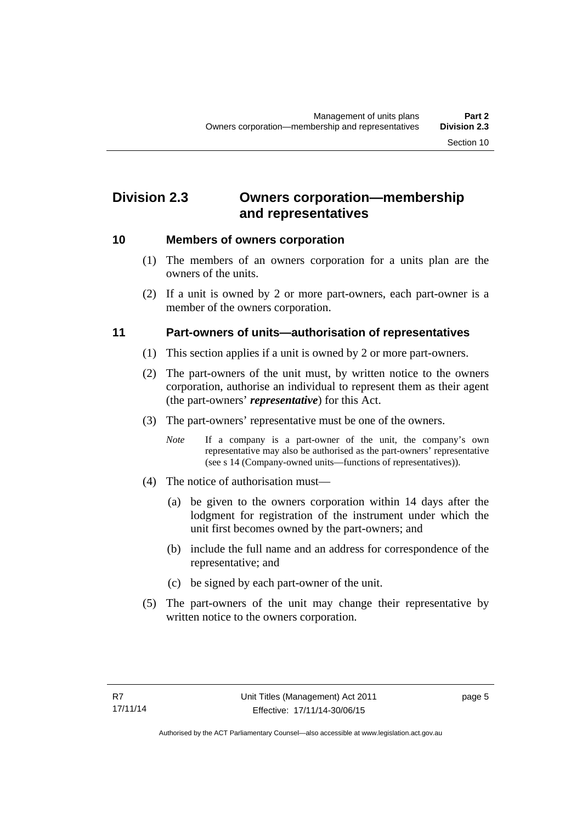### <span id="page-16-0"></span>**Division 2.3 Owners corporation—membership and representatives**

#### <span id="page-16-1"></span>**10 Members of owners corporation**

- (1) The members of an owners corporation for a units plan are the owners of the units.
- (2) If a unit is owned by 2 or more part-owners, each part-owner is a member of the owners corporation.

#### <span id="page-16-2"></span>**11 Part-owners of units—authorisation of representatives**

- (1) This section applies if a unit is owned by 2 or more part-owners.
- (2) The part-owners of the unit must, by written notice to the owners corporation, authorise an individual to represent them as their agent (the part-owners' *representative*) for this Act.
- (3) The part-owners' representative must be one of the owners.
	- *Note* If a company is a part-owner of the unit, the company's own representative may also be authorised as the part-owners' representative (see s 14 (Company-owned units—functions of representatives)).
- (4) The notice of authorisation must—
	- (a) be given to the owners corporation within 14 days after the lodgment for registration of the instrument under which the unit first becomes owned by the part-owners; and
	- (b) include the full name and an address for correspondence of the representative; and
	- (c) be signed by each part-owner of the unit.
- (5) The part-owners of the unit may change their representative by written notice to the owners corporation.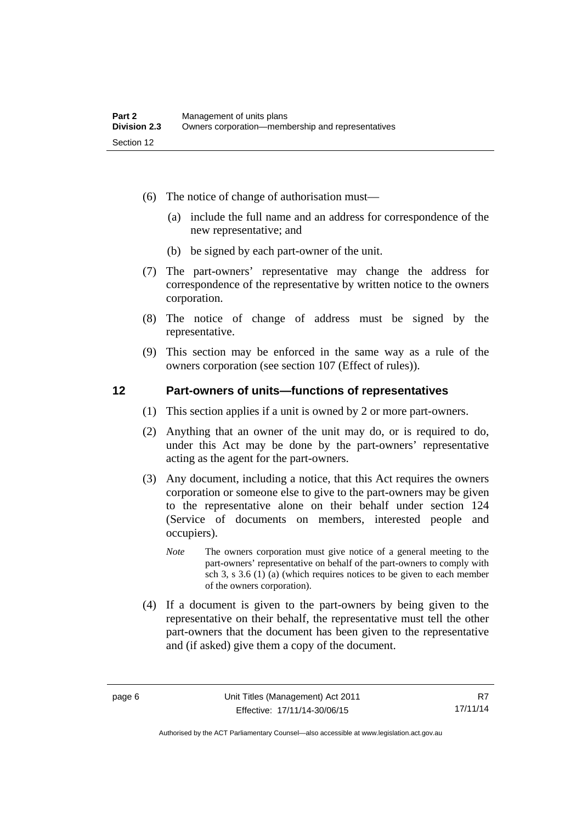- (6) The notice of change of authorisation must—
	- (a) include the full name and an address for correspondence of the new representative; and
	- (b) be signed by each part-owner of the unit.
- (7) The part-owners' representative may change the address for correspondence of the representative by written notice to the owners corporation.
- (8) The notice of change of address must be signed by the representative.
- (9) This section may be enforced in the same way as a rule of the owners corporation (see section 107 (Effect of rules)).

#### <span id="page-17-0"></span>**12 Part-owners of units—functions of representatives**

- (1) This section applies if a unit is owned by 2 or more part-owners.
- (2) Anything that an owner of the unit may do, or is required to do, under this Act may be done by the part-owners' representative acting as the agent for the part-owners.
- (3) Any document, including a notice, that this Act requires the owners corporation or someone else to give to the part-owners may be given to the representative alone on their behalf under section 124 (Service of documents on members, interested people and occupiers).
	- *Note* The owners corporation must give notice of a general meeting to the part-owners' representative on behalf of the part-owners to comply with sch 3, s 3.6 (1) (a) (which requires notices to be given to each member of the owners corporation).
- (4) If a document is given to the part-owners by being given to the representative on their behalf, the representative must tell the other part-owners that the document has been given to the representative and (if asked) give them a copy of the document.

Authorised by the ACT Parliamentary Counsel—also accessible at www.legislation.act.gov.au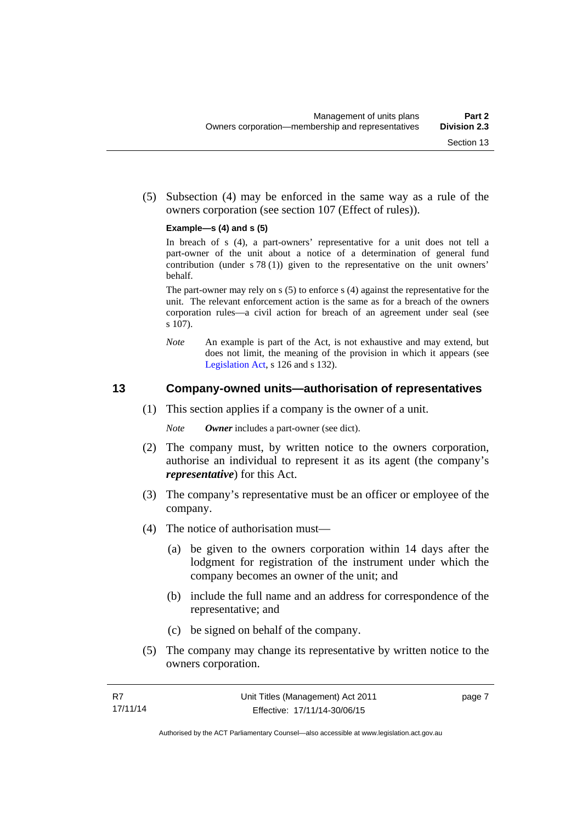(5) Subsection (4) may be enforced in the same way as a rule of the owners corporation (see section 107 (Effect of rules)).

#### **Example—s (4) and s (5)**

In breach of s (4), a part-owners' representative for a unit does not tell a part-owner of the unit about a notice of a determination of general fund contribution (under s 78 (1)) given to the representative on the unit owners' behalf.

The part-owner may rely on s (5) to enforce s (4) against the representative for the unit. The relevant enforcement action is the same as for a breach of the owners corporation rules—a civil action for breach of an agreement under seal (see s 107).

*Note* An example is part of the Act, is not exhaustive and may extend, but does not limit, the meaning of the provision in which it appears (see [Legislation Act,](http://www.legislation.act.gov.au/a/2001-14) s 126 and s 132).

#### <span id="page-18-0"></span>**13 Company-owned units—authorisation of representatives**

(1) This section applies if a company is the owner of a unit.

*Note Owner* includes a part-owner (see dict).

- (2) The company must, by written notice to the owners corporation, authorise an individual to represent it as its agent (the company's *representative*) for this Act.
- (3) The company's representative must be an officer or employee of the company.
- (4) The notice of authorisation must—
	- (a) be given to the owners corporation within 14 days after the lodgment for registration of the instrument under which the company becomes an owner of the unit; and
	- (b) include the full name and an address for correspondence of the representative; and
	- (c) be signed on behalf of the company.
- (5) The company may change its representative by written notice to the owners corporation.

page 7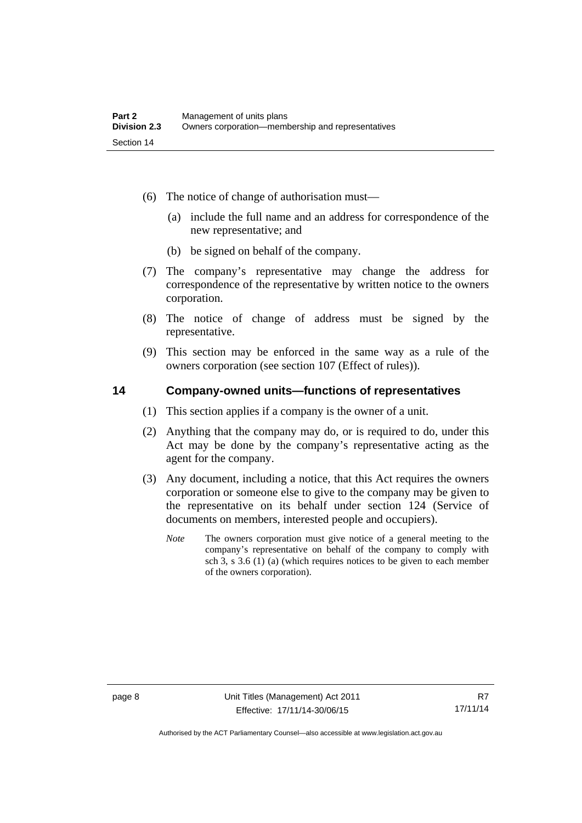- (6) The notice of change of authorisation must—
	- (a) include the full name and an address for correspondence of the new representative; and
	- (b) be signed on behalf of the company.
- (7) The company's representative may change the address for correspondence of the representative by written notice to the owners corporation.
- (8) The notice of change of address must be signed by the representative.
- (9) This section may be enforced in the same way as a rule of the owners corporation (see section 107 (Effect of rules)).

#### <span id="page-19-0"></span>**14 Company-owned units—functions of representatives**

- (1) This section applies if a company is the owner of a unit.
- (2) Anything that the company may do, or is required to do, under this Act may be done by the company's representative acting as the agent for the company.
- (3) Any document, including a notice, that this Act requires the owners corporation or someone else to give to the company may be given to the representative on its behalf under section 124 (Service of documents on members, interested people and occupiers).
	- *Note* The owners corporation must give notice of a general meeting to the company's representative on behalf of the company to comply with sch 3, s 3.6 (1) (a) (which requires notices to be given to each member of the owners corporation).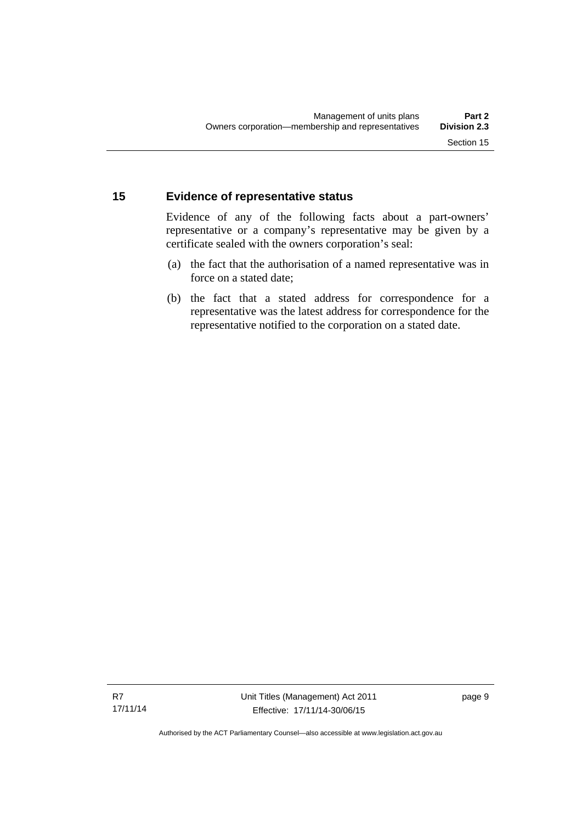#### <span id="page-20-0"></span>**15 Evidence of representative status**

Evidence of any of the following facts about a part-owners' representative or a company's representative may be given by a certificate sealed with the owners corporation's seal:

- (a) the fact that the authorisation of a named representative was in force on a stated date;
- (b) the fact that a stated address for correspondence for a representative was the latest address for correspondence for the representative notified to the corporation on a stated date.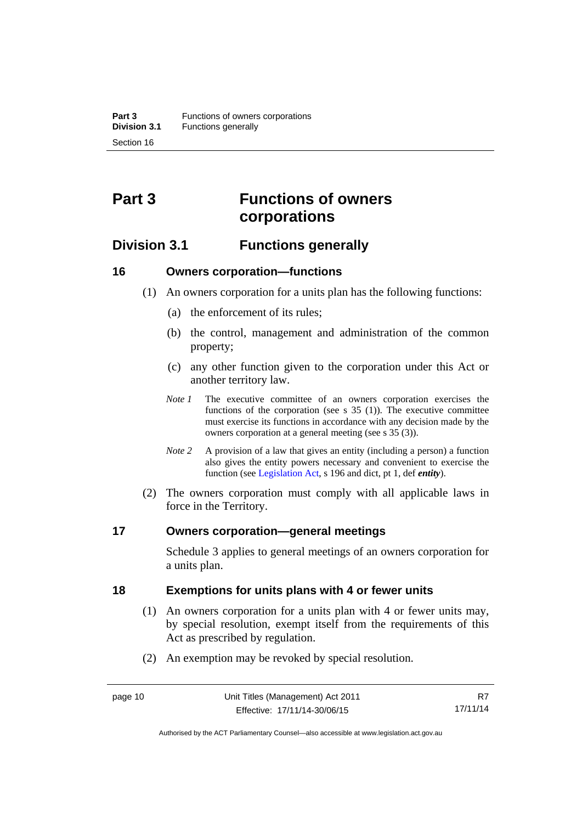## <span id="page-21-0"></span>**Part 3 Functions of owners corporations**

### <span id="page-21-1"></span>**Division 3.1 Functions generally**

#### <span id="page-21-2"></span>**16 Owners corporation—functions**

- (1) An owners corporation for a units plan has the following functions:
	- (a) the enforcement of its rules;
	- (b) the control, management and administration of the common property;
	- (c) any other function given to the corporation under this Act or another territory law.
	- *Note 1* The executive committee of an owners corporation exercises the functions of the corporation (see s  $35$  (1)). The executive committee must exercise its functions in accordance with any decision made by the owners corporation at a general meeting (see s 35 (3)).
	- *Note 2* A provision of a law that gives an entity (including a person) a function also gives the entity powers necessary and convenient to exercise the function (see [Legislation Act](http://www.legislation.act.gov.au/a/2001-14), s 196 and dict, pt 1, def *entity*).
- (2) The owners corporation must comply with all applicable laws in force in the Territory.

#### <span id="page-21-3"></span>**17 Owners corporation—general meetings**

Schedule 3 applies to general meetings of an owners corporation for a units plan.

#### <span id="page-21-4"></span>**18 Exemptions for units plans with 4 or fewer units**

- (1) An owners corporation for a units plan with 4 or fewer units may, by special resolution, exempt itself from the requirements of this Act as prescribed by regulation.
- (2) An exemption may be revoked by special resolution.

Authorised by the ACT Parliamentary Counsel—also accessible at www.legislation.act.gov.au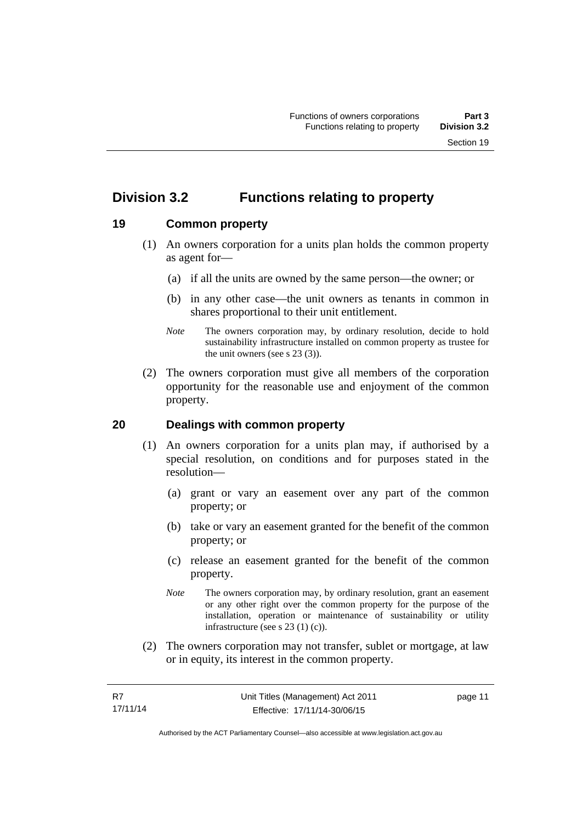### <span id="page-22-0"></span>**Division 3.2 Functions relating to property**

#### <span id="page-22-1"></span>**19 Common property**

- (1) An owners corporation for a units plan holds the common property as agent for—
	- (a) if all the units are owned by the same person—the owner; or
	- (b) in any other case—the unit owners as tenants in common in shares proportional to their unit entitlement.
	- *Note* The owners corporation may, by ordinary resolution, decide to hold sustainability infrastructure installed on common property as trustee for the unit owners (see s 23 (3)).
- (2) The owners corporation must give all members of the corporation opportunity for the reasonable use and enjoyment of the common property.

#### <span id="page-22-2"></span>**20 Dealings with common property**

- (1) An owners corporation for a units plan may, if authorised by a special resolution, on conditions and for purposes stated in the resolution—
	- (a) grant or vary an easement over any part of the common property; or
	- (b) take or vary an easement granted for the benefit of the common property; or
	- (c) release an easement granted for the benefit of the common property.
	- *Note* The owners corporation may, by ordinary resolution, grant an easement or any other right over the common property for the purpose of the installation, operation or maintenance of sustainability or utility infrastructure (see s 23 (1) (c)).
- (2) The owners corporation may not transfer, sublet or mortgage, at law or in equity, its interest in the common property.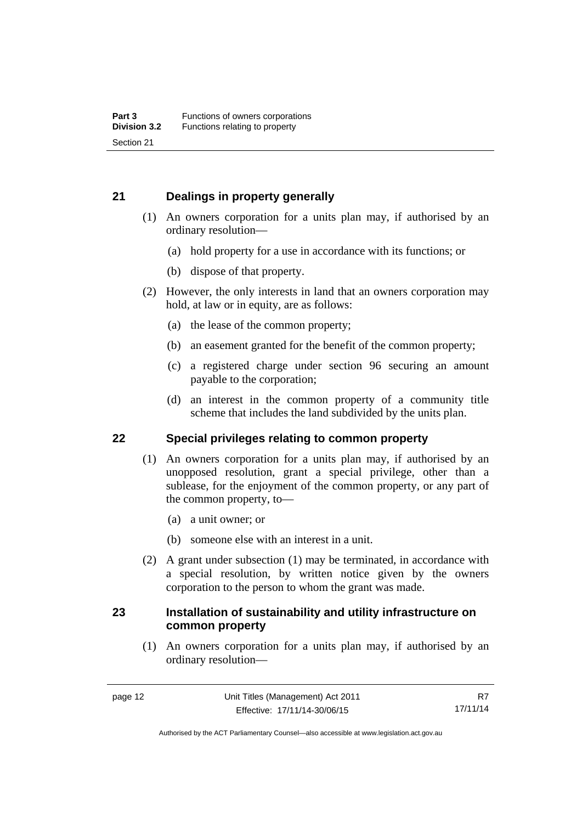#### <span id="page-23-0"></span>**21 Dealings in property generally**

- (1) An owners corporation for a units plan may, if authorised by an ordinary resolution—
	- (a) hold property for a use in accordance with its functions; or
	- (b) dispose of that property.
- (2) However, the only interests in land that an owners corporation may hold, at law or in equity, are as follows:
	- (a) the lease of the common property;
	- (b) an easement granted for the benefit of the common property;
	- (c) a registered charge under section 96 securing an amount payable to the corporation;
	- (d) an interest in the common property of a community title scheme that includes the land subdivided by the units plan.

#### <span id="page-23-1"></span>**22 Special privileges relating to common property**

- (1) An owners corporation for a units plan may, if authorised by an unopposed resolution, grant a special privilege, other than a sublease, for the enjoyment of the common property, or any part of the common property, to—
	- (a) a unit owner; or
	- (b) someone else with an interest in a unit.
- (2) A grant under subsection (1) may be terminated, in accordance with a special resolution, by written notice given by the owners corporation to the person to whom the grant was made.

#### <span id="page-23-2"></span>**23 Installation of sustainability and utility infrastructure on common property**

 (1) An owners corporation for a units plan may, if authorised by an ordinary resolution—

Authorised by the ACT Parliamentary Counsel—also accessible at www.legislation.act.gov.au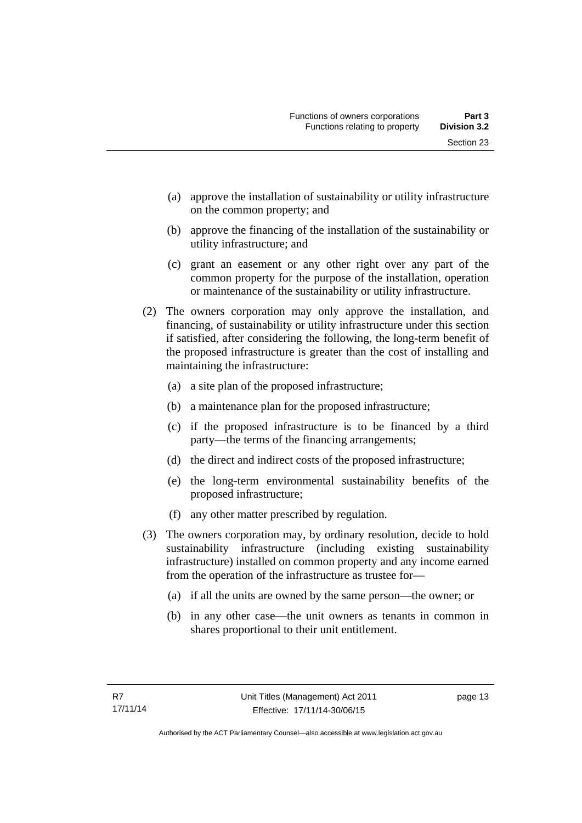- (a) approve the installation of sustainability or utility infrastructure on the common property; and
- (b) approve the financing of the installation of the sustainability or utility infrastructure; and
- (c) grant an easement or any other right over any part of the common property for the purpose of the installation, operation or maintenance of the sustainability or utility infrastructure.
- (2) The owners corporation may only approve the installation, and financing, of sustainability or utility infrastructure under this section if satisfied, after considering the following, the long-term benefit of the proposed infrastructure is greater than the cost of installing and maintaining the infrastructure:
	- (a) a site plan of the proposed infrastructure;
	- (b) a maintenance plan for the proposed infrastructure;
	- (c) if the proposed infrastructure is to be financed by a third party—the terms of the financing arrangements;
	- (d) the direct and indirect costs of the proposed infrastructure;
	- (e) the long-term environmental sustainability benefits of the proposed infrastructure;
	- (f) any other matter prescribed by regulation.
- (3) The owners corporation may, by ordinary resolution, decide to hold sustainability infrastructure (including existing sustainability infrastructure) installed on common property and any income earned from the operation of the infrastructure as trustee for—
	- (a) if all the units are owned by the same person—the owner; or
	- (b) in any other case—the unit owners as tenants in common in shares proportional to their unit entitlement.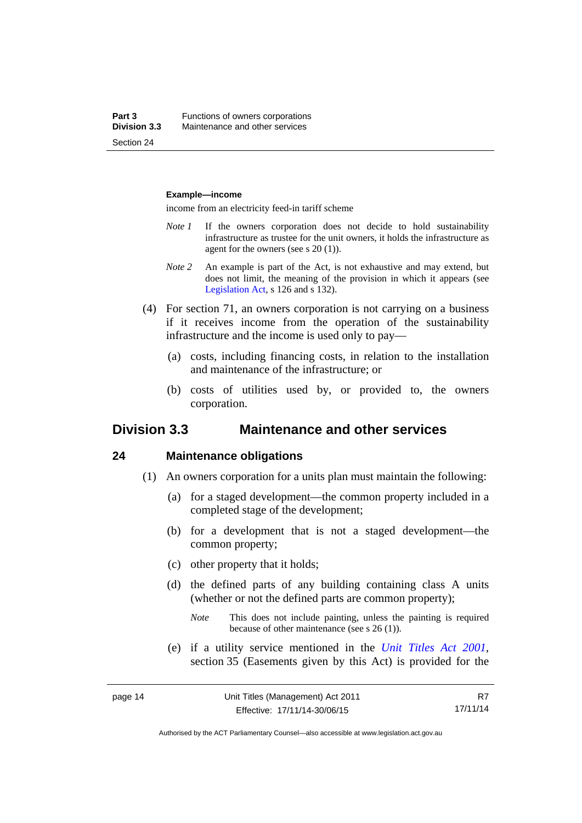#### **Example—income**

income from an electricity feed-in tariff scheme

- *Note 1* If the owners corporation does not decide to hold sustainability infrastructure as trustee for the unit owners, it holds the infrastructure as agent for the owners (see s 20 (1)).
- *Note 2* An example is part of the Act, is not exhaustive and may extend, but does not limit, the meaning of the provision in which it appears (see [Legislation Act,](http://www.legislation.act.gov.au/a/2001-14) s 126 and s 132).
- (4) For section 71, an owners corporation is not carrying on a business if it receives income from the operation of the sustainability infrastructure and the income is used only to pay—
	- (a) costs, including financing costs, in relation to the installation and maintenance of the infrastructure; or
	- (b) costs of utilities used by, or provided to, the owners corporation.

#### <span id="page-25-0"></span>**Division 3.3 Maintenance and other services**

#### <span id="page-25-1"></span>**24 Maintenance obligations**

- (1) An owners corporation for a units plan must maintain the following:
	- (a) for a staged development—the common property included in a completed stage of the development;
	- (b) for a development that is not a staged development—the common property;
	- (c) other property that it holds;
	- (d) the defined parts of any building containing class A units (whether or not the defined parts are common property);
		- *Note* This does not include painting, unless the painting is required because of other maintenance (see s 26 (1)).
	- (e) if a utility service mentioned in the *[Unit Titles Act 2001](http://www.legislation.act.gov.au/a/2001-16)*, section 35 (Easements given by this Act) is provided for the

R7 17/11/14

Authorised by the ACT Parliamentary Counsel—also accessible at www.legislation.act.gov.au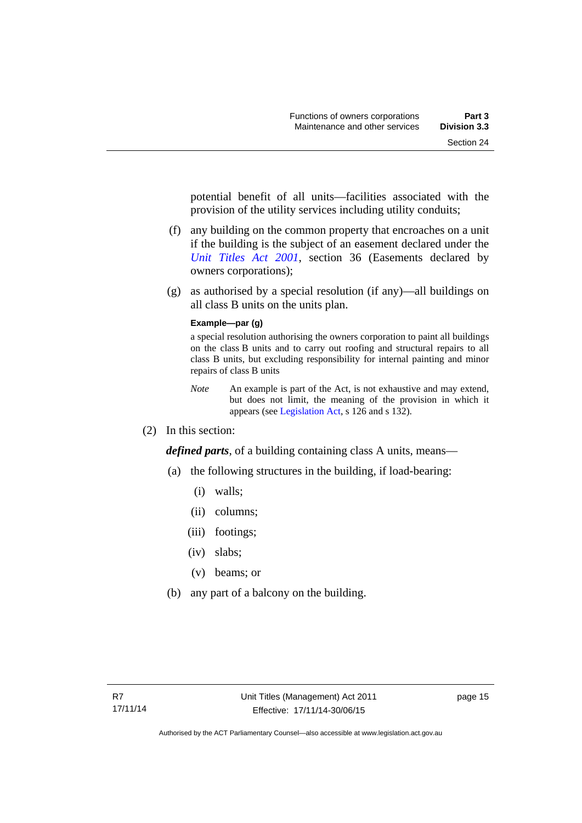potential benefit of all units—facilities associated with the provision of the utility services including utility conduits;

- (f) any building on the common property that encroaches on a unit if the building is the subject of an easement declared under the *[Unit Titles Act 2001](http://www.legislation.act.gov.au/a/2001-16)*, section 36 (Easements declared by owners corporations);
- (g) as authorised by a special resolution (if any)—all buildings on all class B units on the units plan.

#### **Example—par (g)**

a special resolution authorising the owners corporation to paint all buildings on the class B units and to carry out roofing and structural repairs to all class B units, but excluding responsibility for internal painting and minor repairs of class B units

- *Note* An example is part of the Act, is not exhaustive and may extend, but does not limit, the meaning of the provision in which it appears (see [Legislation Act,](http://www.legislation.act.gov.au/a/2001-14) s 126 and s 132).
- (2) In this section:

*defined parts*, of a building containing class A units, means—

- (a) the following structures in the building, if load-bearing:
	- (i) walls;
	- (ii) columns;
	- (iii) footings:
	- (iv) slabs;
	- (v) beams; or
- (b) any part of a balcony on the building.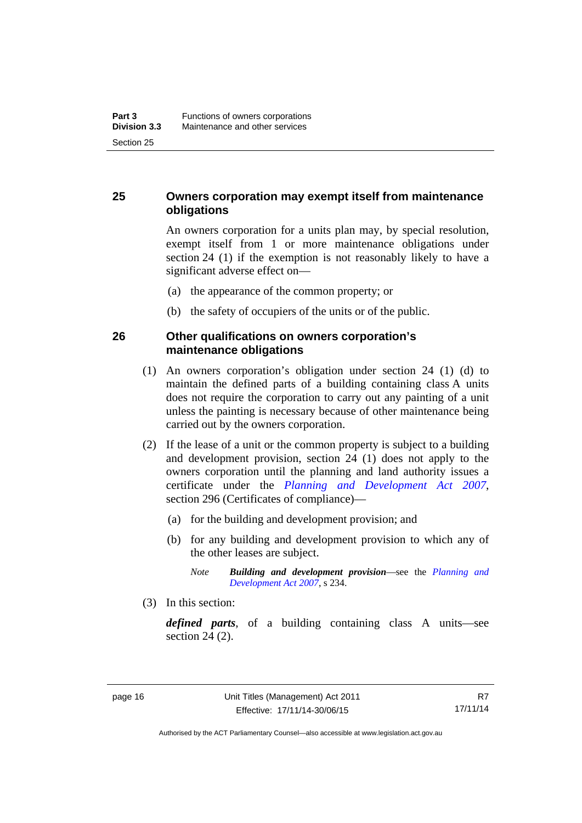#### <span id="page-27-0"></span>**25 Owners corporation may exempt itself from maintenance obligations**

An owners corporation for a units plan may, by special resolution, exempt itself from 1 or more maintenance obligations under section 24 (1) if the exemption is not reasonably likely to have a significant adverse effect on—

- (a) the appearance of the common property; or
- (b) the safety of occupiers of the units or of the public.

#### <span id="page-27-1"></span>**26 Other qualifications on owners corporation's maintenance obligations**

- (1) An owners corporation's obligation under section 24 (1) (d) to maintain the defined parts of a building containing class A units does not require the corporation to carry out any painting of a unit unless the painting is necessary because of other maintenance being carried out by the owners corporation.
- (2) If the lease of a unit or the common property is subject to a building and development provision, section 24 (1) does not apply to the owners corporation until the planning and land authority issues a certificate under the *[Planning and Development Act 2007](http://www.legislation.act.gov.au/a/2007-24)*, section 296 (Certificates of compliance)—
	- (a) for the building and development provision; and
	- (b) for any building and development provision to which any of the other leases are subject.

*Note Building and development provision*—see the *[Planning and](http://www.legislation.act.gov.au/a/2007-24)  [Development Act 2007](http://www.legislation.act.gov.au/a/2007-24)*, s 234.

(3) In this section:

*defined parts*, of a building containing class A units—see section 24 (2).

Authorised by the ACT Parliamentary Counsel—also accessible at www.legislation.act.gov.au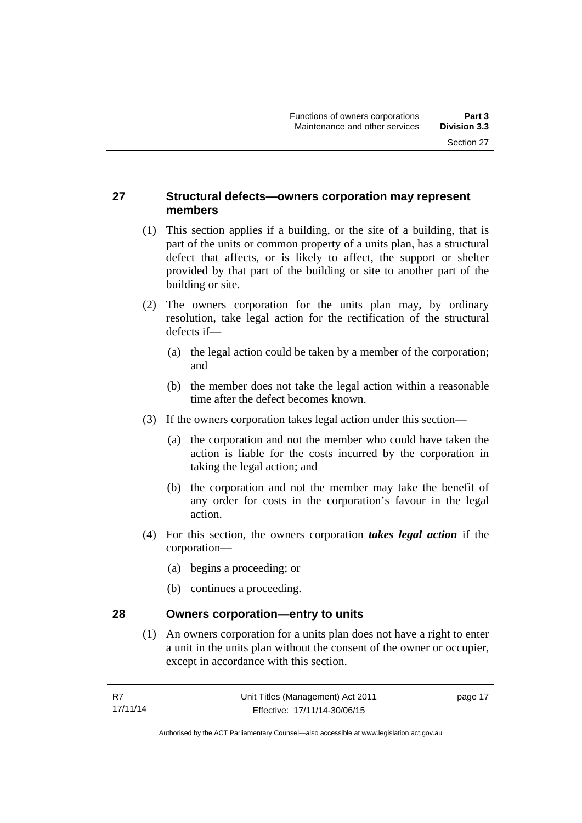#### <span id="page-28-0"></span>**27 Structural defects—owners corporation may represent members**

- (1) This section applies if a building, or the site of a building, that is part of the units or common property of a units plan, has a structural defect that affects, or is likely to affect, the support or shelter provided by that part of the building or site to another part of the building or site.
- (2) The owners corporation for the units plan may, by ordinary resolution, take legal action for the rectification of the structural defects if—
	- (a) the legal action could be taken by a member of the corporation; and
	- (b) the member does not take the legal action within a reasonable time after the defect becomes known.
- (3) If the owners corporation takes legal action under this section—
	- (a) the corporation and not the member who could have taken the action is liable for the costs incurred by the corporation in taking the legal action; and
	- (b) the corporation and not the member may take the benefit of any order for costs in the corporation's favour in the legal action.
- (4) For this section, the owners corporation *takes legal action* if the corporation—
	- (a) begins a proceeding; or
	- (b) continues a proceeding.

#### <span id="page-28-1"></span>**28 Owners corporation—entry to units**

(1) An owners corporation for a units plan does not have a right to enter a unit in the units plan without the consent of the owner or occupier, except in accordance with this section.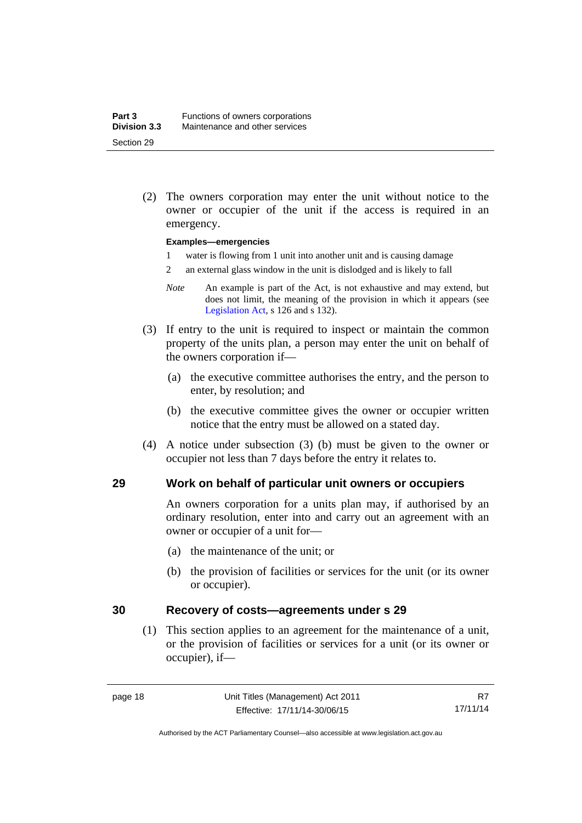(2) The owners corporation may enter the unit without notice to the owner or occupier of the unit if the access is required in an emergency.

#### **Examples—emergencies**

- 1 water is flowing from 1 unit into another unit and is causing damage
- 2 an external glass window in the unit is dislodged and is likely to fall
- *Note* An example is part of the Act, is not exhaustive and may extend, but does not limit, the meaning of the provision in which it appears (see [Legislation Act,](http://www.legislation.act.gov.au/a/2001-14) s 126 and s 132).
- (3) If entry to the unit is required to inspect or maintain the common property of the units plan, a person may enter the unit on behalf of the owners corporation if—
	- (a) the executive committee authorises the entry, and the person to enter, by resolution; and
	- (b) the executive committee gives the owner or occupier written notice that the entry must be allowed on a stated day.
- (4) A notice under subsection (3) (b) must be given to the owner or occupier not less than 7 days before the entry it relates to.

#### <span id="page-29-0"></span>**29 Work on behalf of particular unit owners or occupiers**

An owners corporation for a units plan may, if authorised by an ordinary resolution, enter into and carry out an agreement with an owner or occupier of a unit for—

- (a) the maintenance of the unit; or
- (b) the provision of facilities or services for the unit (or its owner or occupier).

#### <span id="page-29-1"></span>**30 Recovery of costs—agreements under s 29**

(1) This section applies to an agreement for the maintenance of a unit, or the provision of facilities or services for a unit (or its owner or occupier), if—

Authorised by the ACT Parliamentary Counsel—also accessible at www.legislation.act.gov.au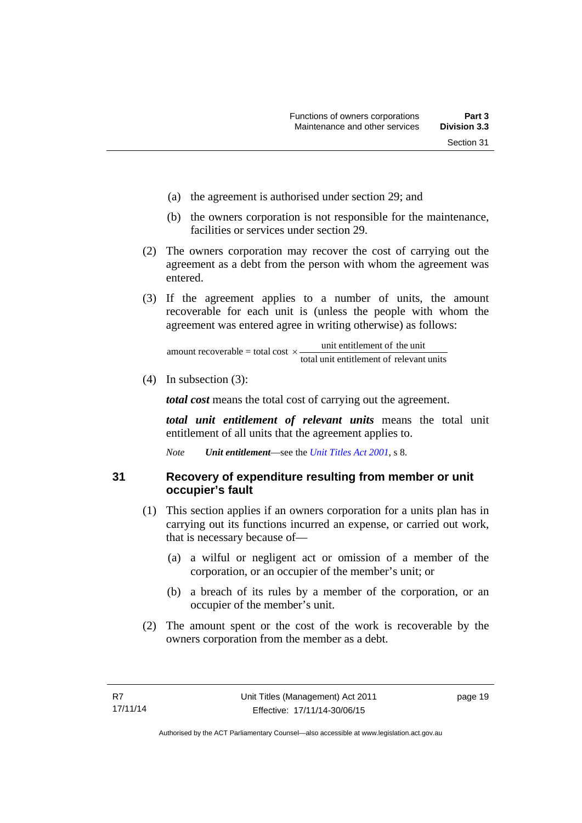- (a) the agreement is authorised under section 29; and
- (b) the owners corporation is not responsible for the maintenance, facilities or services under section 29.
- (2) The owners corporation may recover the cost of carrying out the agreement as a debt from the person with whom the agreement was entered.
- (3) If the agreement applies to a number of units, the amount recoverable for each unit is (unless the people with whom the agreement was entered agree in writing otherwise) as follows:

total unit entitlement of relevant units unit entitlement of the unit amount recoverable = total cost  $\times$ -

(4) In subsection (3):

*total cost* means the total cost of carrying out the agreement.

*total unit entitlement of relevant units* means the total unit entitlement of all units that the agreement applies to.

*Note Unit entitlement*—see the *[Unit Titles Act 2001](http://www.legislation.act.gov.au/a/2001-16)*, s 8.

<span id="page-30-0"></span>**31 Recovery of expenditure resulting from member or unit occupier's fault** 

- (1) This section applies if an owners corporation for a units plan has in carrying out its functions incurred an expense, or carried out work, that is necessary because of—
	- (a) a wilful or negligent act or omission of a member of the corporation, or an occupier of the member's unit; or
	- (b) a breach of its rules by a member of the corporation, or an occupier of the member's unit.
- (2) The amount spent or the cost of the work is recoverable by the owners corporation from the member as a debt.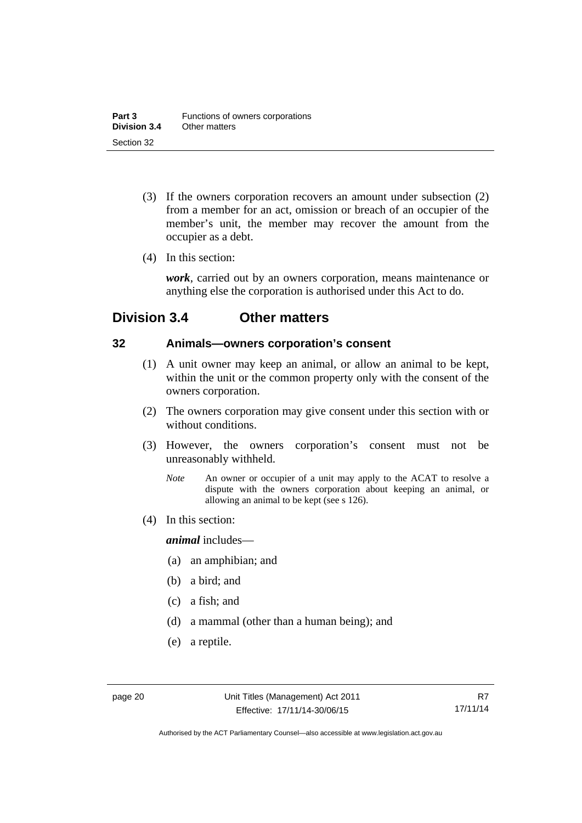- (3) If the owners corporation recovers an amount under subsection (2) from a member for an act, omission or breach of an occupier of the member's unit, the member may recover the amount from the occupier as a debt.
- (4) In this section:

*work*, carried out by an owners corporation, means maintenance or anything else the corporation is authorised under this Act to do.

### <span id="page-31-0"></span>**Division 3.4 Other matters**

#### <span id="page-31-1"></span>**32 Animals—owners corporation's consent**

- (1) A unit owner may keep an animal, or allow an animal to be kept, within the unit or the common property only with the consent of the owners corporation.
- (2) The owners corporation may give consent under this section with or without conditions.
- (3) However, the owners corporation's consent must not be unreasonably withheld.
	- *Note* An owner or occupier of a unit may apply to the ACAT to resolve a dispute with the owners corporation about keeping an animal, or allowing an animal to be kept (see s 126).
- (4) In this section:

*animal* includes—

- (a) an amphibian; and
- (b) a bird; and
- (c) a fish; and
- (d) a mammal (other than a human being); and
- (e) a reptile.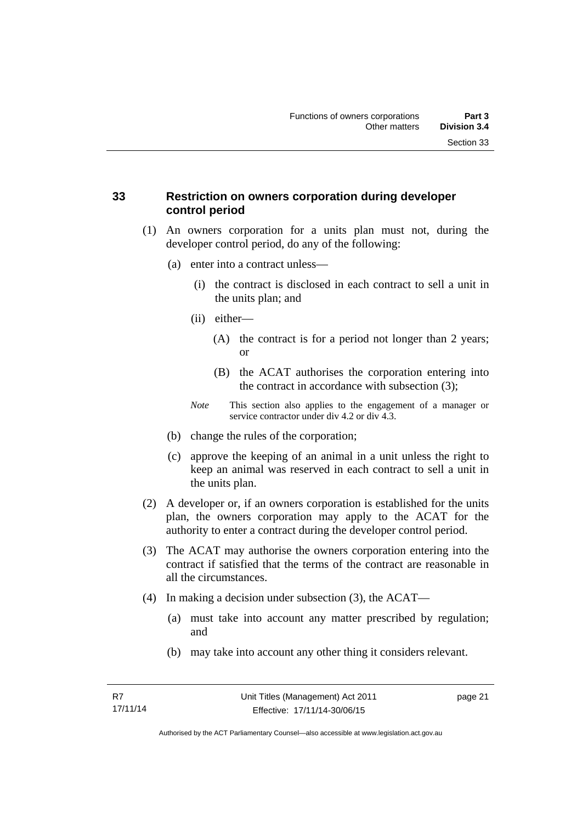#### <span id="page-32-0"></span>**33 Restriction on owners corporation during developer control period**

- (1) An owners corporation for a units plan must not, during the developer control period, do any of the following:
	- (a) enter into a contract unless—
		- (i) the contract is disclosed in each contract to sell a unit in the units plan; and
		- (ii) either—
			- (A) the contract is for a period not longer than 2 years; or
			- (B) the ACAT authorises the corporation entering into the contract in accordance with subsection (3);
		- *Note* This section also applies to the engagement of a manager or service contractor under div 4.2 or div 4.3.
	- (b) change the rules of the corporation;
	- (c) approve the keeping of an animal in a unit unless the right to keep an animal was reserved in each contract to sell a unit in the units plan.
- (2) A developer or, if an owners corporation is established for the units plan, the owners corporation may apply to the ACAT for the authority to enter a contract during the developer control period.
- (3) The ACAT may authorise the owners corporation entering into the contract if satisfied that the terms of the contract are reasonable in all the circumstances.
- (4) In making a decision under subsection (3), the ACAT—
	- (a) must take into account any matter prescribed by regulation; and
	- (b) may take into account any other thing it considers relevant.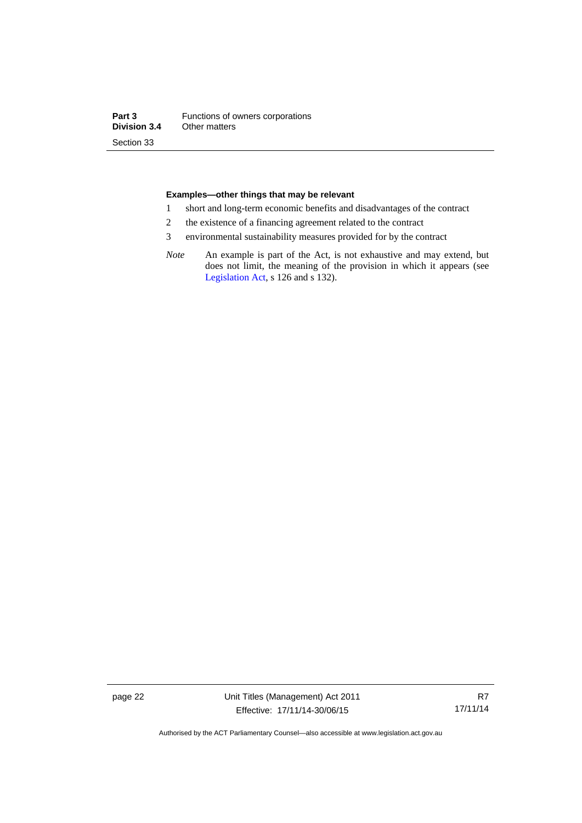#### **Examples—other things that may be relevant**

- 1 short and long-term economic benefits and disadvantages of the contract
- 2 the existence of a financing agreement related to the contract
- 3 environmental sustainability measures provided for by the contract
- *Note* An example is part of the Act, is not exhaustive and may extend, but does not limit, the meaning of the provision in which it appears (see [Legislation Act,](http://www.legislation.act.gov.au/a/2001-14) s 126 and s 132).

page 22 Unit Titles (Management) Act 2011 Effective: 17/11/14-30/06/15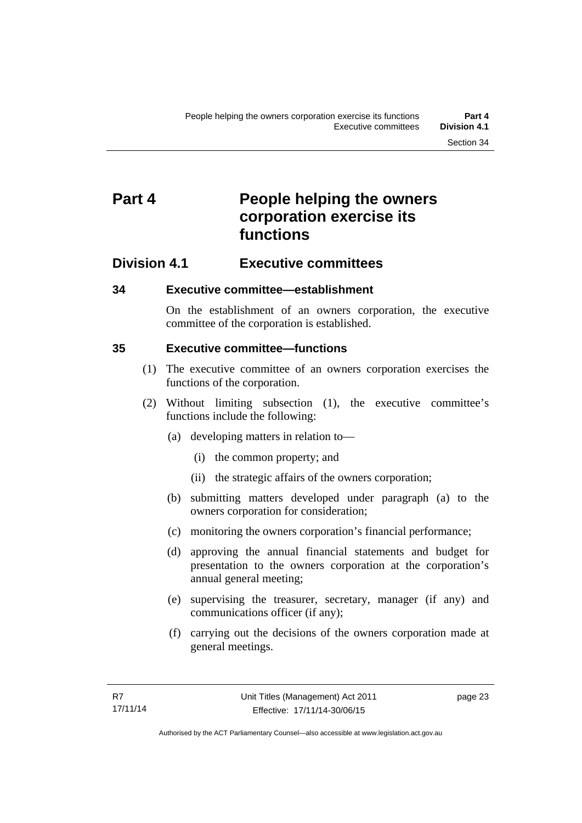### <span id="page-34-0"></span>**Part 4** People helping the owners **corporation exercise its functions**

#### <span id="page-34-1"></span>**Division 4.1 Executive committees**

#### <span id="page-34-2"></span>**34 Executive committee—establishment**

On the establishment of an owners corporation, the executive committee of the corporation is established.

#### <span id="page-34-3"></span>**35 Executive committee—functions**

- (1) The executive committee of an owners corporation exercises the functions of the corporation.
- (2) Without limiting subsection (1), the executive committee's functions include the following:
	- (a) developing matters in relation to—
		- (i) the common property; and
		- (ii) the strategic affairs of the owners corporation;
	- (b) submitting matters developed under paragraph (a) to the owners corporation for consideration;
	- (c) monitoring the owners corporation's financial performance;
	- (d) approving the annual financial statements and budget for presentation to the owners corporation at the corporation's annual general meeting;
	- (e) supervising the treasurer, secretary, manager (if any) and communications officer (if any);
	- (f) carrying out the decisions of the owners corporation made at general meetings.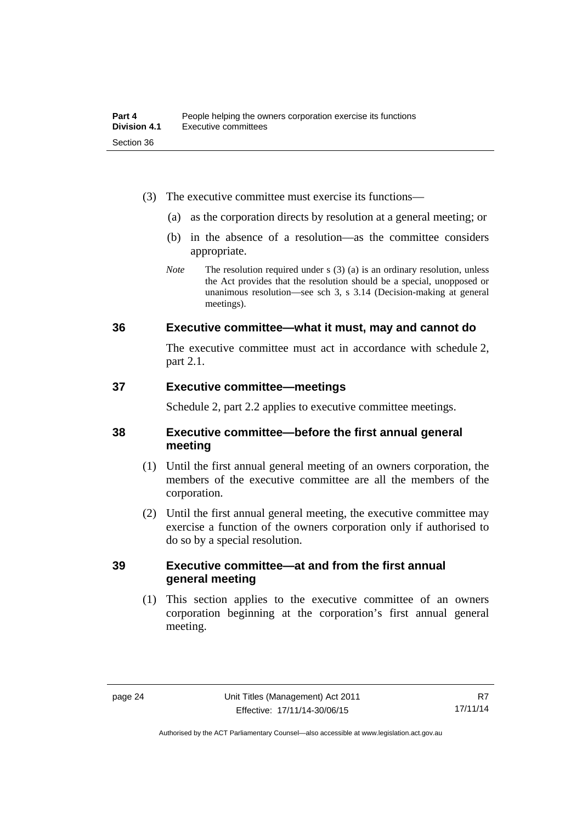- (3) The executive committee must exercise its functions—
	- (a) as the corporation directs by resolution at a general meeting; or
	- (b) in the absence of a resolution—as the committee considers appropriate.
	- *Note* The resolution required under s (3) (a) is an ordinary resolution, unless the Act provides that the resolution should be a special, unopposed or unanimous resolution—see sch 3, s 3.14 (Decision-making at general meetings).

#### <span id="page-35-0"></span>**36 Executive committee—what it must, may and cannot do**

The executive committee must act in accordance with schedule 2, part 2.1.

#### <span id="page-35-1"></span>**37 Executive committee—meetings**

Schedule 2, part 2.2 applies to executive committee meetings.

#### <span id="page-35-2"></span>**38 Executive committee—before the first annual general meeting**

- (1) Until the first annual general meeting of an owners corporation, the members of the executive committee are all the members of the corporation.
- (2) Until the first annual general meeting, the executive committee may exercise a function of the owners corporation only if authorised to do so by a special resolution.

#### <span id="page-35-3"></span>**39 Executive committee—at and from the first annual general meeting**

(1) This section applies to the executive committee of an owners corporation beginning at the corporation's first annual general meeting.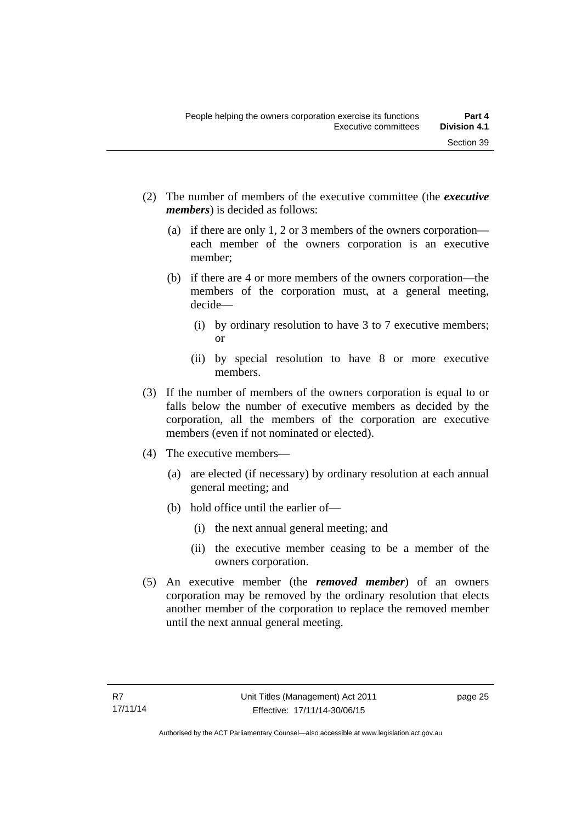- (2) The number of members of the executive committee (the *executive members*) is decided as follows:
	- (a) if there are only 1, 2 or 3 members of the owners corporation each member of the owners corporation is an executive member;
	- (b) if there are 4 or more members of the owners corporation—the members of the corporation must, at a general meeting, decide—
		- (i) by ordinary resolution to have 3 to 7 executive members; or
		- (ii) by special resolution to have 8 or more executive members.
- (3) If the number of members of the owners corporation is equal to or falls below the number of executive members as decided by the corporation, all the members of the corporation are executive members (even if not nominated or elected).
- (4) The executive members—
	- (a) are elected (if necessary) by ordinary resolution at each annual general meeting; and
	- (b) hold office until the earlier of—
		- (i) the next annual general meeting; and
		- (ii) the executive member ceasing to be a member of the owners corporation.
- (5) An executive member (the *removed member*) of an owners corporation may be removed by the ordinary resolution that elects another member of the corporation to replace the removed member until the next annual general meeting.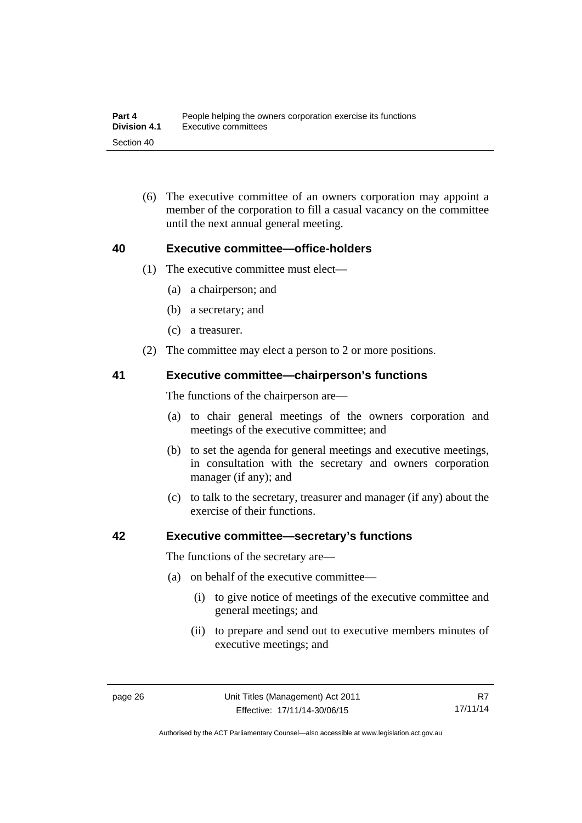(6) The executive committee of an owners corporation may appoint a member of the corporation to fill a casual vacancy on the committee until the next annual general meeting.

#### **40 Executive committee—office-holders**

- (1) The executive committee must elect—
	- (a) a chairperson; and
	- (b) a secretary; and
	- (c) a treasurer.
- (2) The committee may elect a person to 2 or more positions.

#### **41 Executive committee—chairperson's functions**

The functions of the chairperson are—

- (a) to chair general meetings of the owners corporation and meetings of the executive committee; and
- (b) to set the agenda for general meetings and executive meetings, in consultation with the secretary and owners corporation manager (if any); and
- (c) to talk to the secretary, treasurer and manager (if any) about the exercise of their functions.

#### **42 Executive committee—secretary's functions**

The functions of the secretary are—

- (a) on behalf of the executive committee—
	- (i) to give notice of meetings of the executive committee and general meetings; and
	- (ii) to prepare and send out to executive members minutes of executive meetings; and

Authorised by the ACT Parliamentary Counsel—also accessible at www.legislation.act.gov.au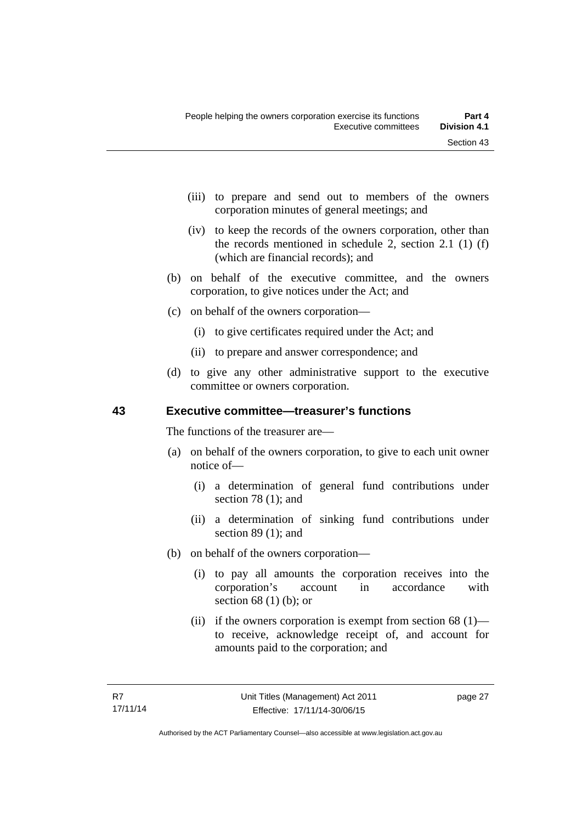- (iii) to prepare and send out to members of the owners corporation minutes of general meetings; and
- (iv) to keep the records of the owners corporation, other than the records mentioned in schedule 2, section 2.1 (1) (f) (which are financial records); and
- (b) on behalf of the executive committee, and the owners corporation, to give notices under the Act; and
- (c) on behalf of the owners corporation—
	- (i) to give certificates required under the Act; and
	- (ii) to prepare and answer correspondence; and
- (d) to give any other administrative support to the executive committee or owners corporation.

## **43 Executive committee—treasurer's functions**

The functions of the treasurer are—

- (a) on behalf of the owners corporation, to give to each unit owner notice of—
	- (i) a determination of general fund contributions under section 78 (1); and
	- (ii) a determination of sinking fund contributions under section 89 (1); and
- (b) on behalf of the owners corporation—
	- (i) to pay all amounts the corporation receives into the corporation's account in accordance with section 68 (1) (b); or
	- (ii) if the owners corporation is exempt from section  $68$  (1) to receive, acknowledge receipt of, and account for amounts paid to the corporation; and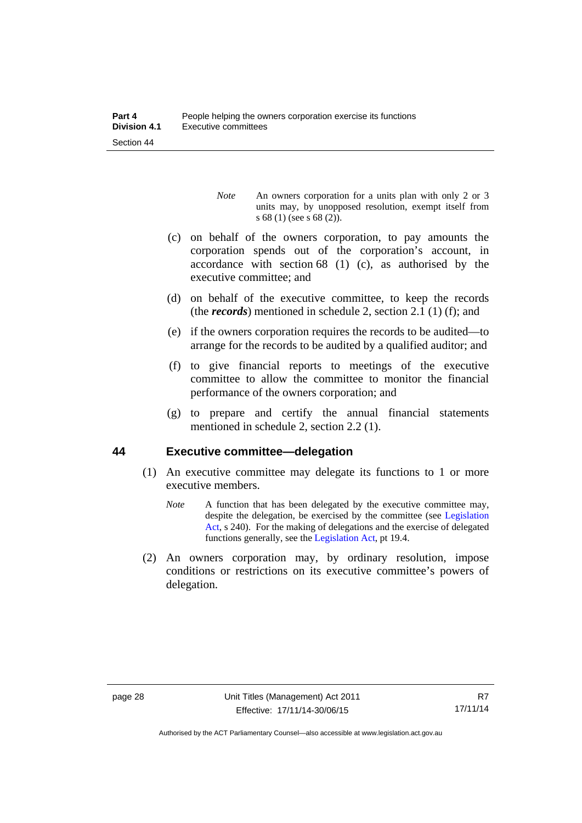- *Note* An owners corporation for a units plan with only 2 or 3 units may, by unopposed resolution, exempt itself from s 68 (1) (see s 68 (2)).
- (c) on behalf of the owners corporation, to pay amounts the corporation spends out of the corporation's account, in accordance with section 68 (1) (c), as authorised by the executive committee; and
- (d) on behalf of the executive committee, to keep the records (the *records*) mentioned in schedule 2, section 2.1 (1) (f); and
- (e) if the owners corporation requires the records to be audited—to arrange for the records to be audited by a qualified auditor; and
- (f) to give financial reports to meetings of the executive committee to allow the committee to monitor the financial performance of the owners corporation; and
- (g) to prepare and certify the annual financial statements mentioned in schedule 2, section 2.2 (1).

#### **44 Executive committee—delegation**

- (1) An executive committee may delegate its functions to 1 or more executive members.
	- *Note* A function that has been delegated by the executive committee may, despite the delegation, be exercised by the committee (see [Legislation](http://www.legislation.act.gov.au/a/2001-14)  [Act](http://www.legislation.act.gov.au/a/2001-14), s 240). For the making of delegations and the exercise of delegated functions generally, see the [Legislation Act,](http://www.legislation.act.gov.au/a/2001-14) pt 19.4.
- (2) An owners corporation may, by ordinary resolution, impose conditions or restrictions on its executive committee's powers of delegation.

Authorised by the ACT Parliamentary Counsel—also accessible at www.legislation.act.gov.au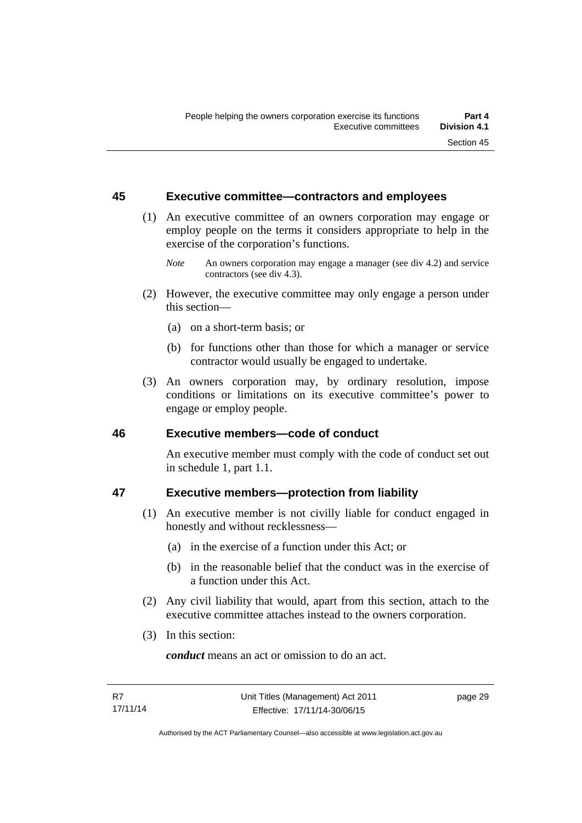#### **45 Executive committee—contractors and employees**

- (1) An executive committee of an owners corporation may engage or employ people on the terms it considers appropriate to help in the exercise of the corporation's functions.
	- *Note* An owners corporation may engage a manager (see div 4.2) and service contractors (see div 4.3).
- (2) However, the executive committee may only engage a person under this section—
	- (a) on a short-term basis; or
	- (b) for functions other than those for which a manager or service contractor would usually be engaged to undertake.
- (3) An owners corporation may, by ordinary resolution, impose conditions or limitations on its executive committee's power to engage or employ people.

#### **46 Executive members—code of conduct**

An executive member must comply with the code of conduct set out in schedule 1, part 1.1.

## **47 Executive members—protection from liability**

- (1) An executive member is not civilly liable for conduct engaged in honestly and without recklessness—
	- (a) in the exercise of a function under this Act; or
	- (b) in the reasonable belief that the conduct was in the exercise of a function under this Act.
- (2) Any civil liability that would, apart from this section, attach to the executive committee attaches instead to the owners corporation.
- (3) In this section:

*conduct* means an act or omission to do an act.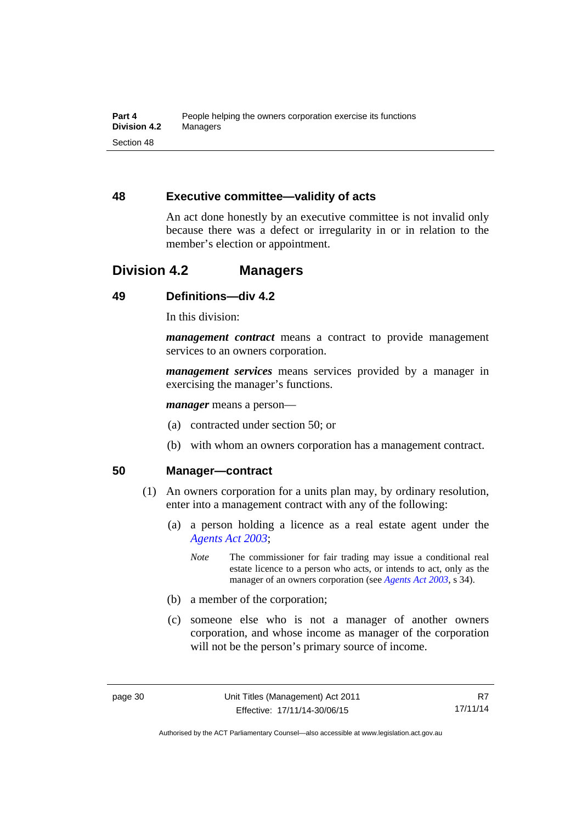## **48 Executive committee—validity of acts**

An act done honestly by an executive committee is not invalid only because there was a defect or irregularity in or in relation to the member's election or appointment.

## **Division 4.2 Managers**

## **49 Definitions—div 4.2**

In this division:

*management contract* means a contract to provide management services to an owners corporation.

*management services* means services provided by a manager in exercising the manager's functions.

*manager* means a person—

- (a) contracted under section 50; or
- (b) with whom an owners corporation has a management contract.

#### **50 Manager—contract**

- (1) An owners corporation for a units plan may, by ordinary resolution, enter into a management contract with any of the following:
	- (a) a person holding a licence as a real estate agent under the *[Agents Act 2003](http://www.legislation.act.gov.au/a/2003-20)*;
		- *Note* The commissioner for fair trading may issue a conditional real estate licence to a person who acts, or intends to act, only as the manager of an owners corporation (see *[Agents Act 2003](http://www.legislation.act.gov.au/a/2003-20)*, s 34).
	- (b) a member of the corporation;
	- (c) someone else who is not a manager of another owners corporation, and whose income as manager of the corporation will not be the person's primary source of income.

Authorised by the ACT Parliamentary Counsel—also accessible at www.legislation.act.gov.au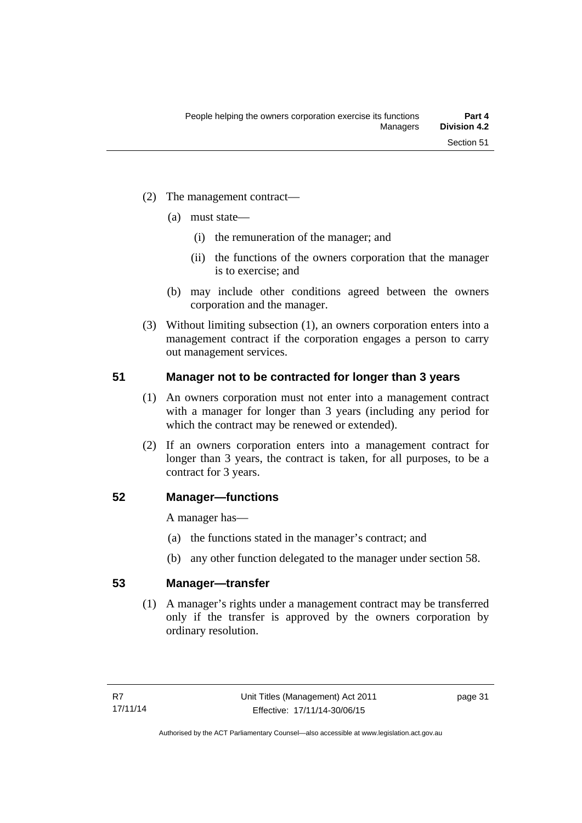- (2) The management contract—
	- (a) must state—
		- (i) the remuneration of the manager; and
		- (ii) the functions of the owners corporation that the manager is to exercise; and
	- (b) may include other conditions agreed between the owners corporation and the manager.
- (3) Without limiting subsection (1), an owners corporation enters into a management contract if the corporation engages a person to carry out management services.

## **51 Manager not to be contracted for longer than 3 years**

- (1) An owners corporation must not enter into a management contract with a manager for longer than 3 years (including any period for which the contract may be renewed or extended).
- (2) If an owners corporation enters into a management contract for longer than 3 years, the contract is taken, for all purposes, to be a contract for 3 years.

#### **52 Manager—functions**

A manager has—

- (a) the functions stated in the manager's contract; and
- (b) any other function delegated to the manager under section 58.

## **53 Manager—transfer**

(1) A manager's rights under a management contract may be transferred only if the transfer is approved by the owners corporation by ordinary resolution.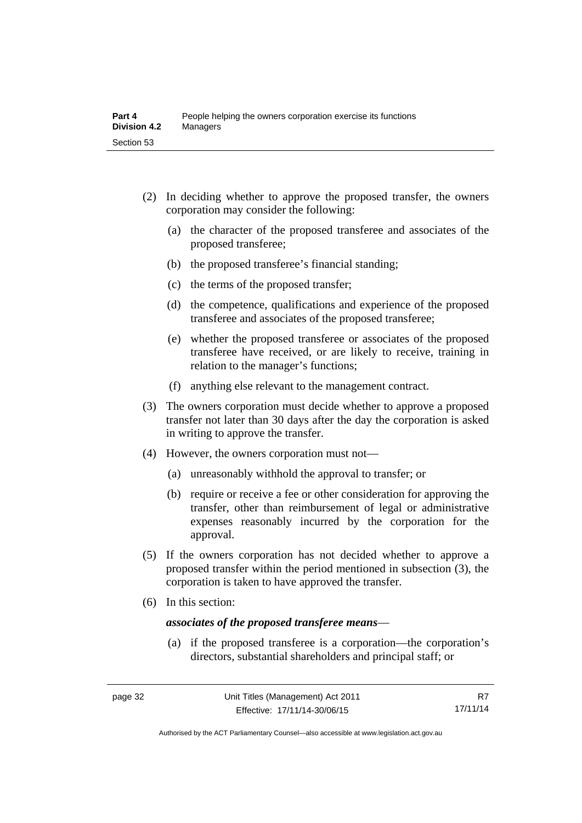- (2) In deciding whether to approve the proposed transfer, the owners corporation may consider the following:
	- (a) the character of the proposed transferee and associates of the proposed transferee;
	- (b) the proposed transferee's financial standing;
	- (c) the terms of the proposed transfer;
	- (d) the competence, qualifications and experience of the proposed transferee and associates of the proposed transferee;
	- (e) whether the proposed transferee or associates of the proposed transferee have received, or are likely to receive, training in relation to the manager's functions;
	- (f) anything else relevant to the management contract.
- (3) The owners corporation must decide whether to approve a proposed transfer not later than 30 days after the day the corporation is asked in writing to approve the transfer.
- (4) However, the owners corporation must not—
	- (a) unreasonably withhold the approval to transfer; or
	- (b) require or receive a fee or other consideration for approving the transfer, other than reimbursement of legal or administrative expenses reasonably incurred by the corporation for the approval.
- (5) If the owners corporation has not decided whether to approve a proposed transfer within the period mentioned in subsection (3), the corporation is taken to have approved the transfer.
- (6) In this section:

#### *associates of the proposed transferee means*—

 (a) if the proposed transferee is a corporation—the corporation's directors, substantial shareholders and principal staff; or

Authorised by the ACT Parliamentary Counsel—also accessible at www.legislation.act.gov.au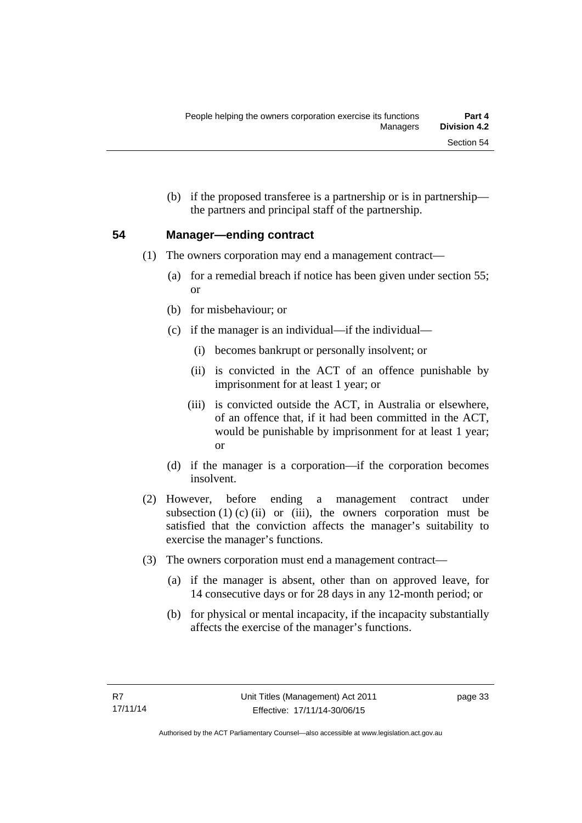(b) if the proposed transferee is a partnership or is in partnership the partners and principal staff of the partnership.

## **54 Manager—ending contract**

- (1) The owners corporation may end a management contract—
	- (a) for a remedial breach if notice has been given under section 55; or
	- (b) for misbehaviour; or
	- (c) if the manager is an individual—if the individual—
		- (i) becomes bankrupt or personally insolvent; or
		- (ii) is convicted in the ACT of an offence punishable by imprisonment for at least 1 year; or
		- (iii) is convicted outside the ACT, in Australia or elsewhere, of an offence that, if it had been committed in the ACT, would be punishable by imprisonment for at least 1 year; or
	- (d) if the manager is a corporation—if the corporation becomes insolvent.
- (2) However, before ending a management contract under subsection  $(1)$   $(c)$   $(ii)$  or  $(iii)$ , the owners corporation must be satisfied that the conviction affects the manager's suitability to exercise the manager's functions.
- (3) The owners corporation must end a management contract—
	- (a) if the manager is absent, other than on approved leave, for 14 consecutive days or for 28 days in any 12-month period; or
	- (b) for physical or mental incapacity, if the incapacity substantially affects the exercise of the manager's functions.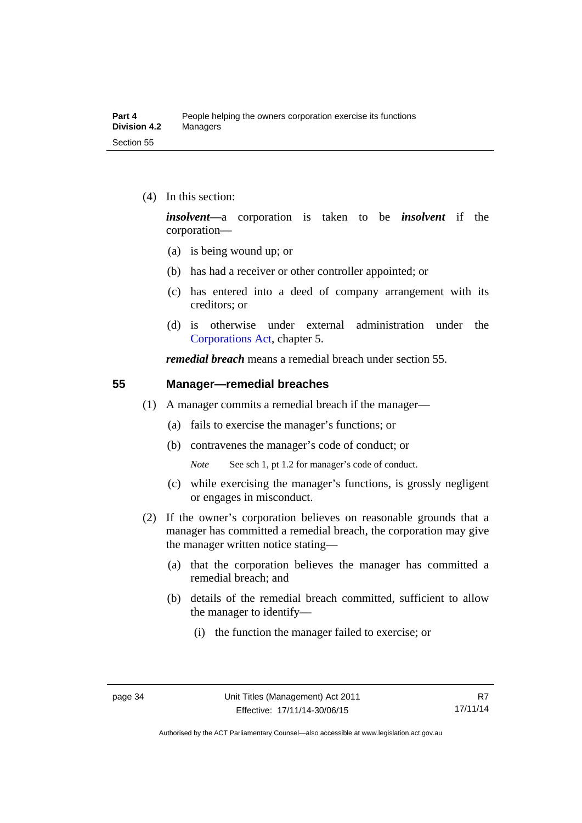(4) In this section:

*insolvent—*a corporation is taken to be *insolvent* if the corporation—

- (a) is being wound up; or
- (b) has had a receiver or other controller appointed; or
- (c) has entered into a deed of company arrangement with its creditors; or
- (d) is otherwise under external administration under the [Corporations Act,](http://www.comlaw.gov.au/Series/C2004A00818) chapter 5.

*remedial breach* means a remedial breach under section 55.

#### **55 Manager—remedial breaches**

- (1) A manager commits a remedial breach if the manager—
	- (a) fails to exercise the manager's functions; or
	- (b) contravenes the manager's code of conduct; or

*Note* See sch 1, pt 1.2 for manager's code of conduct.

- (c) while exercising the manager's functions, is grossly negligent or engages in misconduct.
- (2) If the owner's corporation believes on reasonable grounds that a manager has committed a remedial breach, the corporation may give the manager written notice stating—
	- (a) that the corporation believes the manager has committed a remedial breach; and
	- (b) details of the remedial breach committed, sufficient to allow the manager to identify—
		- (i) the function the manager failed to exercise; or

Authorised by the ACT Parliamentary Counsel—also accessible at www.legislation.act.gov.au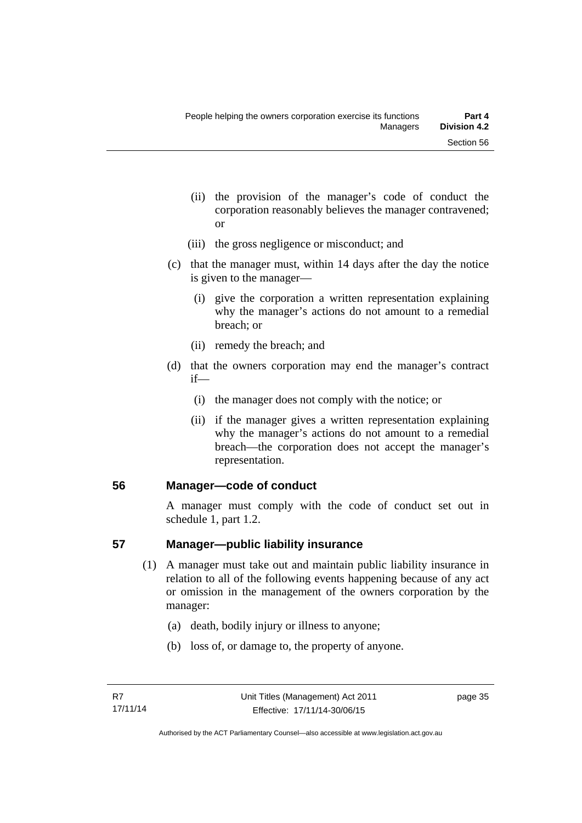- (ii) the provision of the manager's code of conduct the corporation reasonably believes the manager contravened; or
- (iii) the gross negligence or misconduct; and
- (c) that the manager must, within 14 days after the day the notice is given to the manager—
	- (i) give the corporation a written representation explaining why the manager's actions do not amount to a remedial breach; or
	- (ii) remedy the breach; and
- (d) that the owners corporation may end the manager's contract if—
	- (i) the manager does not comply with the notice; or
	- (ii) if the manager gives a written representation explaining why the manager's actions do not amount to a remedial breach—the corporation does not accept the manager's representation.

#### **56 Manager—code of conduct**

A manager must comply with the code of conduct set out in schedule 1, part 1.2.

#### **57 Manager—public liability insurance**

- (1) A manager must take out and maintain public liability insurance in relation to all of the following events happening because of any act or omission in the management of the owners corporation by the manager:
	- (a) death, bodily injury or illness to anyone;
	- (b) loss of, or damage to, the property of anyone.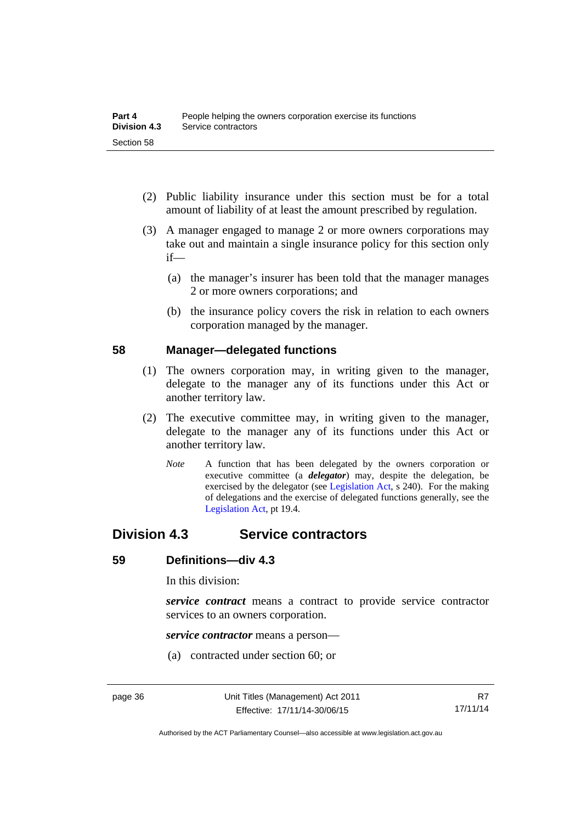- (2) Public liability insurance under this section must be for a total amount of liability of at least the amount prescribed by regulation.
- (3) A manager engaged to manage 2 or more owners corporations may take out and maintain a single insurance policy for this section only if—
	- (a) the manager's insurer has been told that the manager manages 2 or more owners corporations; and
	- (b) the insurance policy covers the risk in relation to each owners corporation managed by the manager.

#### **58 Manager—delegated functions**

- (1) The owners corporation may, in writing given to the manager, delegate to the manager any of its functions under this Act or another territory law.
- (2) The executive committee may, in writing given to the manager, delegate to the manager any of its functions under this Act or another territory law.
	- *Note* A function that has been delegated by the owners corporation or executive committee (a *delegator*) may, despite the delegation, be exercised by the delegator (see [Legislation Act,](http://www.legislation.act.gov.au/a/2001-14) s 240). For the making of delegations and the exercise of delegated functions generally, see the [Legislation Act,](http://www.legislation.act.gov.au/a/2001-14) pt 19.4.

## **Division 4.3 Service contractors**

#### **59 Definitions—div 4.3**

In this division:

*service contract* means a contract to provide service contractor services to an owners corporation.

*service contractor* means a person—

(a) contracted under section 60; or

Authorised by the ACT Parliamentary Counsel—also accessible at www.legislation.act.gov.au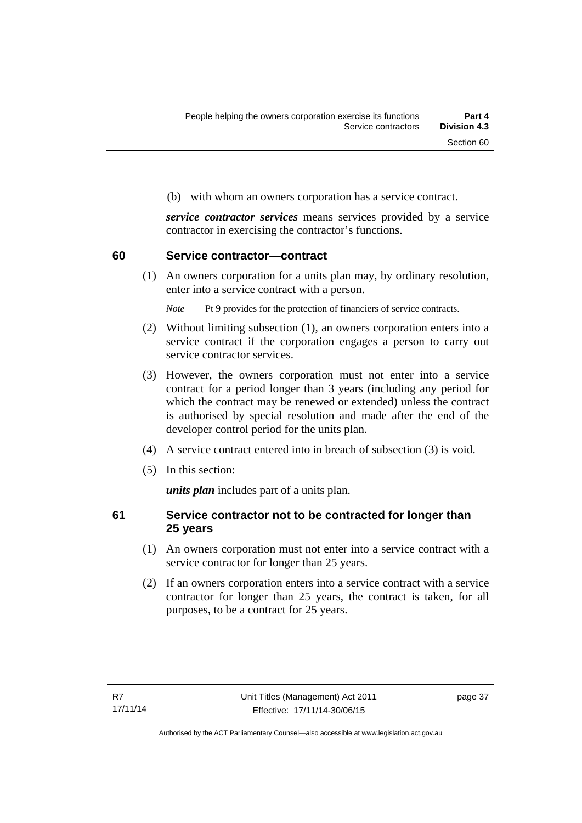(b) with whom an owners corporation has a service contract.

*service contractor services* means services provided by a service contractor in exercising the contractor's functions.

#### **60 Service contractor—contract**

(1) An owners corporation for a units plan may, by ordinary resolution, enter into a service contract with a person.

*Note* Pt 9 provides for the protection of financiers of service contracts.

- (2) Without limiting subsection (1), an owners corporation enters into a service contract if the corporation engages a person to carry out service contractor services.
- (3) However, the owners corporation must not enter into a service contract for a period longer than 3 years (including any period for which the contract may be renewed or extended) unless the contract is authorised by special resolution and made after the end of the developer control period for the units plan.
- (4) A service contract entered into in breach of subsection (3) is void.
- (5) In this section:

*units plan* includes part of a units plan.

#### **61 Service contractor not to be contracted for longer than 25 years**

- (1) An owners corporation must not enter into a service contract with a service contractor for longer than 25 years.
- (2) If an owners corporation enters into a service contract with a service contractor for longer than 25 years, the contract is taken, for all purposes, to be a contract for 25 years.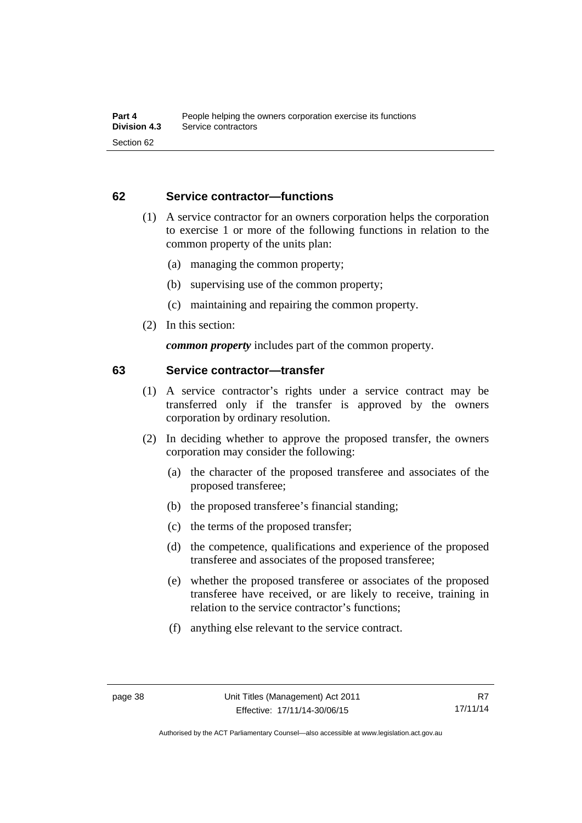#### **62 Service contractor—functions**

- (1) A service contractor for an owners corporation helps the corporation to exercise 1 or more of the following functions in relation to the common property of the units plan:
	- (a) managing the common property;
	- (b) supervising use of the common property;
	- (c) maintaining and repairing the common property.
- (2) In this section:

*common property* includes part of the common property.

#### **63 Service contractor—transfer**

- (1) A service contractor's rights under a service contract may be transferred only if the transfer is approved by the owners corporation by ordinary resolution.
- (2) In deciding whether to approve the proposed transfer, the owners corporation may consider the following:
	- (a) the character of the proposed transferee and associates of the proposed transferee;
	- (b) the proposed transferee's financial standing;
	- (c) the terms of the proposed transfer;
	- (d) the competence, qualifications and experience of the proposed transferee and associates of the proposed transferee;
	- (e) whether the proposed transferee or associates of the proposed transferee have received, or are likely to receive, training in relation to the service contractor's functions;
	- (f) anything else relevant to the service contract.

Authorised by the ACT Parliamentary Counsel—also accessible at www.legislation.act.gov.au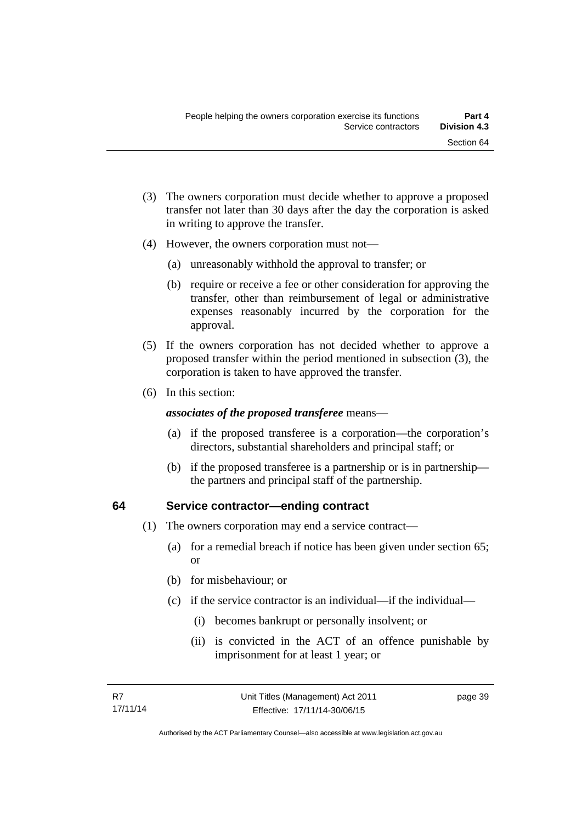- (3) The owners corporation must decide whether to approve a proposed transfer not later than 30 days after the day the corporation is asked in writing to approve the transfer.
- (4) However, the owners corporation must not—
	- (a) unreasonably withhold the approval to transfer; or
	- (b) require or receive a fee or other consideration for approving the transfer, other than reimbursement of legal or administrative expenses reasonably incurred by the corporation for the approval.
- (5) If the owners corporation has not decided whether to approve a proposed transfer within the period mentioned in subsection (3), the corporation is taken to have approved the transfer.
- (6) In this section:

#### *associates of the proposed transferee* means—

- (a) if the proposed transferee is a corporation—the corporation's directors, substantial shareholders and principal staff; or
- (b) if the proposed transferee is a partnership or is in partnership the partners and principal staff of the partnership.

#### **64 Service contractor—ending contract**

- (1) The owners corporation may end a service contract—
	- (a) for a remedial breach if notice has been given under section 65; or
	- (b) for misbehaviour; or
	- (c) if the service contractor is an individual—if the individual—
		- (i) becomes bankrupt or personally insolvent; or
		- (ii) is convicted in the ACT of an offence punishable by imprisonment for at least 1 year; or

page 39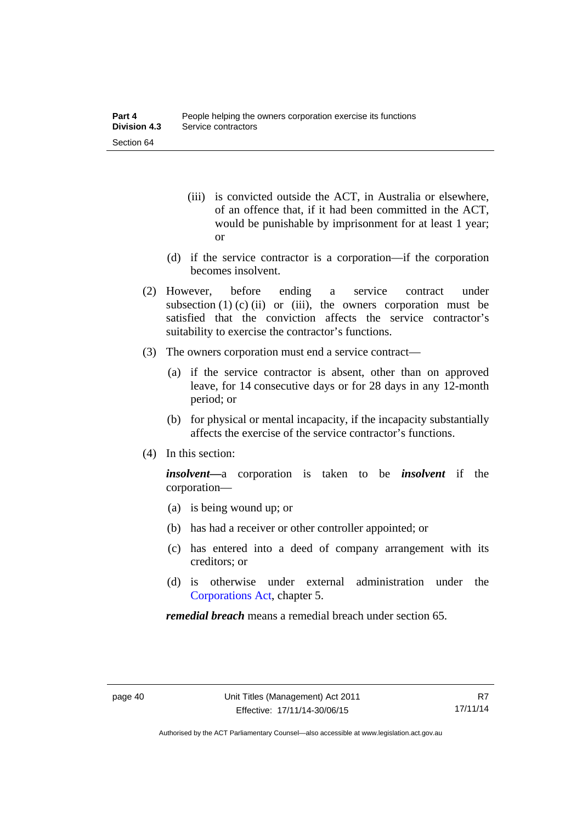- (iii) is convicted outside the ACT, in Australia or elsewhere, of an offence that, if it had been committed in the ACT, would be punishable by imprisonment for at least 1 year; or
- (d) if the service contractor is a corporation—if the corporation becomes insolvent.
- (2) However, before ending a service contract under subsection  $(1)$   $(c)$   $(ii)$  or  $(iii)$ , the owners corporation must be satisfied that the conviction affects the service contractor's suitability to exercise the contractor's functions.
- (3) The owners corporation must end a service contract—
	- (a) if the service contractor is absent, other than on approved leave, for 14 consecutive days or for 28 days in any 12-month period; or
	- (b) for physical or mental incapacity, if the incapacity substantially affects the exercise of the service contractor's functions.
- (4) In this section:

*insolvent—*a corporation is taken to be *insolvent* if the corporation—

- (a) is being wound up; or
- (b) has had a receiver or other controller appointed; or
- (c) has entered into a deed of company arrangement with its creditors; or
- (d) is otherwise under external administration under the [Corporations Act,](http://www.comlaw.gov.au/Series/C2004A00818) chapter 5.

*remedial breach* means a remedial breach under section 65.

Authorised by the ACT Parliamentary Counsel—also accessible at www.legislation.act.gov.au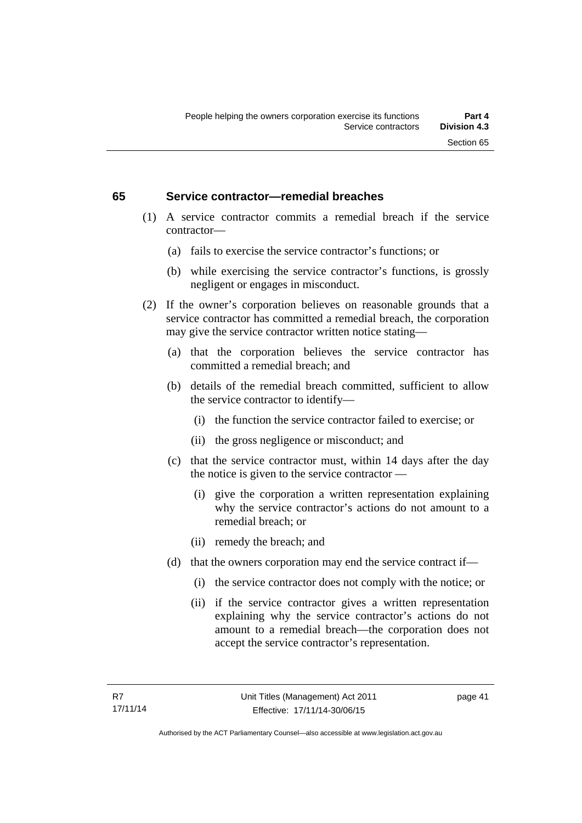#### **65 Service contractor—remedial breaches**

- (1) A service contractor commits a remedial breach if the service contractor—
	- (a) fails to exercise the service contractor's functions; or
	- (b) while exercising the service contractor's functions, is grossly negligent or engages in misconduct.
- (2) If the owner's corporation believes on reasonable grounds that a service contractor has committed a remedial breach, the corporation may give the service contractor written notice stating—
	- (a) that the corporation believes the service contractor has committed a remedial breach; and
	- (b) details of the remedial breach committed, sufficient to allow the service contractor to identify—
		- (i) the function the service contractor failed to exercise; or
		- (ii) the gross negligence or misconduct; and
	- (c) that the service contractor must, within 14 days after the day the notice is given to the service contractor —
		- (i) give the corporation a written representation explaining why the service contractor's actions do not amount to a remedial breach; or
		- (ii) remedy the breach; and
	- (d) that the owners corporation may end the service contract if—
		- (i) the service contractor does not comply with the notice; or
		- (ii) if the service contractor gives a written representation explaining why the service contractor's actions do not amount to a remedial breach—the corporation does not accept the service contractor's representation.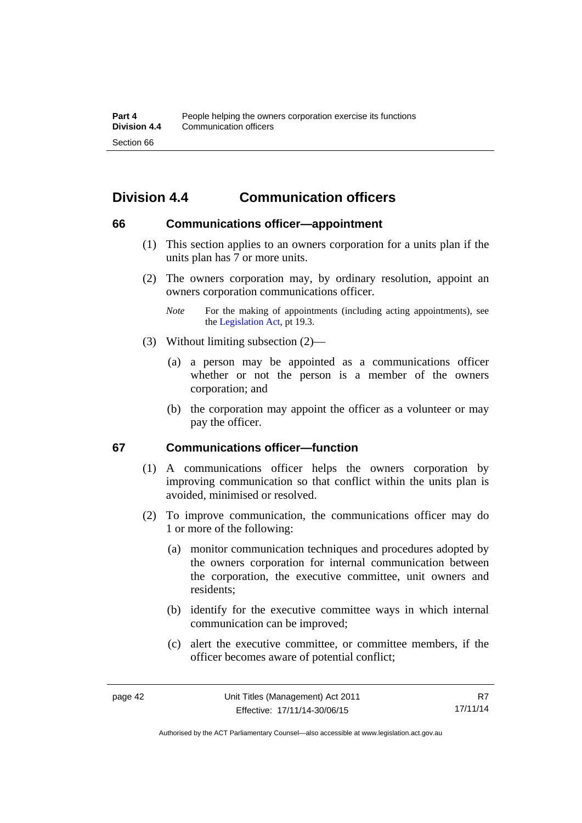# **Division 4.4 Communication officers**

#### **66 Communications officer—appointment**

- (1) This section applies to an owners corporation for a units plan if the units plan has 7 or more units.
- (2) The owners corporation may, by ordinary resolution, appoint an owners corporation communications officer.
	- *Note* For the making of appointments (including acting appointments), see the [Legislation Act,](http://www.legislation.act.gov.au/a/2001-14) pt 19.3.
- (3) Without limiting subsection (2)—
	- (a) a person may be appointed as a communications officer whether or not the person is a member of the owners corporation; and
	- (b) the corporation may appoint the officer as a volunteer or may pay the officer.

#### **67 Communications officer—function**

- (1) A communications officer helps the owners corporation by improving communication so that conflict within the units plan is avoided, minimised or resolved.
- (2) To improve communication, the communications officer may do 1 or more of the following:
	- (a) monitor communication techniques and procedures adopted by the owners corporation for internal communication between the corporation, the executive committee, unit owners and residents;
	- (b) identify for the executive committee ways in which internal communication can be improved;
	- (c) alert the executive committee, or committee members, if the officer becomes aware of potential conflict;

Authorised by the ACT Parliamentary Counsel—also accessible at www.legislation.act.gov.au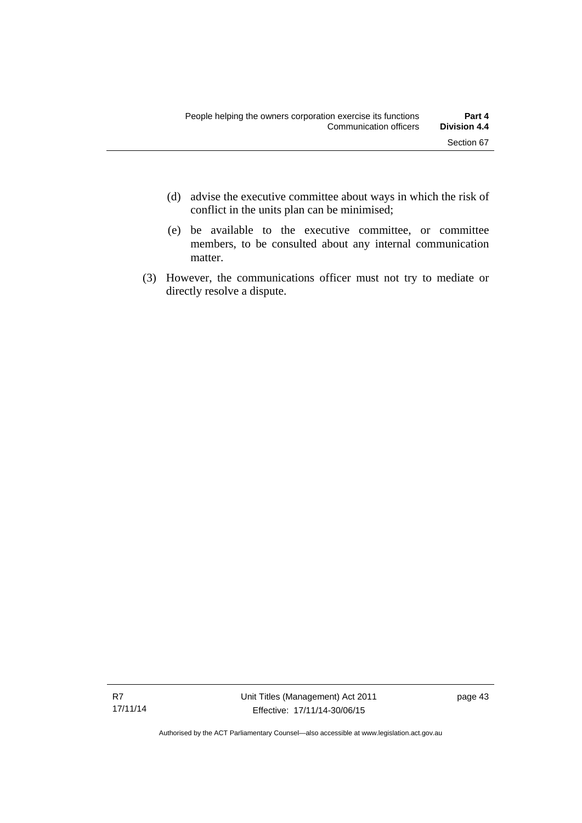- (d) advise the executive committee about ways in which the risk of conflict in the units plan can be minimised;
- (e) be available to the executive committee, or committee members, to be consulted about any internal communication matter.
- (3) However, the communications officer must not try to mediate or directly resolve a dispute.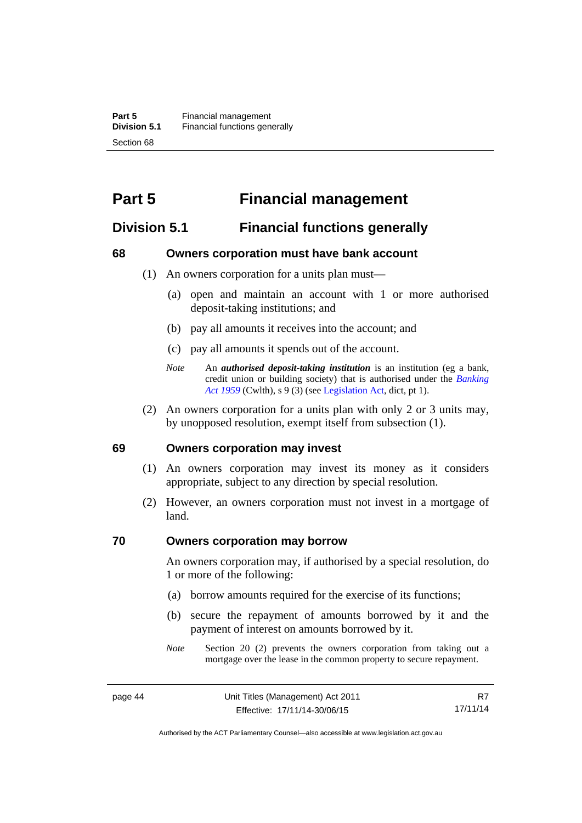# **Part 5 Financial management**

## **Division 5.1 Financial functions generally**

#### **68 Owners corporation must have bank account**

- (1) An owners corporation for a units plan must—
	- (a) open and maintain an account with 1 or more authorised deposit-taking institutions; and
	- (b) pay all amounts it receives into the account; and
	- (c) pay all amounts it spends out of the account.
	- *Note* An *authorised deposit-taking institution* is an institution (eg a bank, credit union or building society) that is authorised under the *[Banking](http://www.comlaw.gov.au/Details/C2012C00911)  [Act 1959](http://www.comlaw.gov.au/Details/C2012C00911)* (Cwlth), s 9 (3) (see [Legislation Act,](http://www.legislation.act.gov.au/a/2001-14) dict, pt 1).
- (2) An owners corporation for a units plan with only 2 or 3 units may, by unopposed resolution, exempt itself from subsection (1).

#### **69 Owners corporation may invest**

- (1) An owners corporation may invest its money as it considers appropriate, subject to any direction by special resolution.
- (2) However, an owners corporation must not invest in a mortgage of land.

#### **70 Owners corporation may borrow**

An owners corporation may, if authorised by a special resolution, do 1 or more of the following:

- (a) borrow amounts required for the exercise of its functions;
- (b) secure the repayment of amounts borrowed by it and the payment of interest on amounts borrowed by it.
- *Note* Section 20 (2) prevents the owners corporation from taking out a mortgage over the lease in the common property to secure repayment.

R7 17/11/14

Authorised by the ACT Parliamentary Counsel—also accessible at www.legislation.act.gov.au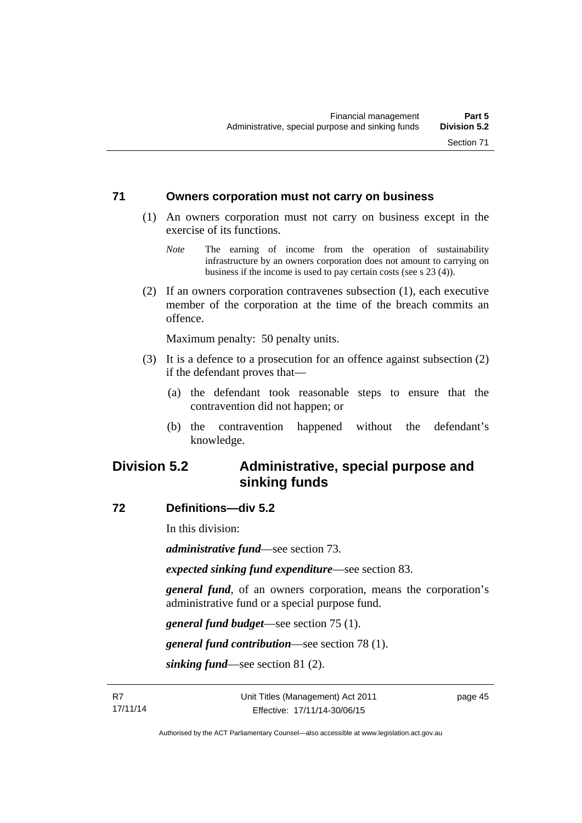#### **71 Owners corporation must not carry on business**

- (1) An owners corporation must not carry on business except in the exercise of its functions.
	- *Note* The earning of income from the operation of sustainability infrastructure by an owners corporation does not amount to carrying on business if the income is used to pay certain costs (see s 23 (4)).
- (2) If an owners corporation contravenes subsection (1), each executive member of the corporation at the time of the breach commits an offence.

Maximum penalty: 50 penalty units.

- (3) It is a defence to a prosecution for an offence against subsection (2) if the defendant proves that—
	- (a) the defendant took reasonable steps to ensure that the contravention did not happen; or
	- (b) the contravention happened without the defendant's knowledge.

## **Division 5.2 Administrative, special purpose and sinking funds**

#### **72 Definitions—div 5.2**

In this division:

*administrative fund*—see section 73.

*expected sinking fund expenditure*—see section 83.

*general fund*, of an owners corporation, means the corporation's administrative fund or a special purpose fund.

*general fund budget*—see section 75 (1).

*general fund contribution*—see section 78 (1).

*sinking fund*—see section 81 (2).

page 45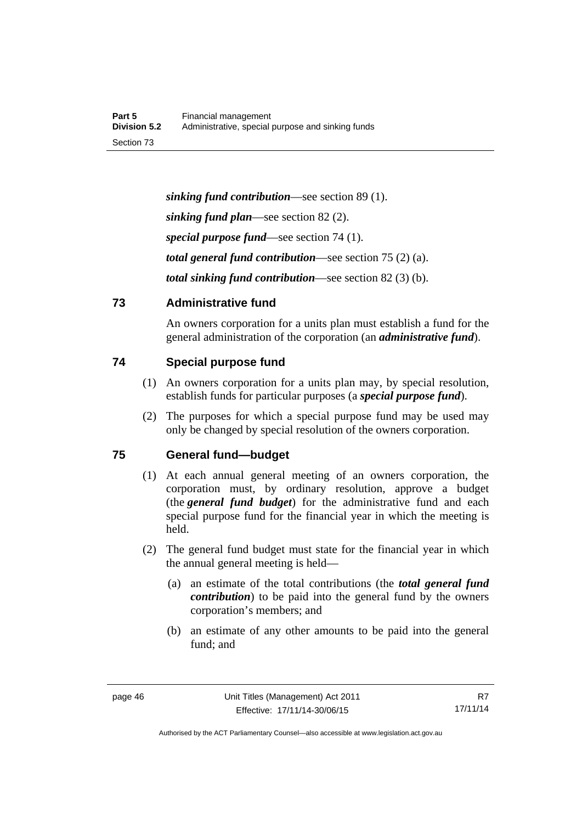*sinking fund contribution*—see section 89 (1). *sinking fund plan*—see section 82 (2). *special purpose fund*—see section 74 (1). *total general fund contribution*—see section 75 (2) (a). *total sinking fund contribution*—see section 82 (3) (b).

## **73 Administrative fund**

An owners corporation for a units plan must establish a fund for the general administration of the corporation (an *administrative fund*).

## **74 Special purpose fund**

- (1) An owners corporation for a units plan may, by special resolution, establish funds for particular purposes (a *special purpose fund*).
- (2) The purposes for which a special purpose fund may be used may only be changed by special resolution of the owners corporation.

## **75 General fund—budget**

- (1) At each annual general meeting of an owners corporation, the corporation must, by ordinary resolution, approve a budget (the *general fund budget*) for the administrative fund and each special purpose fund for the financial year in which the meeting is held.
- (2) The general fund budget must state for the financial year in which the annual general meeting is held—
	- (a) an estimate of the total contributions (the *total general fund contribution*) to be paid into the general fund by the owners corporation's members; and
	- (b) an estimate of any other amounts to be paid into the general fund; and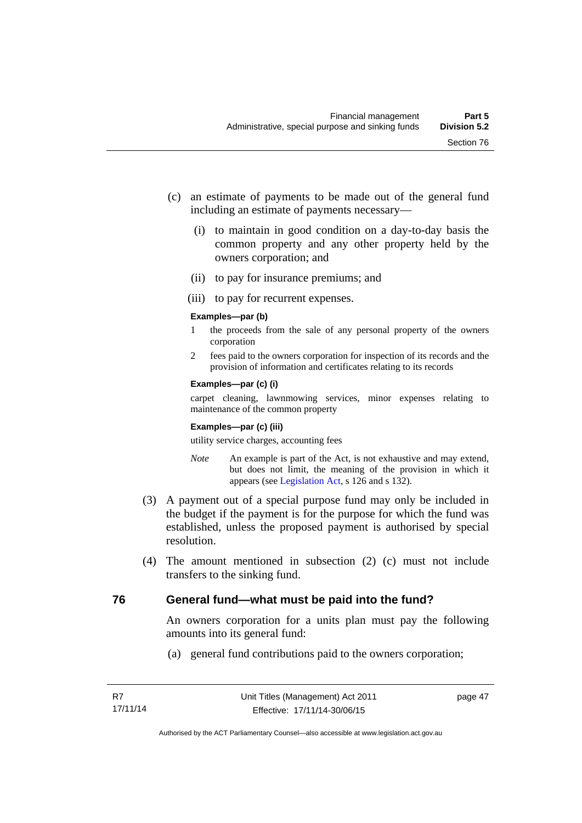- (c) an estimate of payments to be made out of the general fund including an estimate of payments necessary—
	- (i) to maintain in good condition on a day-to-day basis the common property and any other property held by the owners corporation; and
	- (ii) to pay for insurance premiums; and
	- (iii) to pay for recurrent expenses.

#### **Examples—par (b)**

- 1 the proceeds from the sale of any personal property of the owners corporation
- 2 fees paid to the owners corporation for inspection of its records and the provision of information and certificates relating to its records

#### **Examples—par (c) (i)**

carpet cleaning, lawnmowing services, minor expenses relating to maintenance of the common property

#### **Examples—par (c) (iii)**

utility service charges, accounting fees

- *Note* An example is part of the Act, is not exhaustive and may extend, but does not limit, the meaning of the provision in which it appears (see [Legislation Act,](http://www.legislation.act.gov.au/a/2001-14) s 126 and s 132).
- (3) A payment out of a special purpose fund may only be included in the budget if the payment is for the purpose for which the fund was established, unless the proposed payment is authorised by special resolution.
- (4) The amount mentioned in subsection (2) (c) must not include transfers to the sinking fund.

## **76 General fund—what must be paid into the fund?**

An owners corporation for a units plan must pay the following amounts into its general fund:

(a) general fund contributions paid to the owners corporation;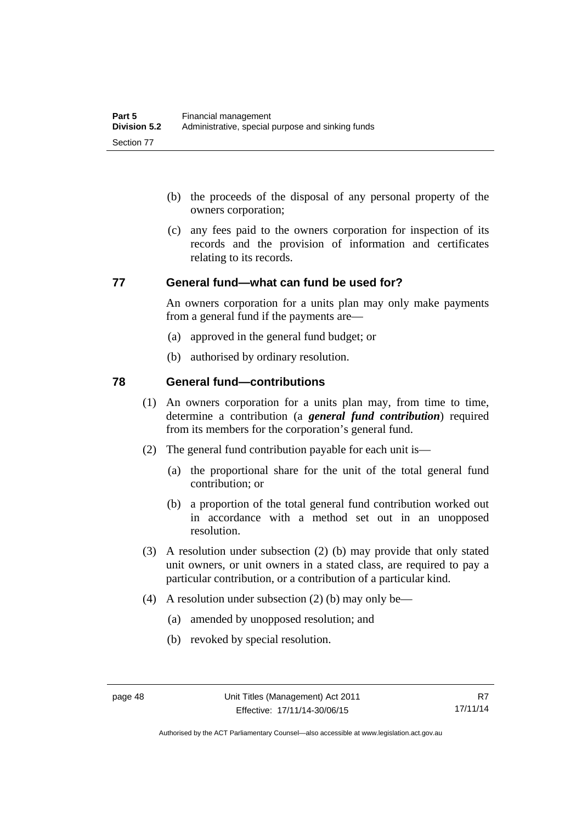- (b) the proceeds of the disposal of any personal property of the owners corporation;
- (c) any fees paid to the owners corporation for inspection of its records and the provision of information and certificates relating to its records.

#### **77 General fund—what can fund be used for?**

An owners corporation for a units plan may only make payments from a general fund if the payments are—

- (a) approved in the general fund budget; or
- (b) authorised by ordinary resolution.

## **78 General fund—contributions**

- (1) An owners corporation for a units plan may, from time to time, determine a contribution (a *general fund contribution*) required from its members for the corporation's general fund.
- (2) The general fund contribution payable for each unit is—
	- (a) the proportional share for the unit of the total general fund contribution; or
	- (b) a proportion of the total general fund contribution worked out in accordance with a method set out in an unopposed resolution.
- (3) A resolution under subsection (2) (b) may provide that only stated unit owners, or unit owners in a stated class, are required to pay a particular contribution, or a contribution of a particular kind.
- (4) A resolution under subsection (2) (b) may only be—
	- (a) amended by unopposed resolution; and
	- (b) revoked by special resolution.

Authorised by the ACT Parliamentary Counsel—also accessible at www.legislation.act.gov.au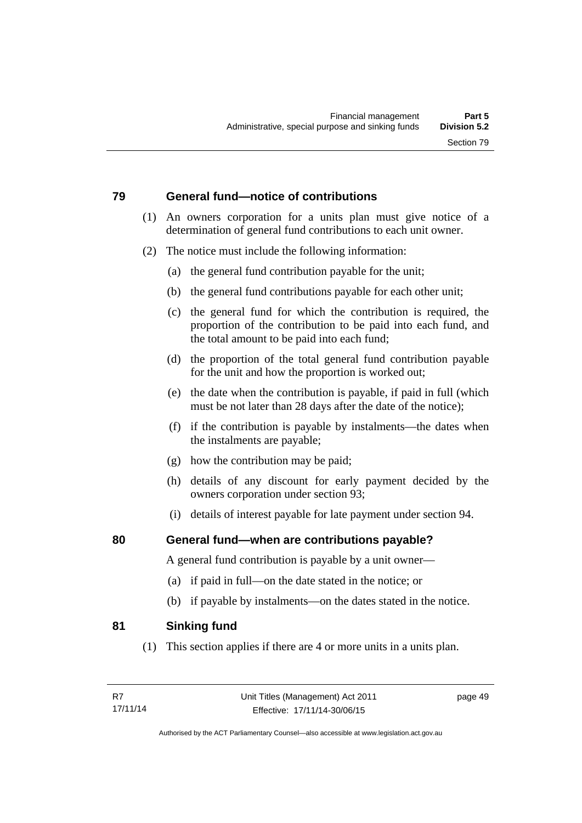## **79 General fund—notice of contributions**

- (1) An owners corporation for a units plan must give notice of a determination of general fund contributions to each unit owner.
- (2) The notice must include the following information:
	- (a) the general fund contribution payable for the unit;
	- (b) the general fund contributions payable for each other unit;
	- (c) the general fund for which the contribution is required, the proportion of the contribution to be paid into each fund, and the total amount to be paid into each fund;
	- (d) the proportion of the total general fund contribution payable for the unit and how the proportion is worked out;
	- (e) the date when the contribution is payable, if paid in full (which must be not later than 28 days after the date of the notice);
	- (f) if the contribution is payable by instalments—the dates when the instalments are payable;
	- (g) how the contribution may be paid;
	- (h) details of any discount for early payment decided by the owners corporation under section 93;
	- (i) details of interest payable for late payment under section 94.

## **80 General fund—when are contributions payable?**

A general fund contribution is payable by a unit owner—

- (a) if paid in full—on the date stated in the notice; or
- (b) if payable by instalments—on the dates stated in the notice.

## **81 Sinking fund**

(1) This section applies if there are 4 or more units in a units plan.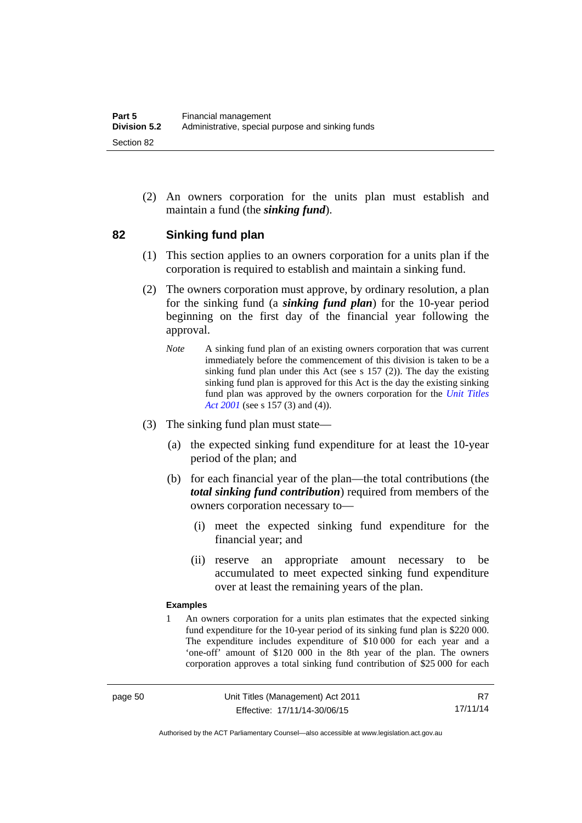(2) An owners corporation for the units plan must establish and maintain a fund (the *sinking fund*).

#### **82 Sinking fund plan**

- (1) This section applies to an owners corporation for a units plan if the corporation is required to establish and maintain a sinking fund.
- (2) The owners corporation must approve, by ordinary resolution, a plan for the sinking fund (a *sinking fund plan*) for the 10-year period beginning on the first day of the financial year following the approval.
	- *Note* A sinking fund plan of an existing owners corporation that was current immediately before the commencement of this division is taken to be a sinking fund plan under this Act (see s 157 (2)). The day the existing sinking fund plan is approved for this Act is the day the existing sinking fund plan was approved by the owners corporation for the *[Unit Titles](http://www.legislation.act.gov.au/a/2001-16)  [Act 2001](http://www.legislation.act.gov.au/a/2001-16)* (see s 157 (3) and (4)).
- (3) The sinking fund plan must state—
	- (a) the expected sinking fund expenditure for at least the 10-year period of the plan; and
	- (b) for each financial year of the plan—the total contributions (the *total sinking fund contribution*) required from members of the owners corporation necessary to—
		- (i) meet the expected sinking fund expenditure for the financial year; and
		- (ii) reserve an appropriate amount necessary to be accumulated to meet expected sinking fund expenditure over at least the remaining years of the plan.

#### **Examples**

1 An owners corporation for a units plan estimates that the expected sinking fund expenditure for the 10-year period of its sinking fund plan is \$220 000. The expenditure includes expenditure of \$10 000 for each year and a 'one-off' amount of \$120 000 in the 8th year of the plan. The owners corporation approves a total sinking fund contribution of \$25 000 for each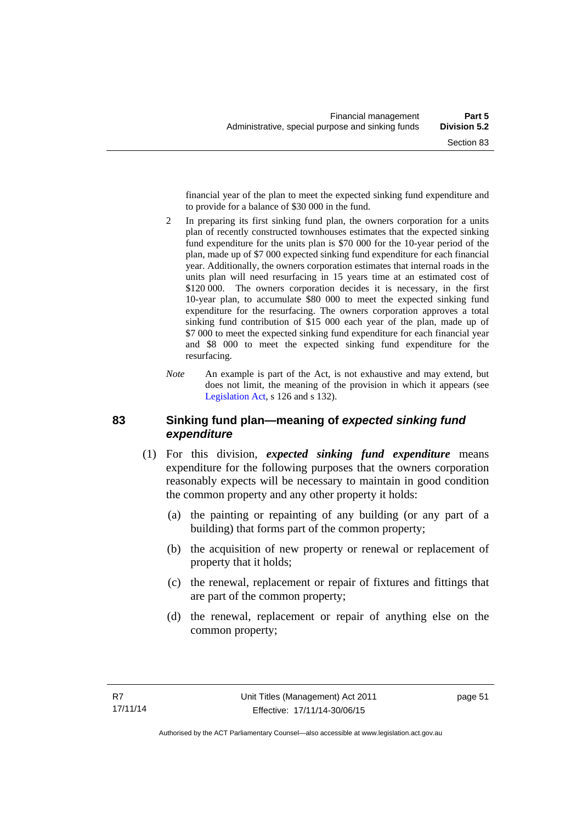financial year of the plan to meet the expected sinking fund expenditure and to provide for a balance of \$30 000 in the fund.

- 2 In preparing its first sinking fund plan, the owners corporation for a units plan of recently constructed townhouses estimates that the expected sinking fund expenditure for the units plan is \$70 000 for the 10-year period of the plan, made up of \$7 000 expected sinking fund expenditure for each financial year. Additionally, the owners corporation estimates that internal roads in the units plan will need resurfacing in 15 years time at an estimated cost of \$120,000. The owners corporation decides it is necessary, in the first 10-year plan, to accumulate \$80 000 to meet the expected sinking fund expenditure for the resurfacing. The owners corporation approves a total sinking fund contribution of \$15 000 each year of the plan, made up of \$7 000 to meet the expected sinking fund expenditure for each financial year and \$8 000 to meet the expected sinking fund expenditure for the resurfacing.
- *Note* An example is part of the Act, is not exhaustive and may extend, but does not limit, the meaning of the provision in which it appears (see [Legislation Act,](http://www.legislation.act.gov.au/a/2001-14) s 126 and s 132).

## **83 Sinking fund plan—meaning of** *expected sinking fund expenditure*

- (1) For this division, *expected sinking fund expenditure* means expenditure for the following purposes that the owners corporation reasonably expects will be necessary to maintain in good condition the common property and any other property it holds:
	- (a) the painting or repainting of any building (or any part of a building) that forms part of the common property;
	- (b) the acquisition of new property or renewal or replacement of property that it holds;
	- (c) the renewal, replacement or repair of fixtures and fittings that are part of the common property;
	- (d) the renewal, replacement or repair of anything else on the common property;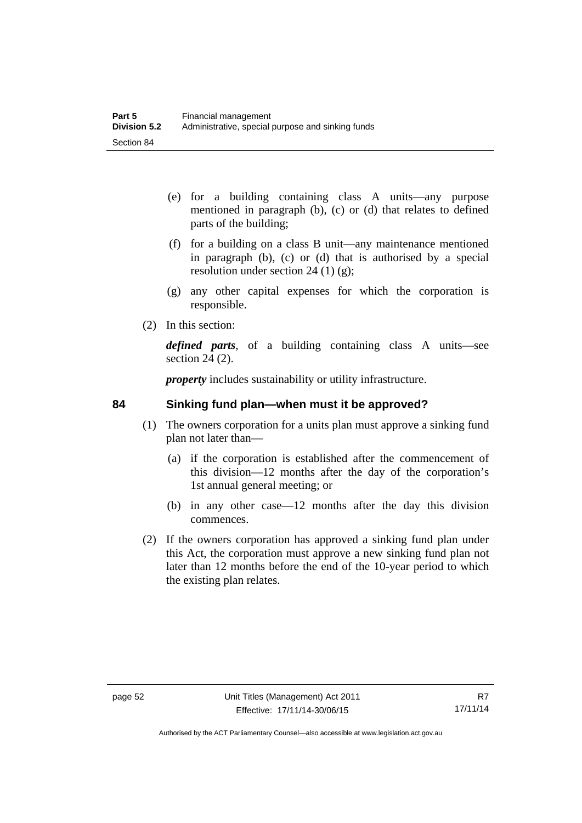- (e) for a building containing class A units—any purpose mentioned in paragraph (b), (c) or (d) that relates to defined parts of the building;
- (f) for a building on a class B unit—any maintenance mentioned in paragraph (b), (c) or (d) that is authorised by a special resolution under section 24 (1)  $(g)$ ;
- (g) any other capital expenses for which the corporation is responsible.
- (2) In this section:

*defined parts*, of a building containing class A units—see section 24 (2).

*property* includes sustainability or utility infrastructure.

## **84 Sinking fund plan—when must it be approved?**

- (1) The owners corporation for a units plan must approve a sinking fund plan not later than—
	- (a) if the corporation is established after the commencement of this division—12 months after the day of the corporation's 1st annual general meeting; or
	- (b) in any other case—12 months after the day this division commences.
- (2) If the owners corporation has approved a sinking fund plan under this Act, the corporation must approve a new sinking fund plan not later than 12 months before the end of the 10-year period to which the existing plan relates.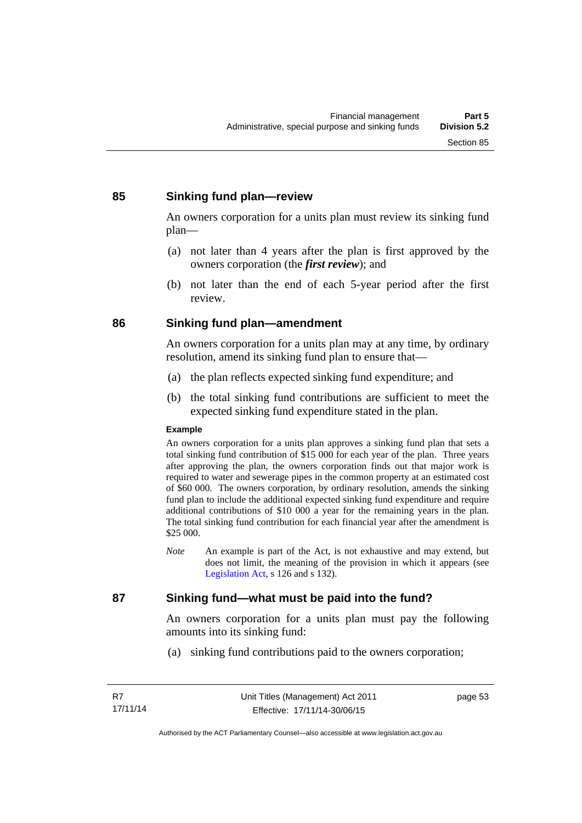## **85 Sinking fund plan—review**

An owners corporation for a units plan must review its sinking fund plan—

- (a) not later than 4 years after the plan is first approved by the owners corporation (the *first review*); and
- (b) not later than the end of each 5-year period after the first review.

## **86 Sinking fund plan—amendment**

An owners corporation for a units plan may at any time, by ordinary resolution, amend its sinking fund plan to ensure that—

- (a) the plan reflects expected sinking fund expenditure; and
- (b) the total sinking fund contributions are sufficient to meet the expected sinking fund expenditure stated in the plan.

#### **Example**

An owners corporation for a units plan approves a sinking fund plan that sets a total sinking fund contribution of \$15 000 for each year of the plan. Three years after approving the plan, the owners corporation finds out that major work is required to water and sewerage pipes in the common property at an estimated cost of \$60 000. The owners corporation, by ordinary resolution, amends the sinking fund plan to include the additional expected sinking fund expenditure and require additional contributions of \$10 000 a year for the remaining years in the plan. The total sinking fund contribution for each financial year after the amendment is \$25 000.

*Note* An example is part of the Act, is not exhaustive and may extend, but does not limit, the meaning of the provision in which it appears (see [Legislation Act,](http://www.legislation.act.gov.au/a/2001-14) s 126 and s 132).

## **87 Sinking fund—what must be paid into the fund?**

An owners corporation for a units plan must pay the following amounts into its sinking fund:

(a) sinking fund contributions paid to the owners corporation;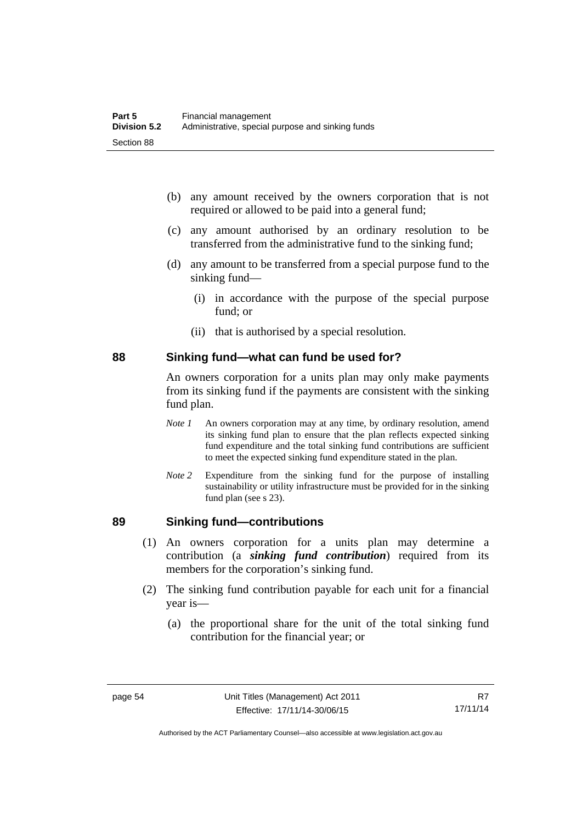- (b) any amount received by the owners corporation that is not required or allowed to be paid into a general fund;
- (c) any amount authorised by an ordinary resolution to be transferred from the administrative fund to the sinking fund;
- (d) any amount to be transferred from a special purpose fund to the sinking fund—
	- (i) in accordance with the purpose of the special purpose fund; or
	- (ii) that is authorised by a special resolution.

#### **88 Sinking fund—what can fund be used for?**

An owners corporation for a units plan may only make payments from its sinking fund if the payments are consistent with the sinking fund plan.

- *Note 1* An owners corporation may at any time, by ordinary resolution, amend its sinking fund plan to ensure that the plan reflects expected sinking fund expenditure and the total sinking fund contributions are sufficient to meet the expected sinking fund expenditure stated in the plan.
- *Note 2* Expenditure from the sinking fund for the purpose of installing sustainability or utility infrastructure must be provided for in the sinking fund plan (see s 23).

## **89 Sinking fund—contributions**

- (1) An owners corporation for a units plan may determine a contribution (a *sinking fund contribution*) required from its members for the corporation's sinking fund.
- (2) The sinking fund contribution payable for each unit for a financial year is—
	- (a) the proportional share for the unit of the total sinking fund contribution for the financial year; or

Authorised by the ACT Parliamentary Counsel—also accessible at www.legislation.act.gov.au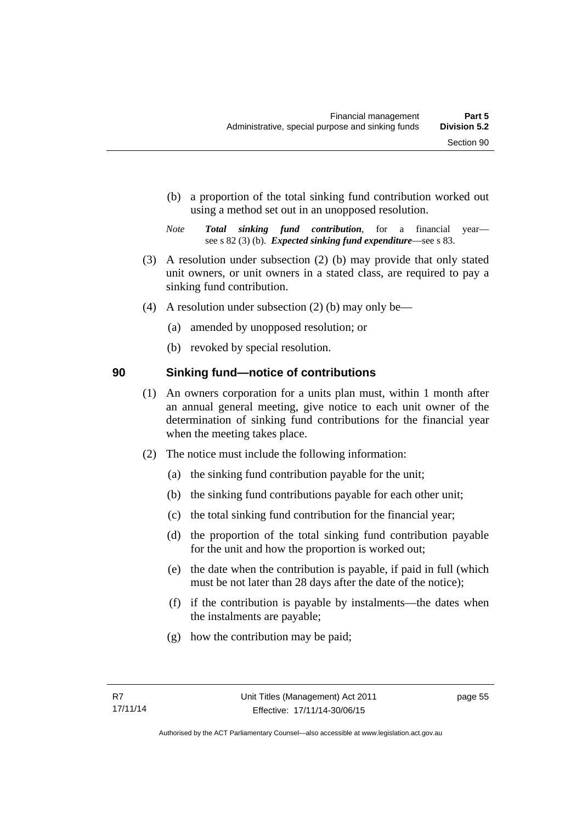- (b) a proportion of the total sinking fund contribution worked out using a method set out in an unopposed resolution.
- *Note Total sinking fund contribution*, for a financial year see s 82 (3) (b). *Expected sinking fund expenditure*—see s 83.
- (3) A resolution under subsection (2) (b) may provide that only stated unit owners, or unit owners in a stated class, are required to pay a sinking fund contribution.
- (4) A resolution under subsection (2) (b) may only be—
	- (a) amended by unopposed resolution; or
	- (b) revoked by special resolution.

## **90 Sinking fund—notice of contributions**

- (1) An owners corporation for a units plan must, within 1 month after an annual general meeting, give notice to each unit owner of the determination of sinking fund contributions for the financial year when the meeting takes place.
- (2) The notice must include the following information:
	- (a) the sinking fund contribution payable for the unit;
	- (b) the sinking fund contributions payable for each other unit;
	- (c) the total sinking fund contribution for the financial year;
	- (d) the proportion of the total sinking fund contribution payable for the unit and how the proportion is worked out;
	- (e) the date when the contribution is payable, if paid in full (which must be not later than 28 days after the date of the notice);
	- (f) if the contribution is payable by instalments—the dates when the instalments are payable;
	- (g) how the contribution may be paid;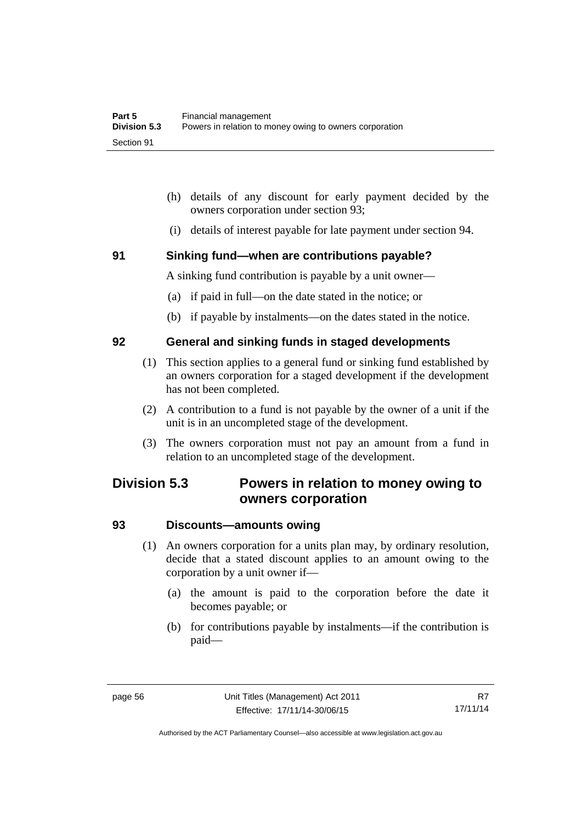- (h) details of any discount for early payment decided by the owners corporation under section 93;
- (i) details of interest payable for late payment under section 94.

#### **91 Sinking fund—when are contributions payable?**

A sinking fund contribution is payable by a unit owner—

- (a) if paid in full—on the date stated in the notice; or
- (b) if payable by instalments—on the dates stated in the notice.

#### **92 General and sinking funds in staged developments**

- (1) This section applies to a general fund or sinking fund established by an owners corporation for a staged development if the development has not been completed.
- (2) A contribution to a fund is not payable by the owner of a unit if the unit is in an uncompleted stage of the development.
- (3) The owners corporation must not pay an amount from a fund in relation to an uncompleted stage of the development.

## **Division 5.3 Powers in relation to money owing to owners corporation**

## **93 Discounts—amounts owing**

- (1) An owners corporation for a units plan may, by ordinary resolution, decide that a stated discount applies to an amount owing to the corporation by a unit owner if—
	- (a) the amount is paid to the corporation before the date it becomes payable; or
	- (b) for contributions payable by instalments—if the contribution is paid—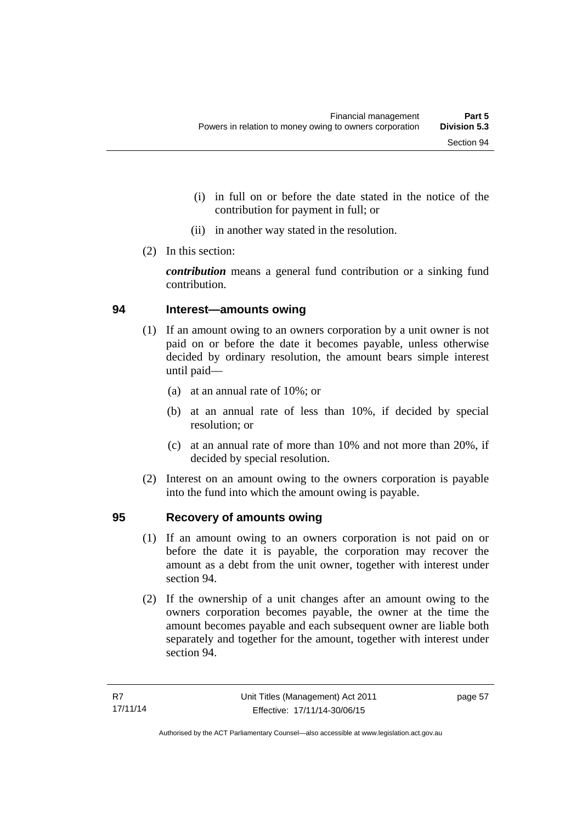- (i) in full on or before the date stated in the notice of the contribution for payment in full; or
- (ii) in another way stated in the resolution.
- (2) In this section:

*contribution* means a general fund contribution or a sinking fund contribution.

#### **94 Interest—amounts owing**

- (1) If an amount owing to an owners corporation by a unit owner is not paid on or before the date it becomes payable, unless otherwise decided by ordinary resolution, the amount bears simple interest until paid—
	- (a) at an annual rate of 10%; or
	- (b) at an annual rate of less than 10%, if decided by special resolution; or
	- (c) at an annual rate of more than 10% and not more than 20%, if decided by special resolution.
- (2) Interest on an amount owing to the owners corporation is payable into the fund into which the amount owing is payable.

#### **95 Recovery of amounts owing**

- (1) If an amount owing to an owners corporation is not paid on or before the date it is payable, the corporation may recover the amount as a debt from the unit owner, together with interest under section 94.
- (2) If the ownership of a unit changes after an amount owing to the owners corporation becomes payable, the owner at the time the amount becomes payable and each subsequent owner are liable both separately and together for the amount, together with interest under section 94.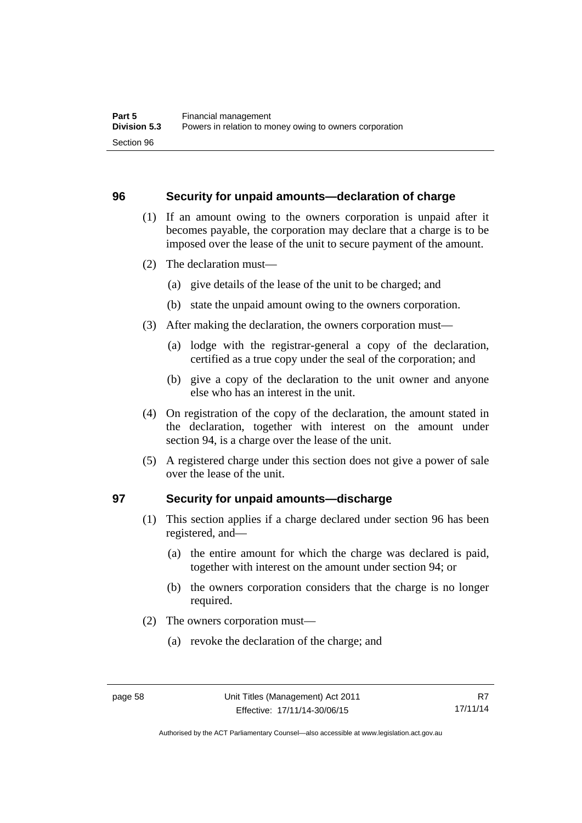#### **96 Security for unpaid amounts—declaration of charge**

- (1) If an amount owing to the owners corporation is unpaid after it becomes payable, the corporation may declare that a charge is to be imposed over the lease of the unit to secure payment of the amount.
- (2) The declaration must—
	- (a) give details of the lease of the unit to be charged; and
	- (b) state the unpaid amount owing to the owners corporation.
- (3) After making the declaration, the owners corporation must—
	- (a) lodge with the registrar-general a copy of the declaration, certified as a true copy under the seal of the corporation; and
	- (b) give a copy of the declaration to the unit owner and anyone else who has an interest in the unit.
- (4) On registration of the copy of the declaration, the amount stated in the declaration, together with interest on the amount under section 94, is a charge over the lease of the unit.
- (5) A registered charge under this section does not give a power of sale over the lease of the unit.

#### **97 Security for unpaid amounts—discharge**

- (1) This section applies if a charge declared under section 96 has been registered, and—
	- (a) the entire amount for which the charge was declared is paid, together with interest on the amount under section 94; or
	- (b) the owners corporation considers that the charge is no longer required.
- (2) The owners corporation must—
	- (a) revoke the declaration of the charge; and

Authorised by the ACT Parliamentary Counsel—also accessible at www.legislation.act.gov.au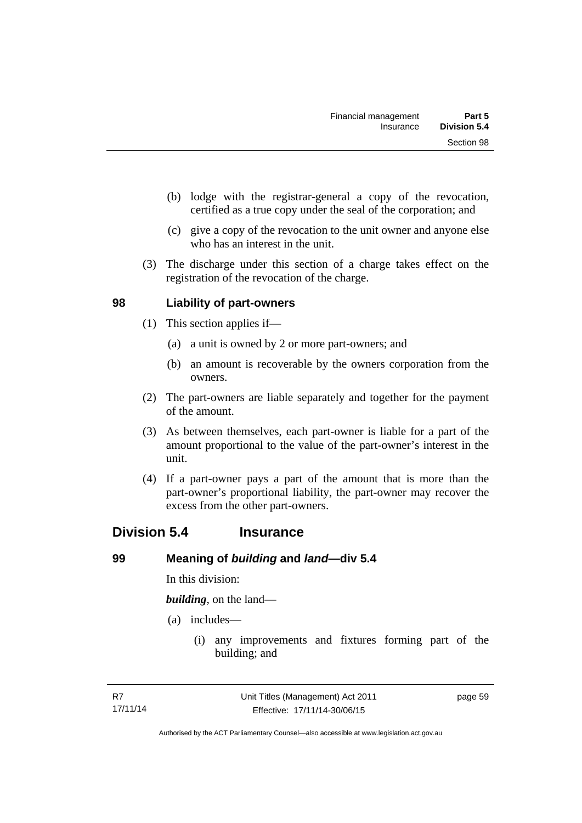- (b) lodge with the registrar-general a copy of the revocation, certified as a true copy under the seal of the corporation; and
- (c) give a copy of the revocation to the unit owner and anyone else who has an interest in the unit.
- (3) The discharge under this section of a charge takes effect on the registration of the revocation of the charge.

## **98 Liability of part-owners**

- (1) This section applies if—
	- (a) a unit is owned by 2 or more part-owners; and
	- (b) an amount is recoverable by the owners corporation from the owners.
- (2) The part-owners are liable separately and together for the payment of the amount.
- (3) As between themselves, each part-owner is liable for a part of the amount proportional to the value of the part-owner's interest in the unit.
- (4) If a part-owner pays a part of the amount that is more than the part-owner's proportional liability, the part-owner may recover the excess from the other part-owners.

## **Division 5.4 Insurance**

#### **99 Meaning of** *building* **and** *land***—div 5.4**

In this division:

*building*, on the land—

- (a) includes—
	- (i) any improvements and fixtures forming part of the building; and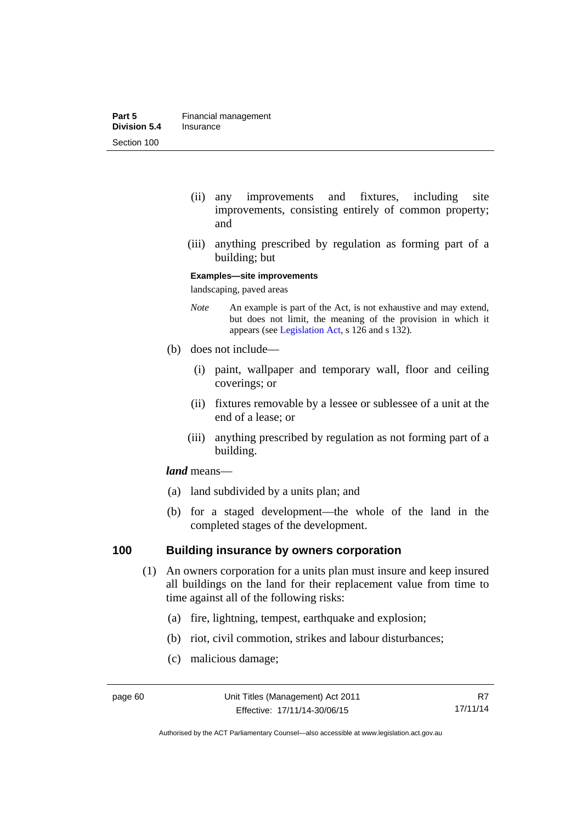- (ii) any improvements and fixtures, including site improvements, consisting entirely of common property; and
- (iii) anything prescribed by regulation as forming part of a building; but

#### **Examples—site improvements**

landscaping, paved areas

- *Note* An example is part of the Act, is not exhaustive and may extend, but does not limit, the meaning of the provision in which it appears (see [Legislation Act,](http://www.legislation.act.gov.au/a/2001-14) s 126 and s 132).
- (b) does not include—
	- (i) paint, wallpaper and temporary wall, floor and ceiling coverings; or
	- (ii) fixtures removable by a lessee or sublessee of a unit at the end of a lease; or
	- (iii) anything prescribed by regulation as not forming part of a building.

#### *land* means—

- (a) land subdivided by a units plan; and
- (b) for a staged development—the whole of the land in the completed stages of the development.

## **100 Building insurance by owners corporation**

- (1) An owners corporation for a units plan must insure and keep insured all buildings on the land for their replacement value from time to time against all of the following risks:
	- (a) fire, lightning, tempest, earthquake and explosion;
	- (b) riot, civil commotion, strikes and labour disturbances;
	- (c) malicious damage;

Authorised by the ACT Parliamentary Counsel—also accessible at www.legislation.act.gov.au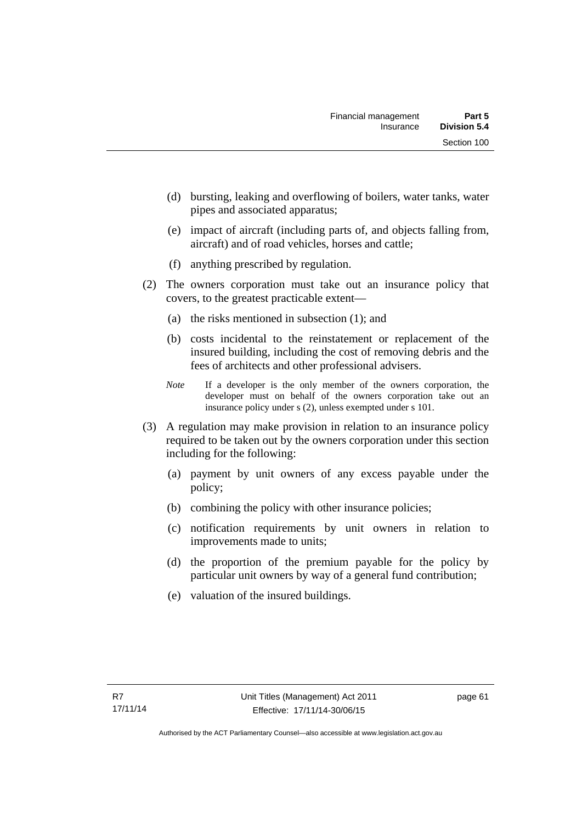- (d) bursting, leaking and overflowing of boilers, water tanks, water pipes and associated apparatus;
- (e) impact of aircraft (including parts of, and objects falling from, aircraft) and of road vehicles, horses and cattle;
- (f) anything prescribed by regulation.
- (2) The owners corporation must take out an insurance policy that covers, to the greatest practicable extent—
	- (a) the risks mentioned in subsection (1); and
	- (b) costs incidental to the reinstatement or replacement of the insured building, including the cost of removing debris and the fees of architects and other professional advisers.
	- *Note* If a developer is the only member of the owners corporation, the developer must on behalf of the owners corporation take out an insurance policy under s (2), unless exempted under s 101.
- (3) A regulation may make provision in relation to an insurance policy required to be taken out by the owners corporation under this section including for the following:
	- (a) payment by unit owners of any excess payable under the policy;
	- (b) combining the policy with other insurance policies;
	- (c) notification requirements by unit owners in relation to improvements made to units;
	- (d) the proportion of the premium payable for the policy by particular unit owners by way of a general fund contribution;
	- (e) valuation of the insured buildings.

page 61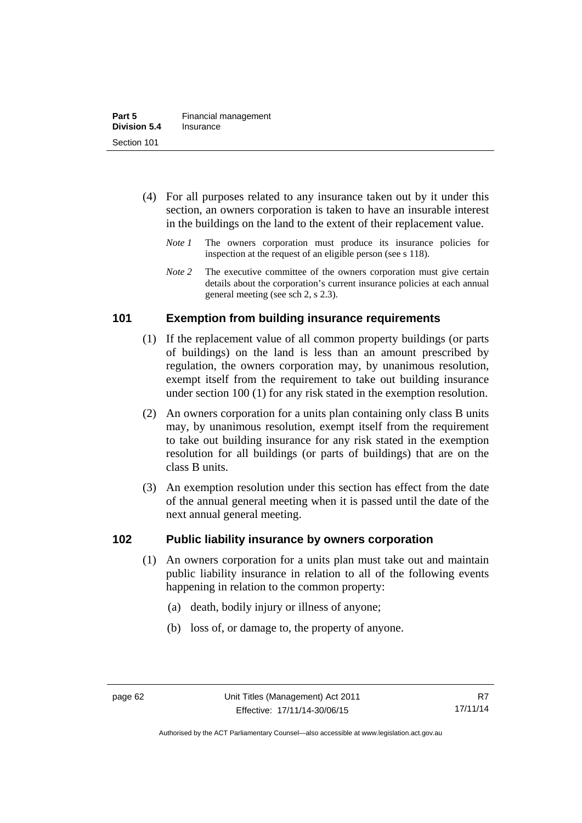- (4) For all purposes related to any insurance taken out by it under this section, an owners corporation is taken to have an insurable interest in the buildings on the land to the extent of their replacement value.
	- *Note 1* The owners corporation must produce its insurance policies for inspection at the request of an eligible person (see s 118).
	- *Note 2* The executive committee of the owners corporation must give certain details about the corporation's current insurance policies at each annual general meeting (see sch 2, s 2.3).

## **101 Exemption from building insurance requirements**

- (1) If the replacement value of all common property buildings (or parts of buildings) on the land is less than an amount prescribed by regulation, the owners corporation may, by unanimous resolution, exempt itself from the requirement to take out building insurance under section 100 (1) for any risk stated in the exemption resolution.
- (2) An owners corporation for a units plan containing only class B units may, by unanimous resolution, exempt itself from the requirement to take out building insurance for any risk stated in the exemption resolution for all buildings (or parts of buildings) that are on the class B units.
- (3) An exemption resolution under this section has effect from the date of the annual general meeting when it is passed until the date of the next annual general meeting.

## **102 Public liability insurance by owners corporation**

- (1) An owners corporation for a units plan must take out and maintain public liability insurance in relation to all of the following events happening in relation to the common property:
	- (a) death, bodily injury or illness of anyone;
	- (b) loss of, or damage to, the property of anyone.

Authorised by the ACT Parliamentary Counsel—also accessible at www.legislation.act.gov.au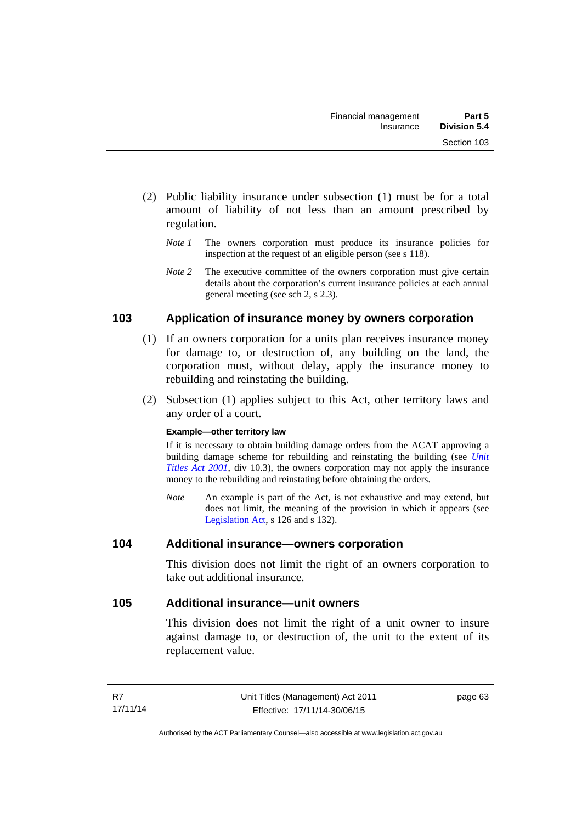- (2) Public liability insurance under subsection (1) must be for a total amount of liability of not less than an amount prescribed by regulation.
	- *Note 1* The owners corporation must produce its insurance policies for inspection at the request of an eligible person (see s 118).
	- *Note 2* The executive committee of the owners corporation must give certain details about the corporation's current insurance policies at each annual general meeting (see sch 2, s 2.3).

# **103 Application of insurance money by owners corporation**

- (1) If an owners corporation for a units plan receives insurance money for damage to, or destruction of, any building on the land, the corporation must, without delay, apply the insurance money to rebuilding and reinstating the building.
- (2) Subsection (1) applies subject to this Act, other territory laws and any order of a court.

#### **Example—other territory law**

If it is necessary to obtain building damage orders from the ACAT approving a building damage scheme for rebuilding and reinstating the building (see *[Unit](http://www.legislation.act.gov.au/a/2001-16)  [Titles Act 2001](http://www.legislation.act.gov.au/a/2001-16)*, div 10.3), the owners corporation may not apply the insurance money to the rebuilding and reinstating before obtaining the orders.

*Note* An example is part of the Act, is not exhaustive and may extend, but does not limit, the meaning of the provision in which it appears (see [Legislation Act,](http://www.legislation.act.gov.au/a/2001-14) s 126 and s 132).

## **104 Additional insurance—owners corporation**

This division does not limit the right of an owners corporation to take out additional insurance.

## **105 Additional insurance—unit owners**

This division does not limit the right of a unit owner to insure against damage to, or destruction of, the unit to the extent of its replacement value.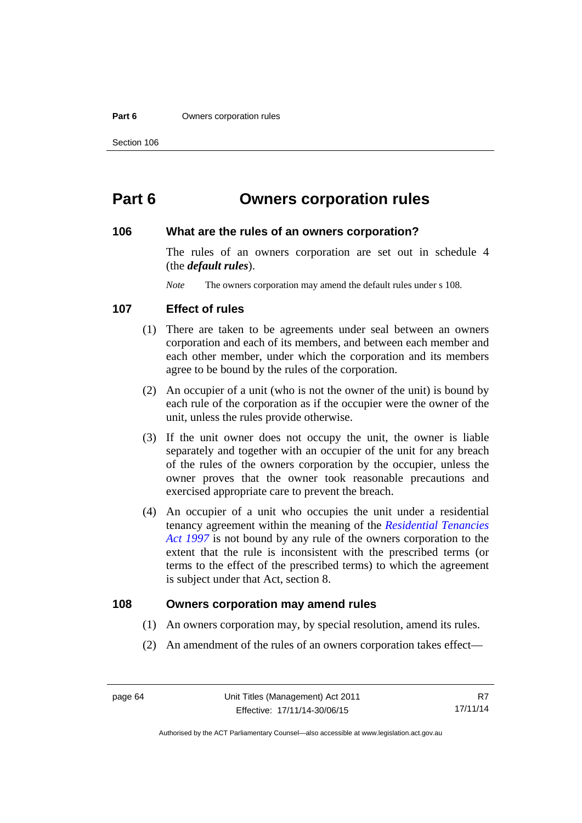#### **Part 6 Owners corporation rules**

# **Part 6 Owners corporation rules**

#### **106 What are the rules of an owners corporation?**

The rules of an owners corporation are set out in schedule 4 (the *default rules*).

*Note* The owners corporation may amend the default rules under s 108.

#### **107 Effect of rules**

- (1) There are taken to be agreements under seal between an owners corporation and each of its members, and between each member and each other member, under which the corporation and its members agree to be bound by the rules of the corporation.
- (2) An occupier of a unit (who is not the owner of the unit) is bound by each rule of the corporation as if the occupier were the owner of the unit, unless the rules provide otherwise.
- (3) If the unit owner does not occupy the unit, the owner is liable separately and together with an occupier of the unit for any breach of the rules of the owners corporation by the occupier, unless the owner proves that the owner took reasonable precautions and exercised appropriate care to prevent the breach.
- (4) An occupier of a unit who occupies the unit under a residential tenancy agreement within the meaning of the *[Residential Tenancies](http://www.legislation.act.gov.au/a/1997-84)  [Act 1997](http://www.legislation.act.gov.au/a/1997-84)* is not bound by any rule of the owners corporation to the extent that the rule is inconsistent with the prescribed terms (or terms to the effect of the prescribed terms) to which the agreement is subject under that Act, section 8.

#### **108 Owners corporation may amend rules**

- (1) An owners corporation may, by special resolution, amend its rules.
- (2) An amendment of the rules of an owners corporation takes effect—

Authorised by the ACT Parliamentary Counsel—also accessible at www.legislation.act.gov.au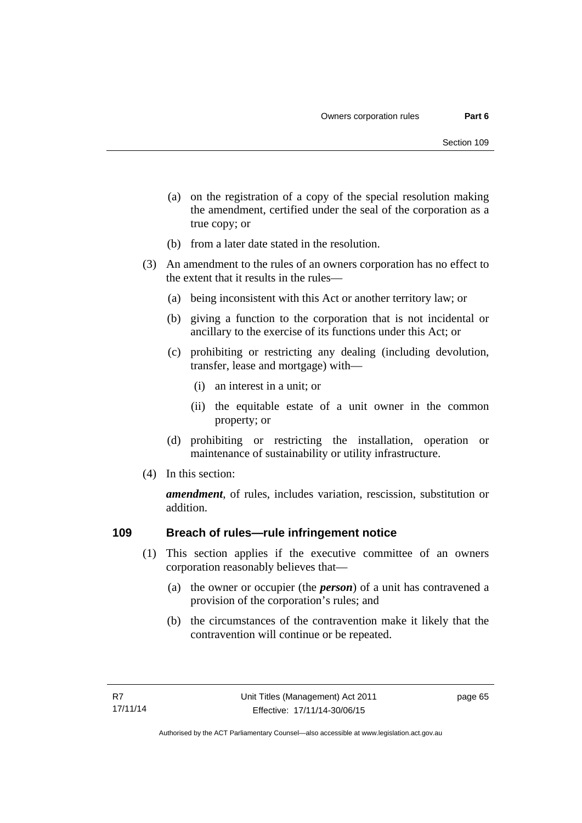- (a) on the registration of a copy of the special resolution making the amendment, certified under the seal of the corporation as a true copy; or
- (b) from a later date stated in the resolution.
- (3) An amendment to the rules of an owners corporation has no effect to the extent that it results in the rules—
	- (a) being inconsistent with this Act or another territory law; or
	- (b) giving a function to the corporation that is not incidental or ancillary to the exercise of its functions under this Act; or
	- (c) prohibiting or restricting any dealing (including devolution, transfer, lease and mortgage) with—
		- (i) an interest in a unit; or
		- (ii) the equitable estate of a unit owner in the common property; or
	- (d) prohibiting or restricting the installation, operation or maintenance of sustainability or utility infrastructure.
- (4) In this section:

*amendment*, of rules, includes variation, rescission, substitution or addition.

## **109 Breach of rules—rule infringement notice**

- (1) This section applies if the executive committee of an owners corporation reasonably believes that—
	- (a) the owner or occupier (the *person*) of a unit has contravened a provision of the corporation's rules; and
	- (b) the circumstances of the contravention make it likely that the contravention will continue or be repeated.

page 65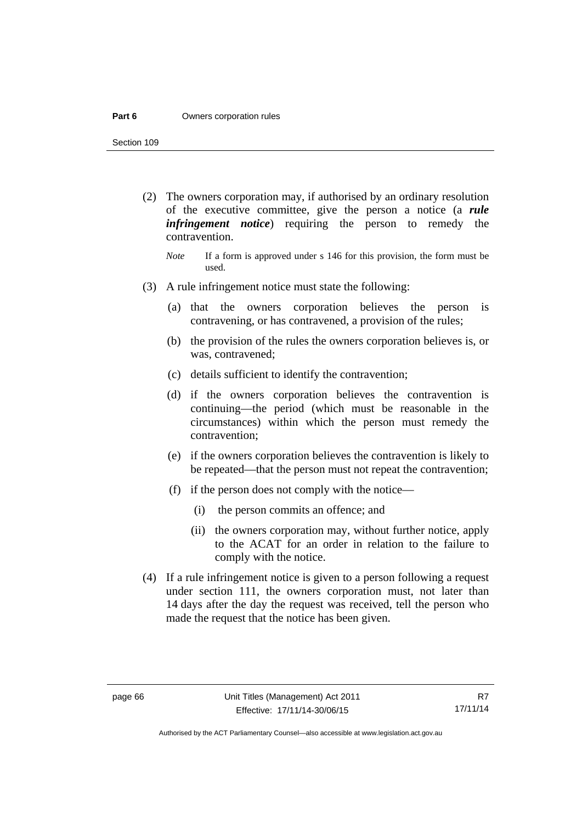#### **Part 6 Owners corporation rules**

Section 109

- (2) The owners corporation may, if authorised by an ordinary resolution of the executive committee, give the person a notice (a *rule infringement notice*) requiring the person to remedy the contravention.
	- *Note* If a form is approved under s 146 for this provision, the form must be used.
- (3) A rule infringement notice must state the following:
	- (a) that the owners corporation believes the person is contravening, or has contravened, a provision of the rules;
	- (b) the provision of the rules the owners corporation believes is, or was, contravened;
	- (c) details sufficient to identify the contravention;
	- (d) if the owners corporation believes the contravention is continuing—the period (which must be reasonable in the circumstances) within which the person must remedy the contravention;
	- (e) if the owners corporation believes the contravention is likely to be repeated—that the person must not repeat the contravention;
	- (f) if the person does not comply with the notice—
		- (i) the person commits an offence; and
		- (ii) the owners corporation may, without further notice, apply to the ACAT for an order in relation to the failure to comply with the notice.
- (4) If a rule infringement notice is given to a person following a request under section 111, the owners corporation must, not later than 14 days after the day the request was received, tell the person who made the request that the notice has been given.

Authorised by the ACT Parliamentary Counsel—also accessible at www.legislation.act.gov.au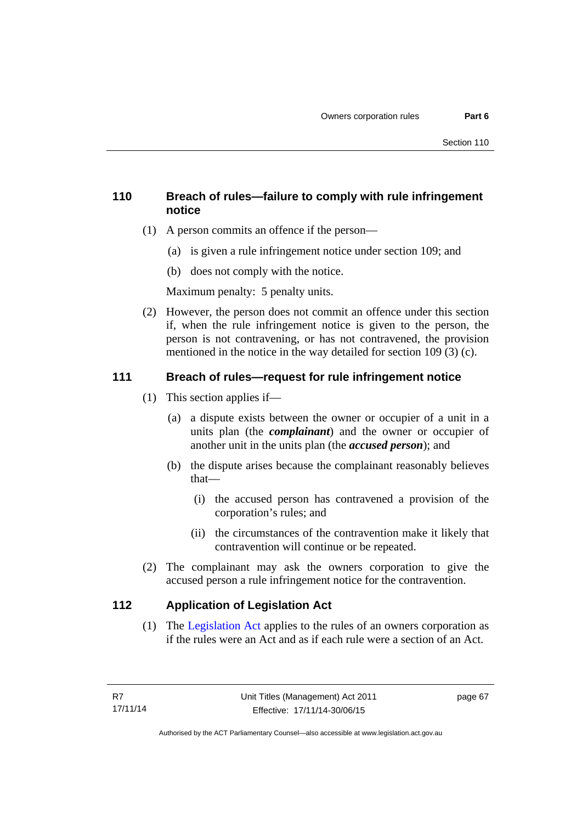# **110 Breach of rules—failure to comply with rule infringement notice**

- (1) A person commits an offence if the person—
	- (a) is given a rule infringement notice under section 109; and
	- (b) does not comply with the notice.

Maximum penalty: 5 penalty units.

 (2) However, the person does not commit an offence under this section if, when the rule infringement notice is given to the person, the person is not contravening, or has not contravened, the provision mentioned in the notice in the way detailed for section 109 (3) (c).

# **111 Breach of rules—request for rule infringement notice**

- (1) This section applies if—
	- (a) a dispute exists between the owner or occupier of a unit in a units plan (the *complainant*) and the owner or occupier of another unit in the units plan (the *accused person*); and
	- (b) the dispute arises because the complainant reasonably believes that—
		- (i) the accused person has contravened a provision of the corporation's rules; and
		- (ii) the circumstances of the contravention make it likely that contravention will continue or be repeated.
- (2) The complainant may ask the owners corporation to give the accused person a rule infringement notice for the contravention.

# **112 Application of Legislation Act**

 (1) The [Legislation Act](http://www.legislation.act.gov.au/a/2001-14) applies to the rules of an owners corporation as if the rules were an Act and as if each rule were a section of an Act.

page 67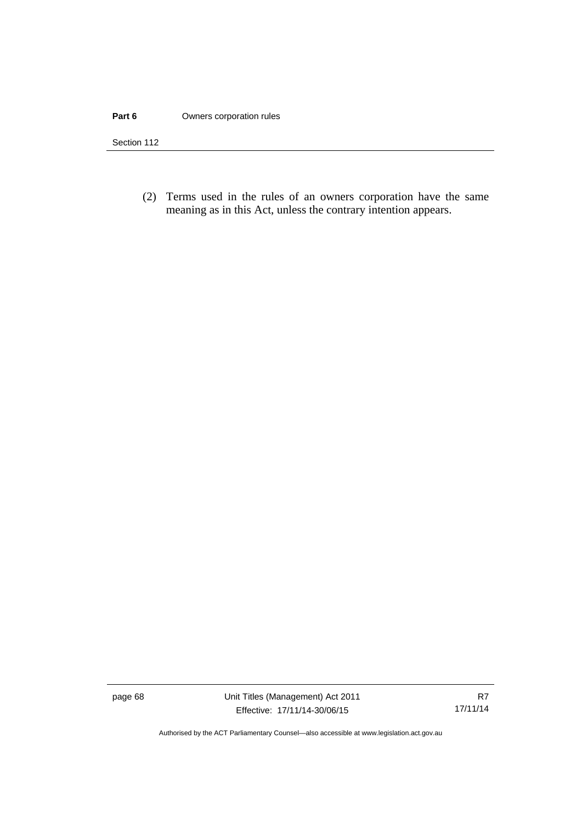#### **Part 6 Owners corporation rules**

Section 112

 (2) Terms used in the rules of an owners corporation have the same meaning as in this Act, unless the contrary intention appears.

page 68 Unit Titles (Management) Act 2011 Effective: 17/11/14-30/06/15

Authorised by the ACT Parliamentary Counsel—also accessible at www.legislation.act.gov.au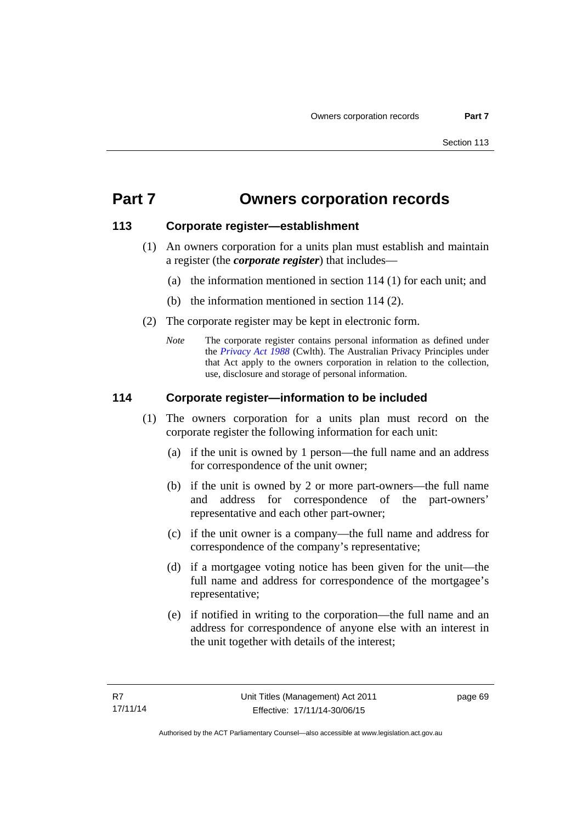# **Part 7 Owners corporation records**

# **113 Corporate register—establishment**

- (1) An owners corporation for a units plan must establish and maintain a register (the *corporate register*) that includes—
	- (a) the information mentioned in section 114 (1) for each unit; and
	- (b) the information mentioned in section 114 (2).
- (2) The corporate register may be kept in electronic form.
	- *Note* The corporate register contains personal information as defined under the *[Privacy Act 1988](http://www.comlaw.gov.au/Current/C2004A03712)* (Cwlth). The Australian Privacy Principles under that Act apply to the owners corporation in relation to the collection, use, disclosure and storage of personal information.

# **114 Corporate register—information to be included**

- (1) The owners corporation for a units plan must record on the corporate register the following information for each unit:
	- (a) if the unit is owned by 1 person—the full name and an address for correspondence of the unit owner;
	- (b) if the unit is owned by 2 or more part-owners—the full name and address for correspondence of the part-owners' representative and each other part-owner;
	- (c) if the unit owner is a company—the full name and address for correspondence of the company's representative;
	- (d) if a mortgagee voting notice has been given for the unit—the full name and address for correspondence of the mortgagee's representative;
	- (e) if notified in writing to the corporation—the full name and an address for correspondence of anyone else with an interest in the unit together with details of the interest;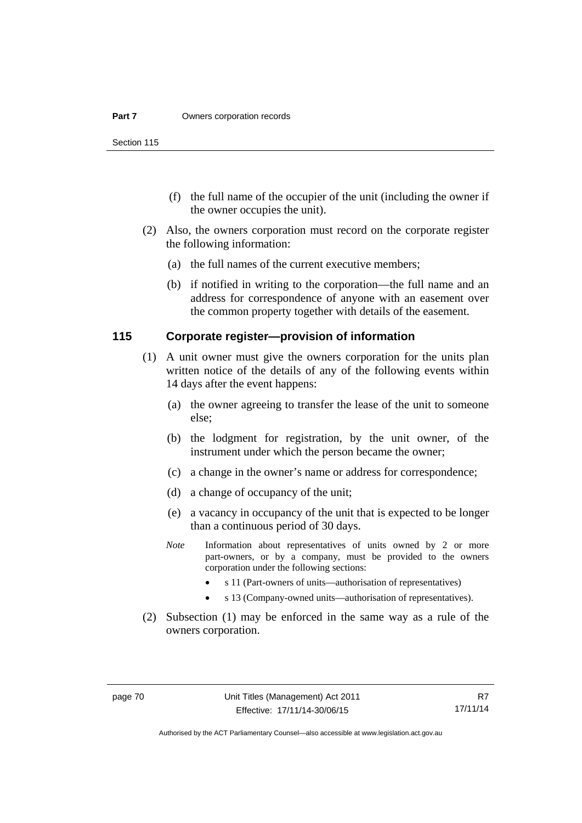Section 115

- (f) the full name of the occupier of the unit (including the owner if the owner occupies the unit).
- (2) Also, the owners corporation must record on the corporate register the following information:
	- (a) the full names of the current executive members;
	- (b) if notified in writing to the corporation—the full name and an address for correspondence of anyone with an easement over the common property together with details of the easement.

#### **115 Corporate register—provision of information**

- (1) A unit owner must give the owners corporation for the units plan written notice of the details of any of the following events within 14 days after the event happens:
	- (a) the owner agreeing to transfer the lease of the unit to someone else;
	- (b) the lodgment for registration, by the unit owner, of the instrument under which the person became the owner;
	- (c) a change in the owner's name or address for correspondence;
	- (d) a change of occupancy of the unit;
	- (e) a vacancy in occupancy of the unit that is expected to be longer than a continuous period of 30 days.
	- *Note* Information about representatives of units owned by 2 or more part-owners, or by a company, must be provided to the owners corporation under the following sections:
		- s 11 (Part-owners of units—authorisation of representatives)
		- s 13 (Company-owned units—authorisation of representatives).
- (2) Subsection (1) may be enforced in the same way as a rule of the owners corporation.

R7 17/11/14

Authorised by the ACT Parliamentary Counsel—also accessible at www.legislation.act.gov.au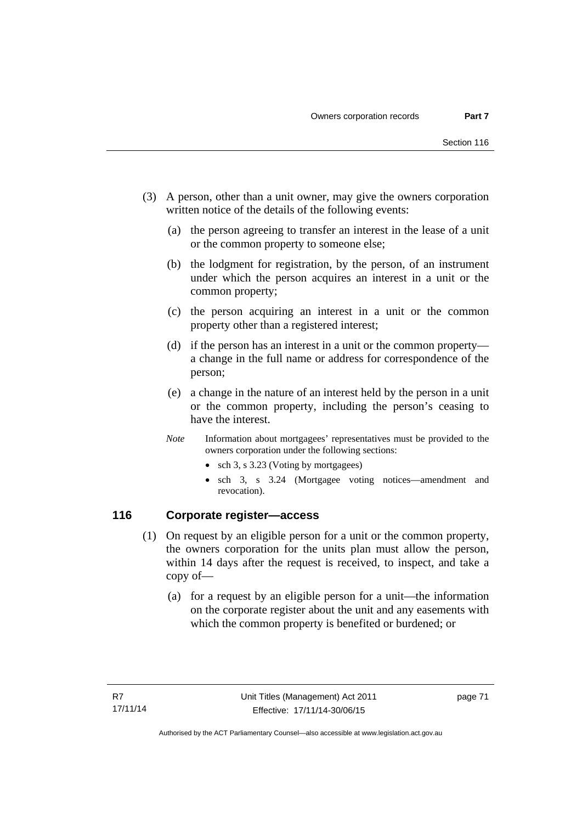- (3) A person, other than a unit owner, may give the owners corporation written notice of the details of the following events:
	- (a) the person agreeing to transfer an interest in the lease of a unit or the common property to someone else;
	- (b) the lodgment for registration, by the person, of an instrument under which the person acquires an interest in a unit or the common property;
	- (c) the person acquiring an interest in a unit or the common property other than a registered interest;
	- (d) if the person has an interest in a unit or the common property a change in the full name or address for correspondence of the person;
	- (e) a change in the nature of an interest held by the person in a unit or the common property, including the person's ceasing to have the interest.
	- *Note* Information about mortgagees' representatives must be provided to the owners corporation under the following sections:
		- sch 3, s 3.23 (Voting by mortgagees)
		- sch 3, s 3.24 (Mortgagee voting notices—amendment and revocation).

## **116 Corporate register—access**

- (1) On request by an eligible person for a unit or the common property, the owners corporation for the units plan must allow the person, within 14 days after the request is received, to inspect, and take a copy of—
	- (a) for a request by an eligible person for a unit—the information on the corporate register about the unit and any easements with which the common property is benefited or burdened; or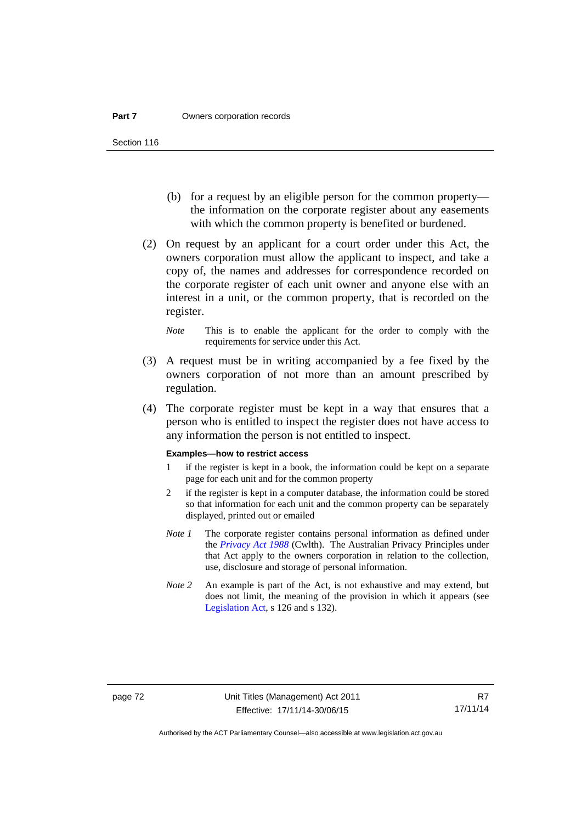- (b) for a request by an eligible person for the common property the information on the corporate register about any easements with which the common property is benefited or burdened.
- (2) On request by an applicant for a court order under this Act, the owners corporation must allow the applicant to inspect, and take a copy of, the names and addresses for correspondence recorded on the corporate register of each unit owner and anyone else with an interest in a unit, or the common property, that is recorded on the register.
	- *Note* This is to enable the applicant for the order to comply with the requirements for service under this Act.
- (3) A request must be in writing accompanied by a fee fixed by the owners corporation of not more than an amount prescribed by regulation.
- (4) The corporate register must be kept in a way that ensures that a person who is entitled to inspect the register does not have access to any information the person is not entitled to inspect.

#### **Examples—how to restrict access**

- 1 if the register is kept in a book, the information could be kept on a separate page for each unit and for the common property
- 2 if the register is kept in a computer database, the information could be stored so that information for each unit and the common property can be separately displayed, printed out or emailed
- *Note 1* The corporate register contains personal information as defined under the *[Privacy Act 1988](http://www.comlaw.gov.au/Current/C2004A03712)* (Cwlth). The Australian Privacy Principles under that Act apply to the owners corporation in relation to the collection, use, disclosure and storage of personal information.
- *Note 2* An example is part of the Act, is not exhaustive and may extend, but does not limit, the meaning of the provision in which it appears (see [Legislation Act,](http://www.legislation.act.gov.au/a/2001-14) s 126 and s 132).

Authorised by the ACT Parliamentary Counsel—also accessible at www.legislation.act.gov.au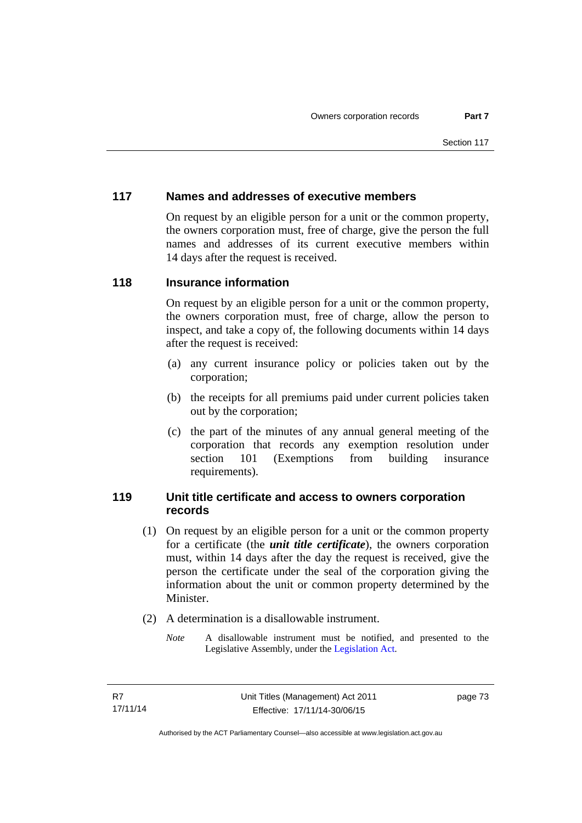# **117 Names and addresses of executive members**

On request by an eligible person for a unit or the common property, the owners corporation must, free of charge, give the person the full names and addresses of its current executive members within 14 days after the request is received.

## **118 Insurance information**

On request by an eligible person for a unit or the common property, the owners corporation must, free of charge, allow the person to inspect, and take a copy of, the following documents within 14 days after the request is received:

- (a) any current insurance policy or policies taken out by the corporation;
- (b) the receipts for all premiums paid under current policies taken out by the corporation;
- (c) the part of the minutes of any annual general meeting of the corporation that records any exemption resolution under section 101 (Exemptions from building insurance requirements).

## **119 Unit title certificate and access to owners corporation records**

- (1) On request by an eligible person for a unit or the common property for a certificate (the *unit title certificate*), the owners corporation must, within 14 days after the day the request is received, give the person the certificate under the seal of the corporation giving the information about the unit or common property determined by the Minister.
- (2) A determination is a disallowable instrument.
	- *Note* A disallowable instrument must be notified, and presented to the Legislative Assembly, under the [Legislation Act.](http://www.legislation.act.gov.au/a/2001-14)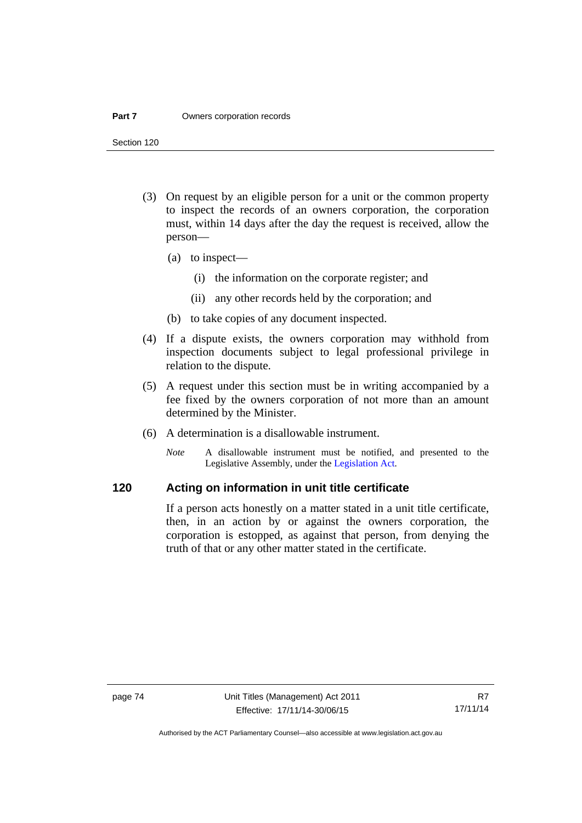#### **Part 7 Owners corporation records**

Section 120

- (3) On request by an eligible person for a unit or the common property to inspect the records of an owners corporation, the corporation must, within 14 days after the day the request is received, allow the person—
	- (a) to inspect—
		- (i) the information on the corporate register; and
		- (ii) any other records held by the corporation; and
	- (b) to take copies of any document inspected.
- (4) If a dispute exists, the owners corporation may withhold from inspection documents subject to legal professional privilege in relation to the dispute.
- (5) A request under this section must be in writing accompanied by a fee fixed by the owners corporation of not more than an amount determined by the Minister.
- (6) A determination is a disallowable instrument.
	- *Note* A disallowable instrument must be notified, and presented to the Legislative Assembly, under the [Legislation Act.](http://www.legislation.act.gov.au/a/2001-14)

# **120 Acting on information in unit title certificate**

If a person acts honestly on a matter stated in a unit title certificate, then, in an action by or against the owners corporation, the corporation is estopped, as against that person, from denying the truth of that or any other matter stated in the certificate.

Authorised by the ACT Parliamentary Counsel—also accessible at www.legislation.act.gov.au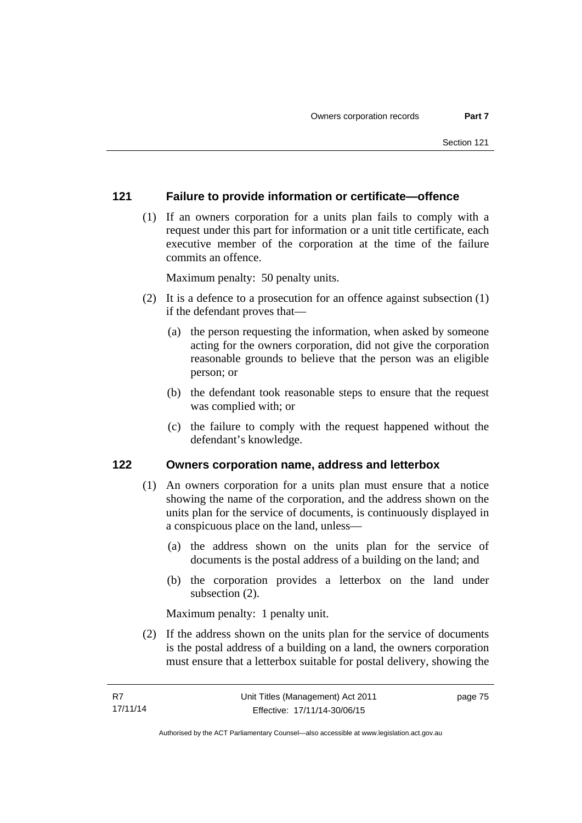## **121 Failure to provide information or certificate—offence**

 (1) If an owners corporation for a units plan fails to comply with a request under this part for information or a unit title certificate, each executive member of the corporation at the time of the failure commits an offence.

Maximum penalty: 50 penalty units.

- (2) It is a defence to a prosecution for an offence against subsection (1) if the defendant proves that—
	- (a) the person requesting the information, when asked by someone acting for the owners corporation, did not give the corporation reasonable grounds to believe that the person was an eligible person; or
	- (b) the defendant took reasonable steps to ensure that the request was complied with; or
	- (c) the failure to comply with the request happened without the defendant's knowledge.

#### **122 Owners corporation name, address and letterbox**

- (1) An owners corporation for a units plan must ensure that a notice showing the name of the corporation, and the address shown on the units plan for the service of documents, is continuously displayed in a conspicuous place on the land, unless—
	- (a) the address shown on the units plan for the service of documents is the postal address of a building on the land; and
	- (b) the corporation provides a letterbox on the land under subsection (2).

Maximum penalty: 1 penalty unit.

 (2) If the address shown on the units plan for the service of documents is the postal address of a building on a land, the owners corporation must ensure that a letterbox suitable for postal delivery, showing the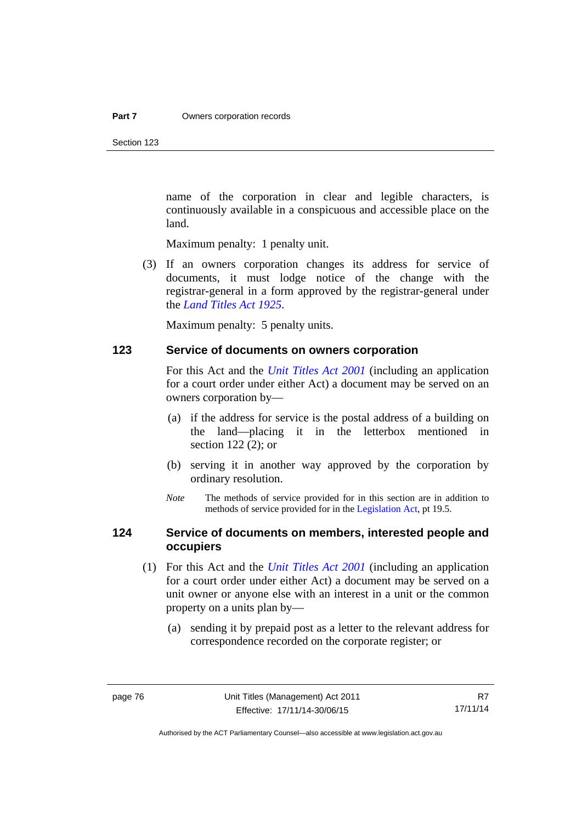Section 123

name of the corporation in clear and legible characters, is continuously available in a conspicuous and accessible place on the land.

Maximum penalty: 1 penalty unit.

 (3) If an owners corporation changes its address for service of documents, it must lodge notice of the change with the registrar-general in a form approved by the registrar-general under the *[Land Titles Act 1925](http://www.legislation.act.gov.au/a/1925-1)*.

Maximum penalty: 5 penalty units.

#### **123 Service of documents on owners corporation**

For this Act and the *[Unit Titles Act 2001](http://www.legislation.act.gov.au/a/2001-16)* (including an application for a court order under either Act) a document may be served on an owners corporation by—

- (a) if the address for service is the postal address of a building on the land—placing it in the letterbox mentioned in section 122 (2); or
- (b) serving it in another way approved by the corporation by ordinary resolution.
- *Note* The methods of service provided for in this section are in addition to methods of service provided for in the [Legislation Act](http://www.legislation.act.gov.au/a/2001-14), pt 19.5.

## **124 Service of documents on members, interested people and occupiers**

- (1) For this Act and the *[Unit Titles Act 2001](http://www.legislation.act.gov.au/a/2001-16)* (including an application for a court order under either Act) a document may be served on a unit owner or anyone else with an interest in a unit or the common property on a units plan by—
	- (a) sending it by prepaid post as a letter to the relevant address for correspondence recorded on the corporate register; or

Authorised by the ACT Parliamentary Counsel—also accessible at www.legislation.act.gov.au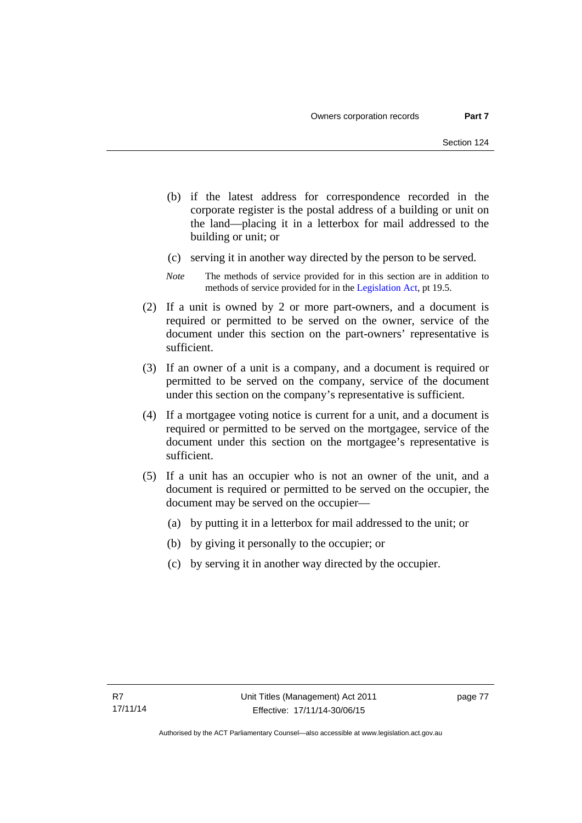- (b) if the latest address for correspondence recorded in the corporate register is the postal address of a building or unit on the land—placing it in a letterbox for mail addressed to the building or unit; or
- (c) serving it in another way directed by the person to be served.
- *Note* The methods of service provided for in this section are in addition to methods of service provided for in the [Legislation Act](http://www.legislation.act.gov.au/a/2001-14), pt 19.5.
- (2) If a unit is owned by 2 or more part-owners, and a document is required or permitted to be served on the owner, service of the document under this section on the part-owners' representative is sufficient.
- (3) If an owner of a unit is a company, and a document is required or permitted to be served on the company, service of the document under this section on the company's representative is sufficient.
- (4) If a mortgagee voting notice is current for a unit, and a document is required or permitted to be served on the mortgagee, service of the document under this section on the mortgagee's representative is sufficient.
- (5) If a unit has an occupier who is not an owner of the unit, and a document is required or permitted to be served on the occupier, the document may be served on the occupier—
	- (a) by putting it in a letterbox for mail addressed to the unit; or
	- (b) by giving it personally to the occupier; or
	- (c) by serving it in another way directed by the occupier.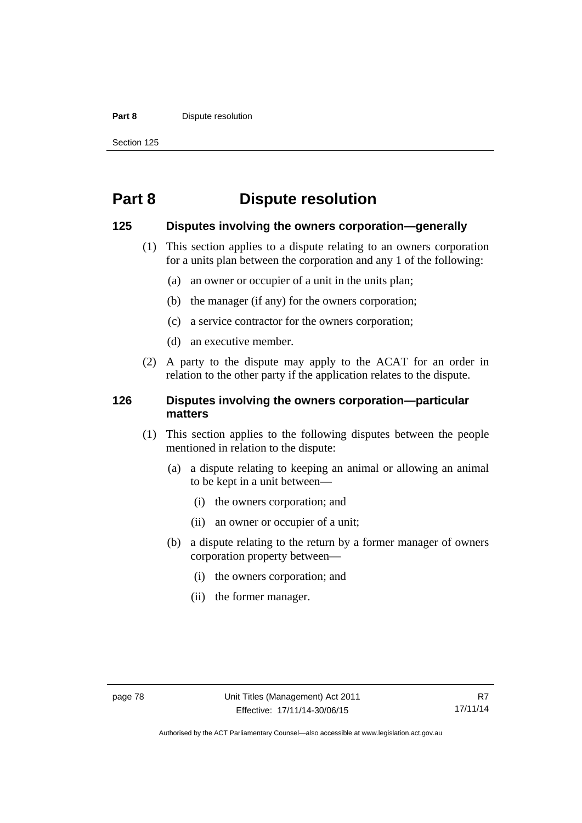#### **Part 8 Dispute resolution**

Section 125

# **Part 8 Dispute resolution**

#### **125 Disputes involving the owners corporation—generally**

- (1) This section applies to a dispute relating to an owners corporation for a units plan between the corporation and any 1 of the following:
	- (a) an owner or occupier of a unit in the units plan;
	- (b) the manager (if any) for the owners corporation;
	- (c) a service contractor for the owners corporation;
	- (d) an executive member.
- (2) A party to the dispute may apply to the ACAT for an order in relation to the other party if the application relates to the dispute.

## **126 Disputes involving the owners corporation—particular matters**

- (1) This section applies to the following disputes between the people mentioned in relation to the dispute:
	- (a) a dispute relating to keeping an animal or allowing an animal to be kept in a unit between—
		- (i) the owners corporation; and
		- (ii) an owner or occupier of a unit;
	- (b) a dispute relating to the return by a former manager of owners corporation property between—
		- (i) the owners corporation; and
		- (ii) the former manager.

Authorised by the ACT Parliamentary Counsel—also accessible at www.legislation.act.gov.au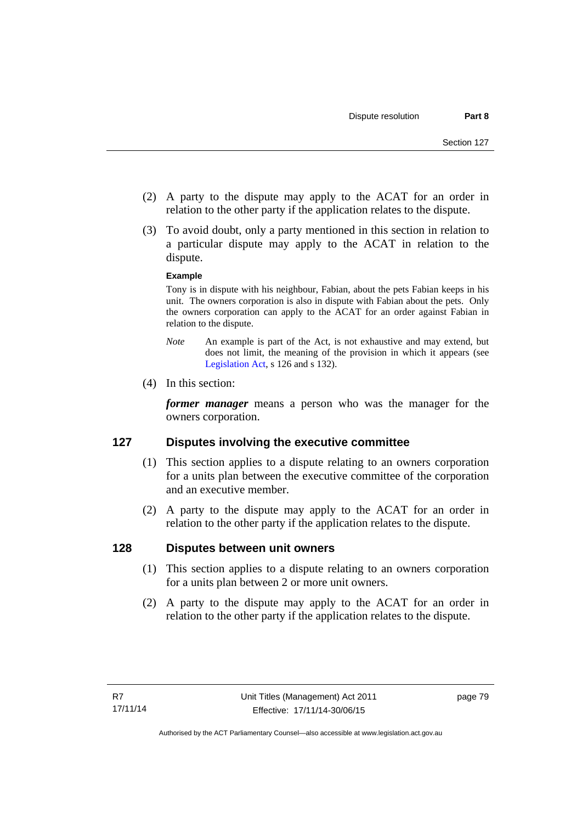- (2) A party to the dispute may apply to the ACAT for an order in relation to the other party if the application relates to the dispute.
- (3) To avoid doubt, only a party mentioned in this section in relation to a particular dispute may apply to the ACAT in relation to the dispute.

#### **Example**

Tony is in dispute with his neighbour, Fabian, about the pets Fabian keeps in his unit. The owners corporation is also in dispute with Fabian about the pets. Only the owners corporation can apply to the ACAT for an order against Fabian in relation to the dispute.

- *Note* An example is part of the Act, is not exhaustive and may extend, but does not limit, the meaning of the provision in which it appears (see [Legislation Act,](http://www.legislation.act.gov.au/a/2001-14) s 126 and s 132).
- (4) In this section:

*former manager* means a person who was the manager for the owners corporation.

## **127 Disputes involving the executive committee**

- (1) This section applies to a dispute relating to an owners corporation for a units plan between the executive committee of the corporation and an executive member.
- (2) A party to the dispute may apply to the ACAT for an order in relation to the other party if the application relates to the dispute.

## **128 Disputes between unit owners**

- (1) This section applies to a dispute relating to an owners corporation for a units plan between 2 or more unit owners.
- (2) A party to the dispute may apply to the ACAT for an order in relation to the other party if the application relates to the dispute.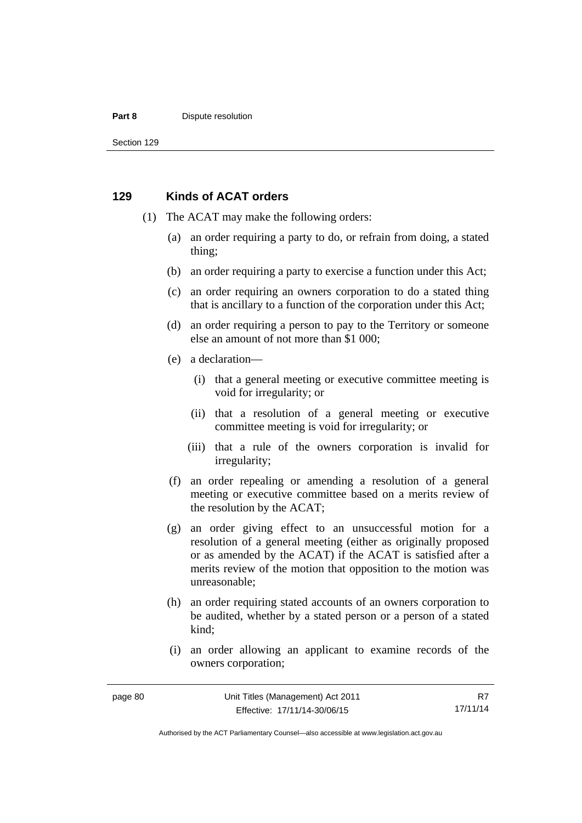#### **Part 8 Dispute resolution**

Section 129

#### **129 Kinds of ACAT orders**

- (1) The ACAT may make the following orders:
	- (a) an order requiring a party to do, or refrain from doing, a stated thing;
	- (b) an order requiring a party to exercise a function under this Act;
	- (c) an order requiring an owners corporation to do a stated thing that is ancillary to a function of the corporation under this Act;
	- (d) an order requiring a person to pay to the Territory or someone else an amount of not more than \$1 000;
	- (e) a declaration—
		- (i) that a general meeting or executive committee meeting is void for irregularity; or
		- (ii) that a resolution of a general meeting or executive committee meeting is void for irregularity; or
		- (iii) that a rule of the owners corporation is invalid for irregularity;
	- (f) an order repealing or amending a resolution of a general meeting or executive committee based on a merits review of the resolution by the ACAT;
	- (g) an order giving effect to an unsuccessful motion for a resolution of a general meeting (either as originally proposed or as amended by the ACAT) if the ACAT is satisfied after a merits review of the motion that opposition to the motion was unreasonable;
	- (h) an order requiring stated accounts of an owners corporation to be audited, whether by a stated person or a person of a stated kind;
	- (i) an order allowing an applicant to examine records of the owners corporation;

R7 17/11/14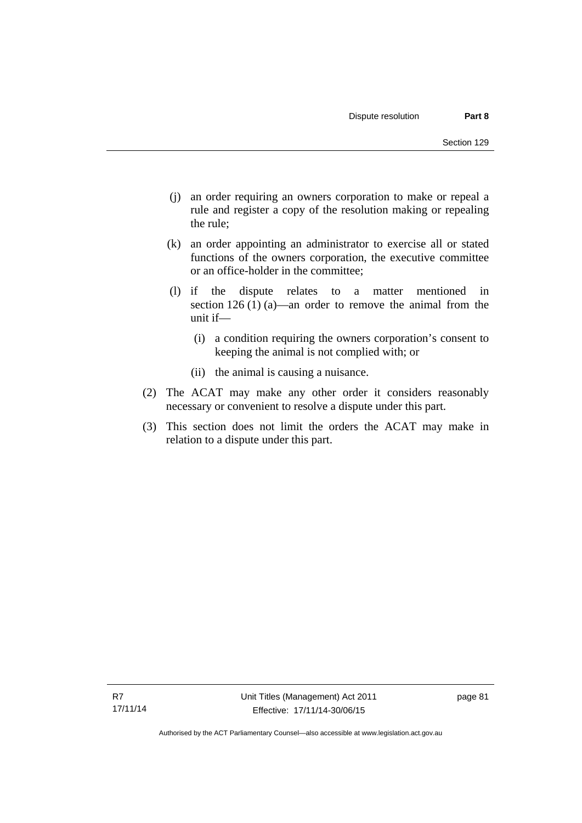- (j) an order requiring an owners corporation to make or repeal a rule and register a copy of the resolution making or repealing the rule;
- (k) an order appointing an administrator to exercise all or stated functions of the owners corporation, the executive committee or an office-holder in the committee;
- (l) if the dispute relates to a matter mentioned in section 126 (1) (a)—an order to remove the animal from the unit if—
	- (i) a condition requiring the owners corporation's consent to keeping the animal is not complied with; or
	- (ii) the animal is causing a nuisance.
- (2) The ACAT may make any other order it considers reasonably necessary or convenient to resolve a dispute under this part.
- (3) This section does not limit the orders the ACAT may make in relation to a dispute under this part.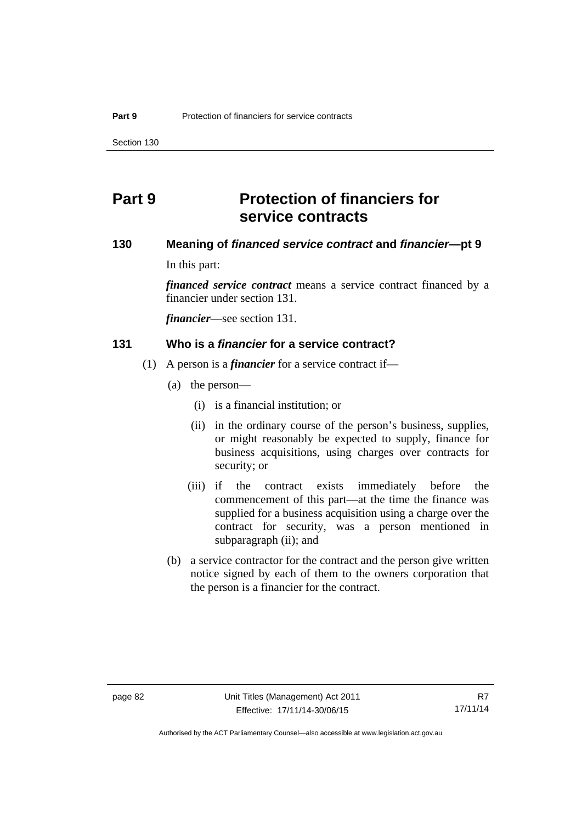Section 130

# **Part 9 Protection of financiers for service contracts**

# **130 Meaning of** *financed service contract* **and** *financier***—pt 9**

In this part:

*financed service contract* means a service contract financed by a financier under section 131.

*financier*—see section 131.

#### **131 Who is a** *financier* **for a service contract?**

- (1) A person is a *financier* for a service contract if—
	- (a) the person—
		- (i) is a financial institution; or
		- (ii) in the ordinary course of the person's business, supplies, or might reasonably be expected to supply, finance for business acquisitions, using charges over contracts for security; or
		- (iii) if the contract exists immediately before the commencement of this part—at the time the finance was supplied for a business acquisition using a charge over the contract for security, was a person mentioned in subparagraph (ii); and
	- (b) a service contractor for the contract and the person give written notice signed by each of them to the owners corporation that the person is a financier for the contract.

Authorised by the ACT Parliamentary Counsel—also accessible at www.legislation.act.gov.au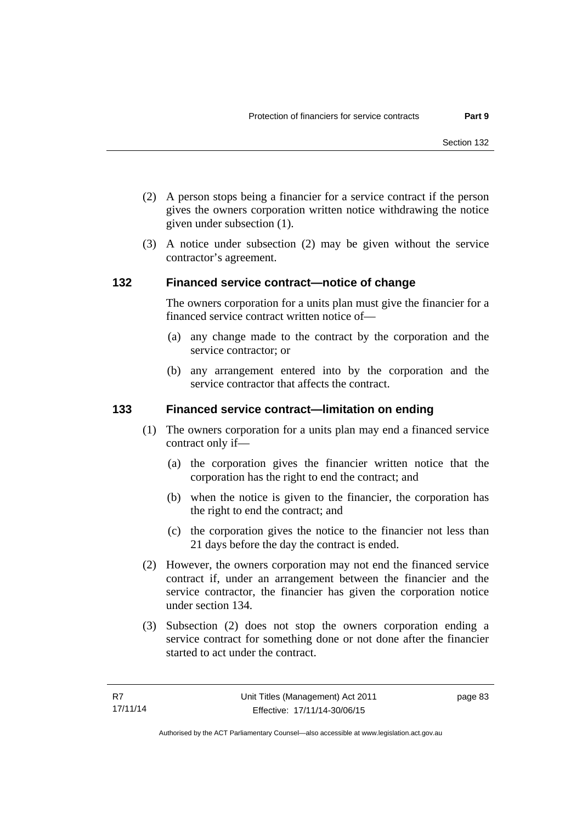- (2) A person stops being a financier for a service contract if the person gives the owners corporation written notice withdrawing the notice given under subsection (1).
- (3) A notice under subsection (2) may be given without the service contractor's agreement.

## **132 Financed service contract—notice of change**

The owners corporation for a units plan must give the financier for a financed service contract written notice of—

- (a) any change made to the contract by the corporation and the service contractor; or
- (b) any arrangement entered into by the corporation and the service contractor that affects the contract.

## **133 Financed service contract—limitation on ending**

- (1) The owners corporation for a units plan may end a financed service contract only if—
	- (a) the corporation gives the financier written notice that the corporation has the right to end the contract; and
	- (b) when the notice is given to the financier, the corporation has the right to end the contract; and
	- (c) the corporation gives the notice to the financier not less than 21 days before the day the contract is ended.
- (2) However, the owners corporation may not end the financed service contract if, under an arrangement between the financier and the service contractor, the financier has given the corporation notice under section 134.
- (3) Subsection (2) does not stop the owners corporation ending a service contract for something done or not done after the financier started to act under the contract.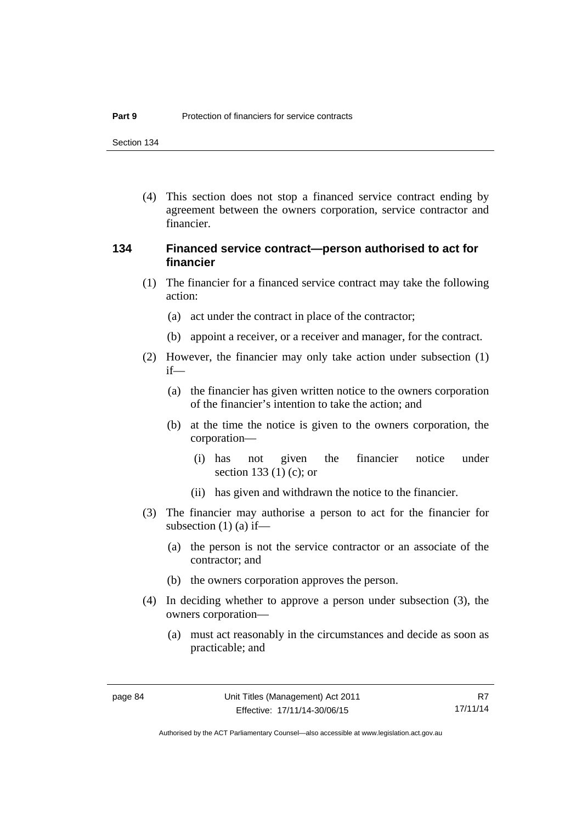Section 134

 (4) This section does not stop a financed service contract ending by agreement between the owners corporation, service contractor and financier.

## **134 Financed service contract—person authorised to act for financier**

- (1) The financier for a financed service contract may take the following action:
	- (a) act under the contract in place of the contractor;
	- (b) appoint a receiver, or a receiver and manager, for the contract.
- (2) However, the financier may only take action under subsection (1) if—
	- (a) the financier has given written notice to the owners corporation of the financier's intention to take the action; and
	- (b) at the time the notice is given to the owners corporation, the corporation—
		- (i) has not given the financier notice under section 133 (1) (c); or
		- (ii) has given and withdrawn the notice to the financier.
- (3) The financier may authorise a person to act for the financier for subsection  $(1)$   $(a)$  if—
	- (a) the person is not the service contractor or an associate of the contractor; and
	- (b) the owners corporation approves the person.
- (4) In deciding whether to approve a person under subsection (3), the owners corporation—
	- (a) must act reasonably in the circumstances and decide as soon as practicable; and

R7 17/11/14

Authorised by the ACT Parliamentary Counsel—also accessible at www.legislation.act.gov.au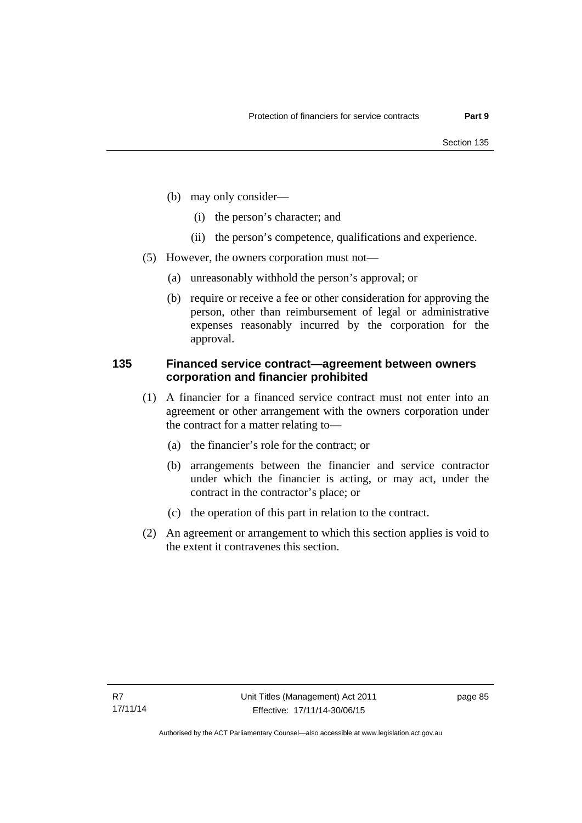- (b) may only consider—
	- (i) the person's character; and
	- (ii) the person's competence, qualifications and experience.
- (5) However, the owners corporation must not—
	- (a) unreasonably withhold the person's approval; or
	- (b) require or receive a fee or other consideration for approving the person, other than reimbursement of legal or administrative expenses reasonably incurred by the corporation for the approval.

## **135 Financed service contract—agreement between owners corporation and financier prohibited**

- (1) A financier for a financed service contract must not enter into an agreement or other arrangement with the owners corporation under the contract for a matter relating to—
	- (a) the financier's role for the contract; or
	- (b) arrangements between the financier and service contractor under which the financier is acting, or may act, under the contract in the contractor's place; or
	- (c) the operation of this part in relation to the contract.
- (2) An agreement or arrangement to which this section applies is void to the extent it contravenes this section.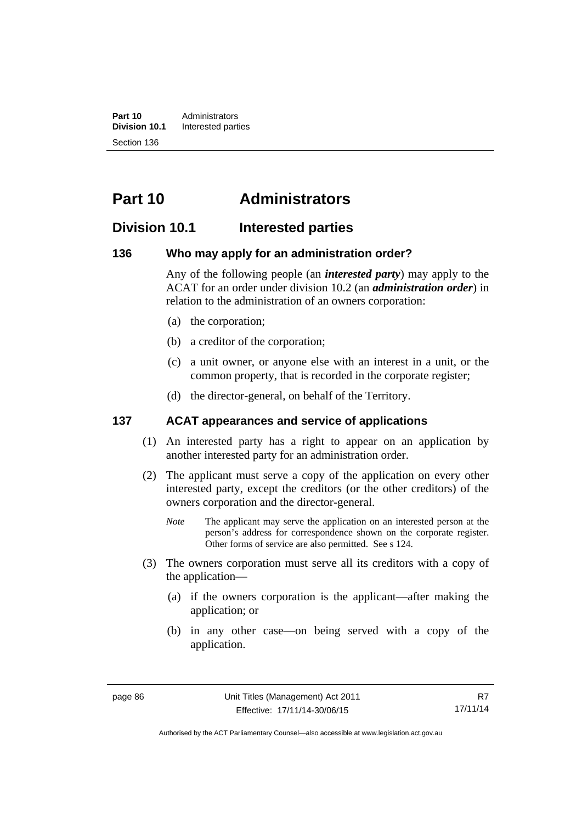**Part 10** Administrators<br>**Division 10.1** Interested part **Division 10.1** Interested parties Section 136

# **Part 10 Administrators**

# **Division 10.1 Interested parties**

#### **136 Who may apply for an administration order?**

Any of the following people (an *interested party*) may apply to the ACAT for an order under division 10.2 (an *administration order*) in relation to the administration of an owners corporation:

- (a) the corporation;
- (b) a creditor of the corporation;
- (c) a unit owner, or anyone else with an interest in a unit, or the common property, that is recorded in the corporate register;
- (d) the director-general, on behalf of the Territory.

## **137 ACAT appearances and service of applications**

- (1) An interested party has a right to appear on an application by another interested party for an administration order.
- (2) The applicant must serve a copy of the application on every other interested party, except the creditors (or the other creditors) of the owners corporation and the director-general.
	- *Note* The applicant may serve the application on an interested person at the person's address for correspondence shown on the corporate register. Other forms of service are also permitted. See s 124.
- (3) The owners corporation must serve all its creditors with a copy of the application—
	- (a) if the owners corporation is the applicant—after making the application; or
	- (b) in any other case—on being served with a copy of the application.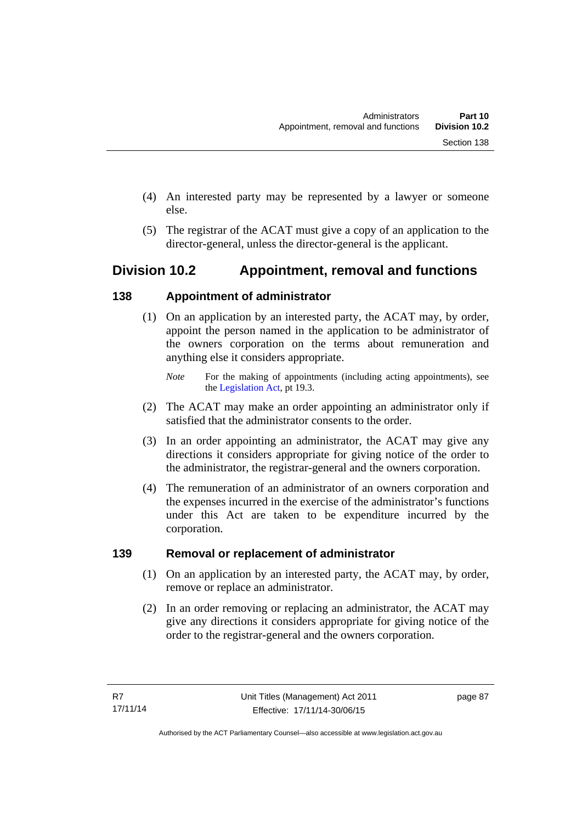- (4) An interested party may be represented by a lawyer or someone else.
- (5) The registrar of the ACAT must give a copy of an application to the director-general, unless the director-general is the applicant.

# **Division 10.2 Appointment, removal and functions**

# **138 Appointment of administrator**

- (1) On an application by an interested party, the ACAT may, by order, appoint the person named in the application to be administrator of the owners corporation on the terms about remuneration and anything else it considers appropriate.
	- *Note* For the making of appointments (including acting appointments), see the [Legislation Act,](http://www.legislation.act.gov.au/a/2001-14) pt 19.3.
- (2) The ACAT may make an order appointing an administrator only if satisfied that the administrator consents to the order.
- (3) In an order appointing an administrator, the ACAT may give any directions it considers appropriate for giving notice of the order to the administrator, the registrar-general and the owners corporation.
- (4) The remuneration of an administrator of an owners corporation and the expenses incurred in the exercise of the administrator's functions under this Act are taken to be expenditure incurred by the corporation.

# **139 Removal or replacement of administrator**

- (1) On an application by an interested party, the ACAT may, by order, remove or replace an administrator.
- (2) In an order removing or replacing an administrator, the ACAT may give any directions it considers appropriate for giving notice of the order to the registrar-general and the owners corporation.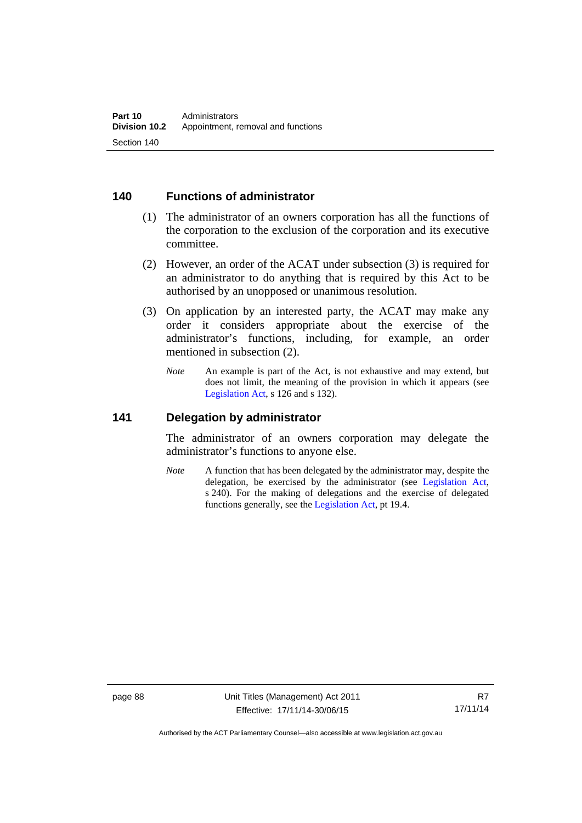## **140 Functions of administrator**

- (1) The administrator of an owners corporation has all the functions of the corporation to the exclusion of the corporation and its executive committee.
- (2) However, an order of the ACAT under subsection (3) is required for an administrator to do anything that is required by this Act to be authorised by an unopposed or unanimous resolution.
- (3) On application by an interested party, the ACAT may make any order it considers appropriate about the exercise of the administrator's functions, including, for example, an order mentioned in subsection (2).
	- *Note* An example is part of the Act, is not exhaustive and may extend, but does not limit, the meaning of the provision in which it appears (see [Legislation Act,](http://www.legislation.act.gov.au/a/2001-14) s 126 and s 132).

#### **141 Delegation by administrator**

The administrator of an owners corporation may delegate the administrator's functions to anyone else.

*Note* A function that has been delegated by the administrator may, despite the delegation, be exercised by the administrator (see [Legislation Act,](http://www.legislation.act.gov.au/a/2001-14) s 240). For the making of delegations and the exercise of delegated functions generally, see the [Legislation Act,](http://www.legislation.act.gov.au/a/2001-14) pt 19.4.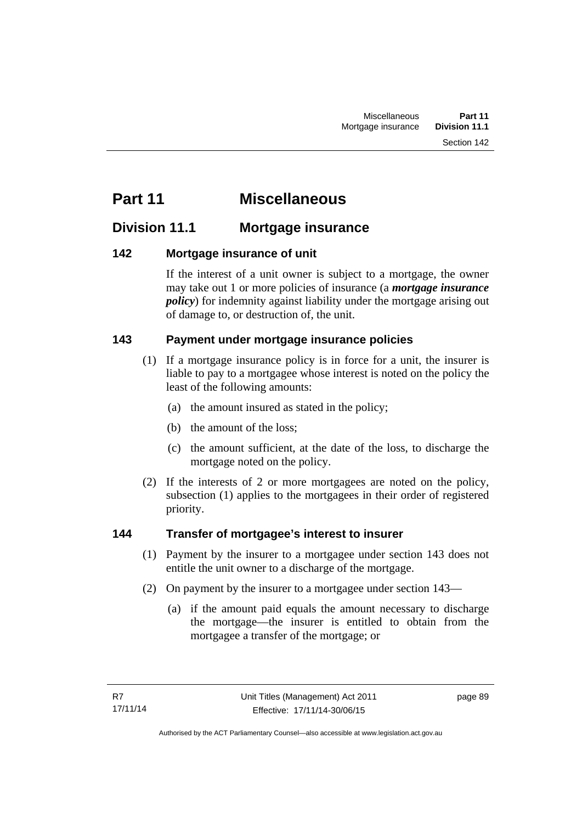# **Part 11 Miscellaneous**

# **Division 11.1 Mortgage insurance**

# **142 Mortgage insurance of unit**

If the interest of a unit owner is subject to a mortgage, the owner may take out 1 or more policies of insurance (a *mortgage insurance policy*) for indemnity against liability under the mortgage arising out of damage to, or destruction of, the unit.

# **143 Payment under mortgage insurance policies**

- (1) If a mortgage insurance policy is in force for a unit, the insurer is liable to pay to a mortgagee whose interest is noted on the policy the least of the following amounts:
	- (a) the amount insured as stated in the policy;
	- (b) the amount of the loss;
	- (c) the amount sufficient, at the date of the loss, to discharge the mortgage noted on the policy.
- (2) If the interests of 2 or more mortgagees are noted on the policy, subsection (1) applies to the mortgagees in their order of registered priority.

# **144 Transfer of mortgagee's interest to insurer**

- (1) Payment by the insurer to a mortgagee under section 143 does not entitle the unit owner to a discharge of the mortgage.
- (2) On payment by the insurer to a mortgagee under section 143—
	- (a) if the amount paid equals the amount necessary to discharge the mortgage—the insurer is entitled to obtain from the mortgagee a transfer of the mortgage; or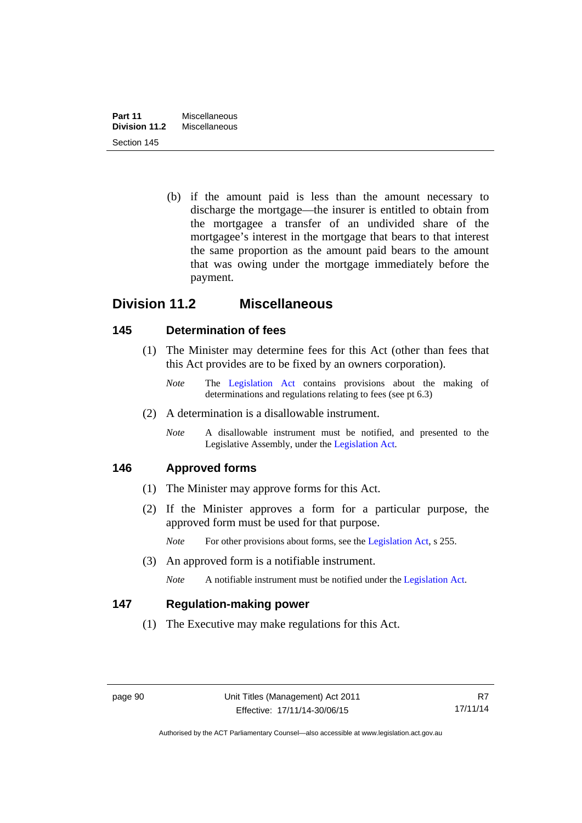(b) if the amount paid is less than the amount necessary to discharge the mortgage—the insurer is entitled to obtain from the mortgagee a transfer of an undivided share of the mortgagee's interest in the mortgage that bears to that interest the same proportion as the amount paid bears to the amount that was owing under the mortgage immediately before the payment.

# **Division 11.2 Miscellaneous**

# **145 Determination of fees**

- (1) The Minister may determine fees for this Act (other than fees that this Act provides are to be fixed by an owners corporation).
	- *Note* The [Legislation Act](http://www.legislation.act.gov.au/a/2001-14) contains provisions about the making of determinations and regulations relating to fees (see pt 6.3)
- (2) A determination is a disallowable instrument.
	- *Note* A disallowable instrument must be notified, and presented to the Legislative Assembly, under the [Legislation Act.](http://www.legislation.act.gov.au/a/2001-14)

# **146 Approved forms**

- (1) The Minister may approve forms for this Act.
- (2) If the Minister approves a form for a particular purpose, the approved form must be used for that purpose.

*Note* For other provisions about forms, see the [Legislation Act,](http://www.legislation.act.gov.au/a/2001-14) s 255.

(3) An approved form is a notifiable instrument.

*Note* A notifiable instrument must be notified under the [Legislation Act](http://www.legislation.act.gov.au/a/2001-14).

# **147 Regulation-making power**

(1) The Executive may make regulations for this Act.

Authorised by the ACT Parliamentary Counsel—also accessible at www.legislation.act.gov.au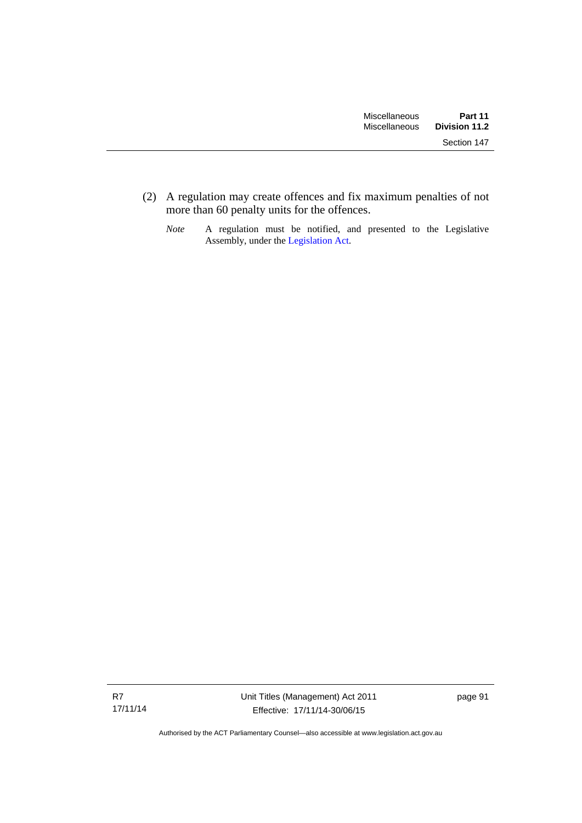(2) A regulation may create offences and fix maximum penalties of not more than 60 penalty units for the offences.

*Note* A regulation must be notified, and presented to the Legislative Assembly, under the [Legislation Act](http://www.legislation.act.gov.au/a/2001-14).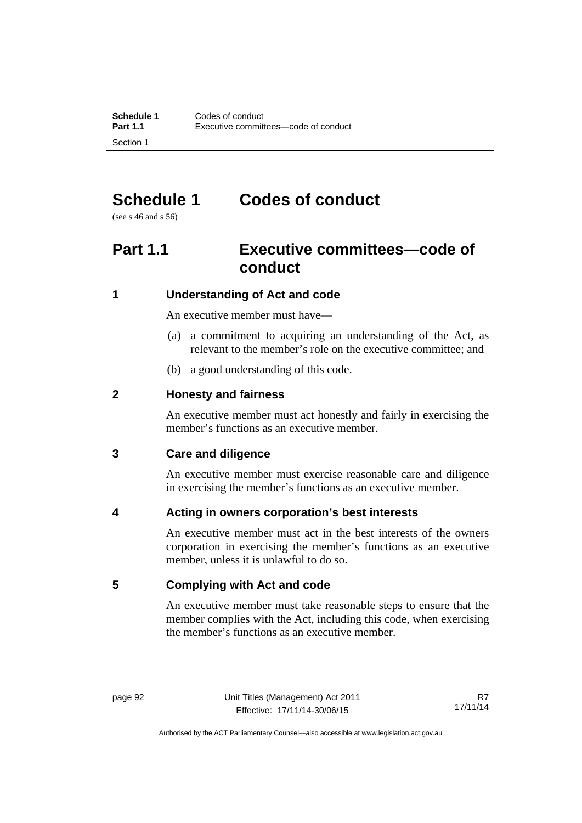# **Schedule 1 Codes of conduct**

(see s 46 and s 56)

# **Part 1.1 Executive committees—code of conduct**

# **1 Understanding of Act and code**

An executive member must have—

- (a) a commitment to acquiring an understanding of the Act, as relevant to the member's role on the executive committee; and
- (b) a good understanding of this code.

# **2 Honesty and fairness**

An executive member must act honestly and fairly in exercising the member's functions as an executive member.

# **3 Care and diligence**

An executive member must exercise reasonable care and diligence in exercising the member's functions as an executive member.

# **4 Acting in owners corporation's best interests**

An executive member must act in the best interests of the owners corporation in exercising the member's functions as an executive member, unless it is unlawful to do so.

# **5 Complying with Act and code**

An executive member must take reasonable steps to ensure that the member complies with the Act, including this code, when exercising the member's functions as an executive member.

Authorised by the ACT Parliamentary Counsel—also accessible at www.legislation.act.gov.au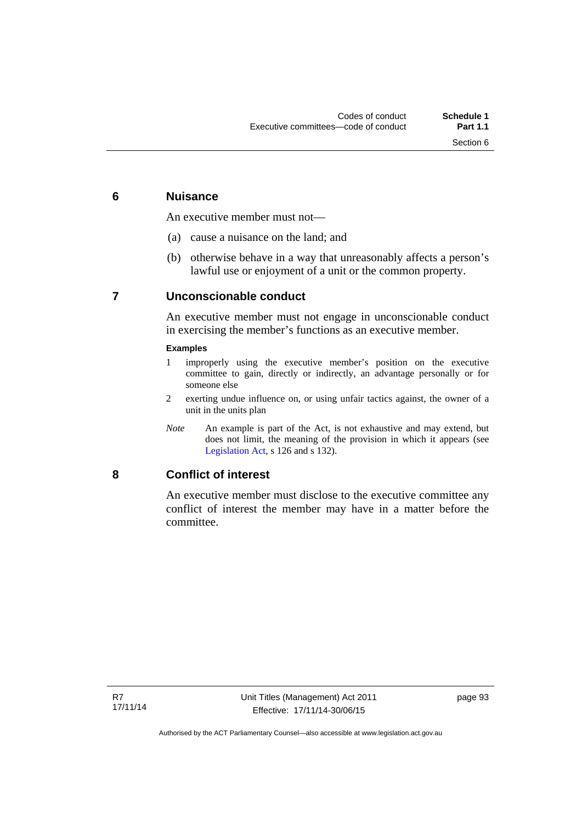# **6 Nuisance**

An executive member must not—

- (a) cause a nuisance on the land; and
- (b) otherwise behave in a way that unreasonably affects a person's lawful use or enjoyment of a unit or the common property.

# **7 Unconscionable conduct**

An executive member must not engage in unconscionable conduct in exercising the member's functions as an executive member.

#### **Examples**

- 1 improperly using the executive member's position on the executive committee to gain, directly or indirectly, an advantage personally or for someone else
- 2 exerting undue influence on, or using unfair tactics against, the owner of a unit in the units plan
- *Note* An example is part of the Act, is not exhaustive and may extend, but does not limit, the meaning of the provision in which it appears (see [Legislation Act,](http://www.legislation.act.gov.au/a/2001-14) s 126 and s 132).

## **8 Conflict of interest**

An executive member must disclose to the executive committee any conflict of interest the member may have in a matter before the committee.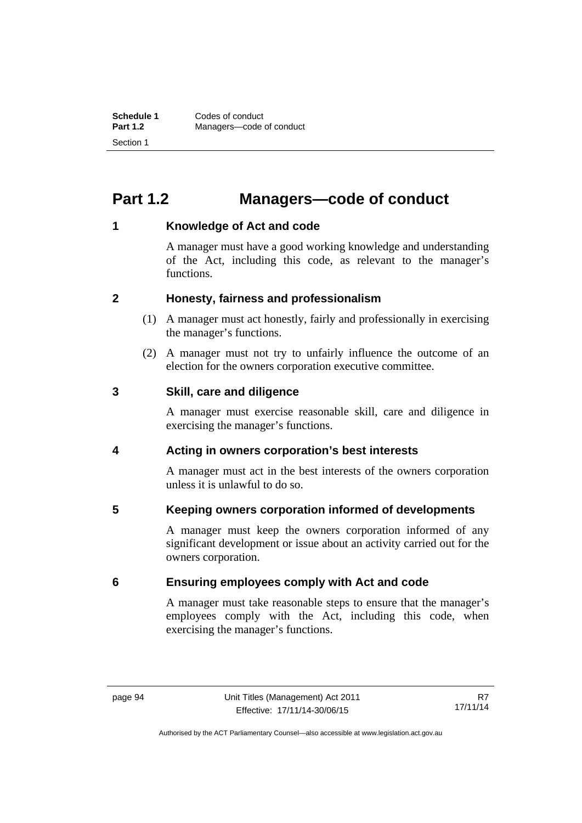# **Part 1.2 Managers—code of conduct**

# **1 Knowledge of Act and code**

A manager must have a good working knowledge and understanding of the Act, including this code, as relevant to the manager's functions.

# **2 Honesty, fairness and professionalism**

- (1) A manager must act honestly, fairly and professionally in exercising the manager's functions.
- (2) A manager must not try to unfairly influence the outcome of an election for the owners corporation executive committee.

## **3 Skill, care and diligence**

A manager must exercise reasonable skill, care and diligence in exercising the manager's functions.

# **4 Acting in owners corporation's best interests**

A manager must act in the best interests of the owners corporation unless it is unlawful to do so.

# **5 Keeping owners corporation informed of developments**

A manager must keep the owners corporation informed of any significant development or issue about an activity carried out for the owners corporation.

# **6 Ensuring employees comply with Act and code**

A manager must take reasonable steps to ensure that the manager's employees comply with the Act, including this code, when exercising the manager's functions.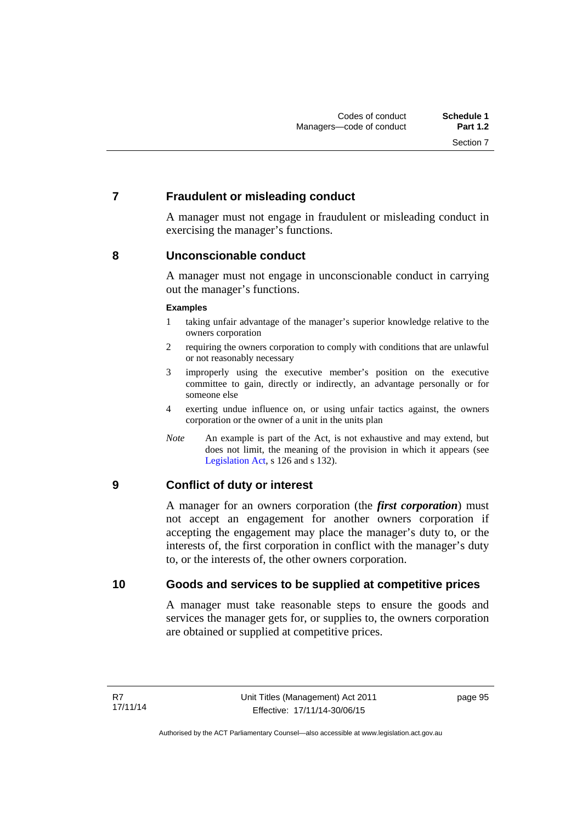# **7 Fraudulent or misleading conduct**

A manager must not engage in fraudulent or misleading conduct in exercising the manager's functions.

## **8 Unconscionable conduct**

A manager must not engage in unconscionable conduct in carrying out the manager's functions.

#### **Examples**

- 1 taking unfair advantage of the manager's superior knowledge relative to the owners corporation
- 2 requiring the owners corporation to comply with conditions that are unlawful or not reasonably necessary
- 3 improperly using the executive member's position on the executive committee to gain, directly or indirectly, an advantage personally or for someone else
- 4 exerting undue influence on, or using unfair tactics against, the owners corporation or the owner of a unit in the units plan
- *Note* An example is part of the Act, is not exhaustive and may extend, but does not limit, the meaning of the provision in which it appears (see [Legislation Act,](http://www.legislation.act.gov.au/a/2001-14) s 126 and s 132).

# **9 Conflict of duty or interest**

A manager for an owners corporation (the *first corporation*) must not accept an engagement for another owners corporation if accepting the engagement may place the manager's duty to, or the interests of, the first corporation in conflict with the manager's duty to, or the interests of, the other owners corporation.

## **10 Goods and services to be supplied at competitive prices**

A manager must take reasonable steps to ensure the goods and services the manager gets for, or supplies to, the owners corporation are obtained or supplied at competitive prices.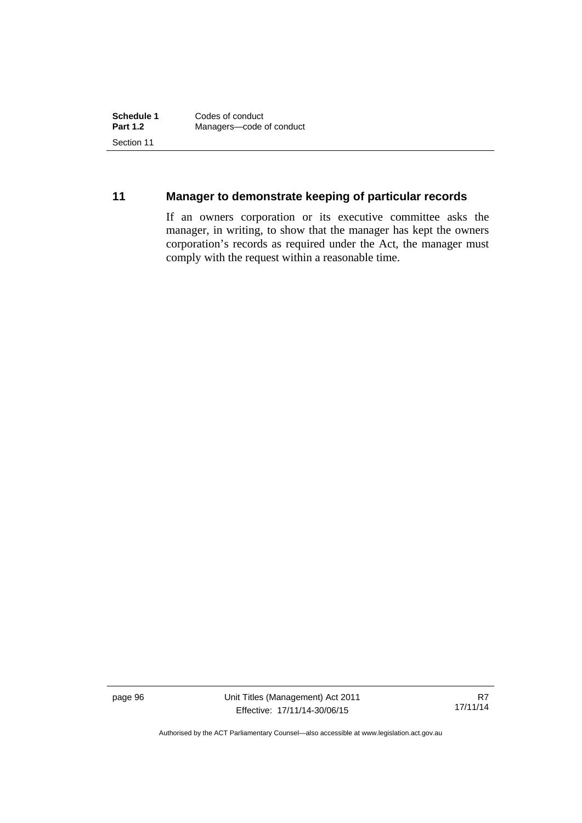# **11 Manager to demonstrate keeping of particular records**

If an owners corporation or its executive committee asks the manager, in writing, to show that the manager has kept the owners corporation's records as required under the Act, the manager must comply with the request within a reasonable time.

page 96 Unit Titles (Management) Act 2011 Effective: 17/11/14-30/06/15

R7 17/11/14

Authorised by the ACT Parliamentary Counsel—also accessible at www.legislation.act.gov.au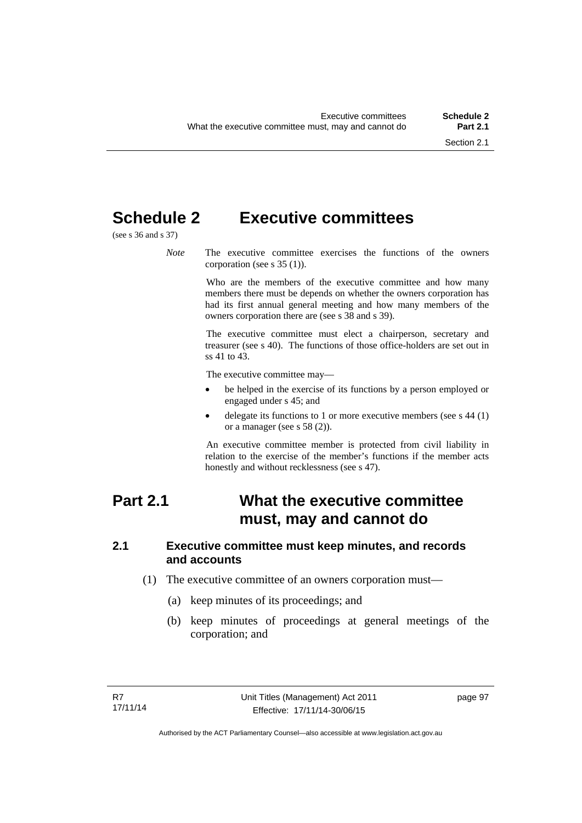# **Schedule 2 Executive committees**

(see s 36 and s 37)

*Note* The executive committee exercises the functions of the owners corporation (see s 35 (1)).

> Who are the members of the executive committee and how many members there must be depends on whether the owners corporation has had its first annual general meeting and how many members of the owners corporation there are (see s 38 and s 39).

> The executive committee must elect a chairperson, secretary and treasurer (see s 40). The functions of those office-holders are set out in ss 41 to 43.

The executive committee may—

- be helped in the exercise of its functions by a person employed or engaged under s 45; and
- delegate its functions to 1 or more executive members (see s 44 (1) or a manager (see s 58 (2)).

An executive committee member is protected from civil liability in relation to the exercise of the member's functions if the member acts honestly and without recklessness (see s 47).

# **Part 2.1 What the executive committee must, may and cannot do**

#### **2.1 Executive committee must keep minutes, and records and accounts**

- (1) The executive committee of an owners corporation must—
	- (a) keep minutes of its proceedings; and
	- (b) keep minutes of proceedings at general meetings of the corporation; and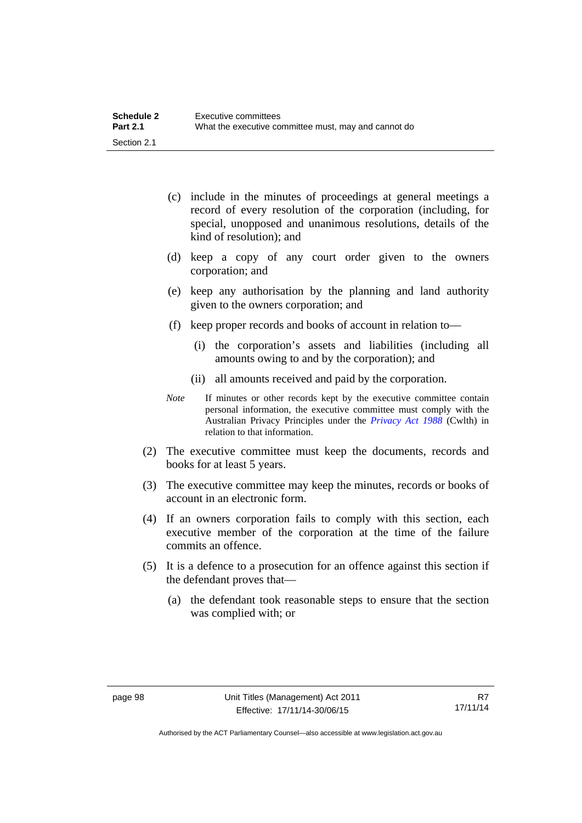| <b>Schedule 2</b> | Executive committees                                 |
|-------------------|------------------------------------------------------|
| <b>Part 2.1</b>   | What the executive committee must, may and cannot do |
| Section 2.1       |                                                      |

- (c) include in the minutes of proceedings at general meetings a record of every resolution of the corporation (including, for special, unopposed and unanimous resolutions, details of the kind of resolution); and
- (d) keep a copy of any court order given to the owners corporation; and
- (e) keep any authorisation by the planning and land authority given to the owners corporation; and
- (f) keep proper records and books of account in relation to—
	- (i) the corporation's assets and liabilities (including all amounts owing to and by the corporation); and
	- (ii) all amounts received and paid by the corporation.
- *Note* If minutes or other records kept by the executive committee contain personal information, the executive committee must comply with the Australian Privacy Principles under the *[Privacy Act 1988](http://www.comlaw.gov.au/Current/C2004A03712)* (Cwlth) in relation to that information.
- (2) The executive committee must keep the documents, records and books for at least 5 years.
- (3) The executive committee may keep the minutes, records or books of account in an electronic form.
- (4) If an owners corporation fails to comply with this section, each executive member of the corporation at the time of the failure commits an offence.
- (5) It is a defence to a prosecution for an offence against this section if the defendant proves that—
	- (a) the defendant took reasonable steps to ensure that the section was complied with; or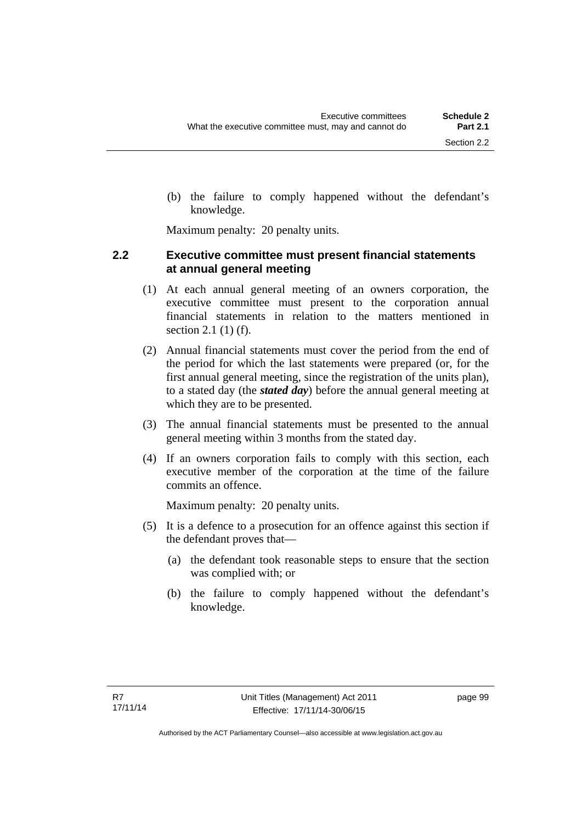(b) the failure to comply happened without the defendant's knowledge.

Maximum penalty: 20 penalty units.

#### **2.2 Executive committee must present financial statements at annual general meeting**

- (1) At each annual general meeting of an owners corporation, the executive committee must present to the corporation annual financial statements in relation to the matters mentioned in section 2.1 (1) (f).
- (2) Annual financial statements must cover the period from the end of the period for which the last statements were prepared (or, for the first annual general meeting, since the registration of the units plan), to a stated day (the *stated day*) before the annual general meeting at which they are to be presented.
- (3) The annual financial statements must be presented to the annual general meeting within 3 months from the stated day.
- (4) If an owners corporation fails to comply with this section, each executive member of the corporation at the time of the failure commits an offence.

Maximum penalty: 20 penalty units.

- (5) It is a defence to a prosecution for an offence against this section if the defendant proves that—
	- (a) the defendant took reasonable steps to ensure that the section was complied with; or
	- (b) the failure to comply happened without the defendant's knowledge.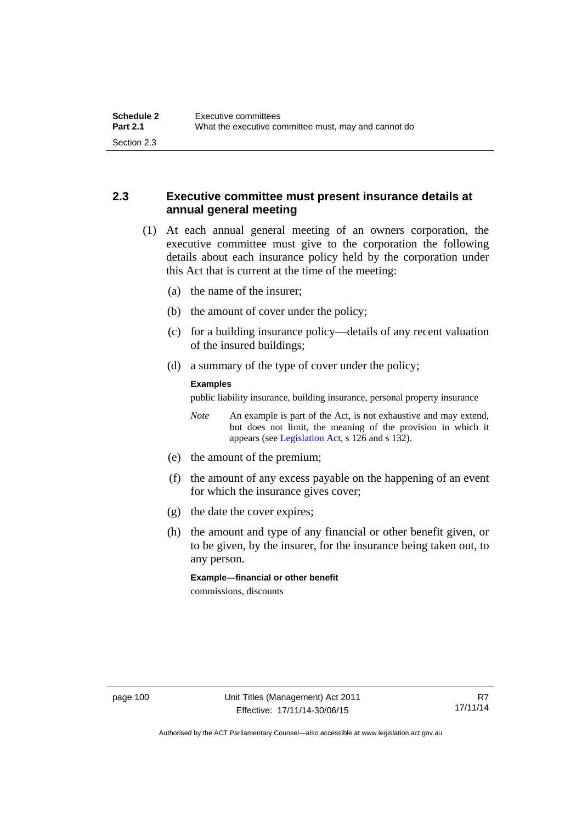## **2.3 Executive committee must present insurance details at annual general meeting**

- (1) At each annual general meeting of an owners corporation, the executive committee must give to the corporation the following details about each insurance policy held by the corporation under this Act that is current at the time of the meeting:
	- (a) the name of the insurer;
	- (b) the amount of cover under the policy;
	- (c) for a building insurance policy—details of any recent valuation of the insured buildings;
	- (d) a summary of the type of cover under the policy;

#### **Examples**

public liability insurance, building insurance, personal property insurance

*Note* An example is part of the Act, is not exhaustive and may extend, but does not limit, the meaning of the provision in which it appears (see [Legislation Act,](http://www.legislation.act.gov.au/a/2001-14) s 126 and s 132).

- (e) the amount of the premium;
- (f) the amount of any excess payable on the happening of an event for which the insurance gives cover;
- (g) the date the cover expires;
- (h) the amount and type of any financial or other benefit given, or to be given, by the insurer, for the insurance being taken out, to any person.

**Example—financial or other benefit** 

commissions, discounts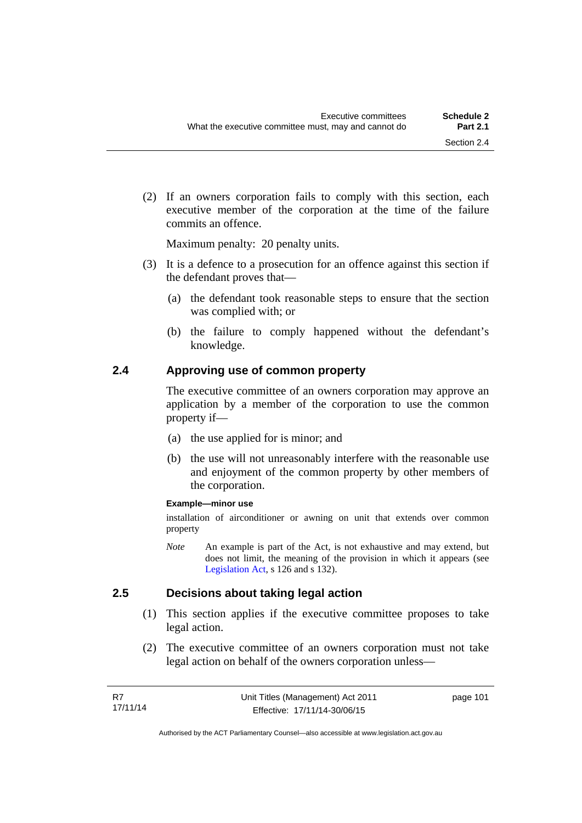(2) If an owners corporation fails to comply with this section, each executive member of the corporation at the time of the failure commits an offence.

Maximum penalty: 20 penalty units.

- (3) It is a defence to a prosecution for an offence against this section if the defendant proves that—
	- (a) the defendant took reasonable steps to ensure that the section was complied with; or
	- (b) the failure to comply happened without the defendant's knowledge.

#### **2.4 Approving use of common property**

The executive committee of an owners corporation may approve an application by a member of the corporation to use the common property if—

- (a) the use applied for is minor; and
- (b) the use will not unreasonably interfere with the reasonable use and enjoyment of the common property by other members of the corporation.

#### **Example—minor use**

installation of airconditioner or awning on unit that extends over common property

*Note* An example is part of the Act, is not exhaustive and may extend, but does not limit, the meaning of the provision in which it appears (see [Legislation Act,](http://www.legislation.act.gov.au/a/2001-14) s 126 and s 132).

#### **2.5 Decisions about taking legal action**

- (1) This section applies if the executive committee proposes to take legal action.
- (2) The executive committee of an owners corporation must not take legal action on behalf of the owners corporation unless—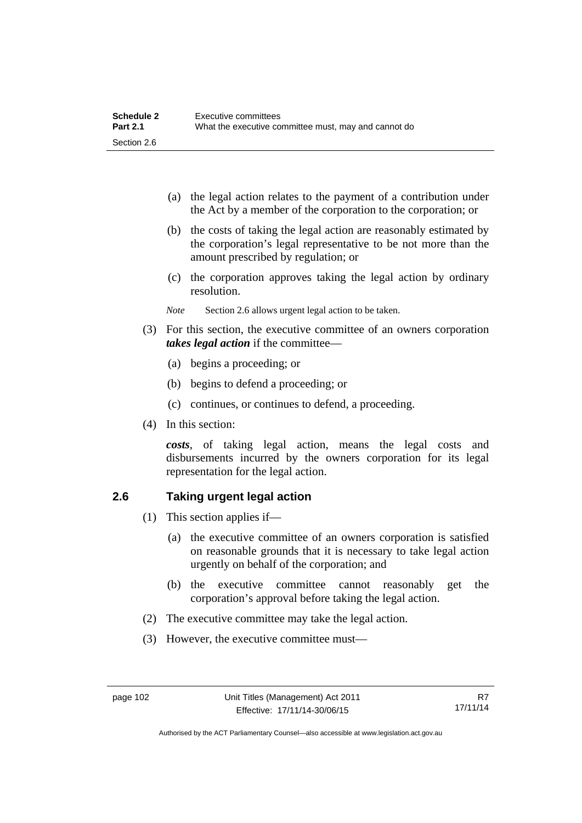| Schedule 2      | Executive committees                                 |
|-----------------|------------------------------------------------------|
| <b>Part 2.1</b> | What the executive committee must, may and cannot do |
| Section 2.6     |                                                      |

- (a) the legal action relates to the payment of a contribution under the Act by a member of the corporation to the corporation; or
- (b) the costs of taking the legal action are reasonably estimated by the corporation's legal representative to be not more than the amount prescribed by regulation; or
- (c) the corporation approves taking the legal action by ordinary resolution.
- *Note* Section 2.6 allows urgent legal action to be taken.
- (3) For this section, the executive committee of an owners corporation *takes legal action* if the committee—
	- (a) begins a proceeding; or
	- (b) begins to defend a proceeding; or
	- (c) continues, or continues to defend, a proceeding.
- (4) In this section:

*costs*, of taking legal action, means the legal costs and disbursements incurred by the owners corporation for its legal representation for the legal action.

#### **2.6 Taking urgent legal action**

- (1) This section applies if—
	- (a) the executive committee of an owners corporation is satisfied on reasonable grounds that it is necessary to take legal action urgently on behalf of the corporation; and
	- (b) the executive committee cannot reasonably get the corporation's approval before taking the legal action.
- (2) The executive committee may take the legal action.
- (3) However, the executive committee must—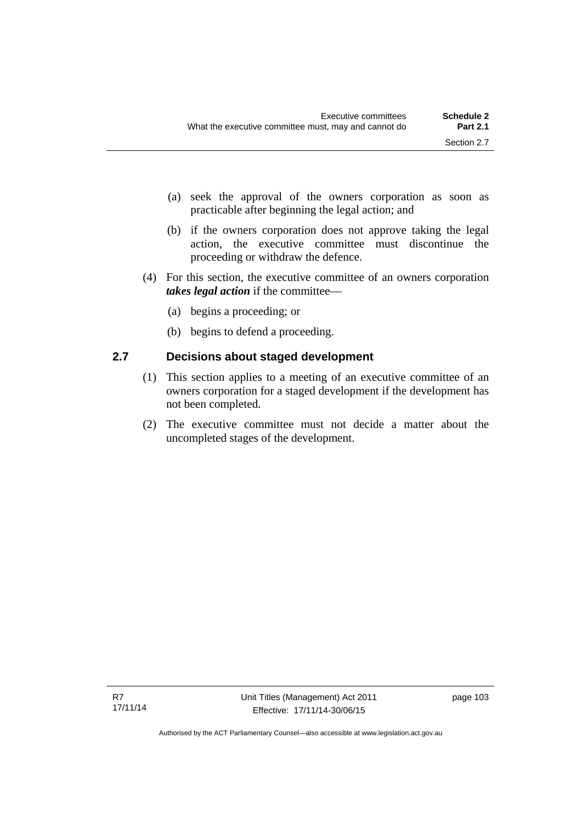- (a) seek the approval of the owners corporation as soon as practicable after beginning the legal action; and
- (b) if the owners corporation does not approve taking the legal action, the executive committee must discontinue the proceeding or withdraw the defence.
- (4) For this section, the executive committee of an owners corporation *takes legal action* if the committee—
	- (a) begins a proceeding; or
	- (b) begins to defend a proceeding.

## **2.7 Decisions about staged development**

- (1) This section applies to a meeting of an executive committee of an owners corporation for a staged development if the development has not been completed.
- (2) The executive committee must not decide a matter about the uncompleted stages of the development.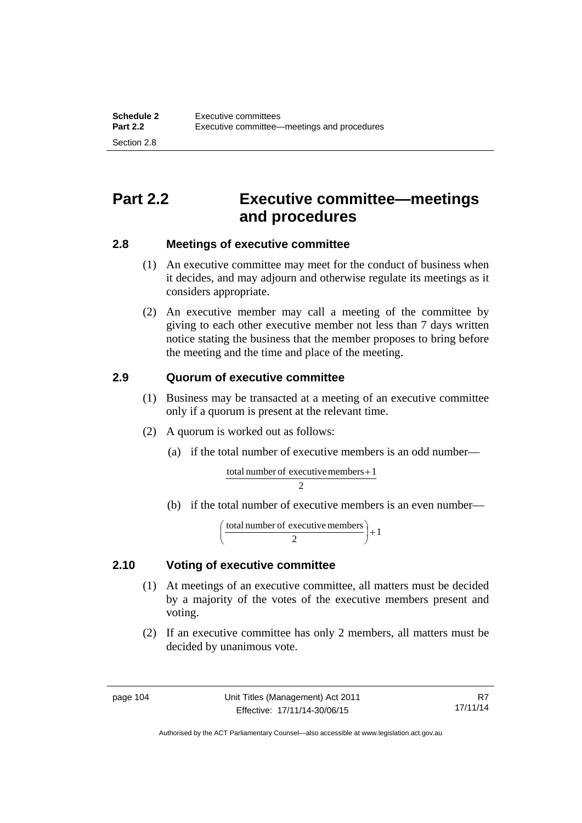# **Part 2.2 Executive committee—meetings and procedures**

## **2.8 Meetings of executive committee**

- (1) An executive committee may meet for the conduct of business when it decides, and may adjourn and otherwise regulate its meetings as it considers appropriate.
- (2) An executive member may call a meeting of the committee by giving to each other executive member not less than 7 days written notice stating the business that the member proposes to bring before the meeting and the time and place of the meeting.

## **2.9 Quorum of executive committee**

- (1) Business may be transacted at a meeting of an executive committee only if a quorum is present at the relevant time.
- (2) A quorum is worked out as follows:
	- (a) if the total number of executive members is an odd number—

 $\overline{2}$ total number of executive members  $+1$ 

(b) if the total number of executive members is an even number—

$$
\left(\frac{\text{total number of executive members}}{2}\right) + 1
$$

## **2.10 Voting of executive committee**

- (1) At meetings of an executive committee, all matters must be decided by a majority of the votes of the executive members present and voting.
- (2) If an executive committee has only 2 members, all matters must be decided by unanimous vote.

Authorised by the ACT Parliamentary Counsel—also accessible at www.legislation.act.gov.au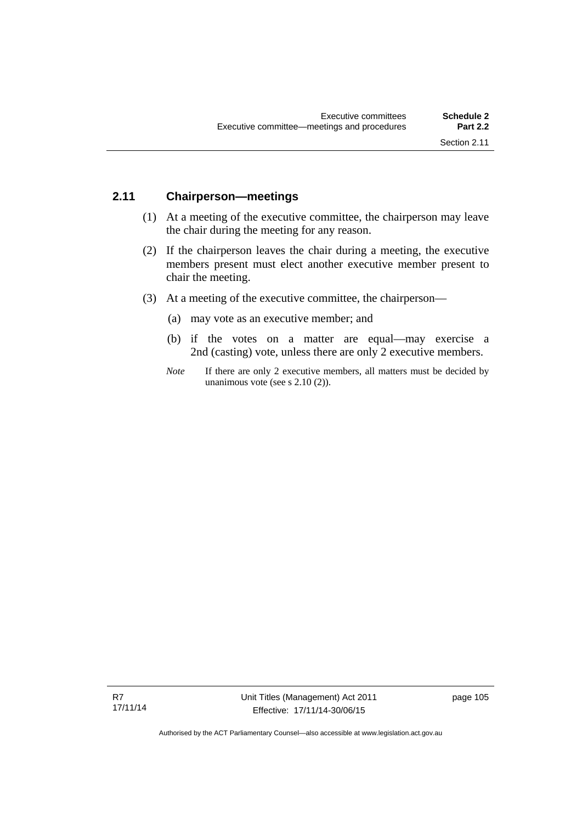### **2.11 Chairperson—meetings**

- (1) At a meeting of the executive committee, the chairperson may leave the chair during the meeting for any reason.
- (2) If the chairperson leaves the chair during a meeting, the executive members present must elect another executive member present to chair the meeting.
- (3) At a meeting of the executive committee, the chairperson—
	- (a) may vote as an executive member; and
	- (b) if the votes on a matter are equal—may exercise a 2nd (casting) vote, unless there are only 2 executive members.
	- *Note* If there are only 2 executive members, all matters must be decided by unanimous vote (see s 2.10 (2)).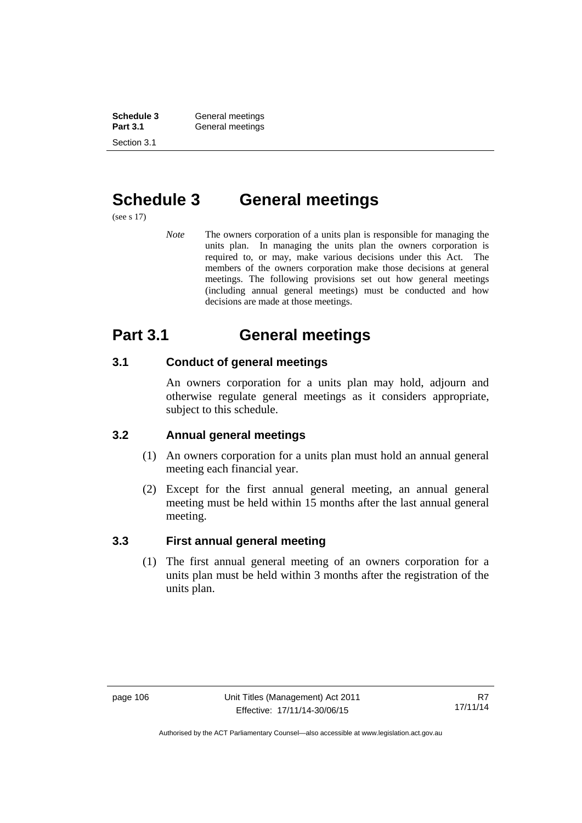**Schedule 3 General meetings**<br> **Part 3.1 General meetings** General meetings Section 3.1

# **Schedule 3 General meetings**

(see s 17)

*Note* The owners corporation of a units plan is responsible for managing the units plan. In managing the units plan the owners corporation is required to, or may, make various decisions under this Act. The members of the owners corporation make those decisions at general meetings. The following provisions set out how general meetings (including annual general meetings) must be conducted and how decisions are made at those meetings.

# **Part 3.1 General meetings**

## **3.1 Conduct of general meetings**

An owners corporation for a units plan may hold, adjourn and otherwise regulate general meetings as it considers appropriate, subject to this schedule.

## **3.2 Annual general meetings**

- (1) An owners corporation for a units plan must hold an annual general meeting each financial year.
- (2) Except for the first annual general meeting, an annual general meeting must be held within 15 months after the last annual general meeting.

## **3.3 First annual general meeting**

(1) The first annual general meeting of an owners corporation for a units plan must be held within 3 months after the registration of the units plan.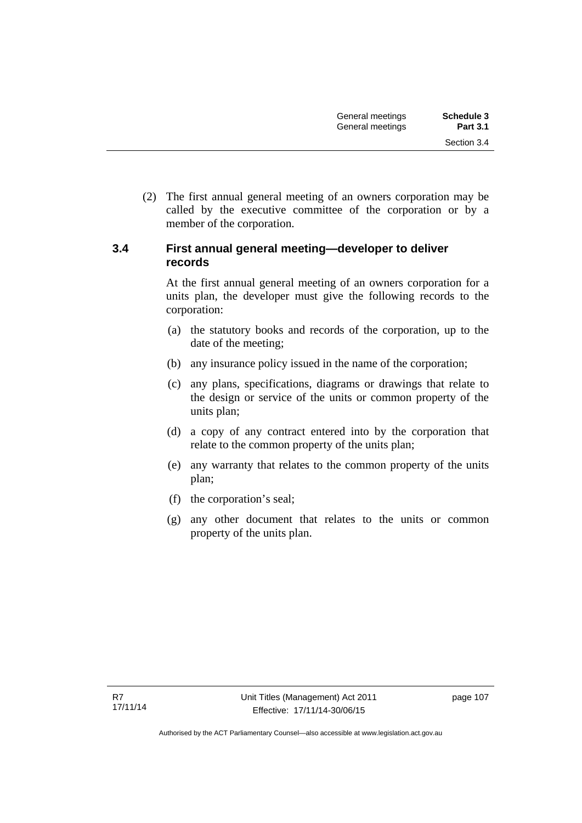(2) The first annual general meeting of an owners corporation may be called by the executive committee of the corporation or by a member of the corporation.

#### **3.4 First annual general meeting—developer to deliver records**

At the first annual general meeting of an owners corporation for a units plan, the developer must give the following records to the corporation:

- (a) the statutory books and records of the corporation, up to the date of the meeting;
- (b) any insurance policy issued in the name of the corporation;
- (c) any plans, specifications, diagrams or drawings that relate to the design or service of the units or common property of the units plan;
- (d) a copy of any contract entered into by the corporation that relate to the common property of the units plan;
- (e) any warranty that relates to the common property of the units plan;
- (f) the corporation's seal;
- (g) any other document that relates to the units or common property of the units plan.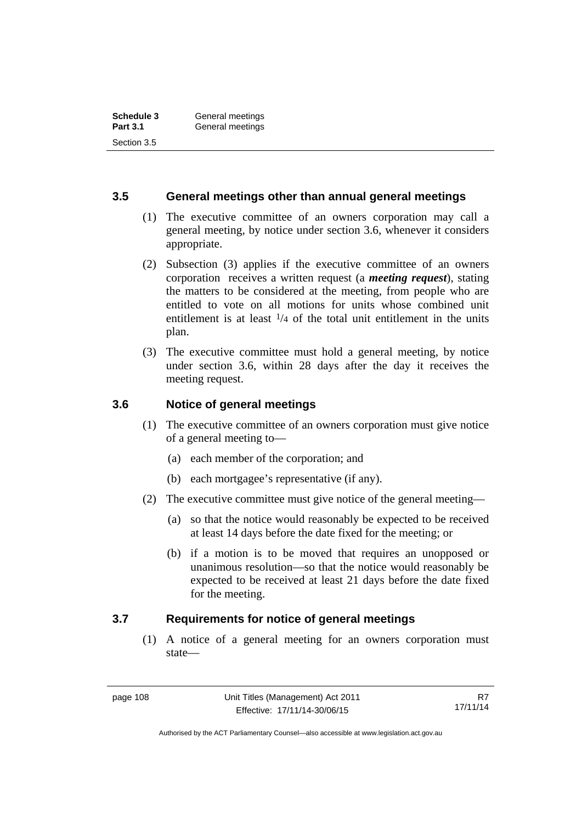#### **3.5 General meetings other than annual general meetings**

- (1) The executive committee of an owners corporation may call a general meeting, by notice under section 3.6, whenever it considers appropriate.
- (2) Subsection (3) applies if the executive committee of an owners corporation receives a written request (a *meeting request*), stating the matters to be considered at the meeting, from people who are entitled to vote on all motions for units whose combined unit entitlement is at least  $\frac{1}{4}$  of the total unit entitlement in the units plan.
- (3) The executive committee must hold a general meeting, by notice under section 3.6, within 28 days after the day it receives the meeting request.

## **3.6 Notice of general meetings**

- (1) The executive committee of an owners corporation must give notice of a general meeting to—
	- (a) each member of the corporation; and
	- (b) each mortgagee's representative (if any).
- (2) The executive committee must give notice of the general meeting—
	- (a) so that the notice would reasonably be expected to be received at least 14 days before the date fixed for the meeting; or
	- (b) if a motion is to be moved that requires an unopposed or unanimous resolution—so that the notice would reasonably be expected to be received at least 21 days before the date fixed for the meeting.

#### **3.7 Requirements for notice of general meetings**

(1) A notice of a general meeting for an owners corporation must state—

Authorised by the ACT Parliamentary Counsel—also accessible at www.legislation.act.gov.au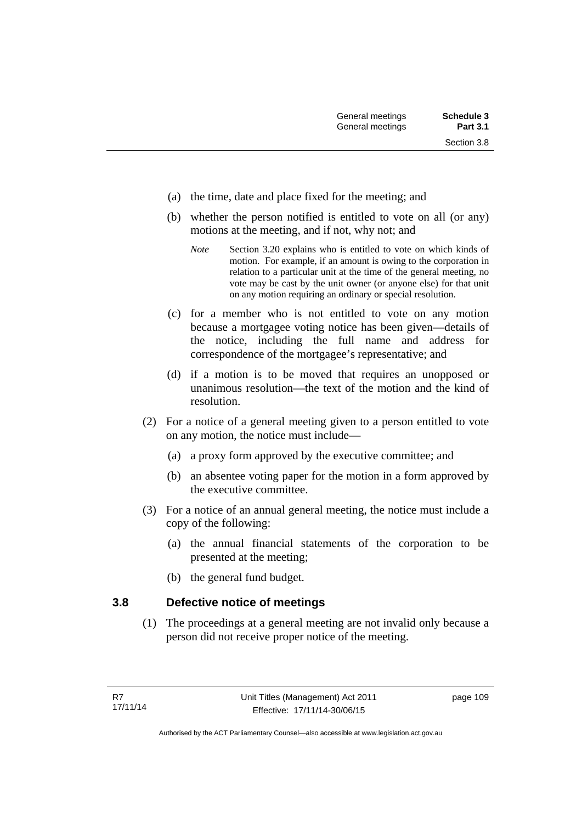- (a) the time, date and place fixed for the meeting; and
- (b) whether the person notified is entitled to vote on all (or any) motions at the meeting, and if not, why not; and
	- *Note* Section 3.20 explains who is entitled to vote on which kinds of motion. For example, if an amount is owing to the corporation in relation to a particular unit at the time of the general meeting, no vote may be cast by the unit owner (or anyone else) for that unit on any motion requiring an ordinary or special resolution.
- (c) for a member who is not entitled to vote on any motion because a mortgagee voting notice has been given—details of the notice, including the full name and address for correspondence of the mortgagee's representative; and
- (d) if a motion is to be moved that requires an unopposed or unanimous resolution—the text of the motion and the kind of resolution.
- (2) For a notice of a general meeting given to a person entitled to vote on any motion, the notice must include—
	- (a) a proxy form approved by the executive committee; and
	- (b) an absentee voting paper for the motion in a form approved by the executive committee.
- (3) For a notice of an annual general meeting, the notice must include a copy of the following:
	- (a) the annual financial statements of the corporation to be presented at the meeting;
	- (b) the general fund budget.

#### **3.8 Defective notice of meetings**

(1) The proceedings at a general meeting are not invalid only because a person did not receive proper notice of the meeting.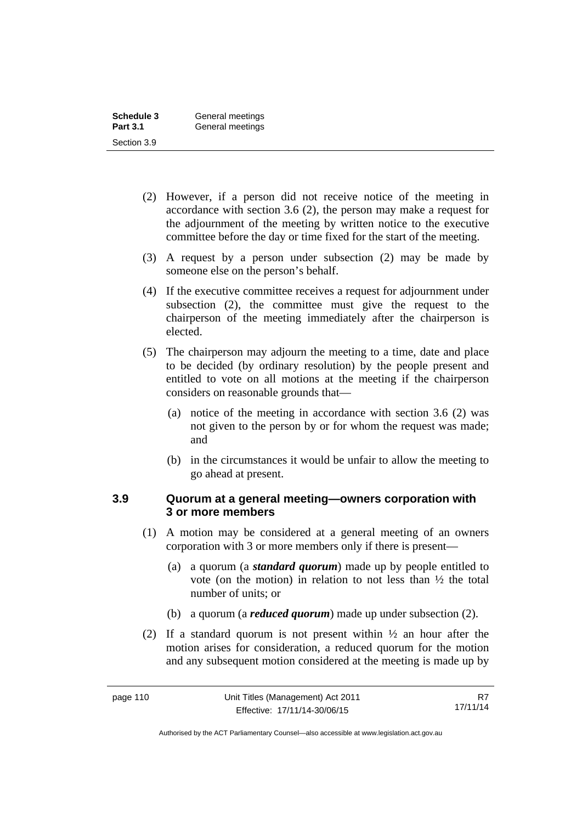| Schedule 3      | General meetings |
|-----------------|------------------|
| <b>Part 3.1</b> | General meetings |
| Section 3.9     |                  |

- (2) However, if a person did not receive notice of the meeting in accordance with section 3.6 (2), the person may make a request for the adjournment of the meeting by written notice to the executive committee before the day or time fixed for the start of the meeting.
- (3) A request by a person under subsection (2) may be made by someone else on the person's behalf.
- (4) If the executive committee receives a request for adjournment under subsection (2), the committee must give the request to the chairperson of the meeting immediately after the chairperson is elected.
- (5) The chairperson may adjourn the meeting to a time, date and place to be decided (by ordinary resolution) by the people present and entitled to vote on all motions at the meeting if the chairperson considers on reasonable grounds that—
	- (a) notice of the meeting in accordance with section 3.6 (2) was not given to the person by or for whom the request was made; and
	- (b) in the circumstances it would be unfair to allow the meeting to go ahead at present.

#### **3.9 Quorum at a general meeting—owners corporation with 3 or more members**

- (1) A motion may be considered at a general meeting of an owners corporation with 3 or more members only if there is present—
	- (a) a quorum (a *standard quorum*) made up by people entitled to vote (on the motion) in relation to not less than ½ the total number of units; or
	- (b) a quorum (a *reduced quorum*) made up under subsection (2).
- (2) If a standard quorum is not present within ½ an hour after the motion arises for consideration, a reduced quorum for the motion and any subsequent motion considered at the meeting is made up by

R7 17/11/14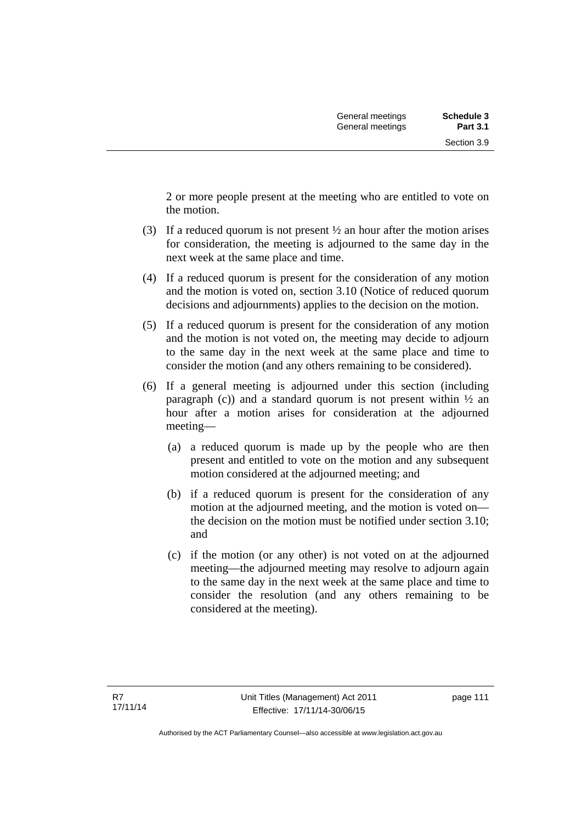2 or more people present at the meeting who are entitled to vote on the motion.

- (3) If a reduced quorum is not present ½ an hour after the motion arises for consideration, the meeting is adjourned to the same day in the next week at the same place and time.
- (4) If a reduced quorum is present for the consideration of any motion and the motion is voted on, section 3.10 (Notice of reduced quorum decisions and adjournments) applies to the decision on the motion.
- (5) If a reduced quorum is present for the consideration of any motion and the motion is not voted on, the meeting may decide to adjourn to the same day in the next week at the same place and time to consider the motion (and any others remaining to be considered).
- (6) If a general meeting is adjourned under this section (including paragraph (c)) and a standard quorum is not present within  $\frac{1}{2}$  and hour after a motion arises for consideration at the adjourned meeting—
	- (a) a reduced quorum is made up by the people who are then present and entitled to vote on the motion and any subsequent motion considered at the adjourned meeting; and
	- (b) if a reduced quorum is present for the consideration of any motion at the adjourned meeting, and the motion is voted on the decision on the motion must be notified under section 3.10; and
	- (c) if the motion (or any other) is not voted on at the adjourned meeting—the adjourned meeting may resolve to adjourn again to the same day in the next week at the same place and time to consider the resolution (and any others remaining to be considered at the meeting).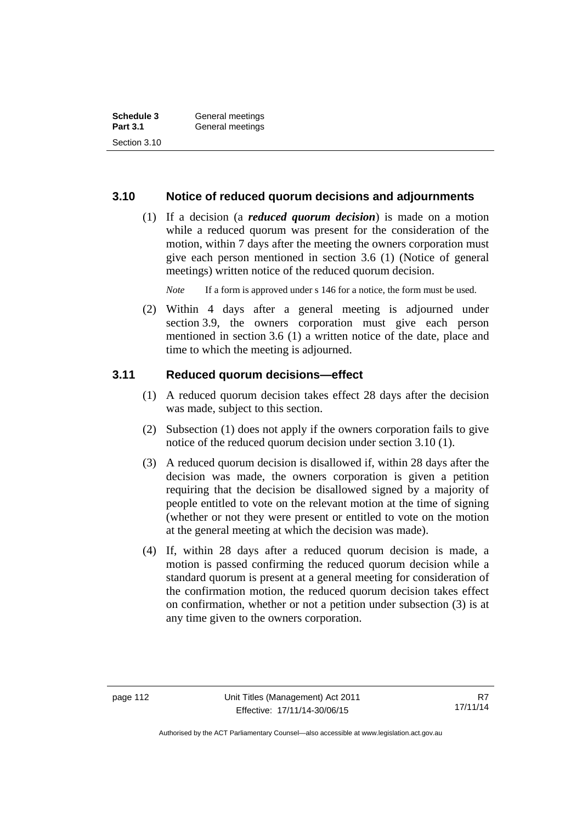| Schedule 3      | General meetings |  |
|-----------------|------------------|--|
| <b>Part 3.1</b> | General meetings |  |
| Section 3.10    |                  |  |

#### **3.10 Notice of reduced quorum decisions and adjournments**

 (1) If a decision (a *reduced quorum decision*) is made on a motion while a reduced quorum was present for the consideration of the motion, within 7 days after the meeting the owners corporation must give each person mentioned in section 3.6 (1) (Notice of general meetings) written notice of the reduced quorum decision.

*Note* If a form is approved under s 146 for a notice, the form must be used.

 (2) Within 4 days after a general meeting is adjourned under section 3.9, the owners corporation must give each person mentioned in section 3.6 (1) a written notice of the date, place and time to which the meeting is adjourned.

#### **3.11 Reduced quorum decisions—effect**

- (1) A reduced quorum decision takes effect 28 days after the decision was made, subject to this section.
- (2) Subsection (1) does not apply if the owners corporation fails to give notice of the reduced quorum decision under section 3.10 (1).
- (3) A reduced quorum decision is disallowed if, within 28 days after the decision was made, the owners corporation is given a petition requiring that the decision be disallowed signed by a majority of people entitled to vote on the relevant motion at the time of signing (whether or not they were present or entitled to vote on the motion at the general meeting at which the decision was made).
- (4) If, within 28 days after a reduced quorum decision is made, a motion is passed confirming the reduced quorum decision while a standard quorum is present at a general meeting for consideration of the confirmation motion, the reduced quorum decision takes effect on confirmation, whether or not a petition under subsection (3) is at any time given to the owners corporation.

Authorised by the ACT Parliamentary Counsel—also accessible at www.legislation.act.gov.au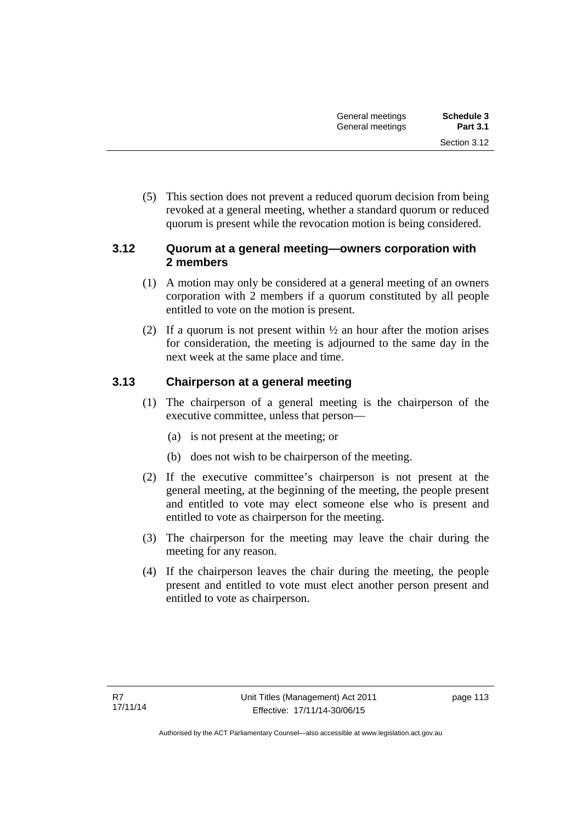(5) This section does not prevent a reduced quorum decision from being revoked at a general meeting, whether a standard quorum or reduced quorum is present while the revocation motion is being considered.

#### **3.12 Quorum at a general meeting—owners corporation with 2 members**

- (1) A motion may only be considered at a general meeting of an owners corporation with 2 members if a quorum constituted by all people entitled to vote on the motion is present.
- (2) If a quorum is not present within  $\frac{1}{2}$  an hour after the motion arises for consideration, the meeting is adjourned to the same day in the next week at the same place and time.

## **3.13 Chairperson at a general meeting**

- (1) The chairperson of a general meeting is the chairperson of the executive committee, unless that person—
	- (a) is not present at the meeting; or
	- (b) does not wish to be chairperson of the meeting.
- (2) If the executive committee's chairperson is not present at the general meeting, at the beginning of the meeting, the people present and entitled to vote may elect someone else who is present and entitled to vote as chairperson for the meeting.
- (3) The chairperson for the meeting may leave the chair during the meeting for any reason.
- (4) If the chairperson leaves the chair during the meeting, the people present and entitled to vote must elect another person present and entitled to vote as chairperson.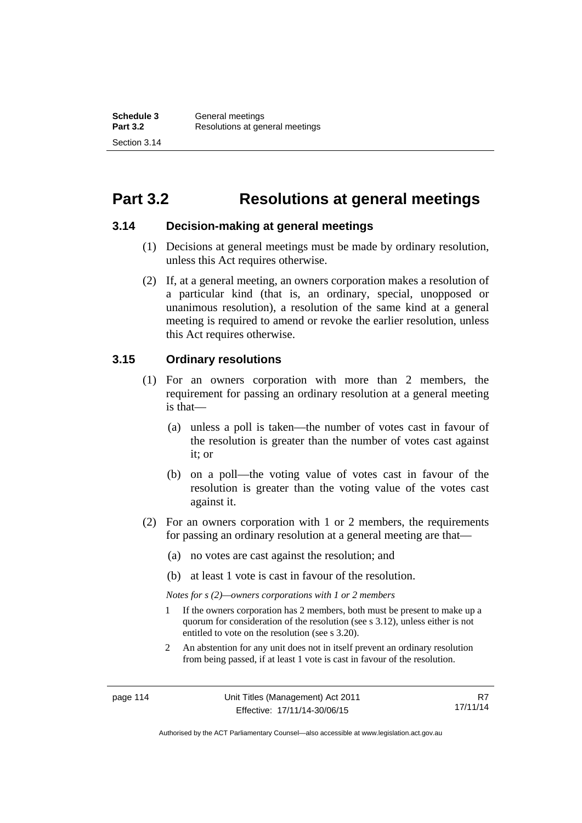# **Part 3.2 Resolutions at general meetings**

#### **3.14 Decision-making at general meetings**

- (1) Decisions at general meetings must be made by ordinary resolution, unless this Act requires otherwise.
- (2) If, at a general meeting, an owners corporation makes a resolution of a particular kind (that is, an ordinary, special, unopposed or unanimous resolution), a resolution of the same kind at a general meeting is required to amend or revoke the earlier resolution, unless this Act requires otherwise.

#### **3.15 Ordinary resolutions**

- (1) For an owners corporation with more than 2 members, the requirement for passing an ordinary resolution at a general meeting is that—
	- (a) unless a poll is taken—the number of votes cast in favour of the resolution is greater than the number of votes cast against it; or
	- (b) on a poll—the voting value of votes cast in favour of the resolution is greater than the voting value of the votes cast against it.
- (2) For an owners corporation with 1 or 2 members, the requirements for passing an ordinary resolution at a general meeting are that—
	- (a) no votes are cast against the resolution; and
	- (b) at least 1 vote is cast in favour of the resolution.

*Notes for s (2)—owners corporations with 1 or 2 members* 

- 1 If the owners corporation has 2 members, both must be present to make up a quorum for consideration of the resolution (see s 3.12), unless either is not entitled to vote on the resolution (see s 3.20).
- 2 An abstention for any unit does not in itself prevent an ordinary resolution from being passed, if at least 1 vote is cast in favour of the resolution.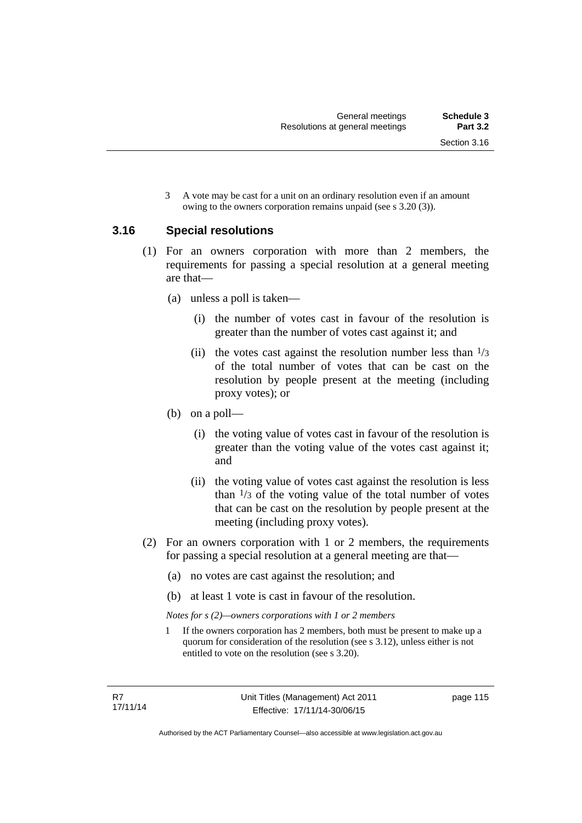3 A vote may be cast for a unit on an ordinary resolution even if an amount owing to the owners corporation remains unpaid (see s 3.20 (3)).

#### **3.16 Special resolutions**

- (1) For an owners corporation with more than 2 members, the requirements for passing a special resolution at a general meeting are that—
	- (a) unless a poll is taken—
		- (i) the number of votes cast in favour of the resolution is greater than the number of votes cast against it; and
		- (ii) the votes cast against the resolution number less than  $\frac{1}{3}$ of the total number of votes that can be cast on the resolution by people present at the meeting (including proxy votes); or
	- (b) on a poll—
		- (i) the voting value of votes cast in favour of the resolution is greater than the voting value of the votes cast against it; and
		- (ii) the voting value of votes cast against the resolution is less than  $\frac{1}{3}$  of the voting value of the total number of votes that can be cast on the resolution by people present at the meeting (including proxy votes).
- (2) For an owners corporation with 1 or 2 members, the requirements for passing a special resolution at a general meeting are that—
	- (a) no votes are cast against the resolution; and
	- (b) at least 1 vote is cast in favour of the resolution.

*Notes for s (2)—owners corporations with 1 or 2 members* 

1 If the owners corporation has 2 members, both must be present to make up a quorum for consideration of the resolution (see s 3.12), unless either is not entitled to vote on the resolution (see s 3.20).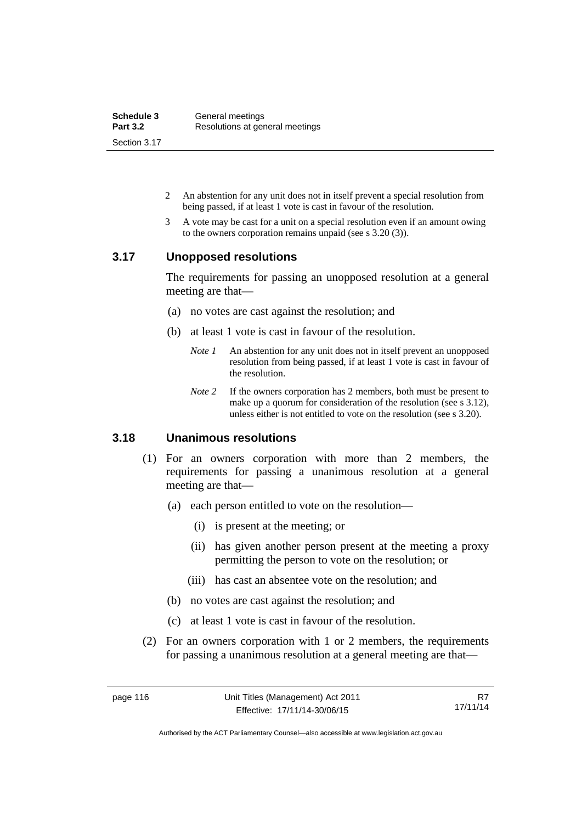| Schedule 3      | General meetings                |
|-----------------|---------------------------------|
| <b>Part 3.2</b> | Resolutions at general meetings |
| Section 3.17    |                                 |

- 2 An abstention for any unit does not in itself prevent a special resolution from being passed, if at least 1 vote is cast in favour of the resolution.
- 3 A vote may be cast for a unit on a special resolution even if an amount owing to the owners corporation remains unpaid (see s 3.20 (3)).

#### **3.17 Unopposed resolutions**

The requirements for passing an unopposed resolution at a general meeting are that—

- (a) no votes are cast against the resolution; and
- (b) at least 1 vote is cast in favour of the resolution.
	- *Note 1* An abstention for any unit does not in itself prevent an unopposed resolution from being passed, if at least 1 vote is cast in favour of the resolution.
	- *Note* 2 If the owners corporation has 2 members, both must be present to make up a quorum for consideration of the resolution (see s 3.12), unless either is not entitled to vote on the resolution (see s 3.20).

#### **3.18 Unanimous resolutions**

- (1) For an owners corporation with more than 2 members, the requirements for passing a unanimous resolution at a general meeting are that—
	- (a) each person entitled to vote on the resolution—
		- (i) is present at the meeting; or
		- (ii) has given another person present at the meeting a proxy permitting the person to vote on the resolution; or
		- (iii) has cast an absentee vote on the resolution; and
	- (b) no votes are cast against the resolution; and
	- (c) at least 1 vote is cast in favour of the resolution.
- (2) For an owners corporation with 1 or 2 members, the requirements for passing a unanimous resolution at a general meeting are that—

R7 17/11/14

Authorised by the ACT Parliamentary Counsel—also accessible at www.legislation.act.gov.au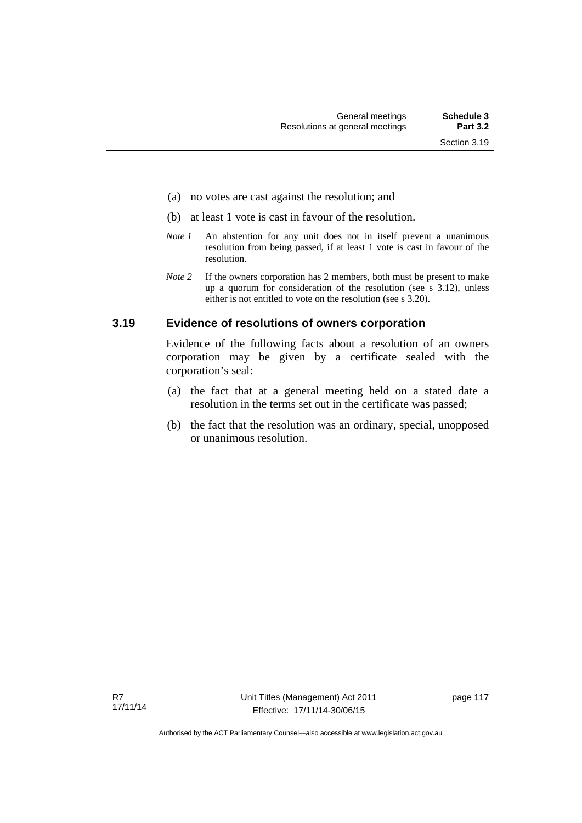- (a) no votes are cast against the resolution; and
- (b) at least 1 vote is cast in favour of the resolution.
- *Note 1* An abstention for any unit does not in itself prevent a unanimous resolution from being passed, if at least 1 vote is cast in favour of the resolution.
- *Note* 2 If the owners corporation has 2 members, both must be present to make up a quorum for consideration of the resolution (see s 3.12), unless either is not entitled to vote on the resolution (see s 3.20).

#### **3.19 Evidence of resolutions of owners corporation**

Evidence of the following facts about a resolution of an owners corporation may be given by a certificate sealed with the corporation's seal:

- (a) the fact that at a general meeting held on a stated date a resolution in the terms set out in the certificate was passed;
- (b) the fact that the resolution was an ordinary, special, unopposed or unanimous resolution.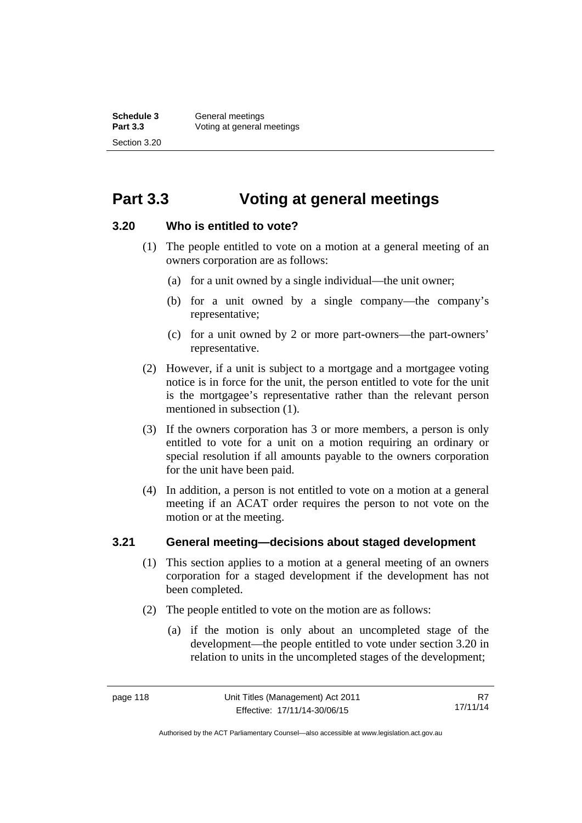# **Part 3.3 Voting at general meetings**

#### **3.20 Who is entitled to vote?**

- (1) The people entitled to vote on a motion at a general meeting of an owners corporation are as follows:
	- (a) for a unit owned by a single individual—the unit owner;
	- (b) for a unit owned by a single company—the company's representative;
	- (c) for a unit owned by 2 or more part-owners—the part-owners' representative.
- (2) However, if a unit is subject to a mortgage and a mortgagee voting notice is in force for the unit, the person entitled to vote for the unit is the mortgagee's representative rather than the relevant person mentioned in subsection (1).
- (3) If the owners corporation has 3 or more members, a person is only entitled to vote for a unit on a motion requiring an ordinary or special resolution if all amounts payable to the owners corporation for the unit have been paid.
- (4) In addition, a person is not entitled to vote on a motion at a general meeting if an ACAT order requires the person to not vote on the motion or at the meeting.

## **3.21 General meeting—decisions about staged development**

- (1) This section applies to a motion at a general meeting of an owners corporation for a staged development if the development has not been completed.
- (2) The people entitled to vote on the motion are as follows:
	- (a) if the motion is only about an uncompleted stage of the development—the people entitled to vote under section 3.20 in relation to units in the uncompleted stages of the development;

Authorised by the ACT Parliamentary Counsel—also accessible at www.legislation.act.gov.au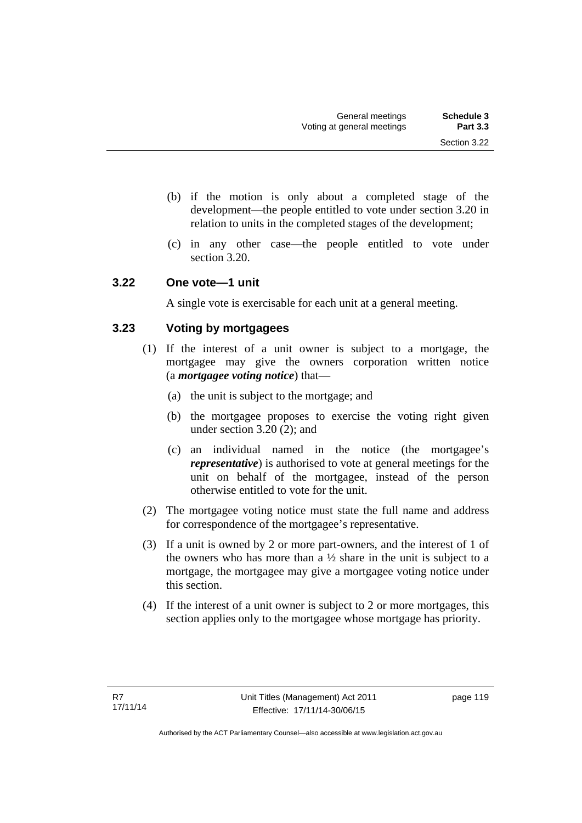- (b) if the motion is only about a completed stage of the development—the people entitled to vote under section 3.20 in relation to units in the completed stages of the development;
- (c) in any other case—the people entitled to vote under section 3.20.

#### **3.22 One vote—1 unit**

A single vote is exercisable for each unit at a general meeting.

## **3.23 Voting by mortgagees**

- (1) If the interest of a unit owner is subject to a mortgage, the mortgagee may give the owners corporation written notice (a *mortgagee voting notice*) that—
	- (a) the unit is subject to the mortgage; and
	- (b) the mortgagee proposes to exercise the voting right given under section 3.20 (2); and
	- (c) an individual named in the notice (the mortgagee's *representative*) is authorised to vote at general meetings for the unit on behalf of the mortgagee, instead of the person otherwise entitled to vote for the unit.
- (2) The mortgagee voting notice must state the full name and address for correspondence of the mortgagee's representative.
- (3) If a unit is owned by 2 or more part-owners, and the interest of 1 of the owners who has more than a  $\frac{1}{2}$  share in the unit is subject to a mortgage, the mortgagee may give a mortgagee voting notice under this section.
- (4) If the interest of a unit owner is subject to 2 or more mortgages, this section applies only to the mortgagee whose mortgage has priority.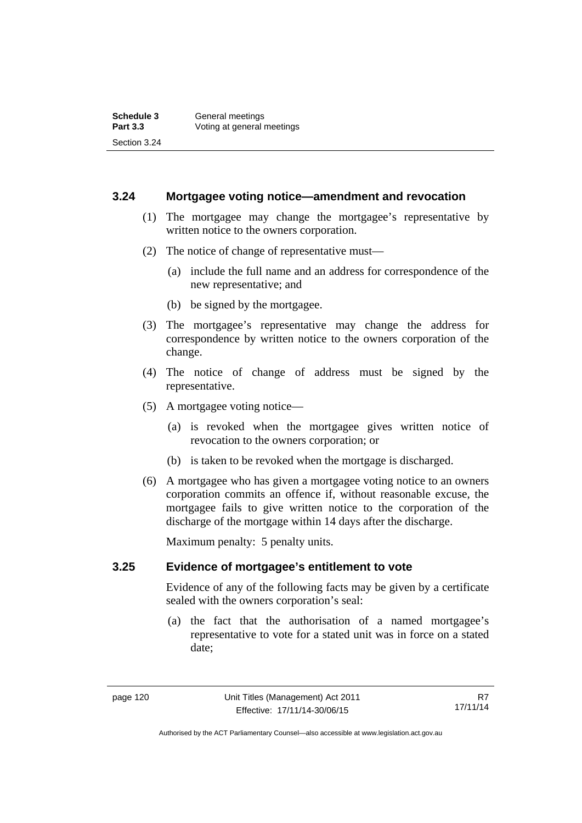#### **3.24 Mortgagee voting notice—amendment and revocation**

- (1) The mortgagee may change the mortgagee's representative by written notice to the owners corporation.
- (2) The notice of change of representative must—
	- (a) include the full name and an address for correspondence of the new representative; and
	- (b) be signed by the mortgagee.
- (3) The mortgagee's representative may change the address for correspondence by written notice to the owners corporation of the change.
- (4) The notice of change of address must be signed by the representative.
- (5) A mortgagee voting notice—
	- (a) is revoked when the mortgagee gives written notice of revocation to the owners corporation; or
	- (b) is taken to be revoked when the mortgage is discharged.
- (6) A mortgagee who has given a mortgagee voting notice to an owners corporation commits an offence if, without reasonable excuse, the mortgagee fails to give written notice to the corporation of the discharge of the mortgage within 14 days after the discharge.

Maximum penalty: 5 penalty units.

#### **3.25 Evidence of mortgagee's entitlement to vote**

Evidence of any of the following facts may be given by a certificate sealed with the owners corporation's seal:

 (a) the fact that the authorisation of a named mortgagee's representative to vote for a stated unit was in force on a stated date;

Authorised by the ACT Parliamentary Counsel—also accessible at www.legislation.act.gov.au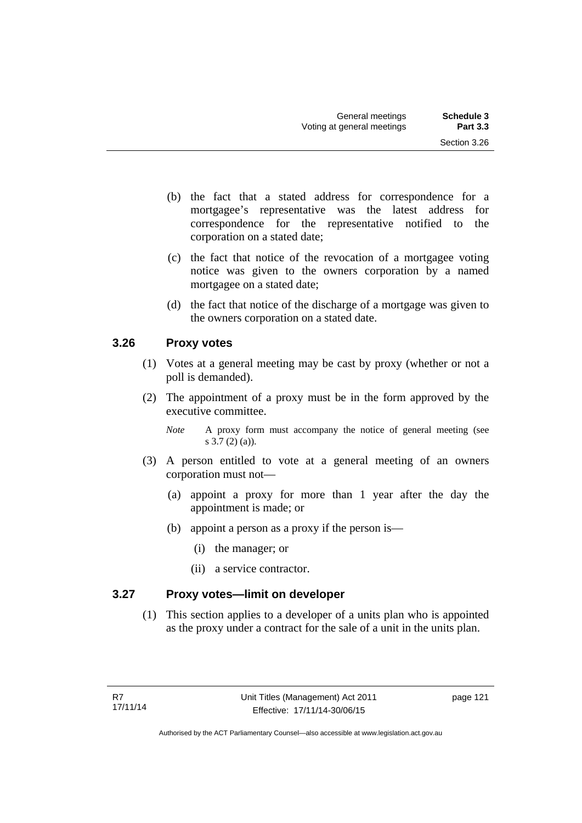- (b) the fact that a stated address for correspondence for a mortgagee's representative was the latest address for correspondence for the representative notified to the corporation on a stated date;
- (c) the fact that notice of the revocation of a mortgagee voting notice was given to the owners corporation by a named mortgagee on a stated date;
- (d) the fact that notice of the discharge of a mortgage was given to the owners corporation on a stated date.

## **3.26 Proxy votes**

- (1) Votes at a general meeting may be cast by proxy (whether or not a poll is demanded).
- (2) The appointment of a proxy must be in the form approved by the executive committee.
	- *Note* A proxy form must accompany the notice of general meeting (see s 3.7 (2) (a)).
- (3) A person entitled to vote at a general meeting of an owners corporation must not—
	- (a) appoint a proxy for more than 1 year after the day the appointment is made; or
	- (b) appoint a person as a proxy if the person is—
		- (i) the manager; or
		- (ii) a service contractor.

## **3.27 Proxy votes—limit on developer**

(1) This section applies to a developer of a units plan who is appointed as the proxy under a contract for the sale of a unit in the units plan.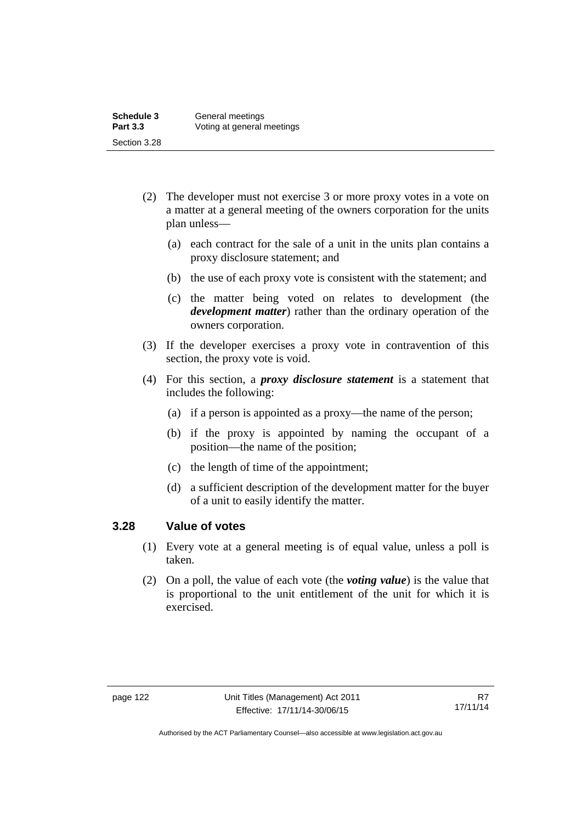- (2) The developer must not exercise 3 or more proxy votes in a vote on a matter at a general meeting of the owners corporation for the units plan unless—
	- (a) each contract for the sale of a unit in the units plan contains a proxy disclosure statement; and
	- (b) the use of each proxy vote is consistent with the statement; and
	- (c) the matter being voted on relates to development (the *development matter*) rather than the ordinary operation of the owners corporation.
- (3) If the developer exercises a proxy vote in contravention of this section, the proxy vote is void.
- (4) For this section, a *proxy disclosure statement* is a statement that includes the following:
	- (a) if a person is appointed as a proxy—the name of the person;
	- (b) if the proxy is appointed by naming the occupant of a position—the name of the position;
	- (c) the length of time of the appointment;
	- (d) a sufficient description of the development matter for the buyer of a unit to easily identify the matter.

#### **3.28 Value of votes**

- (1) Every vote at a general meeting is of equal value, unless a poll is taken.
- (2) On a poll, the value of each vote (the *voting value*) is the value that is proportional to the unit entitlement of the unit for which it is exercised.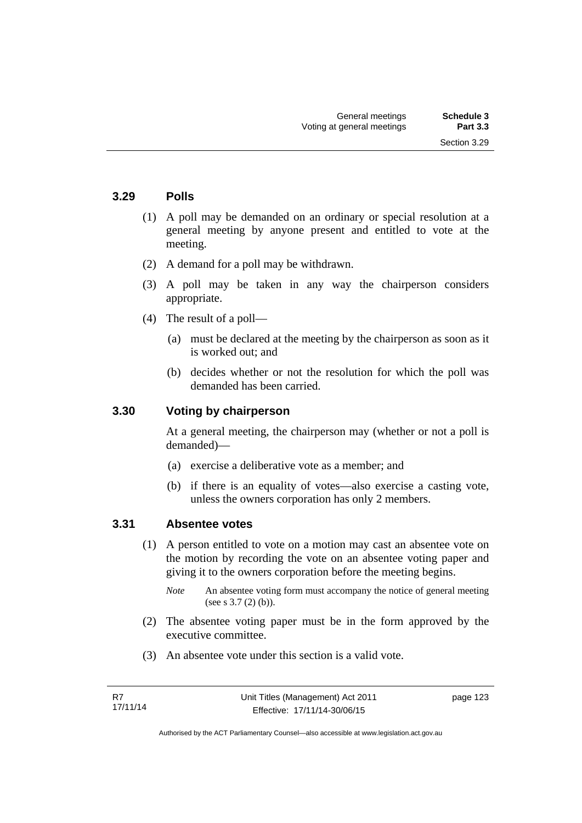Section 3.29

#### **3.29 Polls**

- (1) A poll may be demanded on an ordinary or special resolution at a general meeting by anyone present and entitled to vote at the meeting.
- (2) A demand for a poll may be withdrawn.
- (3) A poll may be taken in any way the chairperson considers appropriate.
- (4) The result of a poll—
	- (a) must be declared at the meeting by the chairperson as soon as it is worked out; and
	- (b) decides whether or not the resolution for which the poll was demanded has been carried.

#### **3.30 Voting by chairperson**

At a general meeting, the chairperson may (whether or not a poll is demanded)—

- (a) exercise a deliberative vote as a member; and
- (b) if there is an equality of votes—also exercise a casting vote, unless the owners corporation has only 2 members.

#### **3.31 Absentee votes**

- (1) A person entitled to vote on a motion may cast an absentee vote on the motion by recording the vote on an absentee voting paper and giving it to the owners corporation before the meeting begins.
	- *Note* An absentee voting form must accompany the notice of general meeting (see s 3.7 (2) (b)).
- (2) The absentee voting paper must be in the form approved by the executive committee.
- (3) An absentee vote under this section is a valid vote.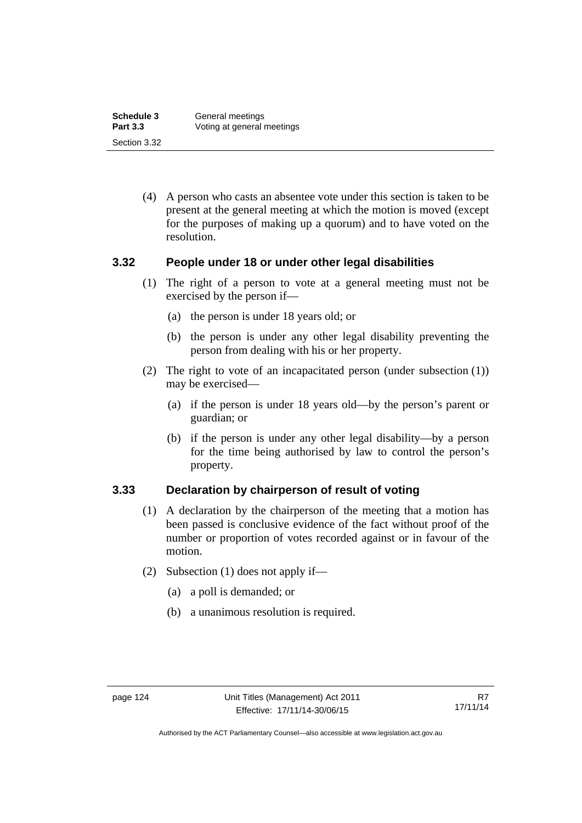| Schedule 3      | General meetings           |
|-----------------|----------------------------|
| <b>Part 3.3</b> | Voting at general meetings |
| Section 3.32    |                            |

 (4) A person who casts an absentee vote under this section is taken to be present at the general meeting at which the motion is moved (except for the purposes of making up a quorum) and to have voted on the resolution.

#### **3.32 People under 18 or under other legal disabilities**

- (1) The right of a person to vote at a general meeting must not be exercised by the person if—
	- (a) the person is under 18 years old; or
	- (b) the person is under any other legal disability preventing the person from dealing with his or her property.
- (2) The right to vote of an incapacitated person (under subsection (1)) may be exercised—
	- (a) if the person is under 18 years old—by the person's parent or guardian; or
	- (b) if the person is under any other legal disability—by a person for the time being authorised by law to control the person's property.

#### **3.33 Declaration by chairperson of result of voting**

- (1) A declaration by the chairperson of the meeting that a motion has been passed is conclusive evidence of the fact without proof of the number or proportion of votes recorded against or in favour of the motion.
- (2) Subsection (1) does not apply if—
	- (a) a poll is demanded; or
	- (b) a unanimous resolution is required.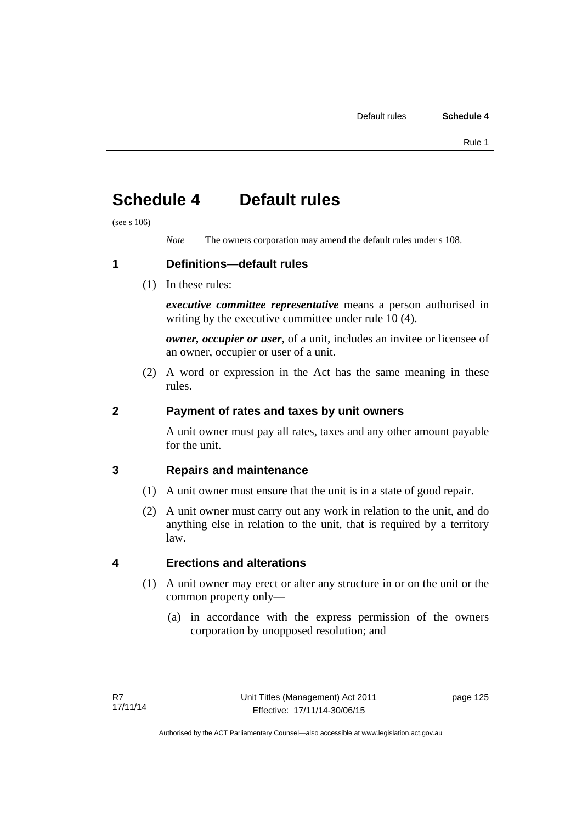# **Schedule 4 Default rules**

(see s 106)

*Note* The owners corporation may amend the default rules under s 108.

**1 Definitions—default rules** 

(1) In these rules:

*executive committee representative* means a person authorised in writing by the executive committee under rule 10 (4).

*owner, occupier or user*, of a unit, includes an invitee or licensee of an owner, occupier or user of a unit.

 (2) A word or expression in the Act has the same meaning in these rules.

## **2 Payment of rates and taxes by unit owners**

A unit owner must pay all rates, taxes and any other amount payable for the unit.

## **3 Repairs and maintenance**

- (1) A unit owner must ensure that the unit is in a state of good repair.
- (2) A unit owner must carry out any work in relation to the unit, and do anything else in relation to the unit, that is required by a territory law.

## **4 Erections and alterations**

- (1) A unit owner may erect or alter any structure in or on the unit or the common property only—
	- (a) in accordance with the express permission of the owners corporation by unopposed resolution; and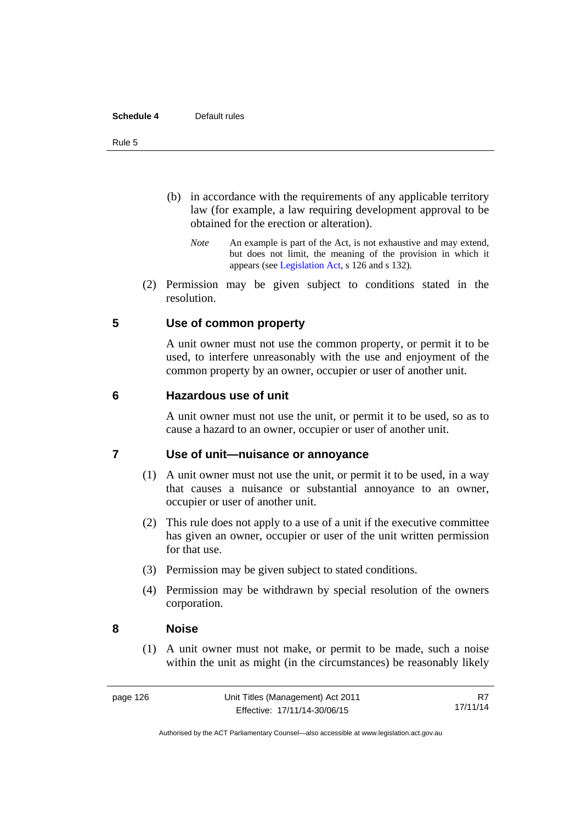#### **Schedule 4** Default rules

#### Rule 5

- (b) in accordance with the requirements of any applicable territory law (for example, a law requiring development approval to be obtained for the erection or alteration).
	- *Note* An example is part of the Act, is not exhaustive and may extend, but does not limit, the meaning of the provision in which it appears (see [Legislation Act,](http://www.legislation.act.gov.au/a/2001-14) s 126 and s 132).
- (2) Permission may be given subject to conditions stated in the resolution.

#### **5 Use of common property**

A unit owner must not use the common property, or permit it to be used, to interfere unreasonably with the use and enjoyment of the common property by an owner, occupier or user of another unit.

#### **6 Hazardous use of unit**

A unit owner must not use the unit, or permit it to be used, so as to cause a hazard to an owner, occupier or user of another unit.

#### **7 Use of unit—nuisance or annoyance**

- (1) A unit owner must not use the unit, or permit it to be used, in a way that causes a nuisance or substantial annoyance to an owner, occupier or user of another unit.
- (2) This rule does not apply to a use of a unit if the executive committee has given an owner, occupier or user of the unit written permission for that use.
- (3) Permission may be given subject to stated conditions.
- (4) Permission may be withdrawn by special resolution of the owners corporation.

#### **8 Noise**

(1) A unit owner must not make, or permit to be made, such a noise within the unit as might (in the circumstances) be reasonably likely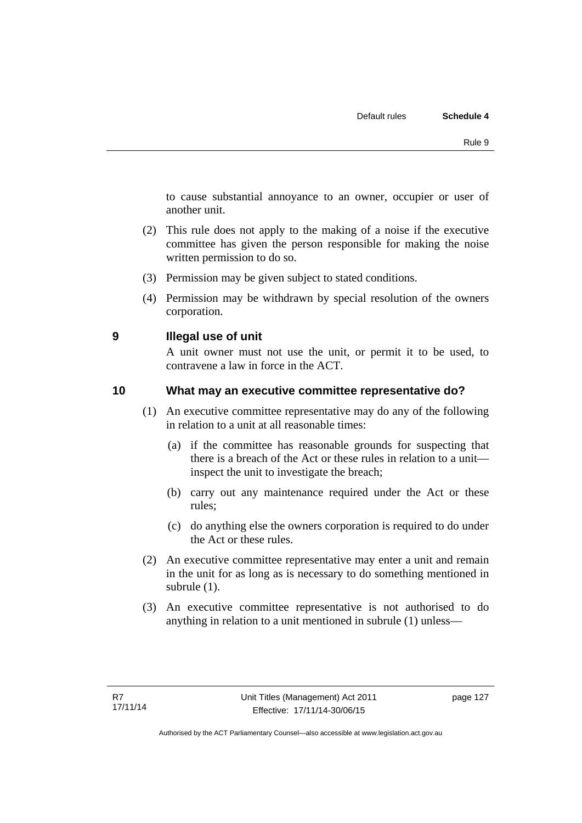to cause substantial annoyance to an owner, occupier or user of another unit.

- (2) This rule does not apply to the making of a noise if the executive committee has given the person responsible for making the noise written permission to do so.
- (3) Permission may be given subject to stated conditions.
- (4) Permission may be withdrawn by special resolution of the owners corporation.

**9 Illegal use of unit** 

A unit owner must not use the unit, or permit it to be used, to contravene a law in force in the ACT.

## **10 What may an executive committee representative do?**

- (1) An executive committee representative may do any of the following in relation to a unit at all reasonable times:
	- (a) if the committee has reasonable grounds for suspecting that there is a breach of the Act or these rules in relation to a unit inspect the unit to investigate the breach;
	- (b) carry out any maintenance required under the Act or these rules;
	- (c) do anything else the owners corporation is required to do under the Act or these rules.
- (2) An executive committee representative may enter a unit and remain in the unit for as long as is necessary to do something mentioned in subrule (1).
- (3) An executive committee representative is not authorised to do anything in relation to a unit mentioned in subrule (1) unless—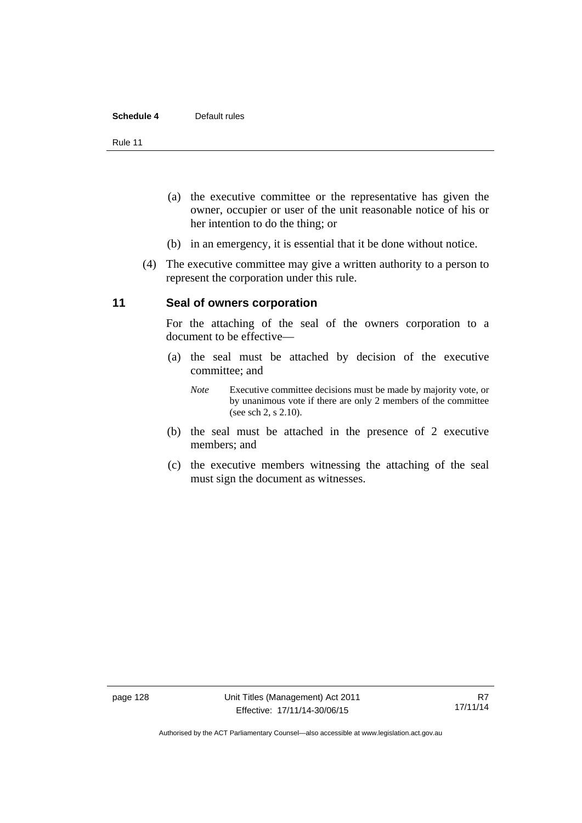#### **Schedule 4** Default rules

Rule 11

- (a) the executive committee or the representative has given the owner, occupier or user of the unit reasonable notice of his or her intention to do the thing; or
- (b) in an emergency, it is essential that it be done without notice.
- (4) The executive committee may give a written authority to a person to represent the corporation under this rule.

#### **11 Seal of owners corporation**

For the attaching of the seal of the owners corporation to a document to be effective—

- (a) the seal must be attached by decision of the executive committee; and
	- *Note* Executive committee decisions must be made by majority vote, or by unanimous vote if there are only 2 members of the committee (see sch 2, s 2.10).
- (b) the seal must be attached in the presence of 2 executive members; and
- (c) the executive members witnessing the attaching of the seal must sign the document as witnesses.

Authorised by the ACT Parliamentary Counsel—also accessible at www.legislation.act.gov.au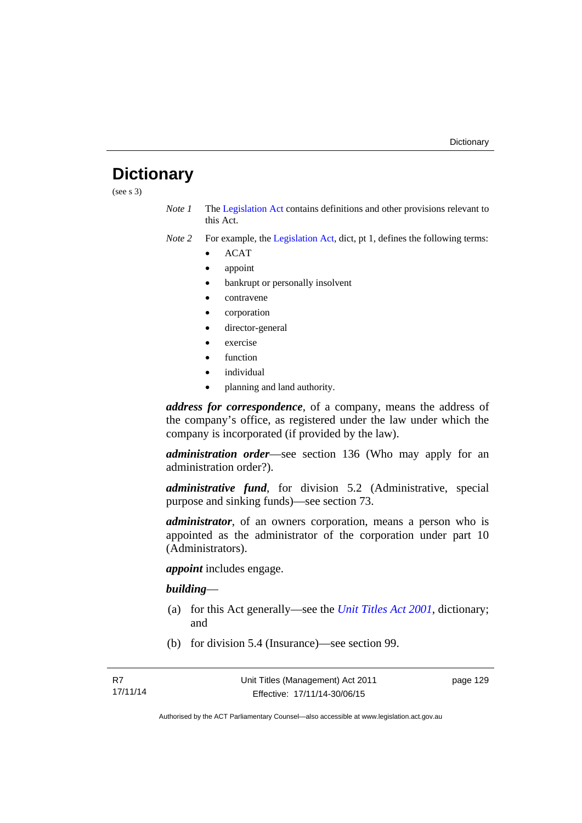# **Dictionary**

(see s 3)

- *Note 1* The [Legislation Act](http://www.legislation.act.gov.au/a/2001-14) contains definitions and other provisions relevant to this Act.
- *Note 2* For example, the [Legislation Act,](http://www.legislation.act.gov.au/a/2001-14) dict, pt 1, defines the following terms:
	- ACAT
	- appoint
	- bankrupt or personally insolvent
	- contravene
	- corporation
	- director-general
	- exercise
	- function
	- individual
	- planning and land authority.

*address for correspondence*, of a company, means the address of the company's office, as registered under the law under which the company is incorporated (if provided by the law).

*administration order*—see section 136 (Who may apply for an administration order?).

*administrative fund*, for division 5.2 (Administrative, special purpose and sinking funds)—see section 73.

*administrator*, of an owners corporation, means a person who is appointed as the administrator of the corporation under part 10 (Administrators).

*appoint* includes engage.

#### *building*—

- (a) for this Act generally—see the *[Unit Titles Act 2001](http://www.legislation.act.gov.au/a/2001-16)*, dictionary; and
- (b) for division 5.4 (Insurance)—see section 99.

page 129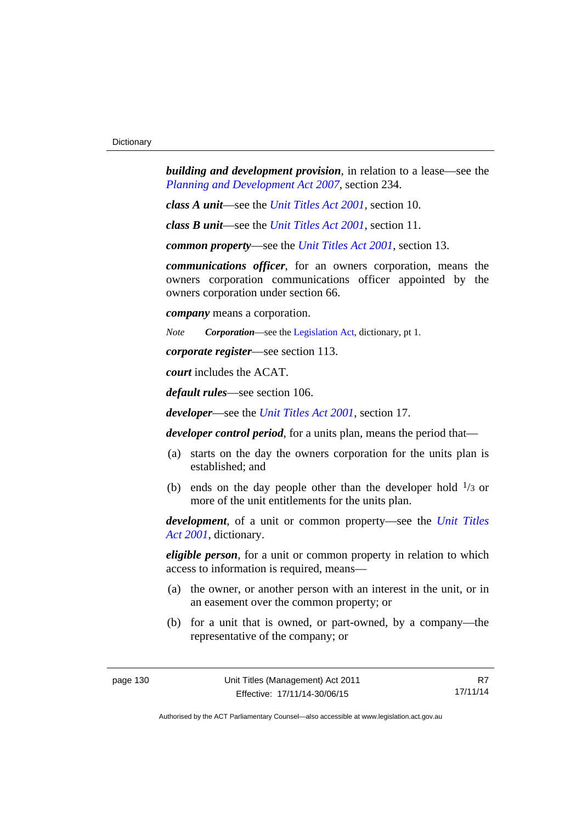*building and development provision*, in relation to a lease—see the *[Planning and Development Act 2007](http://www.legislation.act.gov.au/a/2007-24)*, section 234.

*class A unit*—see the *[Unit Titles Act 2001](http://www.legislation.act.gov.au/a/2001-16)*, section 10.

*class B unit*—see the *[Unit Titles Act 2001](http://www.legislation.act.gov.au/a/2001-16)*, section 11.

*common property*—see the *[Unit Titles Act 2001](http://www.legislation.act.gov.au/a/2001-16)*, section 13.

*communications officer*, for an owners corporation, means the owners corporation communications officer appointed by the owners corporation under section 66.

*company* means a corporation.

*Note Corporation*—see the [Legislation Act,](http://www.legislation.act.gov.au/a/2001-14) dictionary, pt 1.

*corporate register*—see section 113.

*court* includes the ACAT.

*default rules*—see section 106.

*developer*—see the *[Unit Titles Act 2001](http://www.legislation.act.gov.au/a/2001-16)*, section 17.

*developer control period*, for a units plan, means the period that—

- (a) starts on the day the owners corporation for the units plan is established; and
- (b) ends on the day people other than the developer hold  $\frac{1}{3}$  or more of the unit entitlements for the units plan.

*development*, of a unit or common property—see the *[Unit Titles](http://www.legislation.act.gov.au/a/2001-16)  [Act 2001](http://www.legislation.act.gov.au/a/2001-16)*, dictionary.

*eligible person*, for a unit or common property in relation to which access to information is required, means—

- (a) the owner, or another person with an interest in the unit, or in an easement over the common property; or
- (b) for a unit that is owned, or part-owned, by a company—the representative of the company; or

R7 17/11/14

Authorised by the ACT Parliamentary Counsel—also accessible at www.legislation.act.gov.au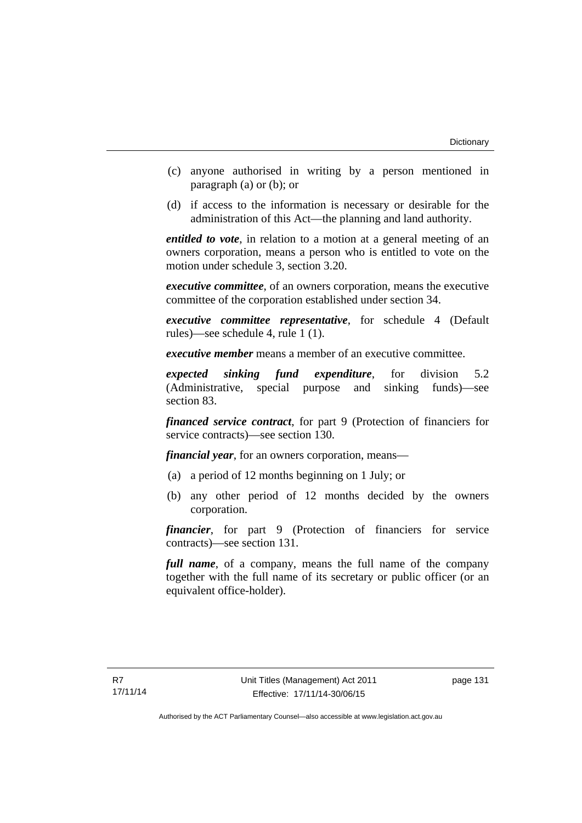- (c) anyone authorised in writing by a person mentioned in paragraph (a) or (b); or
- (d) if access to the information is necessary or desirable for the administration of this Act—the planning and land authority.

*entitled to vote*, in relation to a motion at a general meeting of an owners corporation, means a person who is entitled to vote on the motion under schedule 3, section 3.20.

*executive committee*, of an owners corporation, means the executive committee of the corporation established under section 34.

*executive committee representative*, for schedule 4 (Default rules)—see schedule 4, rule 1 (1).

*executive member* means a member of an executive committee.

*expected sinking fund expenditure*, for division 5.2 (Administrative, special purpose and sinking funds)—see section 83.

*financed service contract*, for part 9 (Protection of financiers for service contracts)—see section 130.

*financial year*, for an owners corporation, means—

- (a) a period of 12 months beginning on 1 July; or
- (b) any other period of 12 months decided by the owners corporation.

*financier*, for part 9 (Protection of financiers for service contracts)—see section 131.

*full name*, of a company, means the full name of the company together with the full name of its secretary or public officer (or an equivalent office-holder).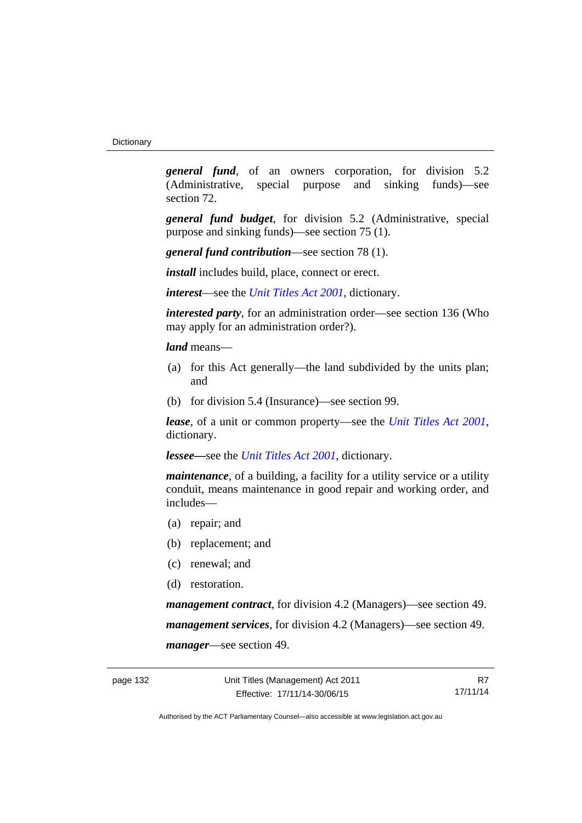*general fund*, of an owners corporation, for division 5.2 (Administrative, special purpose and sinking funds)—see section 72.

*general fund budget*, for division 5.2 (Administrative, special purpose and sinking funds)—see section 75 (1).

*general fund contribution*—see section 78 (1).

*install* includes build, place, connect or erect.

*interest*—see the *[Unit Titles Act 2001](http://www.legislation.act.gov.au/a/2001-16)*, dictionary.

*interested party*, for an administration order—see section 136 (Who may apply for an administration order?).

*land* means—

- (a) for this Act generally—the land subdivided by the units plan; and
- (b) for division 5.4 (Insurance)—see section 99.

*lease*, of a unit or common property—see the *[Unit Titles Act 2001](http://www.legislation.act.gov.au/a/2001-16)*, dictionary.

*lessee—*see the *[Unit Titles Act 2001](http://www.legislation.act.gov.au/a/2001-16)*, dictionary.

*maintenance*, of a building, a facility for a utility service or a utility conduit, means maintenance in good repair and working order, and includes—

- (a) repair; and
- (b) replacement; and
- (c) renewal; and
- (d) restoration.

*management contract*, for division 4.2 (Managers)—see section 49. *management services*, for division 4.2 (Managers)—see section 49. *manager*—see section 49.

R7 17/11/14

Authorised by the ACT Parliamentary Counsel—also accessible at www.legislation.act.gov.au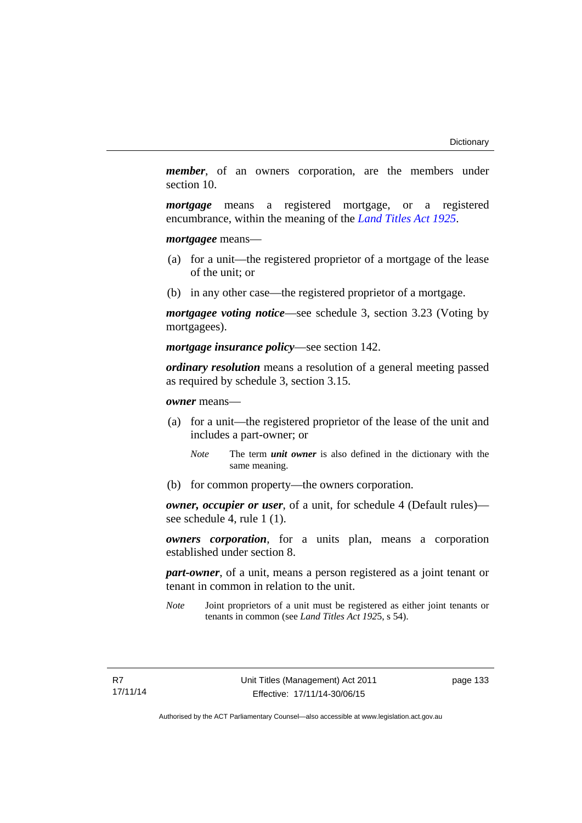*member*, of an owners corporation, are the members under section 10.

*mortgage* means a registered mortgage, or a registered encumbrance, within the meaning of the *[Land Titles Act 1925](http://www.legislation.act.gov.au/a/1925-1)*.

*mortgagee* means—

- (a) for a unit—the registered proprietor of a mortgage of the lease of the unit; or
- (b) in any other case—the registered proprietor of a mortgage.

*mortgagee voting notice*—see schedule 3, section 3.23 (Voting by mortgagees).

*mortgage insurance policy*—see section 142.

*ordinary resolution* means a resolution of a general meeting passed as required by schedule 3, section 3.15.

*owner* means—

- (a) for a unit—the registered proprietor of the lease of the unit and includes a part-owner; or
	- *Note* The term *unit owner* is also defined in the dictionary with the same meaning.
- (b) for common property—the owners corporation.

*owner, occupier or user*, of a unit, for schedule 4 (Default rules) see schedule 4, rule 1 (1).

*owners corporation*, for a units plan, means a corporation established under section 8.

*part-owner*, of a unit, means a person registered as a joint tenant or tenant in common in relation to the unit.

*Note* Joint proprietors of a unit must be registered as either joint tenants or tenants in common (see *Land Titles Act 192*5, s 54).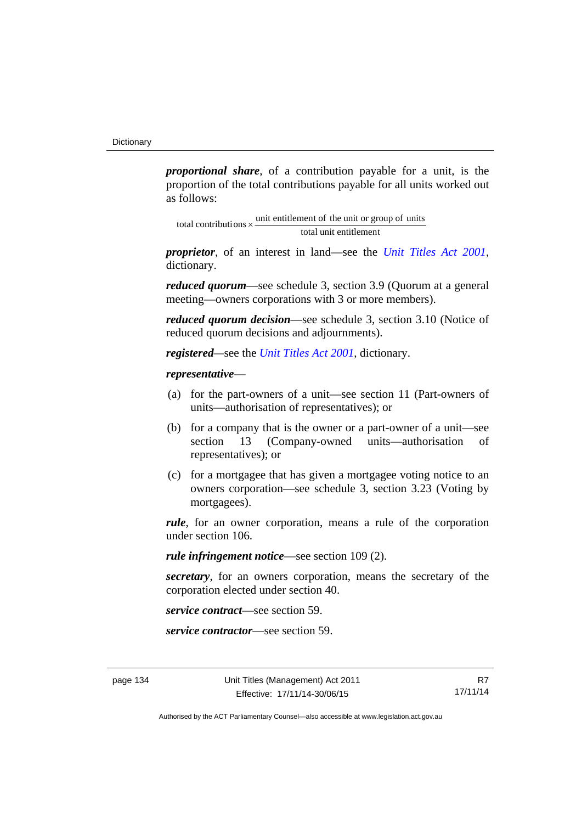*proportional share*, of a contribution payable for a unit, is the proportion of the total contributions payable for all units worked out as follows:

total unit entitlement total contributions  $\times$  unit entitlement of the unit or group of units

*proprietor*, of an interest in land—see the *[Unit Titles Act 2001](http://www.legislation.act.gov.au/a/2001-16)*, dictionary.

*reduced quorum*—see schedule 3, section 3.9 (Quorum at a general meeting—owners corporations with 3 or more members).

*reduced quorum decision*—see schedule 3, section 3.10 (Notice of reduced quorum decisions and adjournments).

*registered—*see the *[Unit Titles Act 2001](http://www.legislation.act.gov.au/a/2001-16)*, dictionary.

## *representative*—

- (a) for the part-owners of a unit—see section 11 (Part-owners of units—authorisation of representatives); or
- (b) for a company that is the owner or a part-owner of a unit—see section 13 (Company-owned units—authorisation of representatives); or
- (c) for a mortgagee that has given a mortgagee voting notice to an owners corporation—see schedule 3, section 3.23 (Voting by mortgagees).

*rule*, for an owner corporation, means a rule of the corporation under section 106.

*rule infringement notice*—see section 109 (2).

*secretary*, for an owners corporation, means the secretary of the corporation elected under section 40.

*service contract*—see section 59.

*service contractor*—see section 59.

R7 17/11/14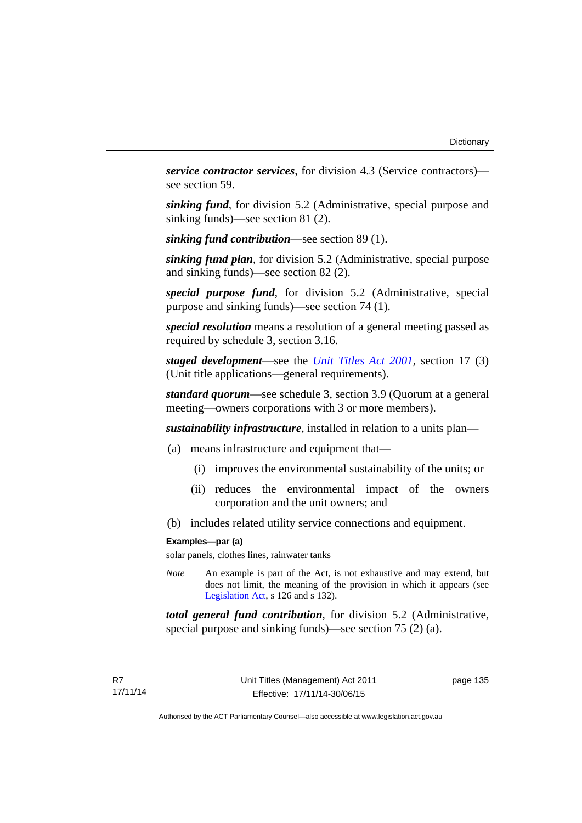*service contractor services*, for division 4.3 (Service contractors) see section 59.

*sinking fund*, for division 5.2 (Administrative, special purpose and sinking funds)—see section 81 (2).

*sinking fund contribution*—see section 89 (1).

*sinking fund plan*, for division 5.2 (Administrative, special purpose and sinking funds)—see section 82 (2).

*special purpose fund*, for division 5.2 (Administrative, special purpose and sinking funds)—see section 74 (1).

*special resolution* means a resolution of a general meeting passed as required by schedule 3, section 3.16.

*staged development*—see the *[Unit Titles Act 2001](http://www.legislation.act.gov.au/a/2001-16)*, section 17 (3) (Unit title applications—general requirements).

*standard quorum*—see schedule 3, section 3.9 (Quorum at a general meeting—owners corporations with 3 or more members).

*sustainability infrastructure*, installed in relation to a units plan—

- (a) means infrastructure and equipment that—
	- (i) improves the environmental sustainability of the units; or
	- (ii) reduces the environmental impact of the owners corporation and the unit owners; and
- (b) includes related utility service connections and equipment.

#### **Examples—par (a)**

solar panels, clothes lines, rainwater tanks

*Note* An example is part of the Act, is not exhaustive and may extend, but does not limit, the meaning of the provision in which it appears (see [Legislation Act,](http://www.legislation.act.gov.au/a/2001-14) s 126 and s 132).

*total general fund contribution*, for division 5.2 (Administrative, special purpose and sinking funds)—see section 75 (2) (a).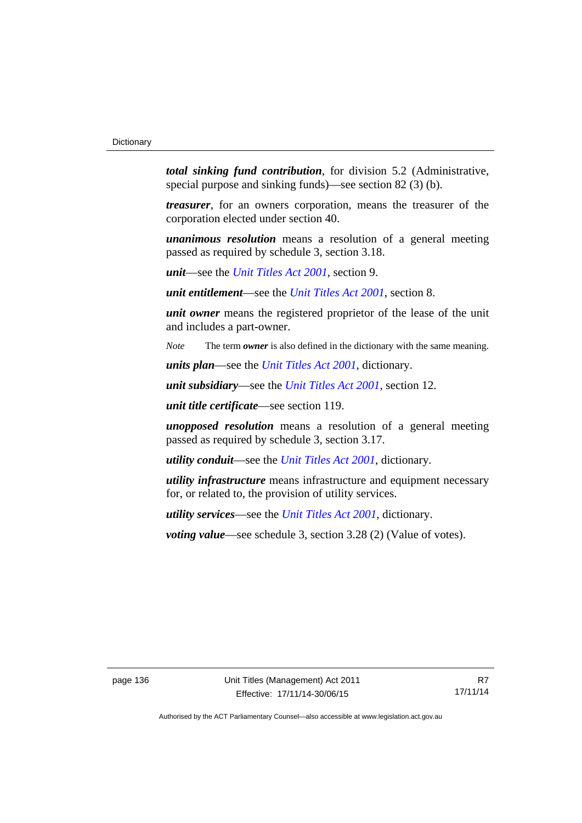*total sinking fund contribution*, for division 5.2 (Administrative, special purpose and sinking funds)—see section 82 (3) (b).

*treasurer*, for an owners corporation, means the treasurer of the corporation elected under section 40.

*unanimous resolution* means a resolution of a general meeting passed as required by schedule 3, section 3.18.

*unit*—see the *[Unit Titles Act 2001](http://www.legislation.act.gov.au/a/2001-16)*, section 9.

*unit entitlement*—see the *[Unit Titles Act 2001](http://www.legislation.act.gov.au/a/2001-16)*, section 8.

*unit owner* means the registered proprietor of the lease of the unit and includes a part-owner.

*Note* The term *owner* is also defined in the dictionary with the same meaning.

*units plan*—see the *[Unit Titles Act 2001](http://www.legislation.act.gov.au/a/2001-16)*, dictionary.

*unit subsidiary*—see the *[Unit Titles Act 2001](http://www.legislation.act.gov.au/a/2001-16)*, section 12.

*unit title certificate*—see section 119.

*unopposed resolution* means a resolution of a general meeting passed as required by schedule 3, section 3.17.

*utility conduit*—see the *[Unit Titles Act 2001](http://www.legislation.act.gov.au/a/2001-16)*, dictionary.

*utility infrastructure* means infrastructure and equipment necessary for, or related to, the provision of utility services.

*utility services*—see the *[Unit Titles Act 2001](http://www.legislation.act.gov.au/a/2001-16)*, dictionary.

*voting value—see schedule 3, section 3.28 (2) (Value of votes).*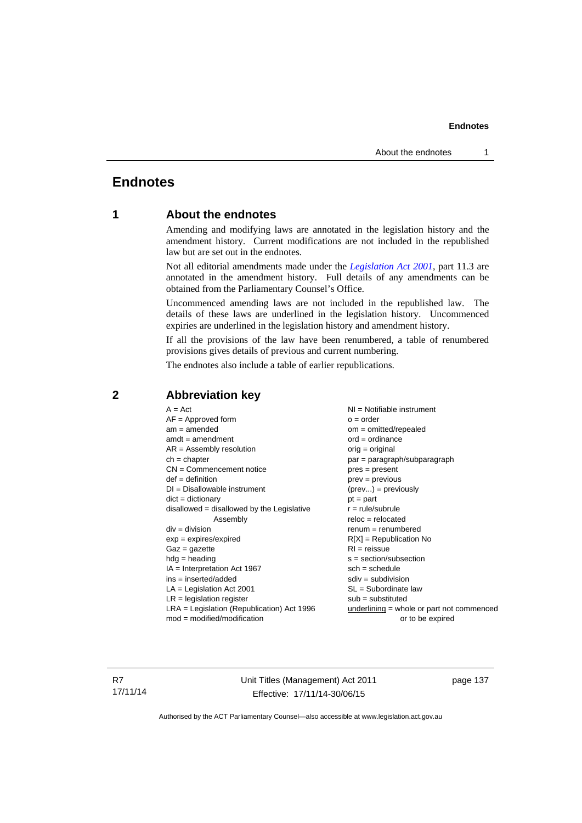# **Endnotes**

# **1 About the endnotes**

Amending and modifying laws are annotated in the legislation history and the amendment history. Current modifications are not included in the republished law but are set out in the endnotes.

Not all editorial amendments made under the *[Legislation Act 2001](http://www.legislation.act.gov.au/a/2001-14)*, part 11.3 are annotated in the amendment history. Full details of any amendments can be obtained from the Parliamentary Counsel's Office.

Uncommenced amending laws are not included in the republished law. The details of these laws are underlined in the legislation history. Uncommenced expiries are underlined in the legislation history and amendment history.

If all the provisions of the law have been renumbered, a table of renumbered provisions gives details of previous and current numbering.

The endnotes also include a table of earlier republications.

| $A = Act$<br>$AF =$ Approved form<br>$am = amended$<br>$amdt = amendment$<br>$AR = Assembly resolution$<br>$ch = chapter$<br>$CN =$ Commencement notice<br>$def = definition$<br>$DI = Disallowable instrument$<br>$dict = dictionary$<br>disallowed = disallowed by the Legislative<br>Assembly<br>$div = division$<br>$exp = expires/expired$<br>$Gaz = gazette$<br>$hdg = heading$<br>$IA = Interpretation Act 1967$<br>$ins = inserted/added$<br>$LA =$ Legislation Act 2001<br>$LR =$ legislation register | NI = Notifiable instrument<br>$o = order$<br>$om = omitted/repealed$<br>$ord = ordinance$<br>$orig = original$<br>par = paragraph/subparagraph<br>$pres = present$<br>$prev = previous$<br>$(\text{prev}) = \text{previously}$<br>$pt = part$<br>$r = rule/subrule$<br>$reloc = relocated$<br>$remum = renumbered$<br>$R[X]$ = Republication No<br>$RI = reissue$<br>$s = section/subsection$<br>$sch = schedule$<br>$sdiv = subdivision$<br>$SL = Subordinate$ law<br>$sub =$ substituted |
|-----------------------------------------------------------------------------------------------------------------------------------------------------------------------------------------------------------------------------------------------------------------------------------------------------------------------------------------------------------------------------------------------------------------------------------------------------------------------------------------------------------------|--------------------------------------------------------------------------------------------------------------------------------------------------------------------------------------------------------------------------------------------------------------------------------------------------------------------------------------------------------------------------------------------------------------------------------------------------------------------------------------------|
|                                                                                                                                                                                                                                                                                                                                                                                                                                                                                                                 |                                                                                                                                                                                                                                                                                                                                                                                                                                                                                            |
| $LRA =$ Legislation (Republication) Act 1996                                                                                                                                                                                                                                                                                                                                                                                                                                                                    |                                                                                                                                                                                                                                                                                                                                                                                                                                                                                            |
|                                                                                                                                                                                                                                                                                                                                                                                                                                                                                                                 | underlining = whole or part not commenced                                                                                                                                                                                                                                                                                                                                                                                                                                                  |
| $mod = modified/modification$                                                                                                                                                                                                                                                                                                                                                                                                                                                                                   | or to be expired                                                                                                                                                                                                                                                                                                                                                                                                                                                                           |

# **2 Abbreviation key**

R7 17/11/14 Unit Titles (Management) Act 2011 Effective: 17/11/14-30/06/15

page 137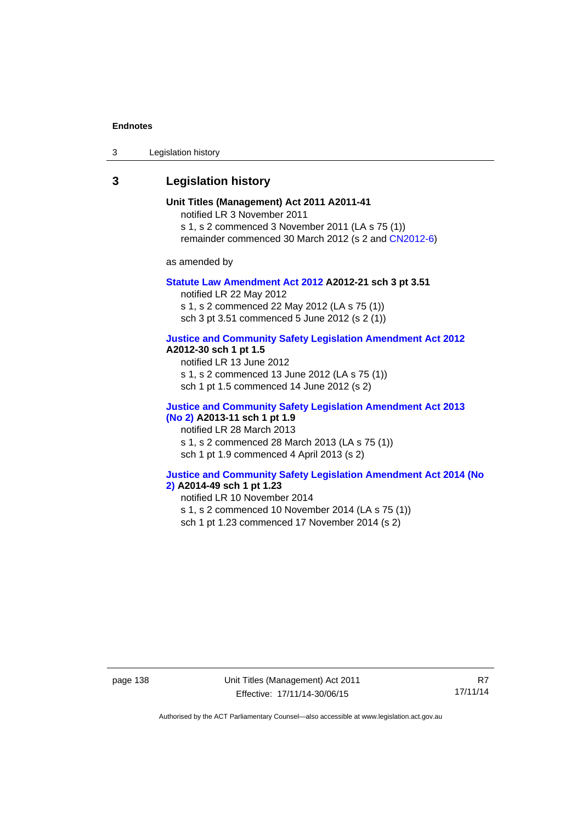3 Legislation history

# **3 Legislation history**

**Unit Titles (Management) Act 2011 A2011-41**  notified LR 3 November 2011 s 1, s 2 commenced 3 November 2011 (LA s 75 (1)) remainder commenced 30 March 2012 (s 2 and [CN2012-6](http://www.legislation.act.gov.au/cn/2012-6/default.asp))

as amended by

#### **[Statute Law Amendment Act 2012](http://www.legislation.act.gov.au/a/2012-21) A2012-21 sch 3 pt 3.51**

notified LR 22 May 2012 s 1, s 2 commenced 22 May 2012 (LA s 75 (1)) sch 3 pt 3.51 commenced 5 June 2012 (s 2 (1))

## **[Justice and Community Safety Legislation Amendment Act 2012](http://www.legislation.act.gov.au/a/2012-13)**

## **A2012-30 sch 1 pt 1.5**

notified LR 13 June 2012 s 1, s 2 commenced 13 June 2012 (LA s 75 (1)) sch 1 pt 1.5 commenced 14 June 2012 (s 2)

# **[Justice and Community Safety Legislation Amendment Act 2013](http://www.legislation.act.gov.au/a/2013-11)  [\(No 2\)](http://www.legislation.act.gov.au/a/2013-11) A2013-11 sch 1 pt 1.9**

notified LR 28 March 2013 s 1, s 2 commenced 28 March 2013 (LA s 75 (1))

sch 1 pt 1.9 commenced 4 April 2013 (s 2)

# **[Justice and Community Safety Legislation Amendment Act 2014 \(No](http://www.legislation.act.gov.au/a/2014-49)**

# **[2\)](http://www.legislation.act.gov.au/a/2014-49) A2014-49 sch 1 pt 1.23**

notified LR 10 November 2014

s 1, s 2 commenced 10 November 2014 (LA s 75 (1))

sch 1 pt 1.23 commenced 17 November 2014 (s 2)

page 138 Unit Titles (Management) Act 2011 Effective: 17/11/14-30/06/15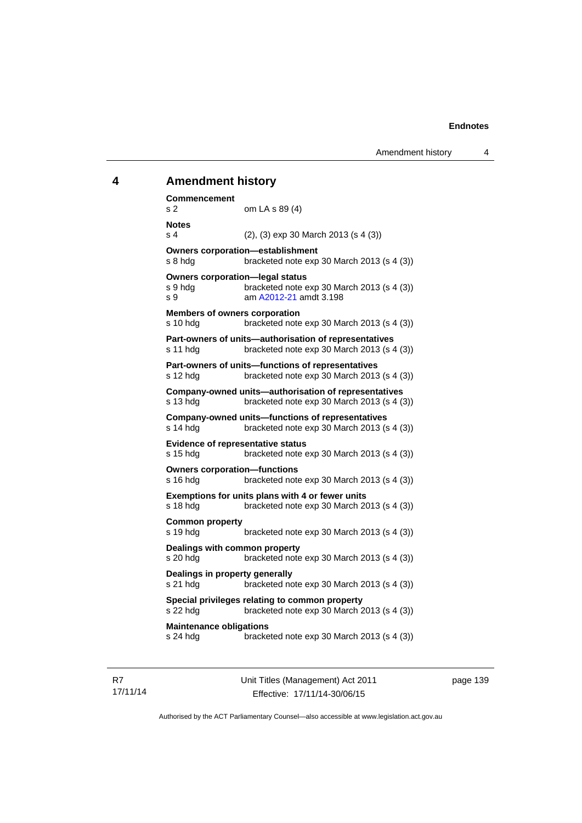# **4 Amendment history Commencement**  s 2 om LA s 89 (4) **Notes**  s 4 (2), (3) exp 30 March 2013 (s 4 (3)) **Owners corporation—establishment**  s 8 hdg bracketed note exp 30 March 2013 (s 4 (3)) **Owners corporation—legal status**  s 9 hdg bracketed note exp 30 March 2013 (s 4 (3)) s 9 am [A2012-21](http://www.legislation.act.gov.au/a/2012-21) amdt 3.198 **Members of owners corporation**  s 10 hdg bracketed note exp 30 March 2013 (s 4 (3)) **Part-owners of units—authorisation of representatives**  s 11 hdg bracketed note exp 30 March 2013 (s 4 (3)) **Part-owners of units—functions of representatives**  s 12 hdg bracketed note exp 30 March 2013 (s 4 (3)) **Company-owned units—authorisation of representatives**  s 13 hdg bracketed note exp 30 March 2013 (s 4 (3)) **Company-owned units—functions of representatives**  s 14 hdg bracketed note exp 30 March 2013 (s 4 (3)) **Evidence of representative status**  s 15 hdg bracketed note exp 30 March 2013 (s 4 (3)) **Owners corporation—functions**  s 16 hdg bracketed note exp 30 March 2013 (s 4 (3)) **Exemptions for units plans with 4 or fewer units**  s 18 hdg bracketed note exp 30 March 2013 (s 4 (3)) **Common property**  s 19 hdg bracketed note exp 30 March 2013 (s 4 (3)) **Dealings with common property**  s 20 hdg bracketed note exp 30 March 2013 (s 4 (3)) **Dealings in property generally**  s 21 hdg bracketed note exp 30 March 2013 (s 4 (3)) **Special privileges relating to common property**  s 22 hdg bracketed note exp 30 March 2013 (s 4 (3)) **Maintenance obligations**  s 24 hdg bracketed note exp 30 March 2013 (s 4 (3))

R7 17/11/14 Unit Titles (Management) Act 2011 Effective: 17/11/14-30/06/15

page 139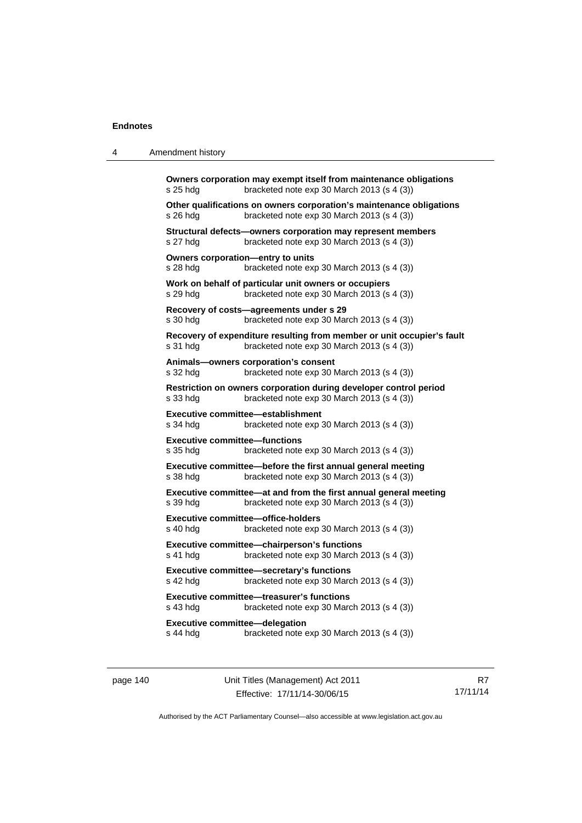4 Amendment history

| s 26 hdg   | Other qualifications on owners corporation's maintenance obligations<br>bracketed note exp 30 March 2013 (s 4 (3))   |
|------------|----------------------------------------------------------------------------------------------------------------------|
| s 27 hdg   | Structural defects—owners corporation may represent members<br>bracketed note exp 30 March 2013 (s 4 (3))            |
| s 28 hdg   | Owners corporation-entry to units<br>bracketed note exp 30 March 2013 (s 4 (3))                                      |
| s 29 hdg   | Work on behalf of particular unit owners or occupiers<br>bracketed note exp 30 March 2013 (s 4 (3))                  |
| s 30 hdg   | Recovery of costs—agreements under s 29<br>bracketed note exp 30 March 2013 (s 4 (3))                                |
| s 31 hdg   | Recovery of expenditure resulting from member or unit occupier's fault<br>bracketed note exp 30 March 2013 (s 4 (3)) |
| s 32 hdg   | Animals-owners corporation's consent<br>bracketed note exp 30 March 2013 (s 4 (3))                                   |
| s 33 hdg   | Restriction on owners corporation during developer control period<br>bracketed note exp 30 March 2013 (s 4 (3))      |
| s 34 hdg   | Executive committee-establishment<br>bracketed note exp 30 March 2013 (s 4 (3))                                      |
| s 35 hdg   | <b>Executive committee-functions</b><br>bracketed note exp 30 March 2013 (s 4 (3))                                   |
| s 38 hdg   | Executive committee—before the first annual general meeting<br>bracketed note exp 30 March 2013 (s 4 (3))            |
| s 39 hdg   | Executive committee-at and from the first annual general meeting<br>bracketed note exp 30 March 2013 (s 4 (3))       |
| s 40 hdg   | <b>Executive committee-office-holders</b><br>bracketed note exp 30 March 2013 (s 4 (3))                              |
| s 41 hdg   | Executive committee-chairperson's functions<br>bracketed note exp 30 March 2013 (s 4 (3))                            |
| $s$ 42 hdg | Executive committee-secretary's functions<br>bracketed note exp 30 March 2013 (s 4 (3))                              |
|            | Executive committee-treasurer's functions                                                                            |

page 140 Unit Titles (Management) Act 2011 Effective: 17/11/14-30/06/15

R7 17/11/14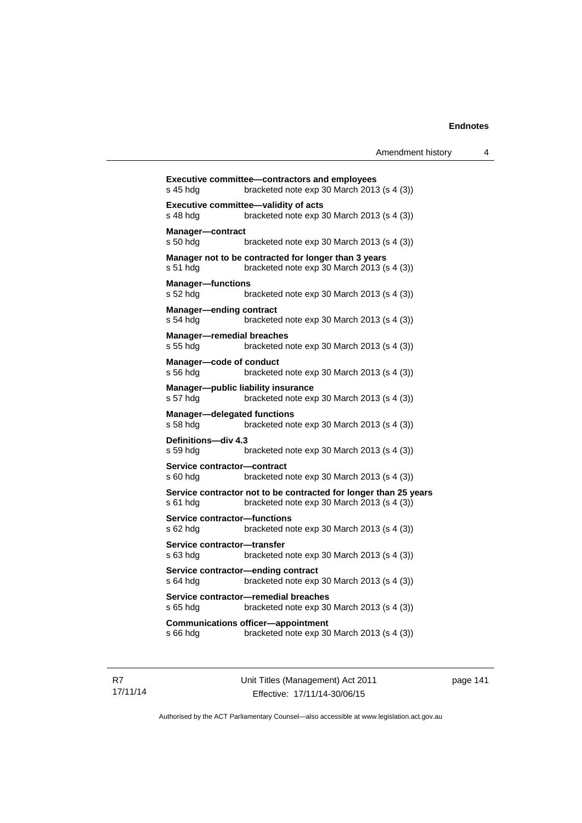| s 45 hdg                                       | <b>Executive committee-contractors and employees</b><br>bracketed note exp 30 March 2013 (s 4 (3))             |
|------------------------------------------------|----------------------------------------------------------------------------------------------------------------|
| s 48 hdg                                       | Executive committee-validity of acts<br>bracketed note exp 30 March 2013 (s 4 (3))                             |
| <b>Manager-contract</b><br>s 50 hdg            | bracketed note exp 30 March 2013 (s 4 (3))                                                                     |
| s 51 hdg                                       | Manager not to be contracted for longer than 3 years<br>bracketed note exp 30 March 2013 (s 4 (3))             |
| <b>Manager-functions</b><br>s 52 hdg           | bracketed note exp 30 March 2013 (s 4 (3))                                                                     |
| <b>Manager-ending contract</b><br>s 54 hda     | bracketed note exp 30 March 2013 (s 4 (3))                                                                     |
| <b>Manager-remedial breaches</b><br>s 55 hda   | bracketed note exp 30 March 2013 (s 4 (3))                                                                     |
| Manager-code of conduct<br>s 56 hdg            | bracketed note exp 30 March 2013 (s 4 (3))                                                                     |
| s 57 hdg                                       | Manager-public liability insurance<br>bracketed note exp 30 March 2013 (s 4 (3))                               |
| <b>Manager-delegated functions</b><br>s 58 hdg | bracketed note exp 30 March 2013 (s 4 (3))                                                                     |
| Definitions-div 4.3<br>s 59 hdg                | bracketed note exp 30 March 2013 (s 4 (3))                                                                     |
| Service contractor-contract<br>s 60 hda        | bracketed note exp 30 March 2013 (s 4 (3))                                                                     |
| s 61 hdg                                       | Service contractor not to be contracted for longer than 25 years<br>bracketed note exp 30 March 2013 (s 4 (3)) |
| Service contractor-functions<br>s 62 hda       | bracketed note exp 30 March 2013 (s 4 (3))                                                                     |
| Service contractor-transfer<br>s 63 hda        | bracketed note exp 30 March 2013 (s 4 (3))                                                                     |
| s 64 hda                                       | Service contractor-ending contract<br>bracketed note exp 30 March 2013 (s 4 (3))                               |
| s 65 hda                                       | Service contractor-remedial breaches<br>bracketed note exp 30 March 2013 (s 4 (3))                             |
| s 66 hdg                                       | <b>Communications officer-appointment</b><br>bracketed note exp 30 March 2013 (s 4 (3))                        |
|                                                |                                                                                                                |

R7 17/11/14 Unit Titles (Management) Act 2011 Effective: 17/11/14-30/06/15

page 141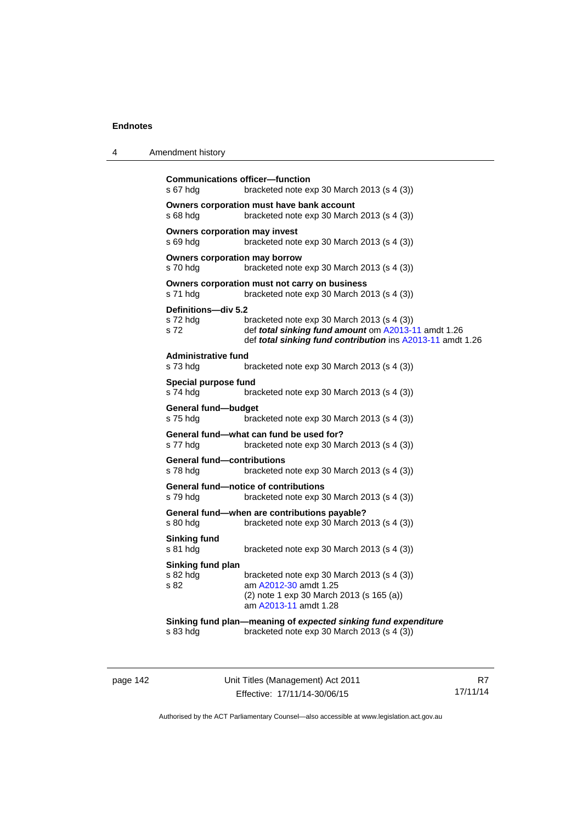| 4 | Amendment history |
|---|-------------------|
|---|-------------------|

```
Communications officer—function 
s 67 hdg bracketed note exp 30 March 2013 (s 4 (3)) 
Owners corporation must have bank account 
s 68 hdg bracketed note exp 30 March 2013 (s 4 (3)) 
Owners corporation may invest 
s 69 hdg bracketed note exp 30 March 2013 (s 4 (3)) 
Owners corporation may borrow 
s 70 hdg bracketed note exp 30 March 2013 (s 4 (3)) 
Owners corporation must not carry on business 
s 71 hdg bracketed note exp 30 March 2013 (s 4 (3))
Definitions—div 5.2 
s 72 hdg bracketed note exp 30 March 2013 (s 4 (3)) 
s 72 def total sinking fund amount om A2013-11 amdt 1.26
                 def total sinking fund contribution ins A2013-11 amdt 1.26
Administrative fund 
s 73 hdg bracketed note exp 30 March 2013 (s 4 (3)) 
Special purpose fund 
s 74 hdg bracketed note exp 30 March 2013 (s 4 (3)) 
General fund—budget 
s 75 hdg bracketed note exp 30 March 2013 (s 4 (3))
General fund—what can fund be used for? 
s 77 hdg bracketed note exp 30 March 2013 (s 4 (3)) 
General fund—contributions 
s 78 hdg bracketed note exp 30 March 2013 (s 4 (3)) 
General fund—notice of contributions 
s 79 hdg bracketed note exp 30 March 2013 (s 4 (3))
General fund—when are contributions payable? 
s 80 hdg bracketed note exp 30 March 2013 (s 4 (3)) 
Sinking fund 
s 81 hdg bracketed note exp 30 March 2013 (s 4 (3))
Sinking fund plan 
s 82 hdg bracketed note exp 30 March 2013 (s 4 (3))<br>s 82 bracketed note exp 30 March 2013 (s 4 (3))
                 A2012-30 amdt 1.25
                 (2) note 1 exp 30 March 2013 (s 165 (a)) 
                  am A2013-11 amdt 1.28
Sinking fund plan—meaning of expected sinking fund expenditure
s 83 hdg bracketed note exp 30 March 2013 (s 4 (3))
```
page 142 Unit Titles (Management) Act 2011 Effective: 17/11/14-30/06/15

R7 17/11/14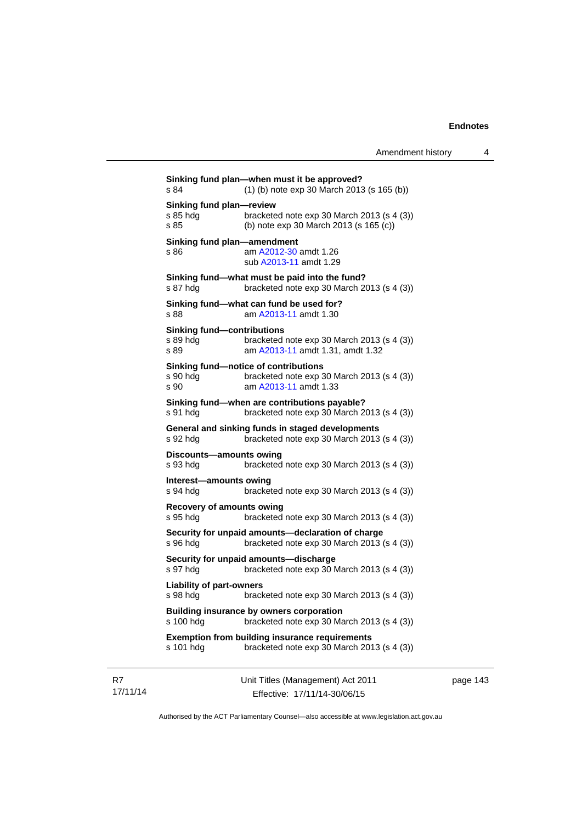**Sinking fund plan—when must it be approved?**  s 84 (1) (b) note exp 30 March 2013 (s 165 (b)) **Sinking fund plan—review**  s 85 hdg bracketed note exp 30 March 2013 (s 4 (3)) s 85 (b) note exp 30 March 2013 (s 165 (c)) **Sinking fund plan—amendment**  s 86 am [A2012-30](http://www.legislation.act.gov.au/a/2012-30) amdt 1.26 sub [A2013-11](http://www.legislation.act.gov.au/a/2013-11) amdt 1.29 **Sinking fund—what must be paid into the fund?**  s 87 hdg bracketed note exp 30 March 2013 (s 4 (3)) **Sinking fund—what can fund be used for?**  s 88 am [A2013-11](http://www.legislation.act.gov.au/a/2013-11) amdt 1.30 **Sinking fund—contributions**  s 89 hdg bracketed note exp 30 March 2013 (s 4 (3)) s 89 am [A2013-11](http://www.legislation.act.gov.au/a/2013-11) amdt 1.31, amdt 1.32 **Sinking fund—notice of contributions**  s 90 hdg bracketed note exp 30 March 2013 (s 4 (3)) s 90 am [A2013-11](http://www.legislation.act.gov.au/a/2013-11) amdt 1.33 **Sinking fund—when are contributions payable?**  s 91 hdg bracketed note exp 30 March 2013 (s 4 (3)) **General and sinking funds in staged developments**  s 92 hdg bracketed note exp 30 March 2013 (s 4 (3)) **Discounts—amounts owing**  s 93 hdg bracketed note exp 30 March 2013 (s 4 (3)) **Interest—amounts owing**  s 94 hdg bracketed note exp 30 March 2013 (s 4 (3)) **Recovery of amounts owing**  s 95 hdg bracketed note exp 30 March 2013 (s 4 (3)) **Security for unpaid amounts—declaration of charge**  s 96 hdg bracketed note exp 30 March 2013 (s 4 (3)) **Security for unpaid amounts—discharge**  s 97 hdg bracketed note exp 30 March 2013 (s 4 (3)) **Liability of part-owners**  s 98 hdg bracketed note exp 30 March 2013 (s 4 (3)) **Building insurance by owners corporation**  s 100 hdg bracketed note exp 30 March 2013 (s 4 (3)) **Exemption from building insurance requirements**  s 101 hdg bracketed note exp 30 March 2013 (s 4 (3))

R7 17/11/14 Unit Titles (Management) Act 2011 Effective: 17/11/14-30/06/15

page 143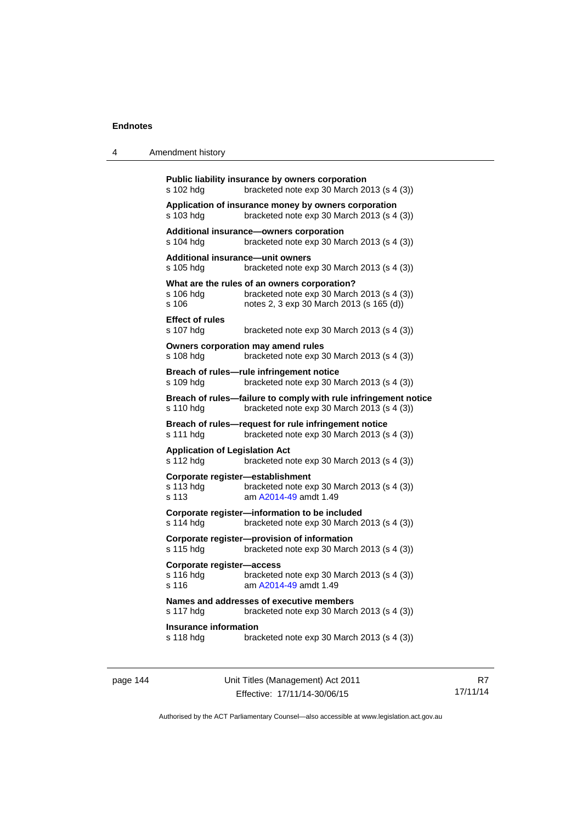| 4 | Amendment history |
|---|-------------------|
|---|-------------------|

| s 102 hdg                                                                                                                  | Public liability insurance by owners corporation<br>bracketed note exp 30 March 2013 (s 4 (3))                                         |  |  |
|----------------------------------------------------------------------------------------------------------------------------|----------------------------------------------------------------------------------------------------------------------------------------|--|--|
| s 103 hdg                                                                                                                  | Application of insurance money by owners corporation<br>bracketed note exp 30 March 2013 (s 4 (3))                                     |  |  |
| s 104 hdg                                                                                                                  | Additional insurance-owners corporation<br>bracketed note exp 30 March 2013 (s 4 (3))                                                  |  |  |
| s 105 hdg                                                                                                                  | <b>Additional insurance-unit owners</b><br>bracketed note exp 30 March 2013 (s 4 (3))                                                  |  |  |
| s 106 hdg<br>$s$ 106                                                                                                       | What are the rules of an owners corporation?<br>bracketed note exp 30 March 2013 (s 4 (3))<br>notes 2, 3 exp 30 March 2013 (s 165 (d)) |  |  |
| <b>Effect of rules</b><br>s 107 hdg                                                                                        | bracketed note exp 30 March 2013 (s 4 (3))                                                                                             |  |  |
| s 108 hdg                                                                                                                  | Owners corporation may amend rules<br>bracketed note exp 30 March 2013 (s 4 (3))                                                       |  |  |
| s 109 hdg                                                                                                                  | Breach of rules-rule infringement notice<br>bracketed note exp 30 March 2013 (s 4 (3))                                                 |  |  |
| Breach of rules-failure to comply with rule infringement notice<br>bracketed note exp 30 March 2013 (s 4 (3))<br>s 110 hdg |                                                                                                                                        |  |  |
|                                                                                                                            |                                                                                                                                        |  |  |
| s 111 hdg                                                                                                                  | Breach of rules-request for rule infringement notice<br>bracketed note exp 30 March 2013 (s 4 (3))                                     |  |  |
| <b>Application of Legislation Act</b><br>s 112 hdg                                                                         | bracketed note exp 30 March 2013 (s 4 (3))                                                                                             |  |  |
| s 113 hdg<br>s 113                                                                                                         | Corporate register-establishment<br>bracketed note exp 30 March 2013 (s 4 (3))<br>am A2014-49 amdt 1.49                                |  |  |
| s 114 hdg                                                                                                                  | Corporate register-information to be included<br>bracketed note exp 30 March 2013 (s 4 (3))                                            |  |  |
| s 115 hdg                                                                                                                  | Corporate register-provision of information<br>bracketed note exp 30 March 2013 (s 4 (3))                                              |  |  |
| Corporate register-access<br>s 116 hdg<br>s 116                                                                            | bracketed note exp 30 March 2013 (s 4 (3))<br>am A2014-49 amdt 1.49                                                                    |  |  |
| s 117 hdg                                                                                                                  | Names and addresses of executive members<br>bracketed note exp 30 March 2013 (s 4 (3))                                                 |  |  |
| <b>Insurance information</b><br>s 118 hdg                                                                                  | bracketed note exp 30 March 2013 (s 4 (3))                                                                                             |  |  |

page 144 Unit Titles (Management) Act 2011 Effective: 17/11/14-30/06/15

R7 17/11/14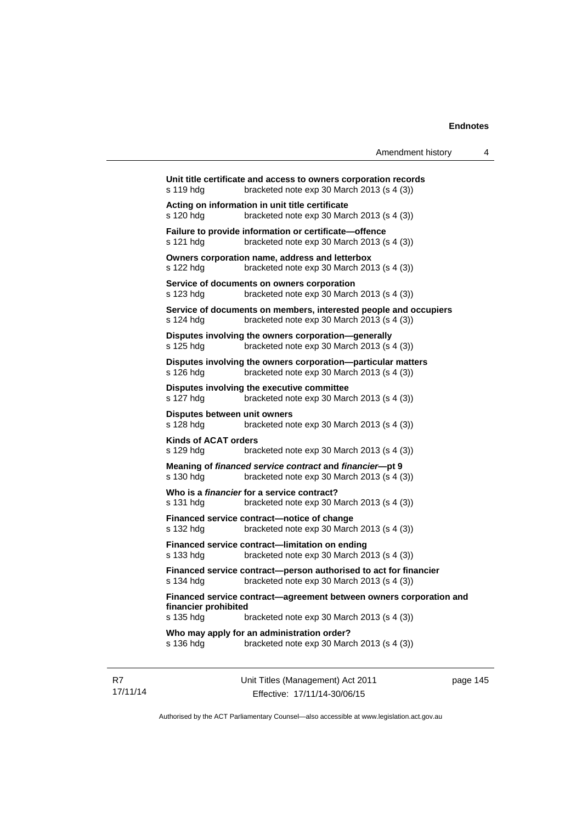| Amendment history<br>4                                                                                                      |  |
|-----------------------------------------------------------------------------------------------------------------------------|--|
| Unit title certificate and access to owners corporation records<br>bracketed note exp 30 March 2013 (s 4 (3))<br>s 119 hdg  |  |
| Acting on information in unit title certificate<br>s 120 hda<br>bracketed note exp 30 March 2013 (s 4 (3))                  |  |
| Failure to provide information or certificate-offence<br>s 121 hdg<br>bracketed note exp 30 March 2013 (s 4 (3))            |  |
| Owners corporation name, address and letterbox<br>s 122 hdg<br>bracketed note exp 30 March 2013 (s 4 (3))                   |  |
| Service of documents on owners corporation<br>bracketed note exp 30 March 2013 (s 4 (3))<br>s 123 hdg                       |  |
| Service of documents on members, interested people and occupiers<br>bracketed note exp 30 March 2013 (s 4 (3))<br>s 124 hdg |  |
| Disputes involving the owners corporation-generally<br>bracketed note exp 30 March 2013 (s 4 (3))<br>s 125 hdg              |  |
| Disputes involving the owners corporation--particular matters<br>bracketed note exp 30 March 2013 (s 4 (3))<br>s 126 hdg    |  |
| Disputes involving the executive committee<br>s 127 hdg<br>bracketed note exp 30 March 2013 (s 4 (3))                       |  |
| Disputes between unit owners<br>s 128 hdg<br>bracketed note exp 30 March 2013 (s 4 (3))                                     |  |
| <b>Kinds of ACAT orders</b><br>s 129 hdg<br>bracketed note $exp 30$ March 2013 (s 4 (3))                                    |  |
| Meaning of financed service contract and financier--pt 9<br>bracketed note exp 30 March 2013 (s 4 (3))<br>s 130 hdg         |  |
| Who is a financier for a service contract?<br>s 131 hdg<br>bracketed note $exp 30$ March 2013 (s 4 (3))                     |  |
| Financed service contract-notice of change<br>s 132 hdg<br>bracketed note exp 30 March 2013 (s 4 (3))                       |  |
| Financed service contract-limitation on ending<br>bracketed note exp 30 March 2013 (s 4 (3))<br>s 133 hdg                   |  |
| Financed service contract-person authorised to act for financier<br>s 134 hdg bracketed note exp 30 March 2013 (s 4 (3))    |  |
| Financed service contract-agreement between owners corporation and<br>financier prohibited                                  |  |
| s 135 hdg<br>bracketed note exp 30 March 2013 (s 4 (3))                                                                     |  |
| Who may apply for an administration order?<br>s 136 hdg<br>bracketed note exp 30 March 2013 (s 4 (3))                       |  |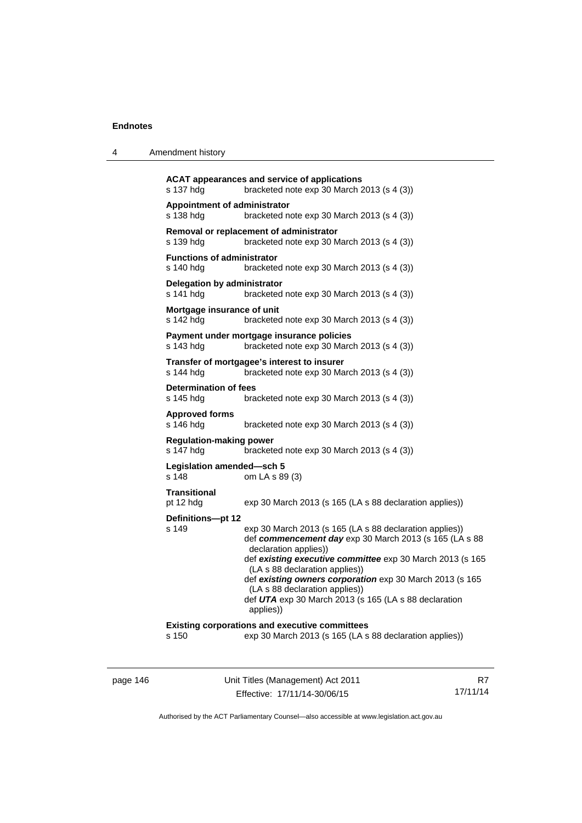| 4 | Amendment history |  |
|---|-------------------|--|
|---|-------------------|--|

```
ACAT appearances and service of applications 
s 137 hdg bracketed note exp 30 March 2013 (s 4 (3))
Appointment of administrator 
s 138 hdg bracketed note exp 30 March 2013 (s 4 (3)) 
Removal or replacement of administrator 
s 139 hdg bracketed note exp 30 March 2013 (s 4 (3))
Functions of administrator 
s 140 hdg bracketed note exp 30 March 2013 (s 4 (3)) 
Delegation by administrator 
s 141 hdg bracketed note exp 30 March 2013 (s 4 (3)) 
Mortgage insurance of unit 
s 142 hdg bracketed note exp 30 March 2013 (s 4 (3))
Payment under mortgage insurance policies 
s 143 hdg bracketed note exp 30 March 2013 (s 4 (3)) 
Transfer of mortgagee's interest to insurer 
s 144 hdg bracketed note exp 30 March 2013 (s 4 (3)) 
Determination of fees 
                 bracketed note exp 30 March 2013 (s 4 (3))
Approved forms 
s 146 hdg bracketed note exp 30 March 2013 (s 4 (3)) 
Regulation-making power 
s 147 hdg bracketed note exp 30 March 2013 (s 4 (3)) 
Legislation amended—sch 5 
s 148 om LA s 89 (3) 
Transitional 
pt 12 hdg exp 30 March 2013 (s 165 (LA s 88 declaration applies))
Definitions—pt 12 
s 149 exp 30 March 2013 (s 165 (LA s 88 declaration applies)) 
                  def commencement day exp 30 March 2013 (s 165 (LA s 88 
                  declaration applies)) 
                  def existing executive committee exp 30 March 2013 (s 165 
                  (LA s 88 declaration applies)) 
                  def existing owners corporation exp 30 March 2013 (s 165 
                  (LA s 88 declaration applies)) 
                  def UTA exp 30 March 2013 (s 165 (LA s 88 declaration 
                  applies)) 
Existing corporations and executive committees 
s 150 exp 30 March 2013 (s 165 (LA s 88 declaration applies))
```
page 146 Unit Titles (Management) Act 2011 Effective: 17/11/14-30/06/15

R7 17/11/14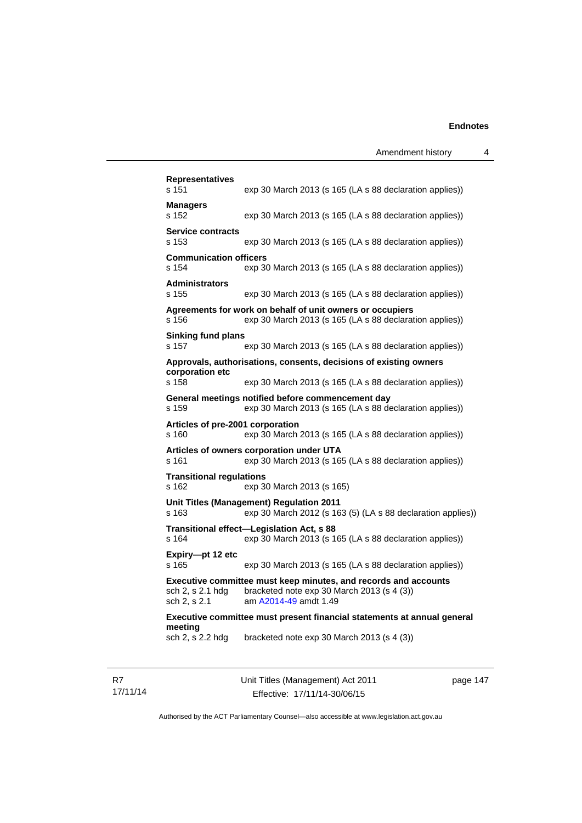| <b>Representatives</b><br>s 151           | exp 30 March 2013 (s 165 (LA s 88 declaration applies))                                                                                |
|-------------------------------------------|----------------------------------------------------------------------------------------------------------------------------------------|
| Managers<br>s 152                         | exp 30 March 2013 (s 165 (LA s 88 declaration applies))                                                                                |
| <b>Service contracts</b><br>s 153         | exp 30 March 2013 (s 165 (LA s 88 declaration applies))                                                                                |
| <b>Communication officers</b><br>s 154    | exp 30 March 2013 (s 165 (LA s 88 declaration applies))                                                                                |
| <b>Administrators</b><br>s 155            | exp 30 March 2013 (s 165 (LA s 88 declaration applies))                                                                                |
| s 156                                     | Agreements for work on behalf of unit owners or occupiers<br>exp 30 March 2013 (s 165 (LA s 88 declaration applies))                   |
| <b>Sinking fund plans</b><br>s 157        | exp 30 March 2013 (s 165 (LA s 88 declaration applies))                                                                                |
|                                           | Approvals, authorisations, consents, decisions of existing owners                                                                      |
| corporation etc<br>s 158                  | exp 30 March 2013 (s 165 (LA s 88 declaration applies))                                                                                |
| s 159                                     | General meetings notified before commencement day<br>exp 30 March 2013 (s 165 (LA s 88 declaration applies))                           |
| Articles of pre-2001 corporation<br>s 160 | exp 30 March 2013 (s 165 (LA s 88 declaration applies))                                                                                |
| s 161                                     | Articles of owners corporation under UTA<br>exp 30 March 2013 (s 165 (LA s 88 declaration applies))                                    |
| <b>Transitional regulations</b><br>s 162  | exp 30 March 2013 (s 165)                                                                                                              |
| s 163                                     | Unit Titles (Management) Regulation 2011<br>exp 30 March 2012 (s 163 (5) (LA s 88 declaration applies))                                |
| s 164                                     | Transitional effect-Legislation Act, s 88<br>exp 30 March 2013 (s 165 (LA s 88 declaration applies))                                   |
| Expiry-pt 12 etc<br>s 165                 | exp 30 March 2013 (s 165 (LA s 88 declaration applies))                                                                                |
| sch 2, s 2.1 hdg<br>sch 2, s 2.1          | Executive committee must keep minutes, and records and accounts<br>bracketed note exp 30 March 2013 (s 4 (3))<br>am A2014-49 amdt 1.49 |
|                                           | Executive committee must present financial statements at annual general                                                                |
| meeting<br>sch 2, s 2.2 hdg               | bracketed note exp 30 March 2013 (s 4 (3))                                                                                             |
|                                           |                                                                                                                                        |

R7 17/11/14 Unit Titles (Management) Act 2011 Effective: 17/11/14-30/06/15

page 147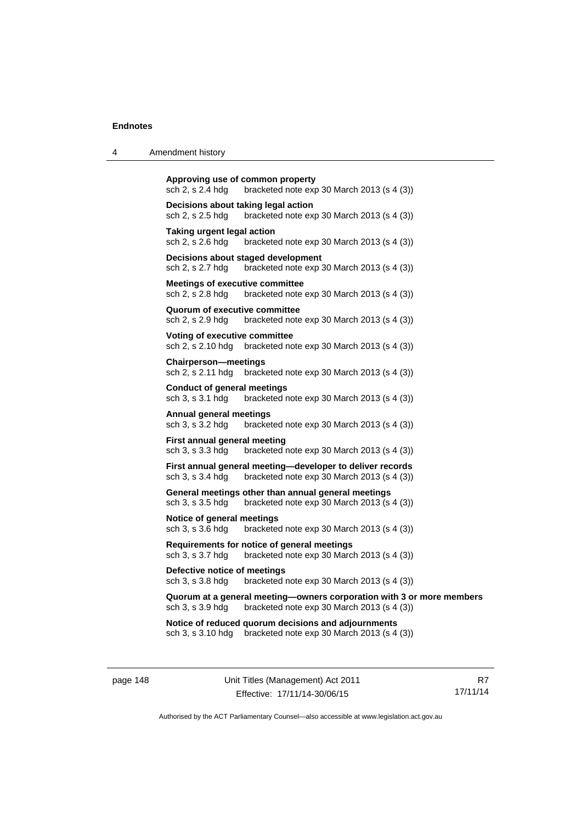| 4 | Amendment history                                                                                                                       |
|---|-----------------------------------------------------------------------------------------------------------------------------------------|
|   | Approving use of common property<br>sch 2, s 2.4 hdg<br>bracketed note $exp 30$ March 2013 (s 4 (3))                                    |
|   | Decisions about taking legal action<br>sch 2, s 2.5 hdg<br>bracketed note $exp 30$ March 2013 (s 4 (3))                                 |
|   | Taking urgent legal action<br>sch 2, s 2.6 hdg<br>bracketed note $exp 30$ March 2013 (s 4 (3))                                          |
|   | Decisions about staged development<br>sch 2, s 2.7 hdg<br>bracketed note exp 30 March 2013 (s 4 (3))                                    |
|   | <b>Meetings of executive committee</b><br>sch 2, s 2.8 hdg<br>bracketed note $exp 30$ March 2013 (s 4 (3))                              |
|   | Quorum of executive committee<br>sch 2, s 2.9 hdg<br>bracketed note $exp 30$ March 2013 (s 4 (3))                                       |
|   | Voting of executive committee<br>bracketed note exp 30 March 2013 (s 4 (3))<br>sch 2, s 2.10 hdg                                        |
|   | <b>Chairperson-meetings</b><br>sch 2, s 2.11 hdg<br>bracketed note $exp 30$ March 2013 (s 4 (3))                                        |
|   | <b>Conduct of general meetings</b><br>sch 3, s 3.1 hdg<br>bracketed note exp 30 March 2013 (s 4 (3))                                    |
|   | Annual general meetings<br>sch 3, s 3.2 hdg<br>bracketed note $exp 30$ March 2013 (s 4 (3))                                             |
|   | <b>First annual general meeting</b><br>sch 3, s 3.3 hdg<br>bracketed note exp 30 March 2013 (s 4 (3))                                   |
|   | First annual general meeting—developer to deliver records<br>bracketed note exp 30 March 2013 (s 4 (3))<br>sch 3, s 3.4 hdg             |
|   | General meetings other than annual general meetings<br>sch 3, s 3.5 hdg<br>bracketed note exp 30 March 2013 (s 4 (3))                   |
|   | Notice of general meetings<br>sch 3, s 3.6 hdg<br>bracketed note $exp 30$ March 2013 (s 4 (3))                                          |
|   | Requirements for notice of general meetings<br>sch 3, s 3.7 hdg<br>bracketed note $exp 30$ March 2013 (s 4 (3))                         |
|   | Defective notice of meetings<br>sch 3, s 3.8 hdg<br>bracketed note $exp 30$ March 2013 (s 4 (3))                                        |
|   | Quorum at a general meeting—owners corporation with 3 or more members<br>bracketed note exp 30 March 2013 (s 4 (3))<br>sch 3, s 3.9 hdg |
|   | Notice of reduced quorum decisions and adjournments<br>sch 3, s 3.10 hdg<br>bracketed note $exp 30$ March 2013 (s 4 (3))                |

page 148 Unit Titles (Management) Act 2011 Effective: 17/11/14-30/06/15

R7 17/11/14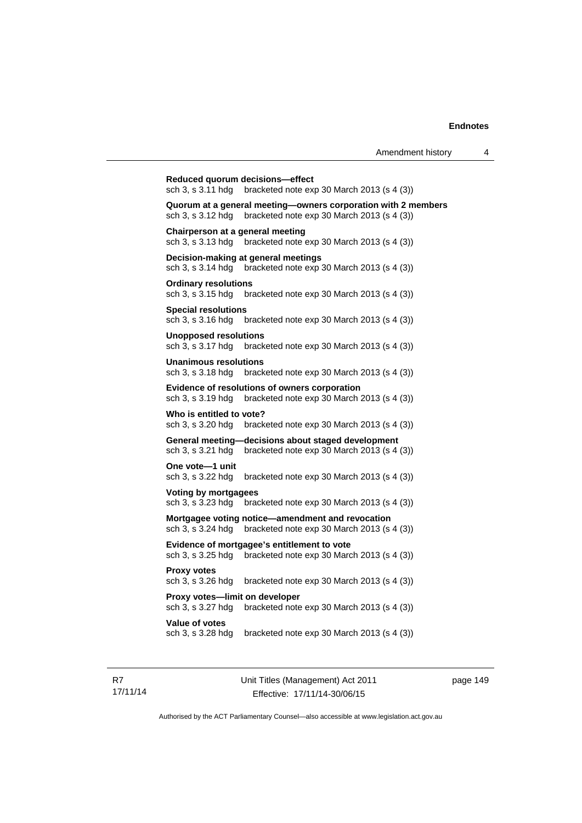**Reduced quorum decisions—effect**  sch 3, s 3.11 hdg bracketed note exp 30 March 2013 (s 4 (3)) **Quorum at a general meeting—owners corporation with 2 members**  sch 3, s 3.12 hdg bracketed note exp 30 March 2013 (s 4 (3)) **Chairperson at a general meeting**  sch 3, s 3.13 hdg bracketed note exp 30 March 2013 (s 4 (3)) **Decision-making at general meetings**  sch 3, s 3.14 hdg bracketed note exp 30 March 2013 (s 4 (3)) **Ordinary resolutions**  sch 3, s 3.15 hdg bracketed note exp 30 March 2013 (s 4 (3)) **Special resolutions**  sch 3, s 3.16 hdg bracketed note exp 30 March 2013 (s 4 (3)) **Unopposed resolutions**  sch 3, s 3.17 hdg bracketed note exp 30 March 2013 (s 4 (3)) **Unanimous resolutions**  sch 3, s 3.18 hdg bracketed note exp 30 March 2013 (s 4 (3)) **Evidence of resolutions of owners corporation**  sch 3, s 3.19 hdg bracketed note exp 30 March 2013 (s 4 (3)) **Who is entitled to vote?**  sch 3, s 3.20 hdg bracketed note exp 30 March 2013 (s 4 (3)) **General meeting—decisions about staged development**  sch 3, s 3.21 hdg bracketed note exp 30 March 2013 (s 4 (3)) **One vote—1 unit**  sch 3, s 3.22 hdg bracketed note exp 30 March 2013 (s 4 (3)) **Voting by mortgagees**  sch 3, s 3.23 hdg bracketed note exp 30 March 2013 (s 4 (3)) **Mortgagee voting notice—amendment and revocation**  sch 3, s 3.24 hdg bracketed note exp 30 March 2013 (s 4 (3)) **Evidence of mortgagee's entitlement to vote**  sch 3, s 3.25 hdg bracketed note exp 30 March 2013 (s 4 (3)) **Proxy votes**  sch 3, s 3.26 hdg bracketed note exp 30 March 2013 (s 4 (3)) **Proxy votes—limit on developer**  sch 3, s 3.27 hdg bracketed note exp 30 March 2013 (s 4 (3)) **Value of votes**  sch 3, s 3.28 hdg bracketed note exp 30 March 2013 (s 4 (3))

R7 17/11/14 Unit Titles (Management) Act 2011 Effective: 17/11/14-30/06/15

page 149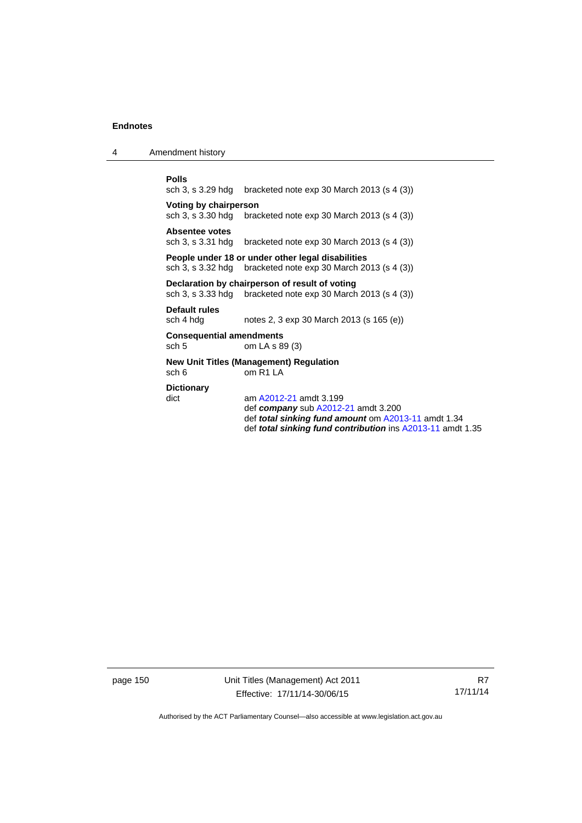4 Amendment history

**Polls**<br>sch 3, s 3.29 hdg bracketed note exp 30 March 2013 (s  $4$  (3)) **Voting by chairperson**<br>sch 3, s 3.30 hdg brac bracketed note exp 30 March 2013 (s  $4$  (3)) Absentee votes<br>sch 3, s 3.31 hdg bracketed note exp 30 March 2013 (s  $4$  (3)) **People under 18 or under other legal disabilities**  sch 3, s 3.32 hdg bracketed note exp 30 March 2013 (s 4 (3)) **Declaration by chairperson of result of voting**  sch 3, s 3.33 hdg bracketed note exp 30 March 2013 (s 4 (3)) **Default rules**  sch 4 hdg notes 2, 3 exp 30 March 2013 (s 165 (e)) **Consequential amendments**  sch 5 om LA s 89 (3)

**New Unit Titles (Management) Regulation**  sch 6 om R1 LA

### **Dictionary**

dict am [A2012-21](http://www.legislation.act.gov.au/a/2012-21) amdt 3.199 def *company* sub [A2012-21](http://www.legislation.act.gov.au/a/2012-21) amdt 3.200 def *total sinking fund amount* om [A2013-11](http://www.legislation.act.gov.au/a/2013-11) amdt 1.34 def *total sinking fund contribution* ins [A2013-11](http://www.legislation.act.gov.au/a/2013-11) amdt 1.35

page 150 Unit Titles (Management) Act 2011 Effective: 17/11/14-30/06/15

R7 17/11/14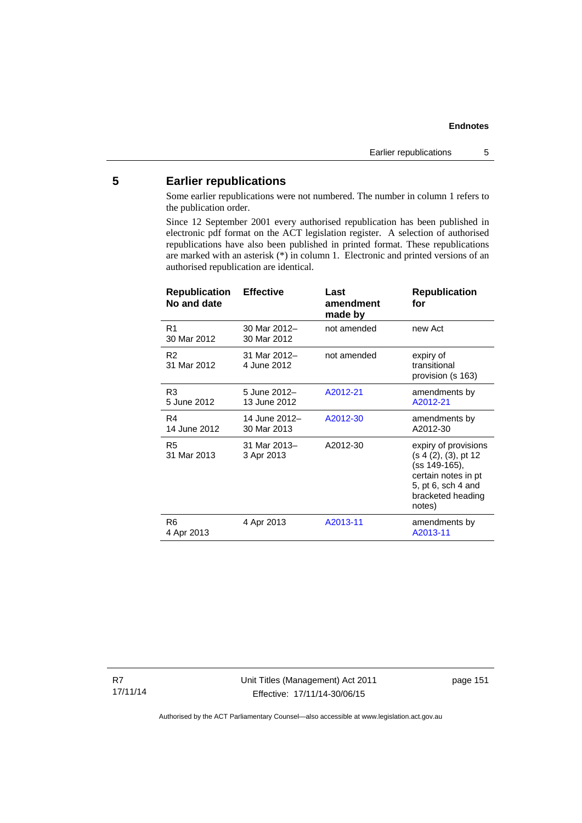# **5 Earlier republications**

Some earlier republications were not numbered. The number in column 1 refers to the publication order.

Since 12 September 2001 every authorised republication has been published in electronic pdf format on the ACT legislation register. A selection of authorised republications have also been published in printed format. These republications are marked with an asterisk (\*) in column 1. Electronic and printed versions of an authorised republication are identical.

| <b>Republication</b><br>No and date | <b>Effective</b>             | Last<br>amendment<br>made by | <b>Republication</b><br>for                                                                                                               |
|-------------------------------------|------------------------------|------------------------------|-------------------------------------------------------------------------------------------------------------------------------------------|
| R <sub>1</sub><br>30 Mar 2012       | 30 Mar 2012-<br>30 Mar 2012  | not amended                  | new Act                                                                                                                                   |
| R <sub>2</sub><br>31 Mar 2012       | 31 Mar 2012-<br>4 June 2012  | not amended                  | expiry of<br>transitional<br>provision (s 163)                                                                                            |
| R3<br>5 June 2012                   | 5 June 2012-<br>13 June 2012 | A2012-21                     | amendments by<br>A2012-21                                                                                                                 |
| R4<br>14 June 2012                  | 14 June 2012-<br>30 Mar 2013 | A2012-30                     | amendments by<br>A2012-30                                                                                                                 |
| R <sub>5</sub><br>31 Mar 2013       | 31 Mar 2013-<br>3 Apr 2013   | A2012-30                     | expiry of provisions<br>(s 4 (2), (3), pt 12<br>(ss 149-165),<br>certain notes in pt<br>5, pt 6, sch 4 and<br>bracketed heading<br>notes) |
| R6<br>4 Apr 2013                    | 4 Apr 2013                   | A2013-11                     | amendments by<br>A2013-11                                                                                                                 |

R7 17/11/14 Unit Titles (Management) Act 2011 Effective: 17/11/14-30/06/15

page 151